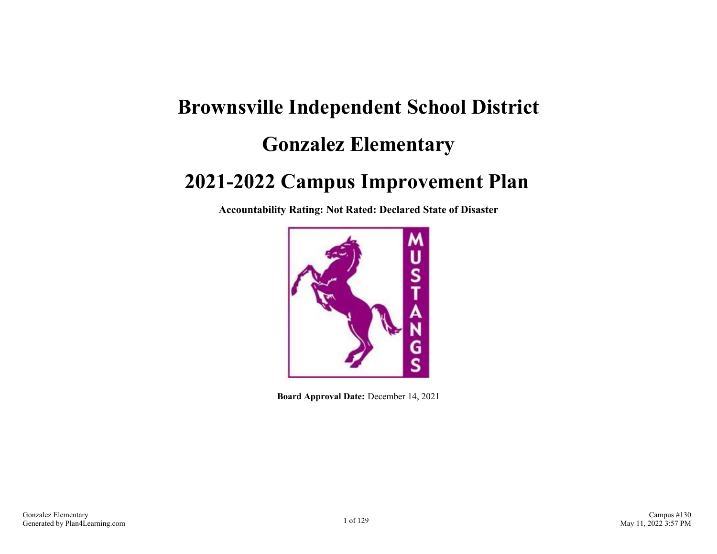# **Brownsville Independent School District Gonzalez Elementary**

### **2021-2022 Campus Improvement Plan**

**Accountability Rating: Not Rated: Declared State of Disaster**



**Board Approval Date:** December 14, 2021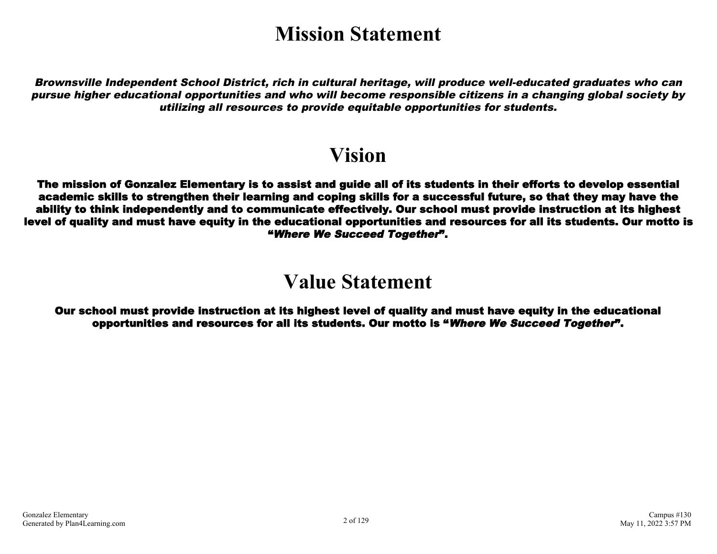# **Mission Statement**

Brownsville Independent School District, rich in cultural heritage, will produce well-educated graduates who can pursue higher educational opportunities and who will become responsible citizens in a changing global society by utilizing all resources to provide equitable opportunities for students.

### **Vision**

The mission of Gonzalez Elementary is to assist and guide all of its students in their efforts to develop essential academic skills to strengthen their learning and coping skills for a successful future, so that they may have the ability to think independently and to communicate effectively. Our school must provide instruction at its highest level of quality and must have equity in the educational opportunities and resources for all its students. Our motto is "Where We Succeed Together".

### **Value Statement**

Our school must provide instruction at its highest level of quality and must have equity in the educational opportunities and resources for all its students. Our motto is "Where We Succeed Together".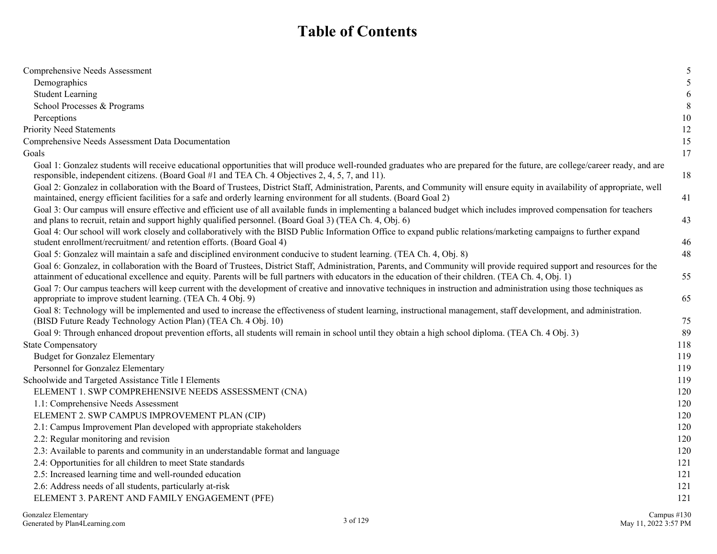### **Table of Contents**

| Comprehensive Needs Assessment                                                                                                                                                                                                                                                                                                     | 5   |
|------------------------------------------------------------------------------------------------------------------------------------------------------------------------------------------------------------------------------------------------------------------------------------------------------------------------------------|-----|
| Demographics                                                                                                                                                                                                                                                                                                                       | 5   |
| <b>Student Learning</b>                                                                                                                                                                                                                                                                                                            | 6   |
| School Processes & Programs                                                                                                                                                                                                                                                                                                        | 8   |
| Perceptions                                                                                                                                                                                                                                                                                                                        | 10  |
| <b>Priority Need Statements</b>                                                                                                                                                                                                                                                                                                    | 12  |
| Comprehensive Needs Assessment Data Documentation                                                                                                                                                                                                                                                                                  | 15  |
| Goals                                                                                                                                                                                                                                                                                                                              | 17  |
| Goal 1: Gonzalez students will receive educational opportunities that will produce well-rounded graduates who are prepared for the future, are college/career ready, and are<br>responsible, independent citizens. (Board Goal #1 and TEA Ch. 4 Objectives 2, 4, 5, 7, and 11).                                                    | 18  |
| Goal 2: Gonzalez in collaboration with the Board of Trustees, District Staff, Administration, Parents, and Community will ensure equity in availability of appropriate, well<br>maintained, energy efficient facilities for a safe and orderly learning environment for all students. (Board Goal 2)                               | 41  |
| Goal 3: Our campus will ensure effective and efficient use of all available funds in implementing a balanced budget which includes improved compensation for teachers<br>and plans to recruit, retain and support highly qualified personnel. (Board Goal 3) (TEA Ch. 4, Obj. 6)                                                   | 43  |
| Goal 4: Our school will work closely and collaboratively with the BISD Public Information Office to expand public relations/marketing campaigns to further expand<br>student enrollment/recruitment/ and retention efforts. (Board Goal 4)                                                                                         | 46  |
| Goal 5: Gonzalez will maintain a safe and disciplined environment conducive to student learning. (TEA Ch. 4, Obj. 8)                                                                                                                                                                                                               | 48  |
| Goal 6: Gonzalez, in collaboration with the Board of Trustees, District Staff, Administration, Parents, and Community will provide required support and resources for the<br>attainment of educational excellence and equity. Parents will be full partners with educators in the education of their children. (TEA Ch. 4, Obj. 1) | 55  |
| Goal 7: Our campus teachers will keep current with the development of creative and innovative techniques in instruction and administration using those techniques as<br>appropriate to improve student learning. (TEA Ch. 4 Obj. 9)                                                                                                | 65  |
| Goal 8: Technology will be implemented and used to increase the effectiveness of student learning, instructional management, staff development, and administration.<br>(BISD Future Ready Technology Action Plan) (TEA Ch. 4 Obj. 10)                                                                                              | 75  |
| Goal 9: Through enhanced dropout prevention efforts, all students will remain in school until they obtain a high school diploma. (TEA Ch. 4 Obj. 3)                                                                                                                                                                                | 89  |
| <b>State Compensatory</b>                                                                                                                                                                                                                                                                                                          | 118 |
| <b>Budget for Gonzalez Elementary</b>                                                                                                                                                                                                                                                                                              | 119 |
| Personnel for Gonzalez Elementary                                                                                                                                                                                                                                                                                                  | 119 |
| Schoolwide and Targeted Assistance Title I Elements                                                                                                                                                                                                                                                                                | 119 |
| ELEMENT 1. SWP COMPREHENSIVE NEEDS ASSESSMENT (CNA)                                                                                                                                                                                                                                                                                | 120 |
| 1.1: Comprehensive Needs Assessment                                                                                                                                                                                                                                                                                                | 120 |
| ELEMENT 2. SWP CAMPUS IMPROVEMENT PLAN (CIP)                                                                                                                                                                                                                                                                                       | 120 |
| 2.1: Campus Improvement Plan developed with appropriate stakeholders                                                                                                                                                                                                                                                               | 120 |
| 2.2: Regular monitoring and revision                                                                                                                                                                                                                                                                                               | 120 |
| 2.3: Available to parents and community in an understandable format and language                                                                                                                                                                                                                                                   | 120 |
| 2.4: Opportunities for all children to meet State standards                                                                                                                                                                                                                                                                        | 121 |
| 2.5: Increased learning time and well-rounded education                                                                                                                                                                                                                                                                            | 121 |
| 2.6: Address needs of all students, particularly at-risk                                                                                                                                                                                                                                                                           | 121 |
| ELEMENT 3. PARENT AND FAMILY ENGAGEMENT (PFE)                                                                                                                                                                                                                                                                                      | 121 |
|                                                                                                                                                                                                                                                                                                                                    |     |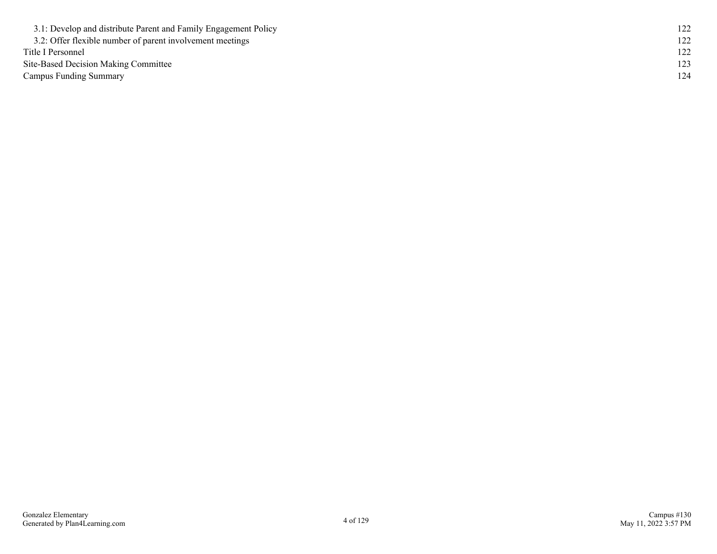| 3.1: Develop and distribute Parent and Family Engagement Policy |  |
|-----------------------------------------------------------------|--|
| 3.2: Offer flexible number of parent involvement meetings       |  |
| Title I Personnel                                               |  |
| Site-Based Decision Making Committee                            |  |
| <b>Campus Funding Summary</b>                                   |  |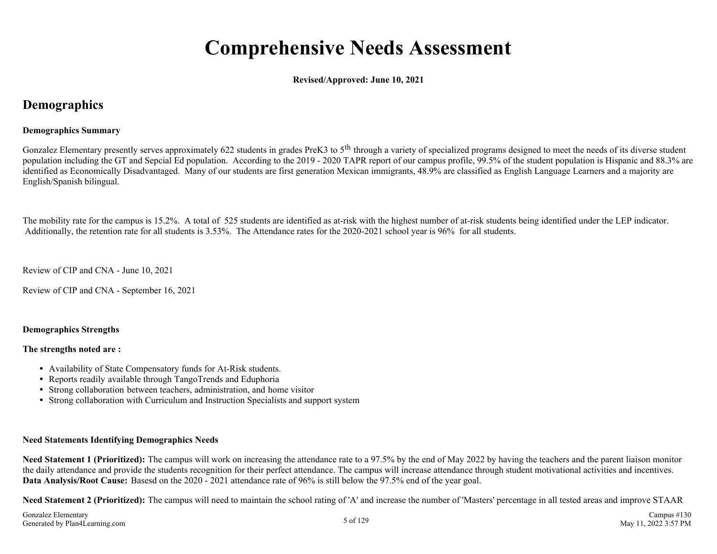# **Comprehensive Needs Assessment**

**Revised/Approved: June 10, 2021**

### **Demographics**

#### **Demographics Summary**

Gonzalez Elementary presently serves approximately 622 students in grades PreK3 to 5<sup>th</sup> through a variety of specialized programs designed to meet the needs of its diverse student population including the GT and Sepcial Ed population. According to the 2019 - 2020 TAPR report of our campus profile, 99.5% of the student population is Hispanic and 88.3% are identified as Economically Disadvantaged. Many of our students are first generation Mexican immigrants, 48.9% are classified as English Language Learners and a majority are English/Spanish bilingual.

The mobility rate for the campus is 15.2%. A total of 525 students are identified as at-risk with the highest number of at-risk students being identified under the LEP indicator. Additionally, the retention rate for all students is 3.53%. The Attendance rates for the 2020-2021 school year is 96% for all students.

Review of CIP and CNA - June 10, 2021

Review of CIP and CNA - September 16, 2021

#### **Demographics Strengths**

#### **The strengths noted are :**

- Availability of State Compensatory funds for At-Risk students.
- Reports readily available through TangoTrends and Eduphoria
- Strong collaboration between teachers, administration, and home visitor
- Strong collaboration with Curriculum and Instruction Specialists and support system

#### **Need Statements Identifying Demographics Needs**

**Need Statement 1 (Prioritized):** The campus will work on increasing the attendance rate to a 97.5% by the end of May 2022 by having the teachers and the parent liaison monitor the daily attendance and provide the students recognition for their perfect attendance. The campus will increase attendance through student motivational activities and incentives. **Data Analysis/Root Cause:** Basesd on the 2020 - 2021 attendance rate of 96% is still below the 97.5% end of the year goal.

**Need Statement 2 (Prioritized):** The campus will need to maintain the school rating of 'A' and increase the number of 'Masters' percentage in all tested areas and improve STAAR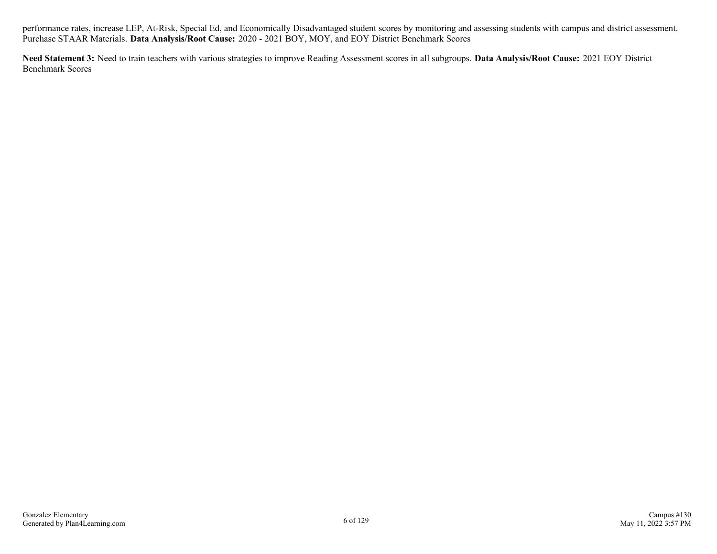performance rates, increase LEP, At-Risk, Special Ed, and Economically Disadvantaged student scores by monitoring and assessing students with campus and district assessment. Purchase STAAR Materials. **Data Analysis/Root Cause:** 2020 - 2021 BOY, MOY, and EOY District Benchmark Scores

**Need Statement 3:** Need to train teachers with various strategies to improve Reading Assessment scores in all subgroups. **Data Analysis/Root Cause:** 2021 EOY District Benchmark Scores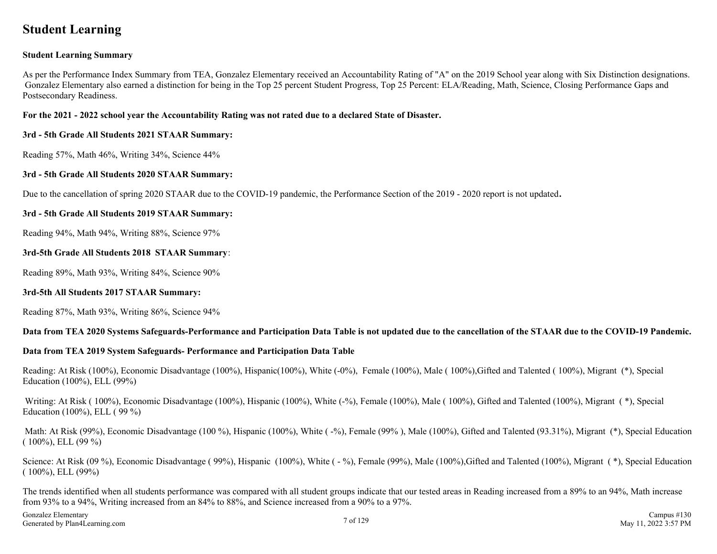### **Student Learning**

#### **Student Learning Summary**

As per the Performance Index Summary from TEA, Gonzalez Elementary received an Accountability Rating of "A" on the 2019 School year along with Six Distinction designations. Gonzalez Elementary also earned a distinction for being in the Top 25 percent Student Progress, Top 25 Percent: ELA/Reading, Math, Science, Closing Performance Gaps and Postsecondary Readiness.

#### **For the 2021 - 2022 school year the Accountability Rating was not rated due to a declared State of Disaster.**

#### **3rd - 5th Grade All Students 2021 STAAR Summary:**

Reading 57%, Math 46%, Writing 34%, Science 44%

#### **3rd - 5th Grade All Students 2020 STAAR Summary:**

Due to the cancellation of spring 2020 STAAR due to the COVID-19 pandemic, the Performance Section of the 2019 - 2020 report is not updated**.**

#### **3rd - 5th Grade All Students 2019 STAAR Summary:**

Reading 94%, Math 94%, Writing 88%, Science 97%

#### **3rd-5th Grade All Students 2018 STAAR Summary**:

Reading 89%, Math 93%, Writing 84%, Science 90%

#### **3rd-5th All Students 2017 STAAR Summary:**

Reading 87%, Math 93%, Writing 86%, Science 94%

#### **Data from TEA 2020 Systems Safeguards-Performance and Participation Data Table is not updated due to the cancellation of the STAAR due to the COVID-19 Pandemic.**

#### **Data from TEA 2019 System Safeguards- Performance and Participation Data Table**

Reading: At Risk (100%), Economic Disadvantage (100%), Hispanic(100%), White (-0%), Female (100%), Male ( 100%),Gifted and Talented ( 100%), Migrant (\*), Special Education (100%), ELL (99%)

Writing: At Risk (100%), Economic Disadvantage (100%), Hispanic (100%), White (-%), Female (100%), Male (100%), Gifted and Talented (100%), Migrant (\*), Special Education (100%), ELL ( 99 %)

Math: At Risk (99%), Economic Disadvantage (100 %), Hispanic (100%), White (-%), Female (99%), Male (100%), Gifted and Talented (93.31%), Migrant (\*), Special Education  $(100\%)$ , ELL  $(99\%)$ 

Science: At Risk (09 %), Economic Disadvantage ( 99%), Hispanic (100%), White ( - %), Female (99%), Male (100%), Gifted and Talented (100%), Migrant (\*), Special Education ( 100%), ELL (99%)

The trends identified when all students performance was compared with all student groups indicate that our tested areas in Reading increased from a 89% to an 94%, Math increase from 93% to a 94%, Writing increased from an 84% to 88%, and Science increased from a 90% to a 97%.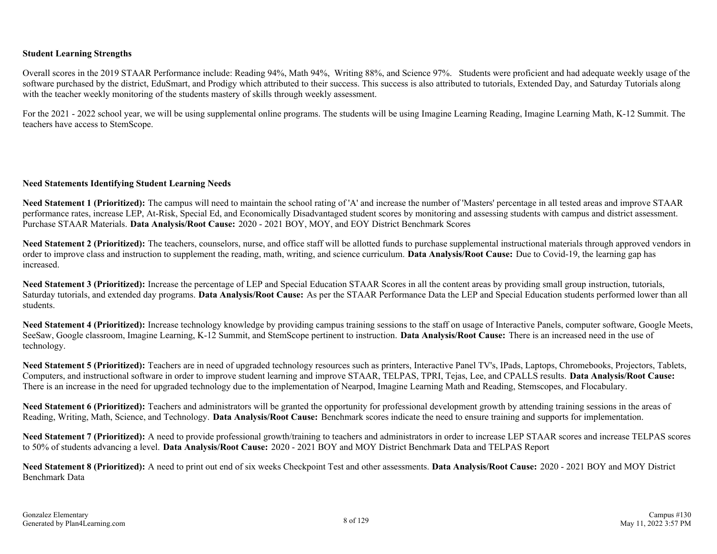#### **Student Learning Strengths**

Overall scores in the 2019 STAAR Performance include: Reading 94%, Math 94%, Writing 88%, and Science 97%. Students were proficient and had adequate weekly usage of the software purchased by the district, EduSmart, and Prodigy which attributed to their success. This success is also attributed to tutorials, Extended Day, and Saturday Tutorials along with the teacher weekly monitoring of the students mastery of skills through weekly assessment.

For the 2021 - 2022 school year, we will be using supplemental online programs. The students will be using Imagine Learning Reading, Imagine Learning Math, K-12 Summit. The teachers have access to StemScope.

#### **Need Statements Identifying Student Learning Needs**

**Need Statement 1 (Prioritized):** The campus will need to maintain the school rating of 'A' and increase the number of 'Masters' percentage in all tested areas and improve STAAR performance rates, increase LEP, At-Risk, Special Ed, and Economically Disadvantaged student scores by monitoring and assessing students with campus and district assessment. Purchase STAAR Materials. **Data Analysis/Root Cause:** 2020 - 2021 BOY, MOY, and EOY District Benchmark Scores

Need Statement 2 (Prioritized): The teachers, counselors, nurse, and office staff will be allotted funds to purchase supplemental instructional materials through approved vendors in order to improve class and instruction to supplement the reading, math, writing, and science curriculum. **Data Analysis/Root Cause:** Due to Covid-19, the learning gap has increased.

**Need Statement 3 (Prioritized):** Increase the percentage of LEP and Special Education STAAR Scores in all the content areas by providing small group instruction, tutorials, Saturday tutorials, and extended day programs. **Data Analysis/Root Cause:** As per the STAAR Performance Data the LEP and Special Education students performed lower than all students.

**Need Statement 4 (Prioritized):** Increase technology knowledge by providing campus training sessions to the staff on usage of Interactive Panels, computer software, Google Meets, SeeSaw, Google classroom, Imagine Learning, K-12 Summit, and StemScope pertinent to instruction. **Data Analysis/Root Cause:** There is an increased need in the use of technology.

**Need Statement 5 (Prioritized):** Teachers are in need of upgraded technology resources such as printers, Interactive Panel TV's, IPads, Laptops, Chromebooks, Projectors, Tablets, Computers, and instructional software in order to improve student learning and improve STAAR, TELPAS, TPRI, Tejas, Lee, and CPALLS results. **Data Analysis/Root Cause:** There is an increase in the need for upgraded technology due to the implementation of Nearpod, Imagine Learning Math and Reading, Stemscopes, and Flocabulary.

**Need Statement 6 (Prioritized):** Teachers and administrators will be granted the opportunity for professional development growth by attending training sessions in the areas of Reading, Writing, Math, Science, and Technology. **Data Analysis/Root Cause:** Benchmark scores indicate the need to ensure training and supports for implementation.

**Need Statement 7 (Prioritized):** A need to provide professional growth/training to teachers and administrators in order to increase LEP STAAR scores and increase TELPAS scores to 50% of students advancing a level. **Data Analysis/Root Cause:** 2020 - 2021 BOY and MOY District Benchmark Data and TELPAS Report

**Need Statement 8 (Prioritized):** A need to print out end of six weeks Checkpoint Test and other assessments. **Data Analysis/Root Cause:** 2020 - 2021 BOY and MOY District Benchmark Data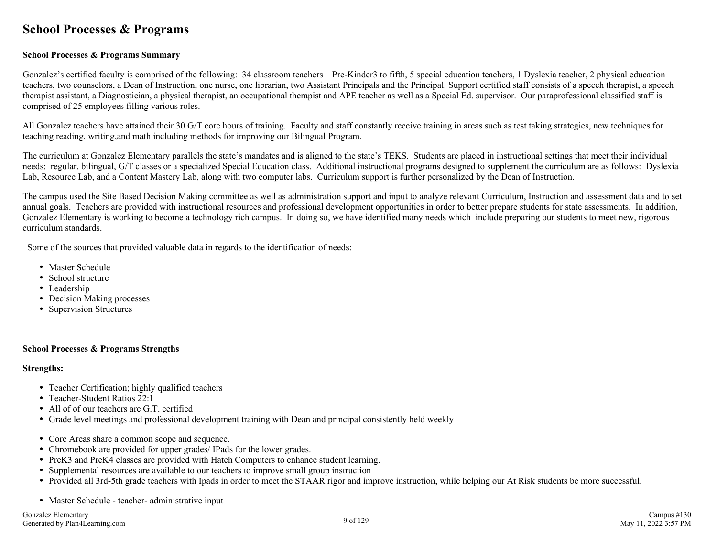### **School Processes & Programs**

#### **School Processes & Programs Summary**

Gonzalez's certified faculty is comprised of the following: 34 classroom teachers – Pre-Kinder3 to fifth, 5 special education teachers, 1 Dyslexia teacher, 2 physical education teachers, two counselors, a Dean of Instruction, one nurse, one librarian, two Assistant Principals and the Principal. Support certified staff consists of a speech therapist, a speech therapist assistant, a Diagnostician, a physical therapist, an occupational therapist and APE teacher as well as a Special Ed. supervisor. Our paraprofessional classified staff is comprised of 25 employees filling various roles.

All Gonzalez teachers have attained their 30 G/T core hours of training. Faculty and staff constantly receive training in areas such as test taking strategies, new techniques for teaching reading, writing,and math including methods for improving our Bilingual Program.

The curriculum at Gonzalez Elementary parallels the state's mandates and is aligned to the state's TEKS. Students are placed in instructional settings that meet their individual needs: regular, bilingual, G/T classes or a specialized Special Education class. Additional instructional programs designed to supplement the curriculum are as follows: Dyslexia Lab, Resource Lab, and a Content Mastery Lab, along with two computer labs. Curriculum support is further personalized by the Dean of Instruction.

The campus used the Site Based Decision Making committee as well as administration support and input to analyze relevant Curriculum, Instruction and assessment data and to set annual goals. Teachers are provided with instructional resources and professional development opportunities in order to better prepare students for state assessments. In addition, Gonzalez Elementary is working to become a technology rich campus. In doing so, we have identified many needs which include preparing our students to meet new, rigorous curriculum standards.

Some of the sources that provided valuable data in regards to the identification of needs:

- Master Schedule
- School structure
- Leadership
- Decision Making processes
- Supervision Structures

#### **School Processes & Programs Strengths**

#### **Strengths:**

- Teacher Certification; highly qualified teachers
- Teacher-Student Ratios 22:1
- All of of our teachers are G.T. certified
- Grade level meetings and professional development training with Dean and principal consistently held weekly
- Core Areas share a common scope and sequence.
- Chromebook are provided for upper grades/ IPads for the lower grades.
- PreK3 and PreK4 classes are provided with Hatch Computers to enhance student learning.
- Supplemental resources are available to our teachers to improve small group instruction
- Provided all 3rd-5th grade teachers with Ipads in order to meet the STAAR rigor and improve instruction, while helping our At Risk students be more successful.
- Master Schedule teacher- administrative input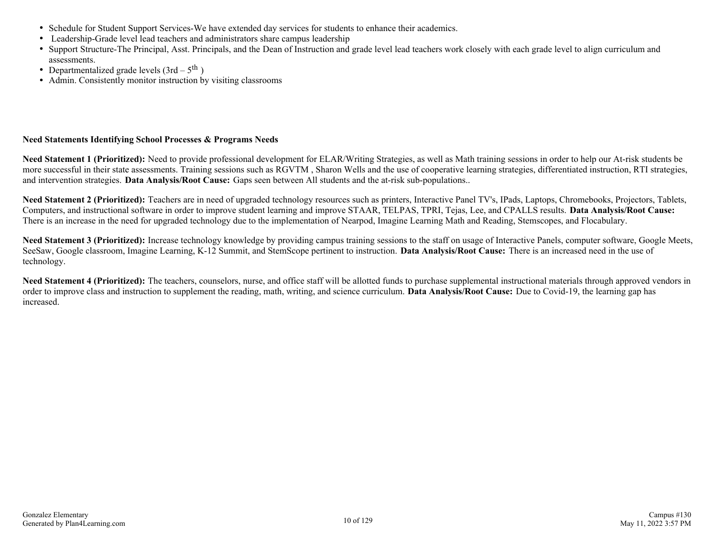- Schedule for Student Support Services-We have extended day services for students to enhance their academics.
- Leadership-Grade level lead teachers and administrators share campus leadership
- Support Structure-The Principal, Asst. Principals, and the Dean of Instruction and grade level lead teachers work closely with each grade level to align curriculum and assessments.
- Departmentalized grade levels  $(3rd 5<sup>th</sup>)$
- Admin. Consistently monitor instruction by visiting classrooms

#### **Need Statements Identifying School Processes & Programs Needs**

**Need Statement 1 (Prioritized):** Need to provide professional development for ELAR/Writing Strategies, as well as Math training sessions in order to help our At-risk students be more successful in their state assessments. Training sessions such as RGVTM, Sharon Wells and the use of cooperative learning strategies, differentiated instruction, RTI strategies, and intervention strategies. **Data Analysis/Root Cause:** Gaps seen between All students and the at-risk sub-populations..

**Need Statement 2 (Prioritized):** Teachers are in need of upgraded technology resources such as printers, Interactive Panel TV's, IPads, Laptops, Chromebooks, Projectors, Tablets, Computers, and instructional software in order to improve student learning and improve STAAR, TELPAS, TPRI, Tejas, Lee, and CPALLS results. **Data Analysis/Root Cause:** There is an increase in the need for upgraded technology due to the implementation of Nearpod, Imagine Learning Math and Reading, Stemscopes, and Flocabulary.

**Need Statement 3 (Prioritized):** Increase technology knowledge by providing campus training sessions to the staff on usage of Interactive Panels, computer software, Google Meets, SeeSaw, Google classroom, Imagine Learning, K-12 Summit, and StemScope pertinent to instruction. **Data Analysis/Root Cause:** There is an increased need in the use of technology.

Need Statement 4 (Prioritized): The teachers, counselors, nurse, and office staff will be allotted funds to purchase supplemental instructional materials through approved vendors in order to improve class and instruction to supplement the reading, math, writing, and science curriculum. **Data Analysis/Root Cause:** Due to Covid-19, the learning gap has increased.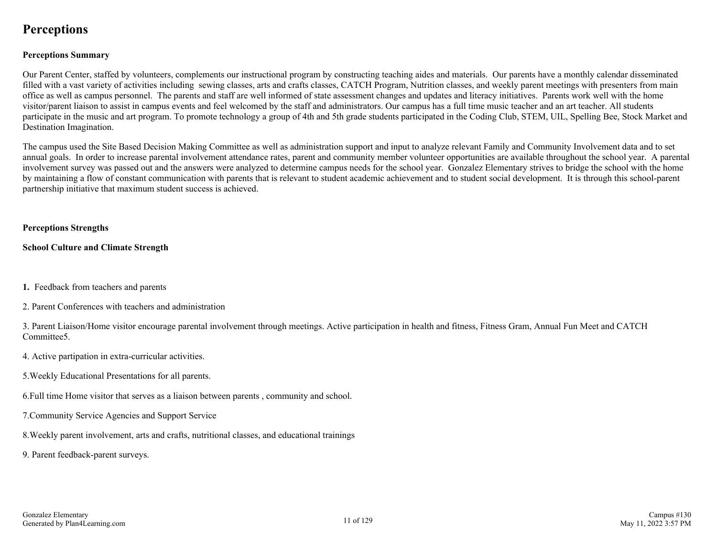### **Perceptions**

#### **Perceptions Summary**

Our Parent Center, staffed by volunteers, complements our instructional program by constructing teaching aides and materials. Our parents have a monthly calendar disseminated filled with a vast variety of activities including sewing classes, arts and crafts classes, CATCH Program, Nutrition classes, and weekly parent meetings with presenters from main office as well as campus personnel. The parents and staff are well informed of state assessment changes and updates and literacy initiatives. Parents work well with the home visitor/parent liaison to assist in campus events and feel welcomed by the staff and administrators. Our campus has a full time music teacher and an art teacher. All students participate in the music and art program. To promote technology a group of 4th and 5th grade students participated in the Coding Club, STEM, UIL, Spelling Bee, Stock Market and Destination Imagination.

The campus used the Site Based Decision Making Committee as well as administration support and input to analyze relevant Family and Community Involvement data and to set annual goals. In order to increase parental involvement attendance rates, parent and community member volunteer opportunities are available throughout the school year. A parental involvement survey was passed out and the answers were analyzed to determine campus needs for the school year. Gonzalez Elementary strives to bridge the school with the home by maintaining a flow of constant communication with parents that is relevant to student academic achievement and to student social development. It is through this school-parent partnership initiative that maximum student success is achieved.

#### **Perceptions Strengths**

**School Culture and Climate Strength**

- **1.** Feedback from teachers and parents
- 2. Parent Conferences with teachers and administration

3. Parent Liaison/Home visitor encourage parental involvement through meetings. Active participation in health and fitness, Fitness Gram, Annual Fun Meet and CATCH Committee5.

- 4. Active partipation in extra-curricular activities.
- 5.Weekly Educational Presentations for all parents.
- 6.Full time Home visitor that serves as a liaison between parents , community and school.
- 7.Community Service Agencies and Support Service
- 8.Weekly parent involvement, arts and crafts, nutritional classes, and educational trainings
- 9. Parent feedback-parent surveys.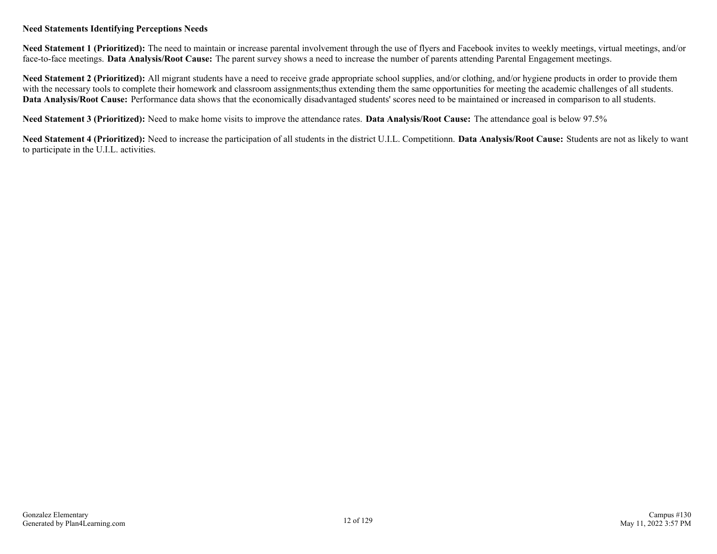#### **Need Statements Identifying Perceptions Needs**

**Need Statement 1 (Prioritized):** The need to maintain or increase parental involvement through the use of flyers and Facebook invites to weekly meetings, virtual meetings, and/or face-to-face meetings. **Data Analysis/Root Cause:** The parent survey shows a need to increase the number of parents attending Parental Engagement meetings.

Need Statement 2 (Prioritized): All migrant students have a need to receive grade appropriate school supplies, and/or clothing, and/or hygiene products in order to provide them with the necessary tools to complete their homework and classroom assignments;thus extending them the same opportunities for meeting the academic challenges of all students. **Data Analysis/Root Cause:** Performance data shows that the economically disadvantaged students' scores need to be maintained or increased in comparison to all students.

**Need Statement 3 (Prioritized):** Need to make home visits to improve the attendance rates. **Data Analysis/Root Cause:** The attendance goal is below 97.5%

**Need Statement 4 (Prioritized):** Need to increase the participation of all students in the district U.I.L. Competitionn. **Data Analysis/Root Cause:** Students are not as likely to want to participate in the U.I.L. activities.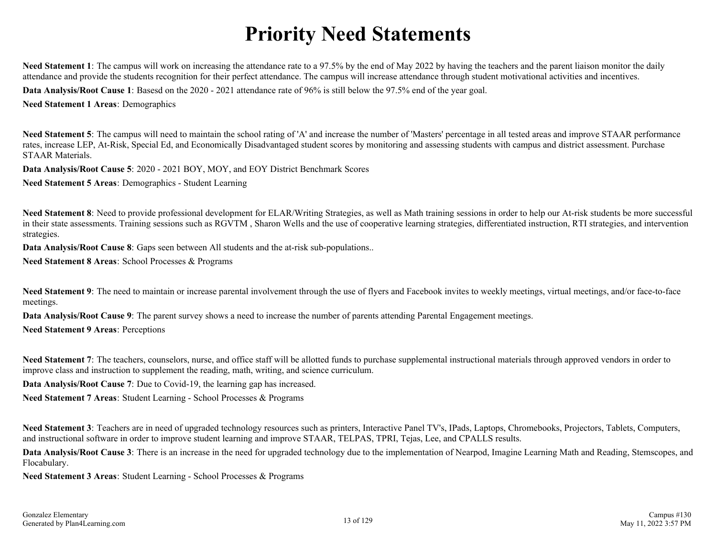# **Priority Need Statements**

Need Statement 1: The campus will work on increasing the attendance rate to a 97.5% by the end of May 2022 by having the teachers and the parent liaison monitor the daily attendance and provide the students recognition for their perfect attendance. The campus will increase attendance through student motivational activities and incentives.

**Data Analysis/Root Cause 1**: Basesd on the 2020 - 2021 attendance rate of 96% is still below the 97.5% end of the year goal.

**Need Statement 1 Areas**: Demographics

Need Statement 5: The campus will need to maintain the school rating of 'A' and increase the number of 'Masters' percentage in all tested areas and improve STAAR performance rates, increase LEP, At-Risk, Special Ed, and Economically Disadvantaged student scores by monitoring and assessing students with campus and district assessment. Purchase STAAR Materials.

**Data Analysis/Root Cause 5**: 2020 - 2021 BOY, MOY, and EOY District Benchmark Scores

**Need Statement 5 Areas**: Demographics - Student Learning

Need Statement 8: Need to provide professional development for ELAR/Writing Strategies, as well as Math training sessions in order to help our At-risk students be more successful in their state assessments. Training sessions such as RGVTM , Sharon Wells and the use of cooperative learning strategies, differentiated instruction, RTI strategies, and intervention strategies.

**Data Analysis/Root Cause 8:** Gaps seen between All students and the at-risk sub-populations..

**Need Statement 8 Areas**: School Processes & Programs

Need Statement 9: The need to maintain or increase parental involvement through the use of flyers and Facebook invites to weekly meetings, virtual meetings, and/or face-to-face meetings.

**Data Analysis/Root Cause 9**: The parent survey shows a need to increase the number of parents attending Parental Engagement meetings.

**Need Statement 9 Areas**: Perceptions

Need Statement 7: The teachers, counselors, nurse, and office staff will be allotted funds to purchase supplemental instructional materials through approved vendors in order to improve class and instruction to supplement the reading, math, writing, and science curriculum.

**Data Analysis/Root Cause 7**: Due to Covid-19, the learning gap has increased.

**Need Statement 7 Areas**: Student Learning - School Processes & Programs

Need Statement 3: Teachers are in need of upgraded technology resources such as printers, Interactive Panel TV's, IPads, Laptops, Chromebooks, Projectors, Tablets, Computers, and instructional software in order to improve student learning and improve STAAR, TELPAS, TPRI, Tejas, Lee, and CPALLS results.

**Data Analysis/Root Cause 3**: There is an increase in the need for upgraded technology due to the implementation of Nearpod, Imagine Learning Math and Reading, Stemscopes, and Flocabulary.

**Need Statement 3 Areas**: Student Learning - School Processes & Programs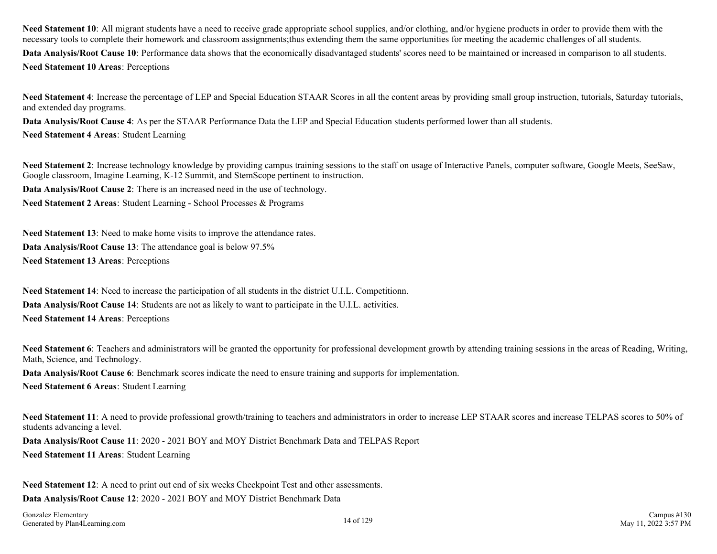Need Statement 10: All migrant students have a need to receive grade appropriate school supplies, and/or clothing, and/or hygiene products in order to provide them with the necessary tools to complete their homework and classroom assignments;thus extending them the same opportunities for meeting the academic challenges of all students. **Data Analysis/Root Cause 10**: Performance data shows that the economically disadvantaged students' scores need to be maintained or increased in comparison to all students. **Need Statement 10 Areas**: Perceptions

**Need Statement 4**: Increase the percentage of LEP and Special Education STAAR Scores in all the content areas by providing small group instruction, tutorials, Saturday tutorials, and extended day programs.

**Data Analysis/Root Cause 4**: As per the STAAR Performance Data the LEP and Special Education students performed lower than all students.

**Need Statement 4 Areas**: Student Learning

**Need Statement 2**: Increase technology knowledge by providing campus training sessions to the staff on usage of Interactive Panels, computer software, Google Meets, SeeSaw, Google classroom, Imagine Learning, K-12 Summit, and StemScope pertinent to instruction.

**Data Analysis/Root Cause 2**: There is an increased need in the use of technology.

**Need Statement 2 Areas**: Student Learning - School Processes & Programs

**Need Statement 13**: Need to make home visits to improve the attendance rates. **Data Analysis/Root Cause 13**: The attendance goal is below 97.5% **Need Statement 13 Areas**: Perceptions

**Need Statement 14**: Need to increase the participation of all students in the district U.I.L. Competitionn. **Data Analysis/Root Cause 14**: Students are not as likely to want to participate in the U.I.L. activities. **Need Statement 14 Areas**: Perceptions

**Need Statement 6**: Teachers and administrators will be granted the opportunity for professional development growth by attending training sessions in the areas of Reading, Writing, Math, Science, and Technology.

**Data Analysis/Root Cause 6:** Benchmark scores indicate the need to ensure training and supports for implementation.

**Need Statement 6 Areas**: Student Learning

Need Statement 11: A need to provide professional growth/training to teachers and administrators in order to increase LEP STAAR scores and increase TELPAS scores to 50% of students advancing a level.

**Data Analysis/Root Cause 11**: 2020 - 2021 BOY and MOY District Benchmark Data and TELPAS Report **Need Statement 11 Areas**: Student Learning

**Need Statement 12**: A need to print out end of six weeks Checkpoint Test and other assessments.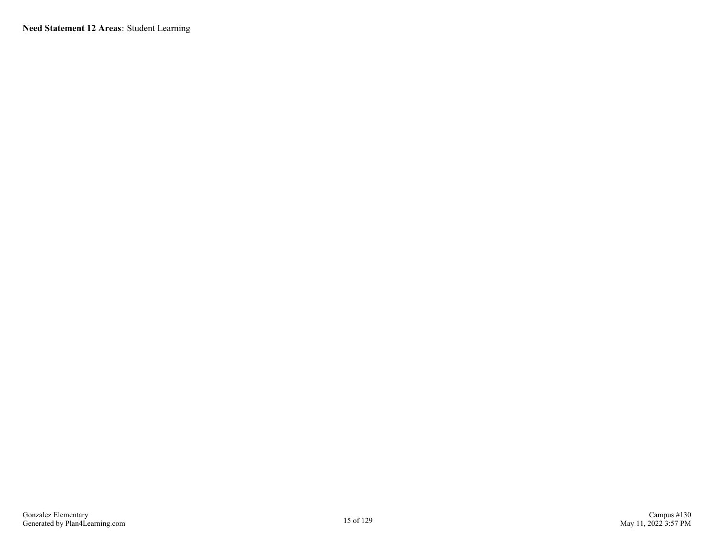**Need Statement 12 Areas**: Student Learning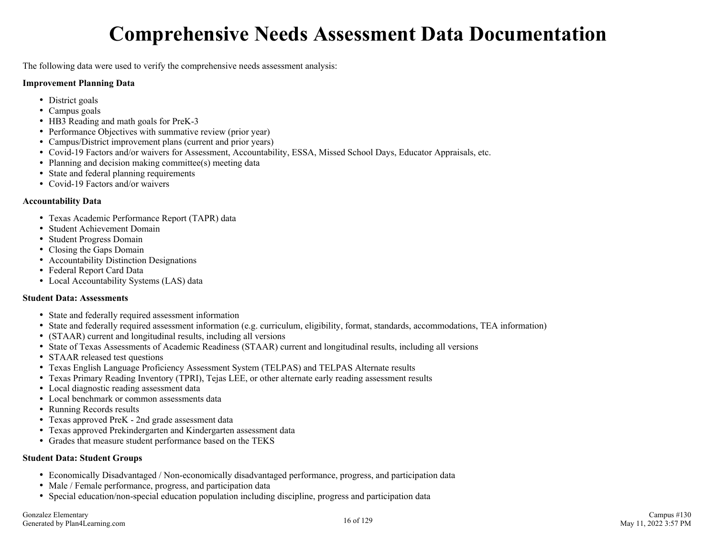# **Comprehensive Needs Assessment Data Documentation**

The following data were used to verify the comprehensive needs assessment analysis:

#### **Improvement Planning Data**

- District goals
- Campus goals
- HB3 Reading and math goals for PreK-3
- Performance Objectives with summative review (prior year)
- Campus/District improvement plans (current and prior years)
- Covid-19 Factors and/or waivers for Assessment, Accountability, ESSA, Missed School Days, Educator Appraisals, etc.
- Planning and decision making committee(s) meeting data
- State and federal planning requirements
- Covid-19 Factors and/or waivers

#### **Accountability Data**

- Texas Academic Performance Report (TAPR) data
- Student Achievement Domain
- Student Progress Domain
- Closing the Gaps Domain
- Accountability Distinction Designations
- Federal Report Card Data
- Local Accountability Systems (LAS) data

#### **Student Data: Assessments**

- State and federally required assessment information
- State and federally required assessment information (e.g. curriculum, eligibility, format, standards, accommodations, TEA information)
- (STAAR) current and longitudinal results, including all versions
- State of Texas Assessments of Academic Readiness (STAAR) current and longitudinal results, including all versions
- STAAR released test questions
- Texas English Language Proficiency Assessment System (TELPAS) and TELPAS Alternate results
- Texas Primary Reading Inventory (TPRI), Tejas LEE, or other alternate early reading assessment results
- Local diagnostic reading assessment data
- Local benchmark or common assessments data
- Running Records results
- Texas approved PreK 2nd grade assessment data
- Texas approved Prekindergarten and Kindergarten assessment data
- Grades that measure student performance based on the TEKS

#### **Student Data: Student Groups**

- Economically Disadvantaged / Non-economically disadvantaged performance, progress, and participation data
- Male / Female performance, progress, and participation data
- Special education/non-special education population including discipline, progress and participation data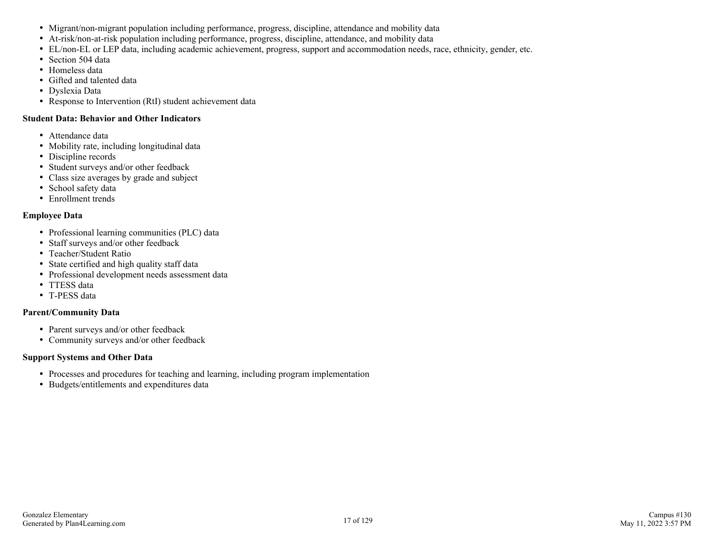- Migrant/non-migrant population including performance, progress, discipline, attendance and mobility data
- At-risk/non-at-risk population including performance, progress, discipline, attendance, and mobility data
- EL/non-EL or LEP data, including academic achievement, progress, support and accommodation needs, race, ethnicity, gender, etc.
- Section 504 data
- Homeless data
- Gifted and talented data
- Dyslexia Data
- Response to Intervention (RtI) student achievement data

#### **Student Data: Behavior and Other Indicators**

- Attendance data
- Mobility rate, including longitudinal data
- Discipline records
- Student surveys and/or other feedback
- Class size averages by grade and subject
- School safety data
- Enrollment trends

#### **Employee Data**

- Professional learning communities (PLC) data
- Staff surveys and/or other feedback
- Teacher/Student Ratio
- State certified and high quality staff data
- Professional development needs assessment data
- TTESS data
- T-PESS data

#### **Parent/Community Data**

- Parent surveys and/or other feedback
- Community surveys and/or other feedback

#### **Support Systems and Other Data**

- Processes and procedures for teaching and learning, including program implementation
- Budgets/entitlements and expenditures data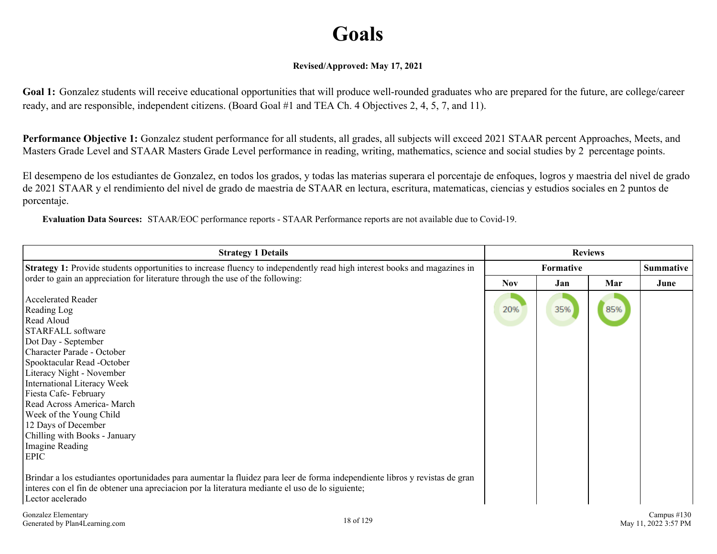# **Goals**

#### **Revised/Approved: May 17, 2021**

Goal 1: Gonzalez students will receive educational opportunities that will produce well-rounded graduates who are prepared for the future, are college/career ready, and are responsible, independent citizens. (Board Goal #1 and TEA Ch. 4 Objectives 2, 4, 5, 7, and 11).

**Performance Objective 1:** Gonzalez student performance for all students, all grades, all subjects will exceed 2021 STAAR percent Approaches, Meets, and Masters Grade Level and STAAR Masters Grade Level performance in reading, writing, mathematics, science and social studies by 2 percentage points.

El desempeno de los estudiantes de Gonzalez, en todos los grados, y todas las materias superara el porcentaje de enfoques, logros y maestria del nivel de grado de 2021 STAAR y el rendimiento del nivel de grado de maestria de STAAR en lectura, escritura, matematicas, ciencias y estudios sociales en 2 puntos de porcentaje.

**Evaluation Data Sources:** STAAR/EOC performance reports - STAAR Performance reports are not available due to Covid-19.

| <b>Strategy 1:</b> Provide students opportunities to increase fluency to independently read high interest books and magazines in                                                                                                                                                                                                                                                       |            | <b>Formative</b> |     | <b>Summative</b> |
|----------------------------------------------------------------------------------------------------------------------------------------------------------------------------------------------------------------------------------------------------------------------------------------------------------------------------------------------------------------------------------------|------------|------------------|-----|------------------|
| order to gain an appreciation for literature through the use of the following:                                                                                                                                                                                                                                                                                                         | <b>Nov</b> | Jan              | Mar | June             |
| <b>Accelerated Reader</b><br>Reading Log<br>Read Aloud<br>STARFALL software<br>Dot Day - September<br>Character Parade - October<br>Spooktacular Read -October<br>Literacy Night - November<br>International Literacy Week<br>Fiesta Cafe-February<br>Read Across America- March<br>Week of the Young Child<br>12 Days of December<br>Chilling with Books - January<br>Imagine Reading | 20%        | 35%              | 85% |                  |
| <b>EPIC</b>                                                                                                                                                                                                                                                                                                                                                                            |            |                  |     |                  |
| Brindar a los estudiantes oportunidades para aumentar la fluidez para leer de forma independiente libros y revistas de gran<br>interes con el fin de obtener una apreciación por la literatura mediante el uso de lo siguiente;<br>Lector acelerado                                                                                                                                    |            |                  |     |                  |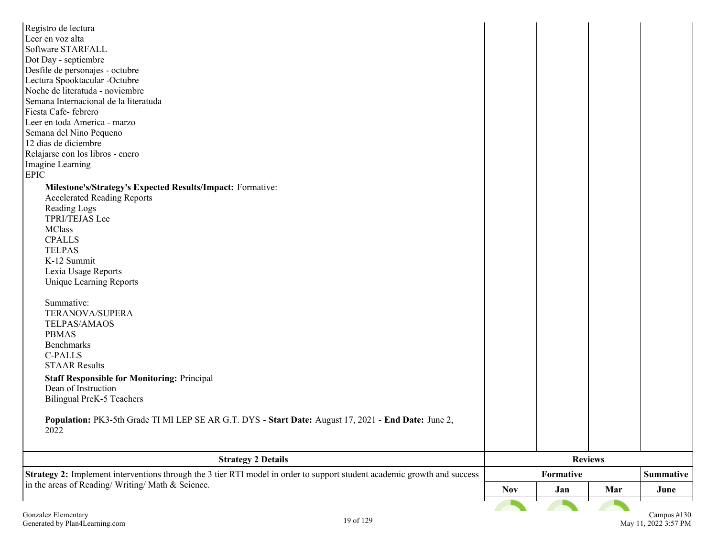| Registro de lectura                                                                                                      |            |           |                |                  |
|--------------------------------------------------------------------------------------------------------------------------|------------|-----------|----------------|------------------|
| Leer en voz alta                                                                                                         |            |           |                |                  |
| Software STARFALL                                                                                                        |            |           |                |                  |
| Dot Day - septiembre                                                                                                     |            |           |                |                  |
| Desfile de personajes - octubre                                                                                          |            |           |                |                  |
| Lectura Spooktacular -Octubre                                                                                            |            |           |                |                  |
| Noche de literatuda - noviembre                                                                                          |            |           |                |                  |
| Semana Internacional de la literatuda                                                                                    |            |           |                |                  |
| Fiesta Cafe-febrero                                                                                                      |            |           |                |                  |
| Leer en toda America - marzo                                                                                             |            |           |                |                  |
| Semana del Nino Pequeno                                                                                                  |            |           |                |                  |
| 12 dias de diciembre                                                                                                     |            |           |                |                  |
| Relajarse con los libros - enero                                                                                         |            |           |                |                  |
| Imagine Learning                                                                                                         |            |           |                |                  |
| <b>EPIC</b>                                                                                                              |            |           |                |                  |
| Milestone's/Strategy's Expected Results/Impact: Formative:                                                               |            |           |                |                  |
| <b>Accelerated Reading Reports</b>                                                                                       |            |           |                |                  |
| Reading Logs                                                                                                             |            |           |                |                  |
| TPRI/TEJAS Lee                                                                                                           |            |           |                |                  |
| <b>MClass</b>                                                                                                            |            |           |                |                  |
| <b>CPALLS</b>                                                                                                            |            |           |                |                  |
| <b>TELPAS</b>                                                                                                            |            |           |                |                  |
| K-12 Summit                                                                                                              |            |           |                |                  |
| Lexia Usage Reports                                                                                                      |            |           |                |                  |
| <b>Unique Learning Reports</b>                                                                                           |            |           |                |                  |
|                                                                                                                          |            |           |                |                  |
| Summative:                                                                                                               |            |           |                |                  |
| TERANOVA/SUPERA                                                                                                          |            |           |                |                  |
| TELPAS/AMAOS                                                                                                             |            |           |                |                  |
| <b>PBMAS</b>                                                                                                             |            |           |                |                  |
| Benchmarks                                                                                                               |            |           |                |                  |
| <b>C-PALLS</b>                                                                                                           |            |           |                |                  |
| <b>STAAR Results</b>                                                                                                     |            |           |                |                  |
| <b>Staff Responsible for Monitoring: Principal</b>                                                                       |            |           |                |                  |
| Dean of Instruction                                                                                                      |            |           |                |                  |
| Bilingual PreK-5 Teachers                                                                                                |            |           |                |                  |
|                                                                                                                          |            |           |                |                  |
| Population: PK3-5th Grade TI MI LEP SE AR G.T. DYS - Start Date: August 17, 2021 - End Date: June 2,                     |            |           |                |                  |
| 2022                                                                                                                     |            |           |                |                  |
|                                                                                                                          |            |           |                |                  |
|                                                                                                                          |            |           | <b>Reviews</b> |                  |
| <b>Strategy 2 Details</b>                                                                                                |            |           |                |                  |
| Strategy 2: Implement interventions through the 3 tier RTI model in order to support student academic growth and success |            | Formative |                | <b>Summative</b> |
| in the areas of Reading/Writing/Math & Science.                                                                          | <b>Nov</b> | Jan       | Mar            | June             |
|                                                                                                                          |            |           |                |                  |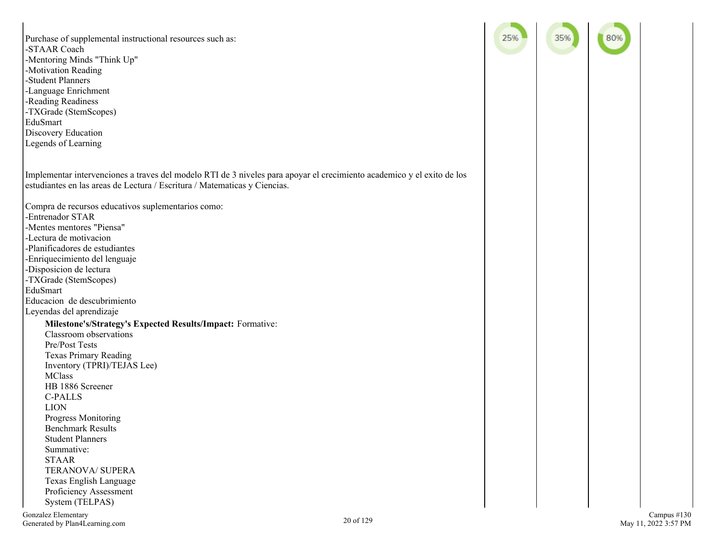Purchase of supplemental instructional resources such as: -STAAR Coach -Mentoring Minds "Think Up" -Motivation Reading -Student Planners -Language Enrichment -Reading Readiness -TXGrade (StemScopes) EduSmart Discovery Education Legends of Learning Implementar intervenciones a traves del modelo RTI de 3 niveles para apoyar el crecimiento academico y el exito de los estudiantes en las areas de Lectura / Escritura / Matematicas y Ciencias. Compra de recursos educativos suplementarios como: -Entrenador STAR -Mentes mentores "Piensa" -Lectura de motivacion -Planificadores de estudiantes -Enriquecimiento del lenguaje -Disposicion de lectura -TXGrade (StemScopes) EduSmart Educacion de descubrimiento Leyendas del aprendizaje **Milestone's/Strategy's Expected Results/Impact:** Formative: Classroom observations Pre/Post Tests Texas Primary Reading Inventory (TPRI)/TEJAS Lee) **MClass** HB 1886 Screener C-PALLS LION Progress Monitoring Benchmark Results Student Planners Summative: STAAR TERANOVA/ SUPERA Texas English Language Proficiency Assessment System (TELPAS) Gonzalez Elementary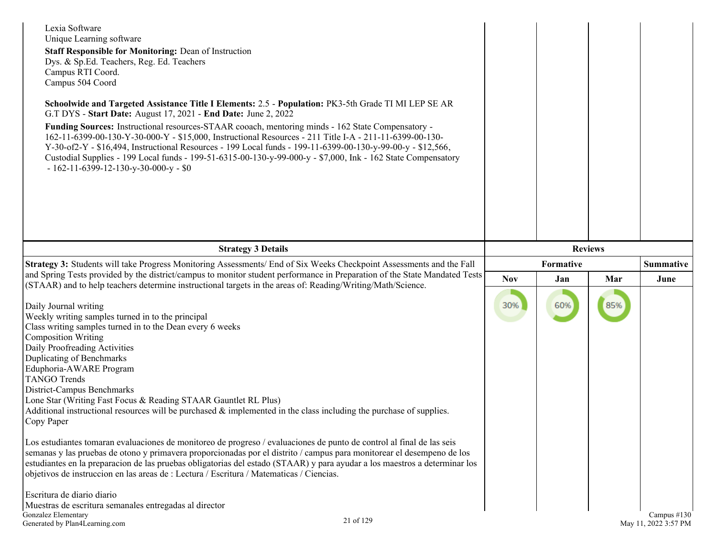| Lexia Software<br>Unique Learning software<br><b>Staff Responsible for Monitoring: Dean of Instruction</b><br>Dys. & Sp.Ed. Teachers, Reg. Ed. Teachers<br>Campus RTI Coord.<br>Campus 504 Coord<br>Schoolwide and Targeted Assistance Title I Elements: 2.5 - Population: PK3-5th Grade TI MI LEP SE AR<br>G.T DYS - Start Date: August 17, 2021 - End Date: June 2, 2022<br>Funding Sources: Instructional resources-STAAR cooach, mentoring minds - 162 State Compensatory -<br>162-11-6399-00-130-Y-30-000-Y - \$15,000, Instructional Resources - 211 Title I-A - 211-11-6399-00-130-<br>Y-30-of2-Y - \$16,494, Instructional Resources - 199 Local funds - 199-11-6399-00-130-y-99-00-y - \$12,566,<br>Custodial Supplies - 199 Local funds - 199-51-6315-00-130-y-99-000-y - \$7,000, Ink - 162 State Compensatory<br>$-162-11-6399-12-130-y-30-000-y-80$                                                                                                                                                                                                                                                           |            |                |     |                  |
|----------------------------------------------------------------------------------------------------------------------------------------------------------------------------------------------------------------------------------------------------------------------------------------------------------------------------------------------------------------------------------------------------------------------------------------------------------------------------------------------------------------------------------------------------------------------------------------------------------------------------------------------------------------------------------------------------------------------------------------------------------------------------------------------------------------------------------------------------------------------------------------------------------------------------------------------------------------------------------------------------------------------------------------------------------------------------------------------------------------------------|------------|----------------|-----|------------------|
| <b>Strategy 3 Details</b>                                                                                                                                                                                                                                                                                                                                                                                                                                                                                                                                                                                                                                                                                                                                                                                                                                                                                                                                                                                                                                                                                                  |            | <b>Reviews</b> |     |                  |
| Strategy 3: Students will take Progress Monitoring Assessments/ End of Six Weeks Checkpoint Assessments and the Fall                                                                                                                                                                                                                                                                                                                                                                                                                                                                                                                                                                                                                                                                                                                                                                                                                                                                                                                                                                                                       |            | Formative      |     | <b>Summative</b> |
| and Spring Tests provided by the district/campus to monitor student performance in Preparation of the State Mandated Tests                                                                                                                                                                                                                                                                                                                                                                                                                                                                                                                                                                                                                                                                                                                                                                                                                                                                                                                                                                                                 | <b>Nov</b> | Jan            | Mar | June             |
| (STAAR) and to help teachers determine instructional targets in the areas of: Reading/Writing/Math/Science.<br>Daily Journal writing<br>Weekly writing samples turned in to the principal<br>Class writing samples turned in to the Dean every 6 weeks<br><b>Composition Writing</b><br>Daily Proofreading Activities<br>Duplicating of Benchmarks<br>Eduphoria-AWARE Program<br><b>TANGO Trends</b><br>District-Campus Benchmarks<br>Lone Star (Writing Fast Focus & Reading STAAR Gauntlet RL Plus)<br>Additional instructional resources will be purchased $\&$ implemented in the class including the purchase of supplies.<br>Copy Paper<br>Los estudiantes tomaran evaluaciones de monitoreo de progreso / evaluaciones de punto de control al final de las seis<br>semanas y las pruebas de otono y primavera proporcionadas por el distrito / campus para monitorear el desempeno de los<br>estudiantes en la preparacion de las pruebas obligatorias del estado (STAAR) y para ayudar a los maestros a determinar los<br>objetivos de instruccion en las areas de : Lectura / Escritura / Matematicas / Ciencias. | 30%        | 60%            | 85% |                  |
| Escritura de diario diario<br>Muestras de escritura semanales entregadas al director                                                                                                                                                                                                                                                                                                                                                                                                                                                                                                                                                                                                                                                                                                                                                                                                                                                                                                                                                                                                                                       |            |                |     |                  |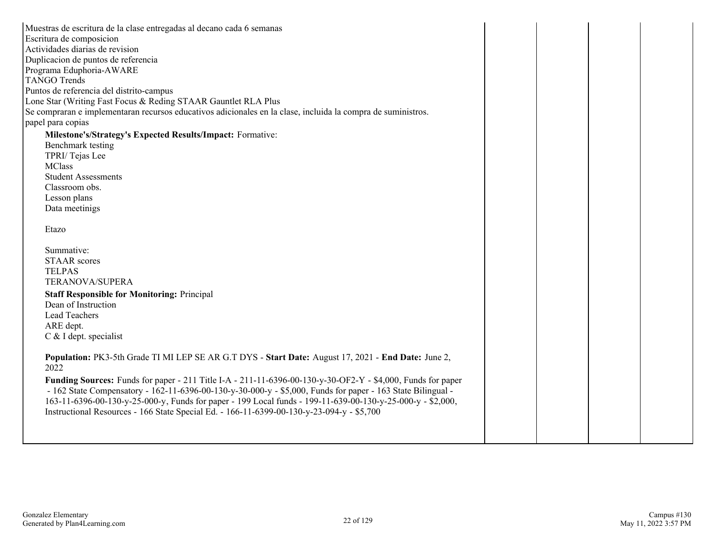| Muestras de escritura de la clase entregadas al decano cada 6 semanas                                              |  |  |
|--------------------------------------------------------------------------------------------------------------------|--|--|
| Escritura de composicion                                                                                           |  |  |
| Actividades diarias de revision                                                                                    |  |  |
| Duplicacion de puntos de referencia                                                                                |  |  |
| Programa Eduphoria-AWARE                                                                                           |  |  |
| <b>TANGO Trends</b>                                                                                                |  |  |
| Puntos de referencia del distrito-campus                                                                           |  |  |
| Lone Star (Writing Fast Focus & Reding STAAR Gauntlet RLA Plus                                                     |  |  |
| Se compraran e implementaran recursos educativos adicionales en la clase, incluida la compra de suministros.       |  |  |
| papel para copias                                                                                                  |  |  |
| Milestone's/Strategy's Expected Results/Impact: Formative:                                                         |  |  |
| Benchmark testing                                                                                                  |  |  |
| TPRI/Tejas Lee                                                                                                     |  |  |
| <b>MClass</b>                                                                                                      |  |  |
| <b>Student Assessments</b>                                                                                         |  |  |
| Classroom obs.                                                                                                     |  |  |
| Lesson plans                                                                                                       |  |  |
| Data meetinigs                                                                                                     |  |  |
|                                                                                                                    |  |  |
| Etazo                                                                                                              |  |  |
|                                                                                                                    |  |  |
| Summative:                                                                                                         |  |  |
| <b>STAAR</b> scores                                                                                                |  |  |
| <b>TELPAS</b>                                                                                                      |  |  |
| TERANOVA/SUPERA                                                                                                    |  |  |
| <b>Staff Responsible for Monitoring: Principal</b>                                                                 |  |  |
| Dean of Instruction                                                                                                |  |  |
| <b>Lead Teachers</b>                                                                                               |  |  |
| ARE dept.                                                                                                          |  |  |
| C & I dept. specialist                                                                                             |  |  |
|                                                                                                                    |  |  |
| Population: PK3-5th Grade TI MI LEP SE AR G.T DYS - Start Date: August 17, 2021 - End Date: June 2,                |  |  |
| 2022                                                                                                               |  |  |
| <b>Funding Sources:</b> Funds for paper - 211 Title I-A - 211-11-6396-00-130-y-30-OF2-Y - \$4,000, Funds for paper |  |  |
| - 162 State Compensatory - 162-11-6396-00-130-y-30-000-y - \$5,000, Funds for paper - 163 State Bilingual -        |  |  |
| 163-11-6396-00-130-y-25-000-y, Funds for paper - 199 Local funds - 199-11-639-00-130-y-25-000-y - \$2,000,         |  |  |
| Instructional Resources - 166 State Special Ed. - 166-11-6399-00-130-y-23-094-y - \$5,700                          |  |  |
|                                                                                                                    |  |  |
|                                                                                                                    |  |  |
|                                                                                                                    |  |  |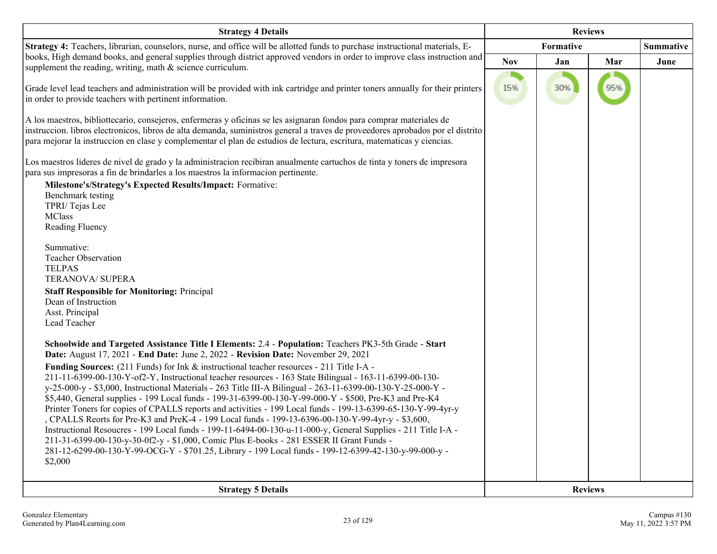| <b>Strategy 4 Details</b>                                                                                                                                                                                                                                                                                                                                                                                                                                                                                                                                                                                                                                                                                                                                                                                                                                                                                                                                                                                                                                                                                                                                                                                                                                                                                                                                                                                                                                                                                                                                                                                                                                                                                                                                                                                                                                                                                                                                                                                                                                                                                                                                                                                                                                                                                                   | <b>Reviews</b> |     |                |                  |
|-----------------------------------------------------------------------------------------------------------------------------------------------------------------------------------------------------------------------------------------------------------------------------------------------------------------------------------------------------------------------------------------------------------------------------------------------------------------------------------------------------------------------------------------------------------------------------------------------------------------------------------------------------------------------------------------------------------------------------------------------------------------------------------------------------------------------------------------------------------------------------------------------------------------------------------------------------------------------------------------------------------------------------------------------------------------------------------------------------------------------------------------------------------------------------------------------------------------------------------------------------------------------------------------------------------------------------------------------------------------------------------------------------------------------------------------------------------------------------------------------------------------------------------------------------------------------------------------------------------------------------------------------------------------------------------------------------------------------------------------------------------------------------------------------------------------------------------------------------------------------------------------------------------------------------------------------------------------------------------------------------------------------------------------------------------------------------------------------------------------------------------------------------------------------------------------------------------------------------------------------------------------------------------------------------------------------------|----------------|-----|----------------|------------------|
| Strategy 4: Teachers, librarian, counselors, nurse, and office will be allotted funds to purchase instructional materials, E-                                                                                                                                                                                                                                                                                                                                                                                                                                                                                                                                                                                                                                                                                                                                                                                                                                                                                                                                                                                                                                                                                                                                                                                                                                                                                                                                                                                                                                                                                                                                                                                                                                                                                                                                                                                                                                                                                                                                                                                                                                                                                                                                                                                               | Formative      |     |                | <b>Summative</b> |
|                                                                                                                                                                                                                                                                                                                                                                                                                                                                                                                                                                                                                                                                                                                                                                                                                                                                                                                                                                                                                                                                                                                                                                                                                                                                                                                                                                                                                                                                                                                                                                                                                                                                                                                                                                                                                                                                                                                                                                                                                                                                                                                                                                                                                                                                                                                             | <b>Nov</b>     | Jan | Mar            | June             |
| books, High demand books, and general supplies through district approved vendors in order to improve class instruction and<br>supplement the reading, writing, math & science curriculum.<br>Grade level lead teachers and administration will be provided with ink cartridge and printer toners annually for their printers<br>in order to provide teachers with pertinent information.<br>A los maestros, bibliottecario, consejeros, enfermeras y oficinas se les asignaran fondos para comprar materiales de<br>instruccion. libros electronicos, libros de alta demanda, suministros general a traves de proveedores aprobados por el distrito<br>para mejorar la instruccion en clase y complementar el plan de estudios de lectura, escritura, matematicas y ciencias.<br>Los maestros lideres de nivel de grado y la administracion recibiran anualmente cartuchos de tinta y toners de impresora<br>para sus impresoras a fin de brindarles a los maestros la informacion pertinente.<br>Milestone's/Strategy's Expected Results/Impact: Formative:<br>Benchmark testing<br>TPRI/Tejas Lee<br><b>MClass</b><br>Reading Fluency<br>Summative:<br><b>Teacher Observation</b><br><b>TELPAS</b><br><b>TERANOVA/ SUPERA</b><br><b>Staff Responsible for Monitoring: Principal</b><br>Dean of Instruction<br>Asst. Principal<br>Lead Teacher<br>Schoolwide and Targeted Assistance Title I Elements: 2.4 - Population: Teachers PK3-5th Grade - Start<br>Date: August 17, 2021 - End Date: June 2, 2022 - Revision Date: November 29, 2021<br><b>Funding Sources:</b> (211 Funds) for Ink & instructional teacher resources - 211 Title I-A -<br>211-11-6399-00-130-Y-of2-Y, Instructional teacher resources - 163 State Bilingual - 163-11-6399-00-130-<br>y-25-000-y - \$3,000, Instructional Materials - 263 Title III-A Bilingual - 263-11-6399-00-130-Y-25-000-Y -<br>\$5,440, General supplies - 199 Local funds - 199-31-6399-00-130-Y-99-000-Y - \$500, Pre-K3 and Pre-K4<br>Printer Toners for copies of CPALLS reports and activities - 199 Local funds - 199-13-6399-65-130-Y-99-4yr-y<br>, CPALLS Reorts for Pre-K3 and PreK-4 - 199 Local funds - 199-13-6396-00-130-Y-99-4yr-y - \$3,600,<br>Instructional Resoucres - 199 Local funds - 199-11-6494-00-130-u-11-000-y, General Supplies - 211 Title I-A - | 15%            | 30% | 95%            |                  |
| 211-31-6399-00-130-y-30-0f2-y - \$1,000, Comic Plus E-books - 281 ESSER II Grant Funds -<br>281-12-6299-00-130-Y-99-OCG-Y - \$701.25, Library - 199 Local funds - 199-12-6399-42-130-y-99-000-y -<br>\$2,000                                                                                                                                                                                                                                                                                                                                                                                                                                                                                                                                                                                                                                                                                                                                                                                                                                                                                                                                                                                                                                                                                                                                                                                                                                                                                                                                                                                                                                                                                                                                                                                                                                                                                                                                                                                                                                                                                                                                                                                                                                                                                                                |                |     |                |                  |
|                                                                                                                                                                                                                                                                                                                                                                                                                                                                                                                                                                                                                                                                                                                                                                                                                                                                                                                                                                                                                                                                                                                                                                                                                                                                                                                                                                                                                                                                                                                                                                                                                                                                                                                                                                                                                                                                                                                                                                                                                                                                                                                                                                                                                                                                                                                             |                |     |                |                  |
| <b>Strategy 5 Details</b>                                                                                                                                                                                                                                                                                                                                                                                                                                                                                                                                                                                                                                                                                                                                                                                                                                                                                                                                                                                                                                                                                                                                                                                                                                                                                                                                                                                                                                                                                                                                                                                                                                                                                                                                                                                                                                                                                                                                                                                                                                                                                                                                                                                                                                                                                                   |                |     | <b>Reviews</b> |                  |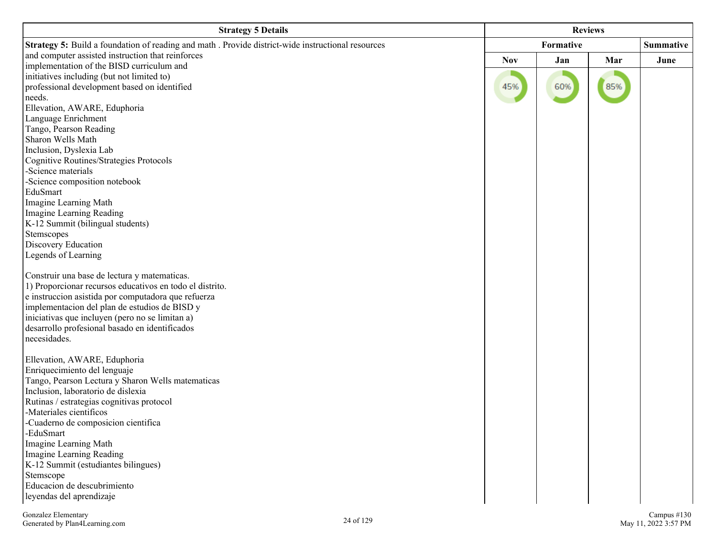| <b>Strategy 5 Details</b>                                                                          | <b>Reviews</b> |     |     |           |
|----------------------------------------------------------------------------------------------------|----------------|-----|-----|-----------|
| Strategy 5: Build a foundation of reading and math . Provide district-wide instructional resources | Formative      |     |     | Summative |
| and computer assisted instruction that reinforces                                                  | <b>Nov</b>     | Jan | Mar | June      |
| implementation of the BISD curriculum and                                                          |                |     |     |           |
| initiatives including (but not limited to)                                                         |                |     |     |           |
| professional development based on identified                                                       | 45%            | 60% | 85% |           |
| needs.<br>Ellevation, AWARE, Eduphoria                                                             |                |     |     |           |
| Language Enrichment                                                                                |                |     |     |           |
| Tango, Pearson Reading                                                                             |                |     |     |           |
| Sharon Wells Math                                                                                  |                |     |     |           |
| Inclusion, Dyslexia Lab                                                                            |                |     |     |           |
| <b>Cognitive Routines/Strategies Protocols</b>                                                     |                |     |     |           |
| -Science materials                                                                                 |                |     |     |           |
| -Science composition notebook                                                                      |                |     |     |           |
| EduSmart                                                                                           |                |     |     |           |
| Imagine Learning Math                                                                              |                |     |     |           |
| Imagine Learning Reading                                                                           |                |     |     |           |
| K-12 Summit (bilingual students)                                                                   |                |     |     |           |
| Stemscopes                                                                                         |                |     |     |           |
| Discovery Education                                                                                |                |     |     |           |
| Legends of Learning                                                                                |                |     |     |           |
| Construir una base de lectura y matematicas.                                                       |                |     |     |           |
| 1) Proporcionar recursos educativos en todo el distrito.                                           |                |     |     |           |
| e instruccion asistida por computadora que refuerza                                                |                |     |     |           |
| implementacion del plan de estudios de BISD y                                                      |                |     |     |           |
| iniciativas que incluyen (pero no se limitan a)                                                    |                |     |     |           |
| desarrollo profesional basado en identificados                                                     |                |     |     |           |
| necesidades.                                                                                       |                |     |     |           |
| Ellevation, AWARE, Eduphoria                                                                       |                |     |     |           |
| Enriquecimiento del lenguaje                                                                       |                |     |     |           |
| Tango, Pearson Lectura y Sharon Wells matematicas                                                  |                |     |     |           |
| Inclusion, laboratorio de dislexia                                                                 |                |     |     |           |
| Rutinas / estrategias cognitivas protocol                                                          |                |     |     |           |
| -Materiales científicos                                                                            |                |     |     |           |
| -Cuaderno de composicion científica                                                                |                |     |     |           |
| -EduSmart                                                                                          |                |     |     |           |
| Imagine Learning Math                                                                              |                |     |     |           |
| Imagine Learning Reading                                                                           |                |     |     |           |
| K-12 Summit (estudiantes bilingues)                                                                |                |     |     |           |
| Stemscope<br>Educacion de descubrimiento                                                           |                |     |     |           |
| leyendas del aprendizaje                                                                           |                |     |     |           |
|                                                                                                    |                |     |     |           |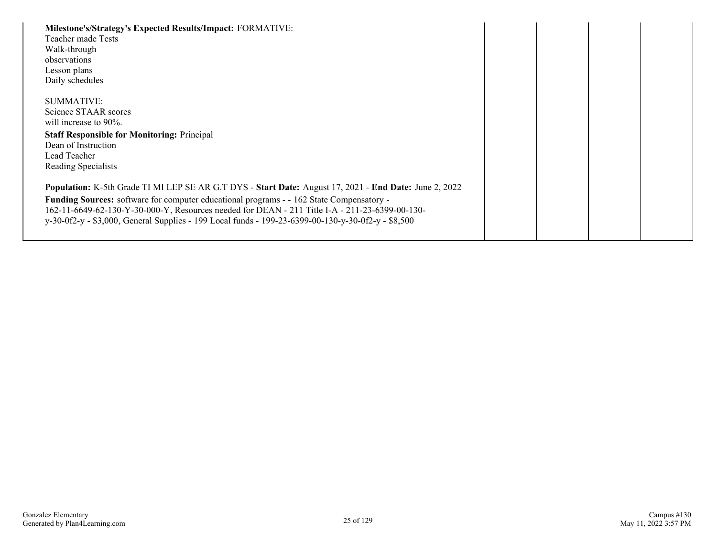| Milestone's/Strategy's Expected Results/Impact: FORMATIVE:<br>Teacher made Tests<br>Walk-through<br>observations<br>Lesson plans<br>Daily schedules                                                                                                                                                                                                                                                        |  |  |
|------------------------------------------------------------------------------------------------------------------------------------------------------------------------------------------------------------------------------------------------------------------------------------------------------------------------------------------------------------------------------------------------------------|--|--|
| SUMMATIVE:<br>Science STAAR scores<br>will increase to 90%.<br><b>Staff Responsible for Monitoring: Principal</b><br>Dean of Instruction<br>Lead Teacher<br>Reading Specialists                                                                                                                                                                                                                            |  |  |
| Population: K-5th Grade TI MI LEP SE AR G.T DYS - Start Date: August 17, 2021 - End Date: June 2, 2022<br>Funding Sources: software for computer educational programs - - 162 State Compensatory -<br>162-11-6649-62-130-Y-30-000-Y, Resources needed for DEAN - 211 Title I-A - 211-23-6399-00-130-<br>y-30-0f2-y - \$3,000, General Supplies - 199 Local funds - 199-23-6399-00-130-y-30-0f2-y - \$8,500 |  |  |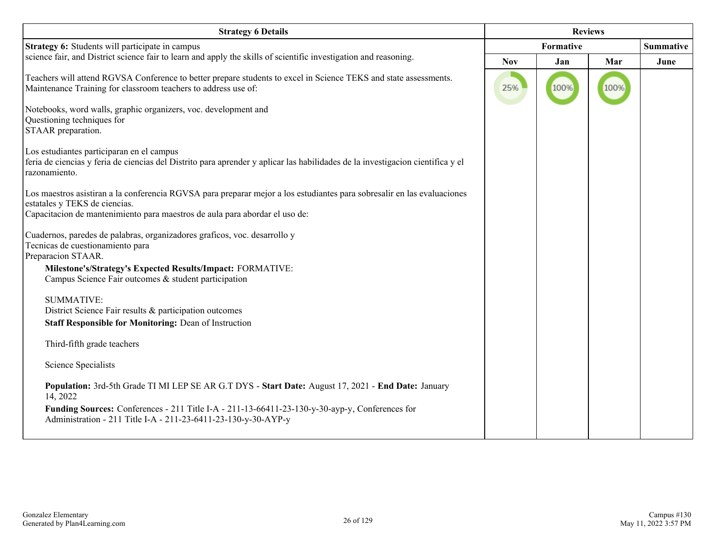| <b>Strategy 6 Details</b>                                                                                                                                                                                                               | <b>Reviews</b> |           |      |      |
|-----------------------------------------------------------------------------------------------------------------------------------------------------------------------------------------------------------------------------------------|----------------|-----------|------|------|
| Strategy 6: Students will participate in campus                                                                                                                                                                                         |                | Formative |      |      |
| science fair, and District science fair to learn and apply the skills of scientific investigation and reasoning.                                                                                                                        | <b>Nov</b>     | Jan       | Mar  | June |
| Teachers will attend RGVSA Conference to better prepare students to excel in Science TEKS and state assessments.<br>Maintenance Training for classroom teachers to address use of:                                                      | 25%            | 100%      | 100% |      |
| Notebooks, word walls, graphic organizers, voc. development and<br>Questioning techniques for<br>STAAR preparation.                                                                                                                     |                |           |      |      |
| Los estudiantes participaran en el campus<br>feria de ciencias y feria de ciencias del Distrito para aprender y aplicar las habilidades de la investigacion científica y el<br>razonamiento.                                            |                |           |      |      |
| Los maestros asistiran a la conferencia RGVSA para preparar mejor a los estudiantes para sobresalir en las evaluaciones<br>estatales y TEKS de ciencias.<br>Capacitacion de mantenimiento para maestros de aula para abordar el uso de: |                |           |      |      |
| Cuadernos, paredes de palabras, organizadores graficos, voc. desarrollo y<br>Tecnicas de cuestionamiento para<br>Preparacion STAAR.                                                                                                     |                |           |      |      |
| Milestone's/Strategy's Expected Results/Impact: FORMATIVE:<br>Campus Science Fair outcomes & student participation                                                                                                                      |                |           |      |      |
| <b>SUMMATIVE:</b><br>District Science Fair results & participation outcomes<br><b>Staff Responsible for Monitoring: Dean of Instruction</b>                                                                                             |                |           |      |      |
| Third-fifth grade teachers                                                                                                                                                                                                              |                |           |      |      |
| <b>Science Specialists</b>                                                                                                                                                                                                              |                |           |      |      |
| Population: 3rd-5th Grade TI MI LEP SE AR G.T DYS - Start Date: August 17, 2021 - End Date: January<br>14, 2022                                                                                                                         |                |           |      |      |
| Funding Sources: Conferences - 211 Title I-A - 211-13-66411-23-130-y-30-ayp-y, Conferences for<br>Administration - 211 Title I-A - 211-23-6411-23-130-y-30-AYP-y                                                                        |                |           |      |      |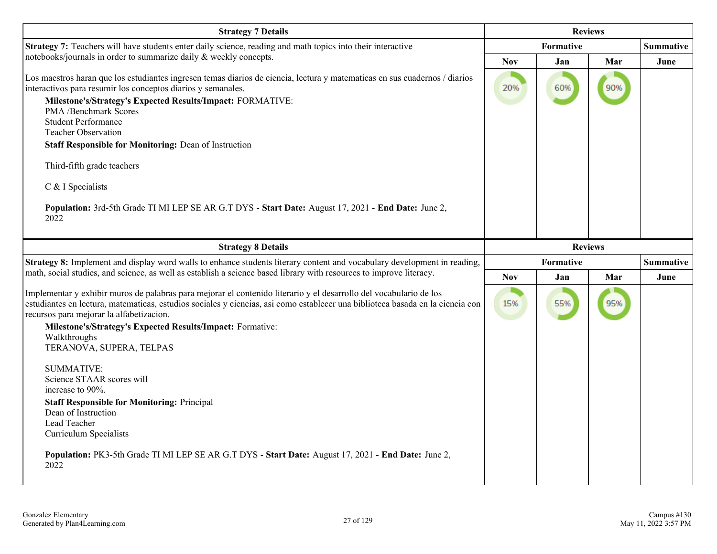| <b>Strategy 7 Details</b>                                                                                                                                                                                                                                                                                                                                                                                                                                                                                                                                                                                                                                                                                                     | <b>Reviews</b>   |                |     |                  |
|-------------------------------------------------------------------------------------------------------------------------------------------------------------------------------------------------------------------------------------------------------------------------------------------------------------------------------------------------------------------------------------------------------------------------------------------------------------------------------------------------------------------------------------------------------------------------------------------------------------------------------------------------------------------------------------------------------------------------------|------------------|----------------|-----|------------------|
| Strategy 7: Teachers will have students enter daily science, reading and math topics into their interactive                                                                                                                                                                                                                                                                                                                                                                                                                                                                                                                                                                                                                   |                  | Formative      |     | <b>Summative</b> |
| notebooks/journals in order to summarize daily & weekly concepts.                                                                                                                                                                                                                                                                                                                                                                                                                                                                                                                                                                                                                                                             | <b>Nov</b>       | Jan            | Mar | June             |
| Los maestros haran que los estudiantes ingresen temas diarios de ciencia, lectura y matematicas en sus cuadernos / diarios<br>interactivos para resumir los conceptos diarios y semanales.<br>Milestone's/Strategy's Expected Results/Impact: FORMATIVE:<br>PMA /Benchmark Scores<br><b>Student Performance</b><br><b>Teacher Observation</b><br><b>Staff Responsible for Monitoring: Dean of Instruction</b><br>Third-fifth grade teachers<br>C & I Specialists<br>Population: 3rd-5th Grade TI MI LEP SE AR G.T DYS - Start Date: August 17, 2021 - End Date: June 2,<br>2022                                                                                                                                               | 20%              | 60%            | 90% |                  |
| <b>Strategy 8 Details</b>                                                                                                                                                                                                                                                                                                                                                                                                                                                                                                                                                                                                                                                                                                     |                  | <b>Reviews</b> |     |                  |
| Strategy 8: Implement and display word walls to enhance students literary content and vocabulary development in reading,                                                                                                                                                                                                                                                                                                                                                                                                                                                                                                                                                                                                      | <b>Formative</b> |                |     | <b>Summative</b> |
| math, social studies, and science, as well as establish a science based library with resources to improve literacy.                                                                                                                                                                                                                                                                                                                                                                                                                                                                                                                                                                                                           | <b>Nov</b>       | Jan            | Mar | June             |
| Implementar y exhibir muros de palabras para mejorar el contenido literario y el desarrollo del vocabulario de los<br>estudiantes en lectura, matematicas, estudios sociales y ciencias, así como establecer una biblioteca basada en la ciencia con<br>recursos para mejorar la alfabetizacion.<br>Milestone's/Strategy's Expected Results/Impact: Formative:<br>Walkthroughs<br>TERANOVA, SUPERA, TELPAS<br><b>SUMMATIVE:</b><br>Science STAAR scores will<br>increase to 90%.<br><b>Staff Responsible for Monitoring: Principal</b><br>Dean of Instruction<br>Lead Teacher<br><b>Curriculum Specialists</b><br>Population: PK3-5th Grade TI MI LEP SE AR G.T DYS - Start Date: August 17, 2021 - End Date: June 2,<br>2022 | 15%              | 55%            | 95% |                  |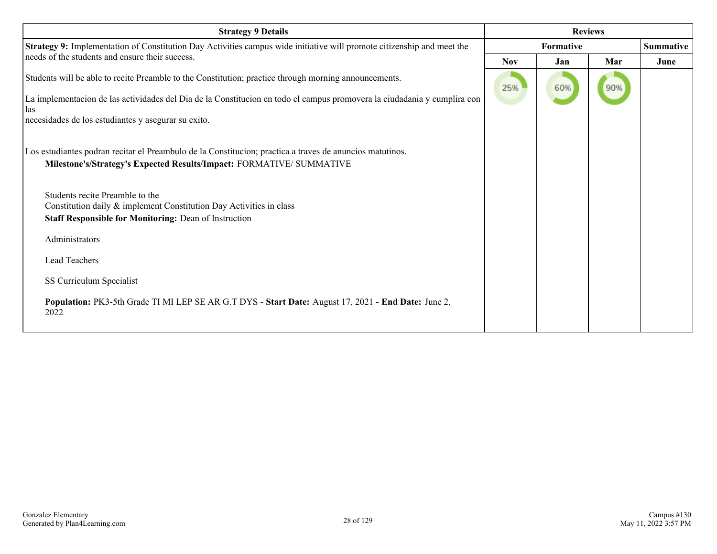| <b>Strategy 9 Details</b>                                                                                                                                                        | <b>Reviews</b> |     |     |                  |
|----------------------------------------------------------------------------------------------------------------------------------------------------------------------------------|----------------|-----|-----|------------------|
| Strategy 9: Implementation of Constitution Day Activities campus wide initiative will promote citizenship and meet the                                                           | Formative      |     |     | <b>Summative</b> |
| needs of the students and ensure their success.                                                                                                                                  | <b>Nov</b>     | Jan | Mar | June             |
| Students will be able to recite Preamble to the Constitution; practice through morning announcements.                                                                            | 25%            | 60% | 90% |                  |
| La implementacion de las actividades del Dia de la Constitucion en todo el campus promovera la ciudadania y cumplira con<br>las                                                  |                |     |     |                  |
| necesidades de los estudiantes y asegurar su exito.                                                                                                                              |                |     |     |                  |
| Los estudiantes podran recitar el Preambulo de la Constitucion; practica a traves de anuncios matutinos.<br>Milestone's/Strategy's Expected Results/Impact: FORMATIVE/ SUMMATIVE |                |     |     |                  |
| Students recite Preamble to the                                                                                                                                                  |                |     |     |                  |
| Constitution daily & implement Constitution Day Activities in class                                                                                                              |                |     |     |                  |
| <b>Staff Responsible for Monitoring: Dean of Instruction</b>                                                                                                                     |                |     |     |                  |
| Administrators                                                                                                                                                                   |                |     |     |                  |
| <b>Lead Teachers</b>                                                                                                                                                             |                |     |     |                  |
| SS Curriculum Specialist                                                                                                                                                         |                |     |     |                  |
| Population: PK3-5th Grade TI MI LEP SE AR G.T DYS - Start Date: August 17, 2021 - End Date: June 2,<br>2022                                                                      |                |     |     |                  |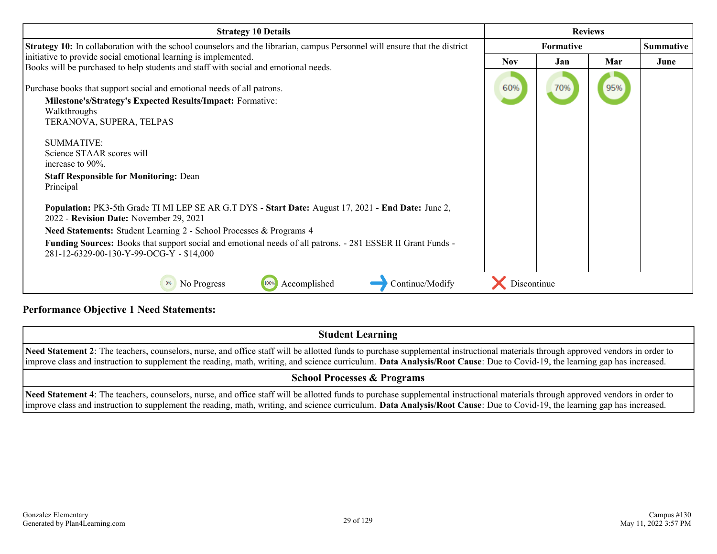| <b>Strategy 10 Details</b>                                                                                                                                                              | <b>Reviews</b>   |     |     |                  |
|-----------------------------------------------------------------------------------------------------------------------------------------------------------------------------------------|------------------|-----|-----|------------------|
| Strategy 10: In collaboration with the school counselors and the librarian, campus Personnel will ensure that the district                                                              | <b>Formative</b> |     |     | <b>Summative</b> |
| initiative to provide social emotional learning is implemented.<br>Books will be purchased to help students and staff with social and emotional needs.                                  | <b>Nov</b>       | Jan | Mar | June             |
| Purchase books that support social and emotional needs of all patrons.<br><b>Milestone's/Strategy's Expected Results/Impact: Formative:</b><br>Walkthroughs<br>TERANOVA, SUPERA, TELPAS | 60%              | 70% | 95% |                  |
| <b>SUMMATIVE:</b><br>Science STAAR scores will<br>increase to $90\%$ .<br><b>Staff Responsible for Monitoring: Dean</b><br>Principal                                                    |                  |     |     |                  |
| Population: PK3-5th Grade TI MI LEP SE AR G.T DYS - Start Date: August 17, 2021 - End Date: June 2,<br>2022 - Revision Date: November 29, 2021                                          |                  |     |     |                  |
| Need Statements: Student Learning 2 - School Processes & Programs 4                                                                                                                     |                  |     |     |                  |
| Funding Sources: Books that support social and emotional needs of all patrons. - 281 ESSER II Grant Funds -<br>281-12-6329-00-130-Y-99-OCG-Y - \$14,000                                 |                  |     |     |                  |
| 100%<br>Continue/Modify<br>0%<br>No Progress<br>Accomplished                                                                                                                            | Discontinue      |     |     |                  |

#### **Performance Objective 1 Need Statements:**

| <b>Student Learning</b>                                                                                                                                                                                                                                                                                                                                        |
|----------------------------------------------------------------------------------------------------------------------------------------------------------------------------------------------------------------------------------------------------------------------------------------------------------------------------------------------------------------|
| Need Statement 2: The teachers, counselors, nurse, and office staff will be allotted funds to purchase supplemental instructional materials through approved vendors in order to<br>improve class and instruction to supplement the reading, math, writing, and science curriculum. Data Analysis/Root Cause: Due to Covid-19, the learning gap has increased. |
| <b>School Processes &amp; Programs</b>                                                                                                                                                                                                                                                                                                                         |
| Need Statement 4: The teachers, counselors, purse, and office staff will be allotted funds to purchase supplemental instructional materials through approved vendors in order to                                                                                                                                                                               |

**Need Statement 4**: The teachers, counselors, nurse, and office staff will be allotted funds to purchase supplemental instructional materials through approved vendors in order to improve class and instruction to supplement the reading, math, writing, and science curriculum. **Data Analysis/Root Cause**: Due to Covid-19, the learning gap has increased.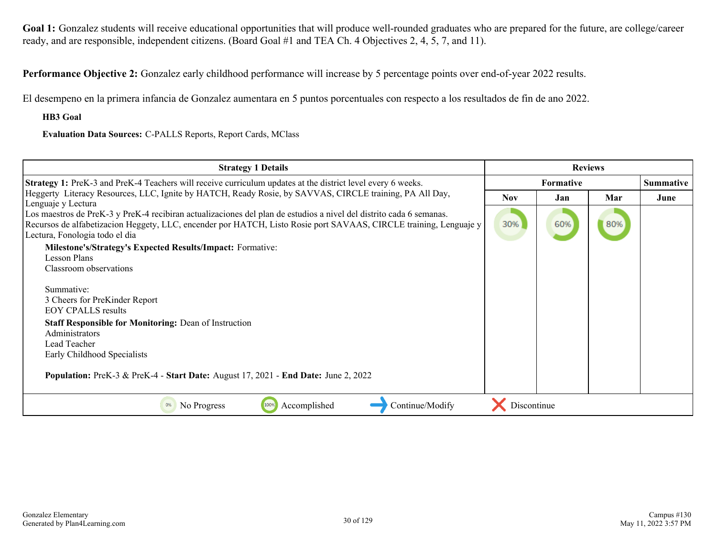Goal 1: Gonzalez students will receive educational opportunities that will produce well-rounded graduates who are prepared for the future, are college/career ready, and are responsible, independent citizens. (Board Goal #1 and TEA Ch. 4 Objectives 2, 4, 5, 7, and 11).

**Performance Objective 2:** Gonzalez early childhood performance will increase by 5 percentage points over end-of-year 2022 results.

El desempeno en la primera infancia de Gonzalez aumentara en 5 puntos porcentuales con respecto a los resultados de fin de ano 2022.

**HB3 Goal**

**Evaluation Data Sources:** C-PALLS Reports, Report Cards, MClass

| <b>Strategy 1 Details</b>                                                                                                                                                                                                                                                                        | <b>Reviews</b> |     |     |                  |
|--------------------------------------------------------------------------------------------------------------------------------------------------------------------------------------------------------------------------------------------------------------------------------------------------|----------------|-----|-----|------------------|
| <b>Strategy 1:</b> PreK-3 and PreK-4 Teachers will receive curriculum updates at the district level every 6 weeks.                                                                                                                                                                               | Formative      |     |     | <b>Summative</b> |
| Heggerty Literacy Resources, LLC, Ignite by HATCH, Ready Rosie, by SAVVAS, CIRCLE training, PA All Day,                                                                                                                                                                                          | <b>Nov</b>     | Jan | Mar | June             |
| Lenguaje y Lectura<br>Los maestros de PreK-3 y PreK-4 recibiran actualizaciones del plan de estudios a nivel del distrito cada 6 semanas.<br>Recursos de alfabetizacion Heggety, LLC, encender por HATCH, Listo Rosie port SAVAAS, CIRCLE training, Lenguaje y<br>Lectura, Fonologia todo el dia | 30%            | 60% | 80% |                  |
| <b>Milestone's/Strategy's Expected Results/Impact: Formative:</b>                                                                                                                                                                                                                                |                |     |     |                  |
| Lesson Plans                                                                                                                                                                                                                                                                                     |                |     |     |                  |
| Classroom observations                                                                                                                                                                                                                                                                           |                |     |     |                  |
| Summative:                                                                                                                                                                                                                                                                                       |                |     |     |                  |
| 3 Cheers for PreKinder Report                                                                                                                                                                                                                                                                    |                |     |     |                  |
| <b>EOY CPALLS results</b>                                                                                                                                                                                                                                                                        |                |     |     |                  |
| <b>Staff Responsible for Monitoring: Dean of Instruction</b><br>Administrators                                                                                                                                                                                                                   |                |     |     |                  |
| Lead Teacher                                                                                                                                                                                                                                                                                     |                |     |     |                  |
| Early Childhood Specialists                                                                                                                                                                                                                                                                      |                |     |     |                  |
| <b>Population:</b> PreK-3 & PreK-4 - Start Date: August 17, 2021 - End Date: June 2, 2022                                                                                                                                                                                                        |                |     |     |                  |
| 100%<br>Continue/Modify<br>No Progress<br>Accomplished<br>0%                                                                                                                                                                                                                                     | Discontinue    |     |     |                  |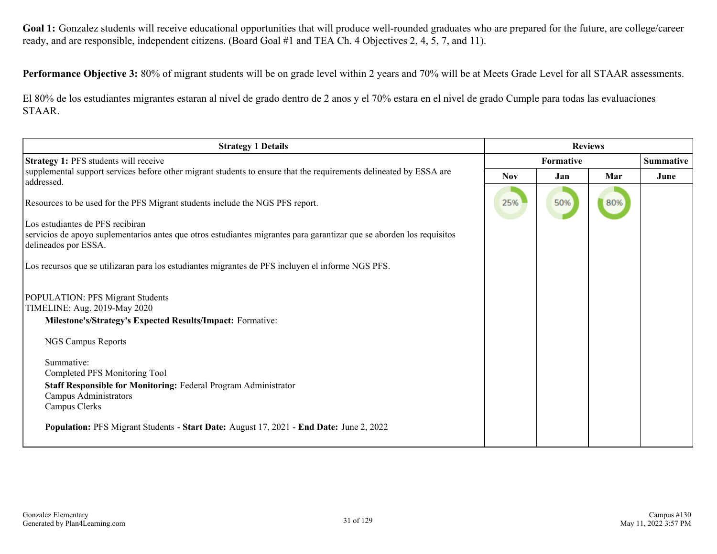Goal 1: Gonzalez students will receive educational opportunities that will produce well-rounded graduates who are prepared for the future, are college/career ready, and are responsible, independent citizens. (Board Goal #1 and TEA Ch. 4 Objectives 2, 4, 5, 7, and 11).

**Performance Objective 3:** 80% of migrant students will be on grade level within 2 years and 70% will be at Meets Grade Level for all STAAR assessments.

El 80% de los estudiantes migrantes estaran al nivel de grado dentro de 2 anos y el 70% estara en el nivel de grado Cumple para todas las evaluaciones STAAR.

| <b>Strategy 1 Details</b>                                                                                                                                                                                                                                                                                               | <b>Reviews</b> |     |     |                  |  |
|-------------------------------------------------------------------------------------------------------------------------------------------------------------------------------------------------------------------------------------------------------------------------------------------------------------------------|----------------|-----|-----|------------------|--|
| Strategy 1: PFS students will receive                                                                                                                                                                                                                                                                                   | Formative      |     |     | <b>Summative</b> |  |
| supplemental support services before other migrant students to ensure that the requirements delineated by ESSA are<br>addressed.                                                                                                                                                                                        | <b>Nov</b>     | Jan | Mar | June             |  |
| Resources to be used for the PFS Migrant students include the NGS PFS report.                                                                                                                                                                                                                                           | 25%            | 50% | 80% |                  |  |
| Los estudiantes de PFS recibiran<br>servicios de apoyo suplementarios antes que otros estudiantes migrantes para garantizar que se aborden los requisitos<br>delineados por ESSA.                                                                                                                                       |                |     |     |                  |  |
| Los recursos que se utilizaran para los estudiantes migrantes de PFS incluyen el informe NGS PFS.                                                                                                                                                                                                                       |                |     |     |                  |  |
| <b>POPULATION: PFS Migrant Students</b><br>TIMELINE: Aug. 2019-May 2020<br>Milestone's/Strategy's Expected Results/Impact: Formative:<br>NGS Campus Reports<br>Summative:<br>Completed PFS Monitoring Tool<br>Staff Responsible for Monitoring: Federal Program Administrator<br>Campus Administrators<br>Campus Clerks |                |     |     |                  |  |
| Population: PFS Migrant Students - Start Date: August 17, 2021 - End Date: June 2, 2022                                                                                                                                                                                                                                 |                |     |     |                  |  |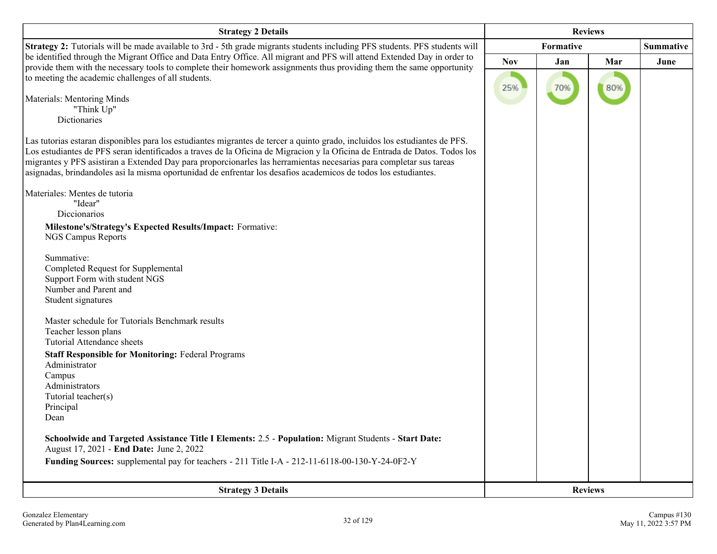| <b>Strategy 2 Details</b>                                                                                                                                                                                                                                 | <b>Reviews</b> |     |                |                  |
|-----------------------------------------------------------------------------------------------------------------------------------------------------------------------------------------------------------------------------------------------------------|----------------|-----|----------------|------------------|
| Strategy 2: Tutorials will be made available to 3rd - 5th grade migrants students including PFS students. PFS students will                                                                                                                               | Formative      |     |                | <b>Summative</b> |
| be identified through the Migrant Office and Data Entry Office. All migrant and PFS will attend Extended Day in order to<br>provide them with the necessary tools to complete their homework assignments thus providing them the same opportunity         | <b>Nov</b>     | Jan | Mar            | June             |
| to meeting the academic challenges of all students.                                                                                                                                                                                                       |                |     |                |                  |
|                                                                                                                                                                                                                                                           | 25%            | 70% | 80%            |                  |
| Materials: Mentoring Minds<br>"Think Up"                                                                                                                                                                                                                  |                |     |                |                  |
| Dictionaries                                                                                                                                                                                                                                              |                |     |                |                  |
|                                                                                                                                                                                                                                                           |                |     |                |                  |
| Las tutorias estaran disponibles para los estudiantes migrantes de tercer a quinto grado, incluidos los estudiantes de PFS.<br>Los estudiantes de PFS seran identificados a traves de la Oficina de Migracion y la Oficina de Entrada de Datos. Todos los |                |     |                |                  |
| migrantes y PFS asistiran a Extended Day para proporcionarles las herramientas necesarias para completar sus tareas                                                                                                                                       |                |     |                |                  |
| asignadas, brindandoles así la misma oportunidad de enfrentar los desafíos academicos de todos los estudiantes.                                                                                                                                           |                |     |                |                  |
| Materiales: Mentes de tutoria                                                                                                                                                                                                                             |                |     |                |                  |
| "Idear"                                                                                                                                                                                                                                                   |                |     |                |                  |
| Diccionarios                                                                                                                                                                                                                                              |                |     |                |                  |
| Milestone's/Strategy's Expected Results/Impact: Formative:                                                                                                                                                                                                |                |     |                |                  |
| <b>NGS Campus Reports</b>                                                                                                                                                                                                                                 |                |     |                |                  |
| Summative:                                                                                                                                                                                                                                                |                |     |                |                  |
| Completed Request for Supplemental                                                                                                                                                                                                                        |                |     |                |                  |
| Support Form with student NGS                                                                                                                                                                                                                             |                |     |                |                  |
| Number and Parent and                                                                                                                                                                                                                                     |                |     |                |                  |
| Student signatures                                                                                                                                                                                                                                        |                |     |                |                  |
| Master schedule for Tutorials Benchmark results                                                                                                                                                                                                           |                |     |                |                  |
| Teacher lesson plans                                                                                                                                                                                                                                      |                |     |                |                  |
| <b>Tutorial Attendance sheets</b>                                                                                                                                                                                                                         |                |     |                |                  |
| <b>Staff Responsible for Monitoring: Federal Programs</b>                                                                                                                                                                                                 |                |     |                |                  |
| Administrator                                                                                                                                                                                                                                             |                |     |                |                  |
| Campus<br>Administrators                                                                                                                                                                                                                                  |                |     |                |                  |
| Tutorial teacher(s)                                                                                                                                                                                                                                       |                |     |                |                  |
| Principal                                                                                                                                                                                                                                                 |                |     |                |                  |
| Dean                                                                                                                                                                                                                                                      |                |     |                |                  |
| Schoolwide and Targeted Assistance Title I Elements: 2.5 - Population: Migrant Students - Start Date:                                                                                                                                                     |                |     |                |                  |
| August 17, 2021 - End Date: June 2, 2022                                                                                                                                                                                                                  |                |     |                |                  |
| Funding Sources: supplemental pay for teachers - 211 Title I-A - 212-11-6118-00-130-Y-24-0F2-Y                                                                                                                                                            |                |     |                |                  |
|                                                                                                                                                                                                                                                           |                |     |                |                  |
| <b>Strategy 3 Details</b>                                                                                                                                                                                                                                 |                |     | <b>Reviews</b> |                  |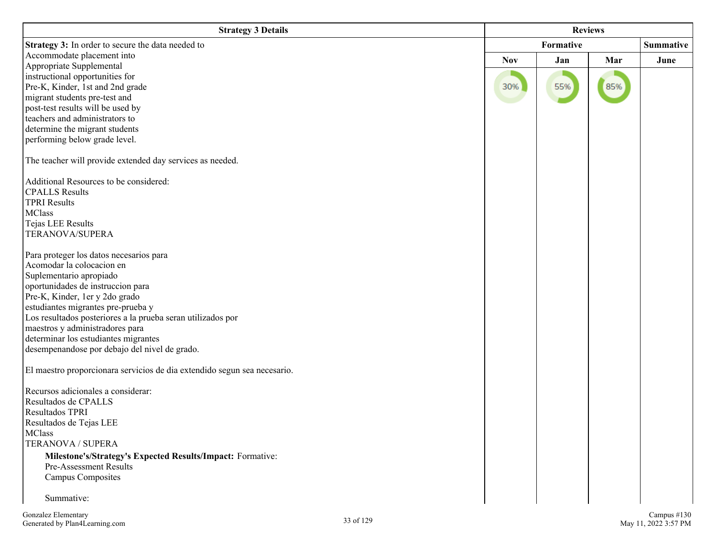| <b>Strategy 3 Details</b>                                                | <b>Reviews</b>   |     |     |                  |
|--------------------------------------------------------------------------|------------------|-----|-----|------------------|
| Strategy 3: In order to secure the data needed to                        | <b>Formative</b> |     |     | <b>Summative</b> |
| Accommodate placement into                                               | <b>Nov</b>       | Jan | Mar | June             |
| Appropriate Supplemental                                                 |                  |     |     |                  |
| instructional opportunities for                                          |                  |     |     |                  |
| Pre-K, Kinder, 1st and 2nd grade                                         | 30%              | 55% | 85% |                  |
| migrant students pre-test and                                            |                  |     |     |                  |
| post-test results will be used by<br>teachers and administrators to      |                  |     |     |                  |
| determine the migrant students                                           |                  |     |     |                  |
| performing below grade level.                                            |                  |     |     |                  |
|                                                                          |                  |     |     |                  |
| The teacher will provide extended day services as needed.                |                  |     |     |                  |
| Additional Resources to be considered:                                   |                  |     |     |                  |
| <b>CPALLS</b> Results                                                    |                  |     |     |                  |
| <b>TPRI Results</b>                                                      |                  |     |     |                  |
| <b>MClass</b>                                                            |                  |     |     |                  |
| Tejas LEE Results                                                        |                  |     |     |                  |
| <b>TERANOVA/SUPERA</b>                                                   |                  |     |     |                  |
|                                                                          |                  |     |     |                  |
| Para proteger los datos necesarios para<br>Acomodar la colocacion en     |                  |     |     |                  |
| Suplementario apropiado                                                  |                  |     |     |                  |
| oportunidades de instruccion para                                        |                  |     |     |                  |
| Pre-K, Kinder, 1er y 2do grado                                           |                  |     |     |                  |
| estudiantes migrantes pre-prueba y                                       |                  |     |     |                  |
| Los resultados posteriores a la prueba seran utilizados por              |                  |     |     |                  |
| maestros y administradores para                                          |                  |     |     |                  |
| determinar los estudiantes migrantes                                     |                  |     |     |                  |
| desempenandose por debajo del nivel de grado.                            |                  |     |     |                  |
|                                                                          |                  |     |     |                  |
| El maestro proporcionara servicios de dia extendido segun sea necesario. |                  |     |     |                  |
|                                                                          |                  |     |     |                  |
| Recursos adicionales a considerar:                                       |                  |     |     |                  |
| Resultados de CPALLS<br>Resultados TPRI                                  |                  |     |     |                  |
| Resultados de Tejas LEE                                                  |                  |     |     |                  |
| <b>MClass</b>                                                            |                  |     |     |                  |
| TERANOVA / SUPERA                                                        |                  |     |     |                  |
| Milestone's/Strategy's Expected Results/Impact: Formative:               |                  |     |     |                  |
| Pre-Assessment Results                                                   |                  |     |     |                  |
| <b>Campus Composites</b>                                                 |                  |     |     |                  |
|                                                                          |                  |     |     |                  |
| Summative:                                                               |                  |     |     |                  |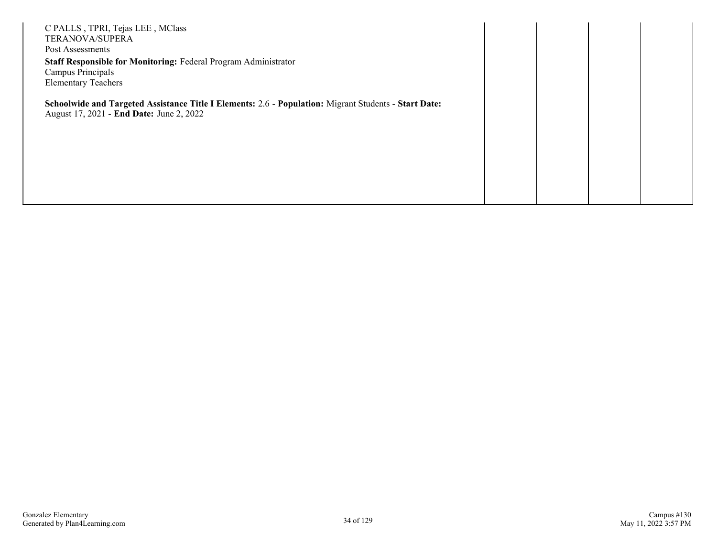| C PALLS, TPRI, Tejas LEE, MClass<br>TERANOVA/SUPERA<br>Post Assessments<br>Staff Responsible for Monitoring: Federal Program Administrator<br>Campus Principals<br><b>Elementary Teachers</b> |  |  |
|-----------------------------------------------------------------------------------------------------------------------------------------------------------------------------------------------|--|--|
| Schoolwide and Targeted Assistance Title I Elements: 2.6 - Population: Migrant Students - Start Date:<br>August 17, 2021 - End Date: June 2, 2022                                             |  |  |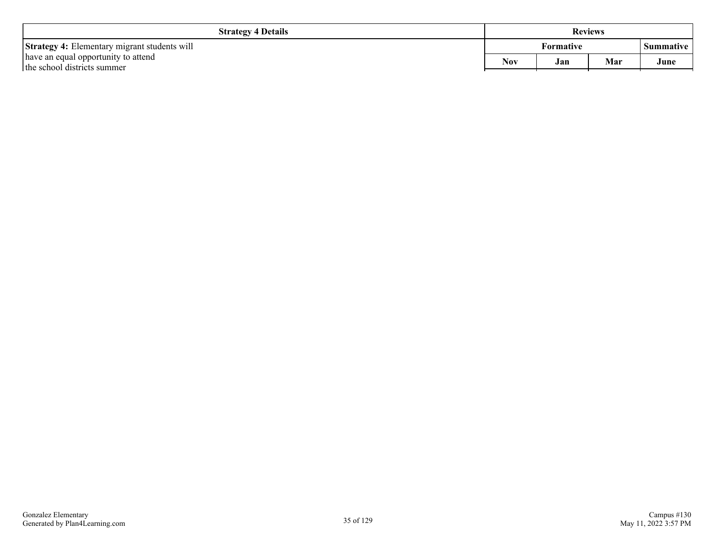| <b>Strategy 4 Details</b>                                          | <b>Reviews</b>           |  |  |                  |
|--------------------------------------------------------------------|--------------------------|--|--|------------------|
| <b>Strategy 4:</b> Elementary migrant students will                | <b>Formative</b>         |  |  | <b>Summative</b> |
| have an equal opportunity to attend<br>the school districts summer | <b>Nov</b><br>Mar<br>Jan |  |  | June             |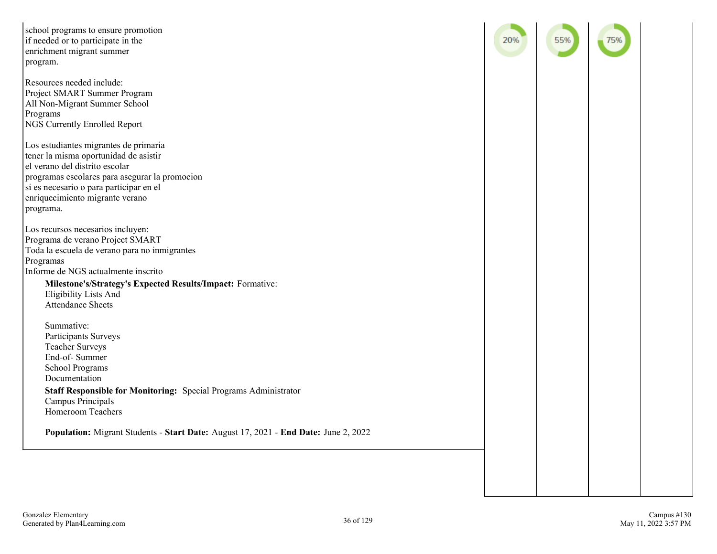| school programs to ensure promotion<br>if needed or to participate in the<br>enrichment migrant summer<br>program.                                                                                                                                                                                   | 20% | 55% |  |
|------------------------------------------------------------------------------------------------------------------------------------------------------------------------------------------------------------------------------------------------------------------------------------------------------|-----|-----|--|
| Resources needed include:<br>Project SMART Summer Program<br>All Non-Migrant Summer School<br>Programs<br>NGS Currently Enrolled Report                                                                                                                                                              |     |     |  |
| Los estudiantes migrantes de primaria<br>tener la misma oportunidad de asistir<br>el verano del distrito escolar<br>programas escolares para asegurar la promocion<br>si es necesario o para participar en el<br>enriquecimiento migrante verano<br>programa.                                        |     |     |  |
| Los recursos necesarios incluyen:<br>Programa de verano Project SMART<br>Toda la escuela de verano para no inmigrantes<br>Programas<br>Informe de NGS actualmente inscrito<br>Milestone's/Strategy's Expected Results/Impact: Formative:<br><b>Eligibility Lists And</b><br><b>Attendance Sheets</b> |     |     |  |
| Summative:<br>Participants Surveys<br><b>Teacher Surveys</b><br>End-of-Summer<br><b>School Programs</b><br>Documentation<br>Staff Responsible for Monitoring: Special Programs Administrator<br>Campus Principals                                                                                    |     |     |  |
| Homeroom Teachers<br>Population: Migrant Students - Start Date: August 17, 2021 - End Date: June 2, 2022                                                                                                                                                                                             |     |     |  |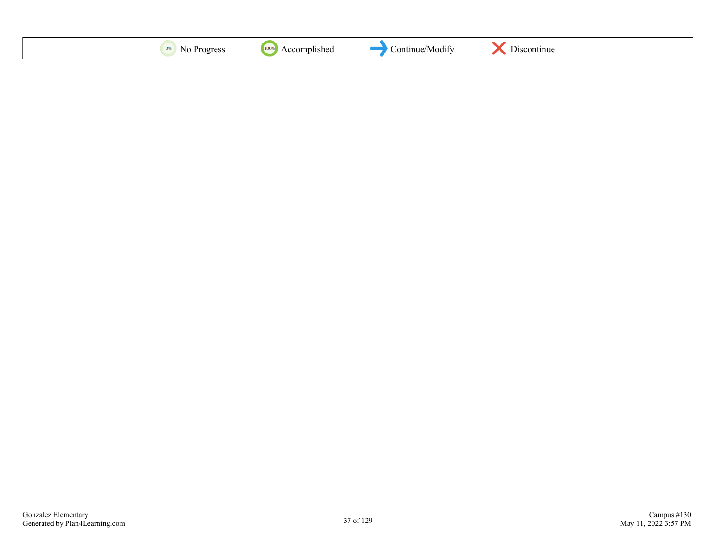| $\mathbf{u}$ | 100 | VIOQIT<br>,,, |  |
|--------------|-----|---------------|--|
|--------------|-----|---------------|--|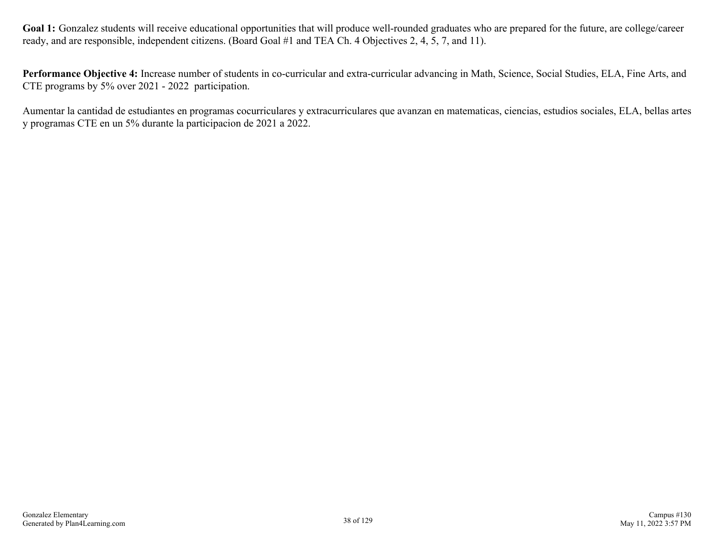Goal 1: Gonzalez students will receive educational opportunities that will produce well-rounded graduates who are prepared for the future, are college/career ready, and are responsible, independent citizens. (Board Goal #1 and TEA Ch. 4 Objectives 2, 4, 5, 7, and 11).

**Performance Objective 4:** Increase number of students in co-curricular and extra-curricular advancing in Math, Science, Social Studies, ELA, Fine Arts, and CTE programs by 5% over 2021 - 2022 participation.

Aumentar la cantidad de estudiantes en programas cocurriculares y extracurriculares que avanzan en matematicas, ciencias, estudios sociales, ELA, bellas artes y programas CTE en un 5% durante la participacion de 2021 a 2022.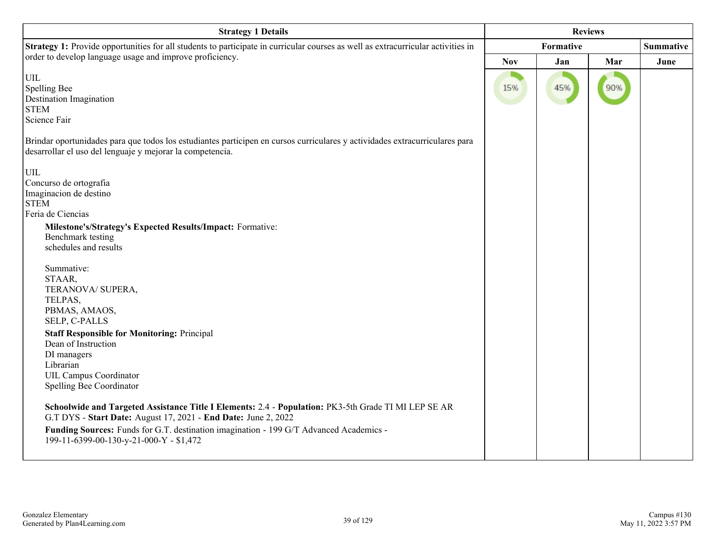| <b>Strategy 1 Details</b>                                                                                                                                                                                                                                                                                                                                                                                                                                                                                                                                                                                                                                                                                                                                                                                    | <b>Reviews</b> |     |     |                  |
|--------------------------------------------------------------------------------------------------------------------------------------------------------------------------------------------------------------------------------------------------------------------------------------------------------------------------------------------------------------------------------------------------------------------------------------------------------------------------------------------------------------------------------------------------------------------------------------------------------------------------------------------------------------------------------------------------------------------------------------------------------------------------------------------------------------|----------------|-----|-----|------------------|
| Strategy 1: Provide opportunities for all students to participate in curricular courses as well as extracurricular activities in                                                                                                                                                                                                                                                                                                                                                                                                                                                                                                                                                                                                                                                                             | Formative      |     |     | <b>Summative</b> |
| order to develop language usage and improve proficiency.                                                                                                                                                                                                                                                                                                                                                                                                                                                                                                                                                                                                                                                                                                                                                     | <b>Nov</b>     | Jan | Mar | June             |
| UIL<br>Spelling Bee<br><b>Destination Imagination</b><br><b>STEM</b><br>Science Fair                                                                                                                                                                                                                                                                                                                                                                                                                                                                                                                                                                                                                                                                                                                         | 15%            | 45% | 90% |                  |
| Brindar oportunidades para que todos los estudiantes participen en cursos curriculares y actividades extracurriculares para<br>desarrollar el uso del lenguaje y mejorar la competencia.                                                                                                                                                                                                                                                                                                                                                                                                                                                                                                                                                                                                                     |                |     |     |                  |
| $\ensuremath{\text{UIL}}$<br>Concurso de ortografia<br>Imaginacion de destino<br><b>STEM</b><br>Feria de Ciencias<br>Milestone's/Strategy's Expected Results/Impact: Formative:<br>Benchmark testing<br>schedules and results<br>Summative:<br>STAAR,<br>TERANOVA/ SUPERA,<br>TELPAS,<br>PBMAS, AMAOS,<br>SELP, C-PALLS<br><b>Staff Responsible for Monitoring: Principal</b><br>Dean of Instruction<br>DI managers<br>Librarian<br><b>UIL Campus Coordinator</b><br>Spelling Bee Coordinator<br>Schoolwide and Targeted Assistance Title I Elements: 2.4 - Population: PK3-5th Grade TI MI LEP SE AR<br>G.T DYS - Start Date: August 17, 2021 - End Date: June 2, 2022<br>Funding Sources: Funds for G.T. destination imagination - 199 G/T Advanced Academics -<br>199-11-6399-00-130-y-21-000-Y - \$1,472 |                |     |     |                  |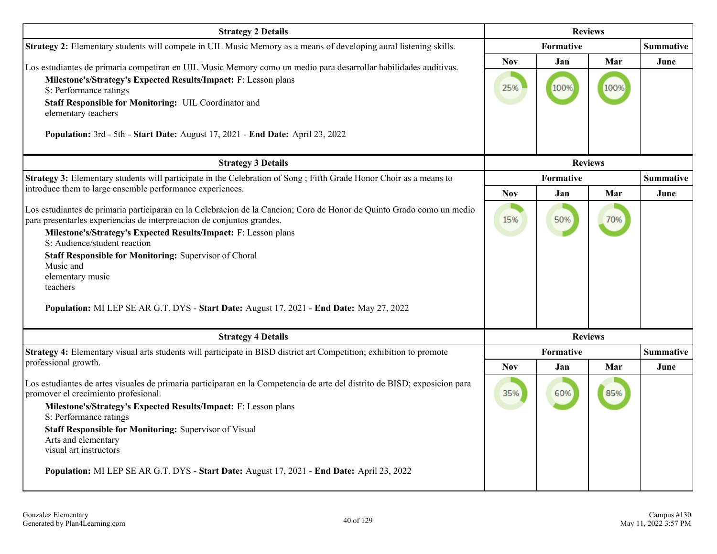| <b>Strategy 2 Details</b>                                                                                                                                                                                                                                                                                                                                                                                                                                                                             |                   | <b>Reviews</b>   |             |                  |
|-------------------------------------------------------------------------------------------------------------------------------------------------------------------------------------------------------------------------------------------------------------------------------------------------------------------------------------------------------------------------------------------------------------------------------------------------------------------------------------------------------|-------------------|------------------|-------------|------------------|
| Strategy 2: Elementary students will compete in UIL Music Memory as a means of developing aural listening skills.                                                                                                                                                                                                                                                                                                                                                                                     |                   | Formative        |             | <b>Summative</b> |
| Los estudiantes de primaria competiran en UIL Music Memory como un medio para desarrollar habilidades auditivas.<br>Milestone's/Strategy's Expected Results/Impact: F: Lesson plans<br>S: Performance ratings<br>Staff Responsible for Monitoring: UIL Coordinator and<br>elementary teachers<br>Population: 3rd - 5th - Start Date: August 17, 2021 - End Date: April 23, 2022                                                                                                                       | <b>Nov</b><br>25% | Jan<br>100%      | Mar<br>100% | June             |
| <b>Strategy 3 Details</b>                                                                                                                                                                                                                                                                                                                                                                                                                                                                             | <b>Reviews</b>    |                  |             |                  |
| Strategy 3: Elementary students will participate in the Celebration of Song ; Fifth Grade Honor Choir as a means to                                                                                                                                                                                                                                                                                                                                                                                   | Formative         |                  |             | <b>Summative</b> |
| introduce them to large ensemble performance experiences.                                                                                                                                                                                                                                                                                                                                                                                                                                             | <b>Nov</b>        | Jan              | Mar         | June             |
| Los estudiantes de primaria participaran en la Celebracion de la Cancion; Coro de Honor de Quinto Grado como un medio<br>para presentarles experiencias de interpretacion de conjuntos grandes.<br>Milestone's/Strategy's Expected Results/Impact: F: Lesson plans<br>S: Audience/student reaction<br>Staff Responsible for Monitoring: Supervisor of Choral<br>Music and<br>elementary music<br>teachers<br>Population: MI LEP SE AR G.T. DYS - Start Date: August 17, 2021 - End Date: May 27, 2022 | 15%               | 50%              | 70%         |                  |
| <b>Strategy 4 Details</b>                                                                                                                                                                                                                                                                                                                                                                                                                                                                             |                   | <b>Reviews</b>   |             |                  |
| Strategy 4: Elementary visual arts students will participate in BISD district art Competition; exhibition to promote                                                                                                                                                                                                                                                                                                                                                                                  |                   | <b>Formative</b> |             | Summative        |
| professional growth.                                                                                                                                                                                                                                                                                                                                                                                                                                                                                  | <b>Nov</b>        | Jan              | Mar         | June             |
| Los estudiantes de artes visuales de primaria participaran en la Competencia de arte del distrito de BISD; exposicion para<br>promover el crecimiento profesional.<br>Milestone's/Strategy's Expected Results/Impact: F: Lesson plans<br>S: Performance ratings<br>Staff Responsible for Monitoring: Supervisor of Visual<br>Arts and elementary<br>visual art instructors<br>Population: MI LEP SE AR G.T. DYS - Start Date: August 17, 2021 - End Date: April 23, 2022                              | 35%               | 60%              | 85%         |                  |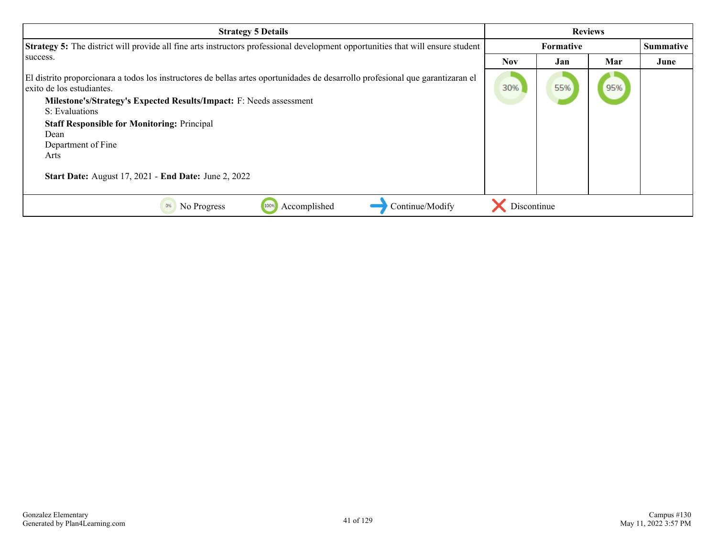| <b>Strategy 5 Details</b>                                                                                                                                   |             |                  | <b>Reviews</b> |           |
|-------------------------------------------------------------------------------------------------------------------------------------------------------------|-------------|------------------|----------------|-----------|
| Strategy 5: The district will provide all fine arts instructors professional development opportunities that will ensure student                             |             | <b>Formative</b> |                | Summative |
| success.                                                                                                                                                    | <b>Nov</b>  | Jan              | Mar            | June      |
| El distrito proporcionara a todos los instructores de bellas artes oportunidades de desarrollo profesional que garantizaran el<br>exito de los estudiantes. | 30%         | 55%              | 95%            |           |
| Milestone's/Strategy's Expected Results/Impact: F: Needs assessment<br>S: Evaluations                                                                       |             |                  |                |           |
| <b>Staff Responsible for Monitoring: Principal</b>                                                                                                          |             |                  |                |           |
| Dean<br>Department of Fine                                                                                                                                  |             |                  |                |           |
| Arts                                                                                                                                                        |             |                  |                |           |
| <b>Start Date:</b> August 17, 2021 - <b>End Date:</b> June 2, 2022                                                                                          |             |                  |                |           |
| Continue/Modify<br>Accomplished<br>0%<br>No Progress<br>100%                                                                                                | Discontinue |                  |                |           |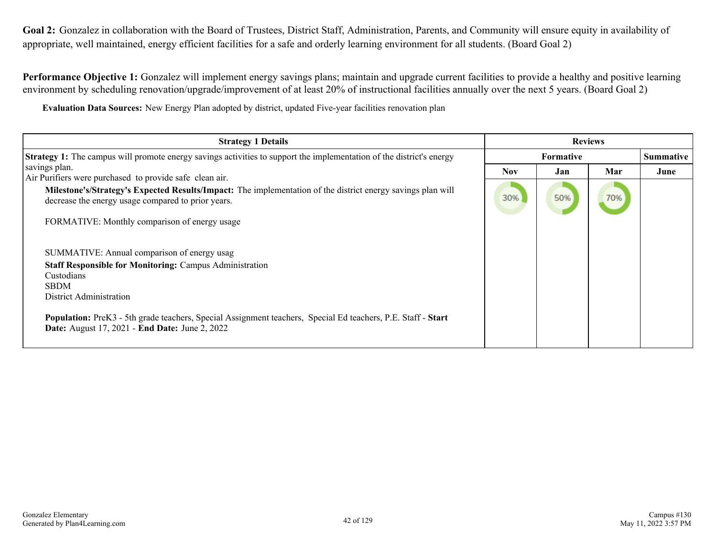Goal 2: Gonzalez in collaboration with the Board of Trustees, District Staff, Administration, Parents, and Community will ensure equity in availability of appropriate, well maintained, energy efficient facilities for a safe and orderly learning environment for all students. (Board Goal 2)

**Performance Objective 1:** Gonzalez will implement energy savings plans; maintain and upgrade current facilities to provide a healthy and positive learning environment by scheduling renovation/upgrade/improvement of at least 20% of instructional facilities annually over the next 5 years. (Board Goal 2)

**Evaluation Data Sources:** New Energy Plan adopted by district, updated Five-year facilities renovation plan

| <b>Strategy 1 Details</b>                                                                                                                                                                                                                                                                                                                             | <b>Reviews</b> |                  |     |           |
|-------------------------------------------------------------------------------------------------------------------------------------------------------------------------------------------------------------------------------------------------------------------------------------------------------------------------------------------------------|----------------|------------------|-----|-----------|
| <b>Strategy 1:</b> The campus will promote energy savings activities to support the implementation of the district's energy                                                                                                                                                                                                                           |                | <b>Formative</b> |     | Summative |
| savings plan.<br>Air Purifiers were purchased to provide safe clean air.                                                                                                                                                                                                                                                                              | <b>Nov</b>     | Jan              | Mar | June      |
| Milestone's/Strategy's Expected Results/Impact: The implementation of the district energy savings plan will<br>decrease the energy usage compared to prior years.                                                                                                                                                                                     | 30%            | 50%              | 70% |           |
| FORMATIVE: Monthly comparison of energy usage                                                                                                                                                                                                                                                                                                         |                |                  |     |           |
| SUMMATIVE: Annual comparison of energy usag<br><b>Staff Responsible for Monitoring: Campus Administration</b><br>Custodians<br><b>SBDM</b><br>District Administration<br>Population: PreK3 - 5th grade teachers, Special Assignment teachers, Special Ed teachers, P.E. Staff - Start<br><b>Date:</b> August 17, 2021 - <b>End Date:</b> June 2, 2022 |                |                  |     |           |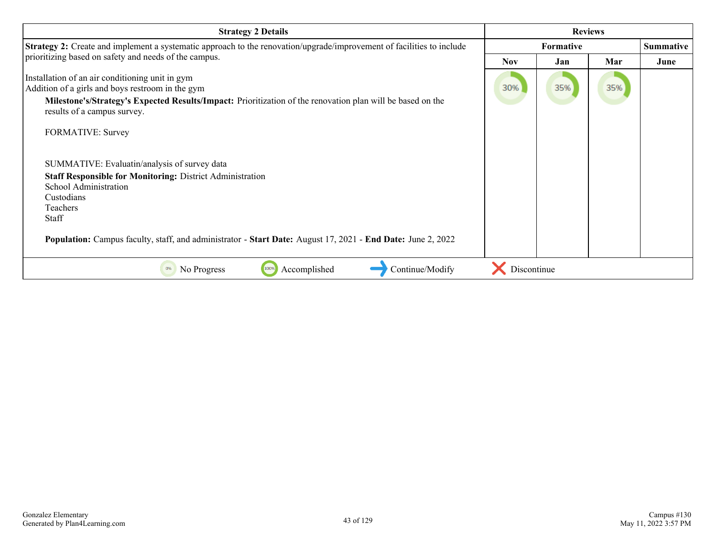| <b>Strategy 2 Details</b>                                                                                                                                                                                                                        | <b>Reviews</b> |                  |     |                  |
|--------------------------------------------------------------------------------------------------------------------------------------------------------------------------------------------------------------------------------------------------|----------------|------------------|-----|------------------|
| <b>Strategy 2:</b> Create and implement a systematic approach to the renovation/upgrade/improvement of facilities to include                                                                                                                     |                | <b>Formative</b> |     | <b>Summative</b> |
| prioritizing based on safety and needs of the campus.                                                                                                                                                                                            | <b>Nov</b>     | Jan              | Mar | June             |
| Installation of an air conditioning unit in gym<br>Addition of a girls and boys restroom in the gym<br>Milestone's/Strategy's Expected Results/Impact: Prioritization of the renovation plan will be based on the<br>results of a campus survey. | 30%            | 35%              | 35% |                  |
| <b>FORMATIVE: Survey</b>                                                                                                                                                                                                                         |                |                  |     |                  |
| SUMMATIVE: Evaluatin/analysis of survey data                                                                                                                                                                                                     |                |                  |     |                  |
| <b>Staff Responsible for Monitoring: District Administration</b>                                                                                                                                                                                 |                |                  |     |                  |
| School Administration<br>Custodians                                                                                                                                                                                                              |                |                  |     |                  |
| Teachers                                                                                                                                                                                                                                         |                |                  |     |                  |
| <b>Staff</b>                                                                                                                                                                                                                                     |                |                  |     |                  |
| <b>Population:</b> Campus faculty, staff, and administrator - <b>Start Date:</b> August 17, 2021 - <b>End Date:</b> June 2, 2022                                                                                                                 |                |                  |     |                  |
| Accomplished<br>Continue/Modify<br>No Progress<br>100%<br>0%                                                                                                                                                                                     | Discontinue    |                  |     |                  |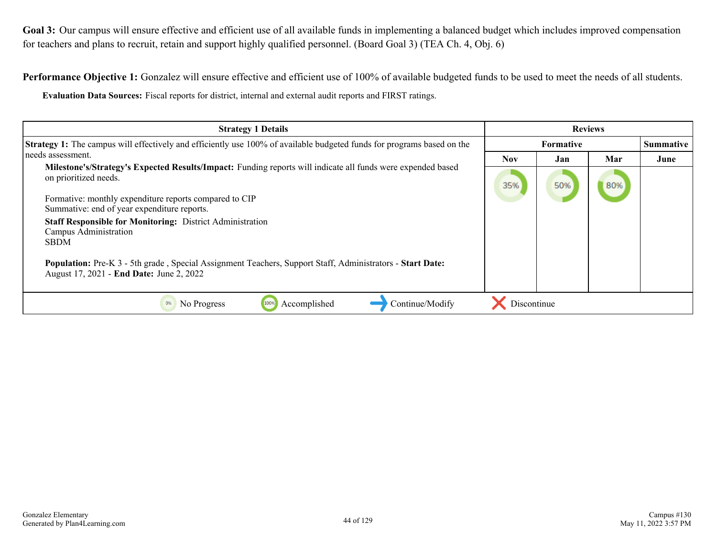Goal 3: Our campus will ensure effective and efficient use of all available funds in implementing a balanced budget which includes improved compensation for teachers and plans to recruit, retain and support highly qualified personnel. (Board Goal 3) (TEA Ch. 4, Obj. 6)

Performance Objective 1: Gonzalez will ensure effective and efficient use of 100% of available budgeted funds to be used to meet the needs of all students.

**Evaluation Data Sources:** Fiscal reports for district, internal and external audit reports and FIRST ratings.

| <b>Strategy 1 Details</b>                                                                                                                                                                                                                                                                                                                                                                                                                                                                                          | <b>Reviews</b> |     |     |      |  |  |  |  |  |  |  |
|--------------------------------------------------------------------------------------------------------------------------------------------------------------------------------------------------------------------------------------------------------------------------------------------------------------------------------------------------------------------------------------------------------------------------------------------------------------------------------------------------------------------|----------------|-----|-----|------|--|--|--|--|--|--|--|
| Strategy 1: The campus will effectively and efficiently use 100% of available budgeted funds for programs based on the                                                                                                                                                                                                                                                                                                                                                                                             | Formative      |     |     |      |  |  |  |  |  |  |  |
| needs assessment.                                                                                                                                                                                                                                                                                                                                                                                                                                                                                                  | <b>Nov</b>     | Jan | Mar | June |  |  |  |  |  |  |  |
| Milestone's/Strategy's Expected Results/Impact: Funding reports will indicate all funds were expended based<br>on prioritized needs.<br>Formative: monthly expenditure reports compared to CIP<br>Summative: end of year expenditure reports.<br><b>Staff Responsible for Monitoring: District Administration</b><br>Campus Administration<br><b>SBDM</b><br>Population: Pre-K 3 - 5th grade, Special Assignment Teachers, Support Staff, Administrators - Start Date:<br>August 17, 2021 - End Date: June 2, 2022 | 35%            | 50% | 80% |      |  |  |  |  |  |  |  |
| Continue/Modify<br>Accomplished<br>0%<br>No Progress<br>100%                                                                                                                                                                                                                                                                                                                                                                                                                                                       | Discontinue    |     |     |      |  |  |  |  |  |  |  |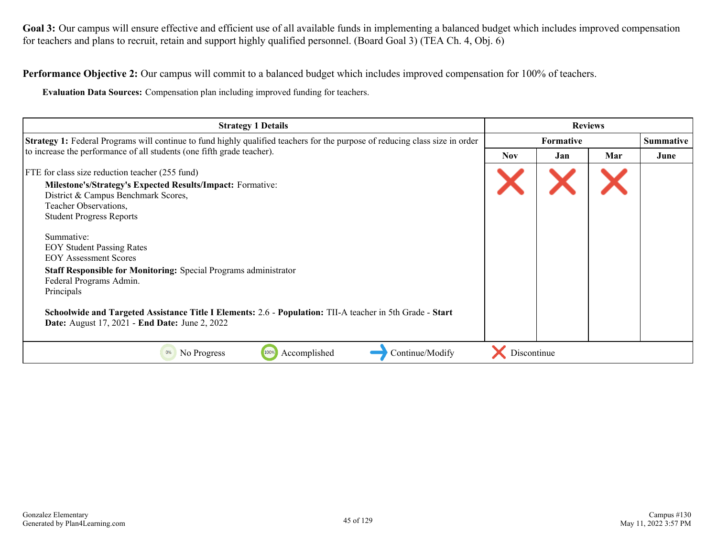Goal 3: Our campus will ensure effective and efficient use of all available funds in implementing a balanced budget which includes improved compensation for teachers and plans to recruit, retain and support highly qualified personnel. (Board Goal 3) (TEA Ch. 4, Obj. 6)

**Performance Objective 2:** Our campus will commit to a balanced budget which includes improved compensation for 100% of teachers.

**Evaluation Data Sources:** Compensation plan including improved funding for teachers.

| <b>Strategy 1 Details</b>                                                                                                                                                 | <b>Reviews</b>   |     |     |                  |
|---------------------------------------------------------------------------------------------------------------------------------------------------------------------------|------------------|-----|-----|------------------|
| <b>Strategy 1:</b> Federal Programs will continue to fund highly qualified teachers for the purpose of reducing class size in order                                       | <b>Formative</b> |     |     | <b>Summative</b> |
| to increase the performance of all students (one fifth grade teacher).                                                                                                    | Nov.             | Jan | Mar | June             |
| FTE for class size reduction teacher (255 fund)                                                                                                                           |                  |     |     |                  |
| <b>Milestone's/Strategy's Expected Results/Impact: Formative:</b><br>District & Campus Benchmark Scores,<br>Teacher Observations,<br><b>Student Progress Reports</b>      |                  |     |     |                  |
| Summative:<br><b>EOY Student Passing Rates</b><br><b>EOY Assessment Scores</b>                                                                                            |                  |     |     |                  |
| <b>Staff Responsible for Monitoring: Special Programs administrator</b><br>Federal Programs Admin.<br>Principals                                                          |                  |     |     |                  |
| Schoolwide and Targeted Assistance Title I Elements: 2.6 - Population: TII-A teacher in 5th Grade - Start<br><b>Date:</b> August 17, 2021 - <b>End Date:</b> June 2, 2022 |                  |     |     |                  |
| Continue/Modify<br>100%<br>Accomplished<br>0%<br>No Progress                                                                                                              | Discontinue      |     |     |                  |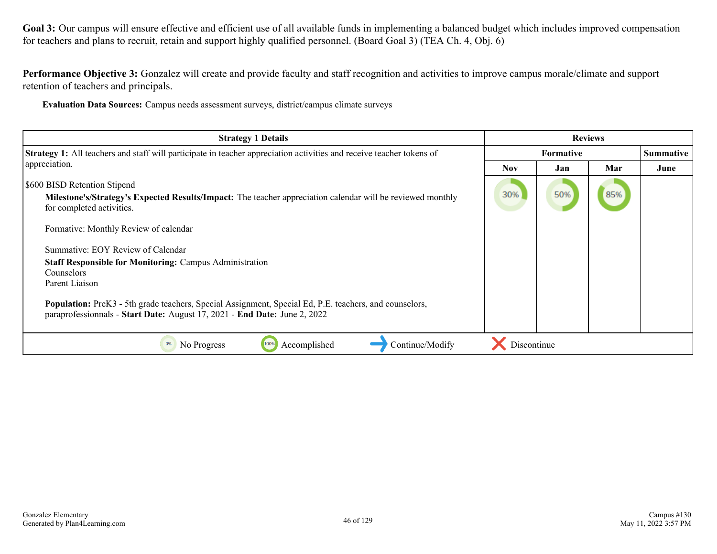Goal 3: Our campus will ensure effective and efficient use of all available funds in implementing a balanced budget which includes improved compensation for teachers and plans to recruit, retain and support highly qualified personnel. (Board Goal 3) (TEA Ch. 4, Obj. 6)

**Performance Objective 3:** Gonzalez will create and provide faculty and staff recognition and activities to improve campus morale/climate and support retention of teachers and principals.

**Evaluation Data Sources:** Campus needs assessment surveys, district/campus climate surveys

| <b>Strategy 1 Details</b>                                                                                                                                                                  | <b>Reviews</b>   |     |     |                  |
|--------------------------------------------------------------------------------------------------------------------------------------------------------------------------------------------|------------------|-----|-----|------------------|
| Strategy 1: All teachers and staff will participate in teacher appreciation activities and receive teacher tokens of                                                                       | <b>Formative</b> |     |     | <b>Summative</b> |
| appreciation.                                                                                                                                                                              | Nov.             | Jan | Mar | June             |
| <b>S600 BISD Retention Stipend</b>                                                                                                                                                         |                  |     |     |                  |
| Milestone's/Strategy's Expected Results/Impact: The teacher appreciation calendar will be reviewed monthly<br>for completed activities.                                                    | 30%              | 50% | 85% |                  |
| Formative: Monthly Review of calendar                                                                                                                                                      |                  |     |     |                  |
| Summative: EOY Review of Calendar                                                                                                                                                          |                  |     |     |                  |
| <b>Staff Responsible for Monitoring: Campus Administration</b>                                                                                                                             |                  |     |     |                  |
| Counselors<br>Parent Liaison                                                                                                                                                               |                  |     |     |                  |
|                                                                                                                                                                                            |                  |     |     |                  |
| <b>Population:</b> PreK3 - 5th grade teachers, Special Assignment, Special Ed, P.E. teachers, and counselors,<br>paraprofessionnals - Start Date: August 17, 2021 - End Date: June 2, 2022 |                  |     |     |                  |
| Accomplished<br>Continue/Modify<br>No Progress<br>100%<br>0%                                                                                                                               | Discontinue      |     |     |                  |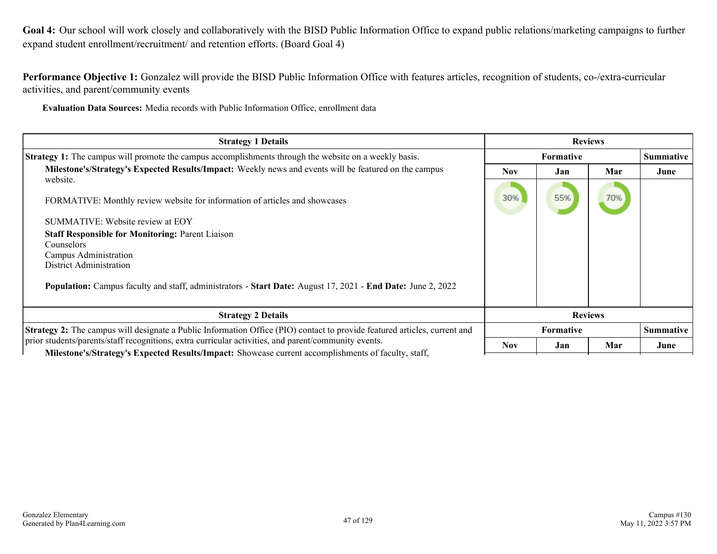**Goal 4:** Our school will work closely and collaboratively with the BISD Public Information Office to expand public relations/marketing campaigns to further expand student enrollment/recruitment/ and retention efforts. (Board Goal 4)

**Performance Objective 1:** Gonzalez will provide the BISD Public Information Office with features articles, recognition of students, co-/extra-curricular activities, and parent/community events

**Evaluation Data Sources:** Media records with Public Information Office, enrollment data

| <b>Strategy 1 Details</b>                                                                                                                                                                                          | <b>Reviews</b> |                  |     |                  |
|--------------------------------------------------------------------------------------------------------------------------------------------------------------------------------------------------------------------|----------------|------------------|-----|------------------|
| Strategy 1: The campus will promote the campus accomplishments through the website on a weekly basis.                                                                                                              |                | Formative        |     |                  |
| Milestone's/Strategy's Expected Results/Impact: Weekly news and events will be featured on the campus<br>website.                                                                                                  | <b>Nov</b>     | Jan              | Mar | June             |
| FORMATIVE: Monthly review website for information of articles and showcases                                                                                                                                        | 30%            | 55%              | 70% |                  |
| SUMMATIVE: Website review at EOY                                                                                                                                                                                   |                |                  |     |                  |
| <b>Staff Responsible for Monitoring: Parent Liaison</b><br>Counselors<br>Campus Administration<br><b>District Administration</b>                                                                                   |                |                  |     |                  |
| Population: Campus faculty and staff, administrators - Start Date: August 17, 2021 - End Date: June 2, 2022                                                                                                        |                |                  |     |                  |
| <b>Strategy 2 Details</b>                                                                                                                                                                                          | <b>Reviews</b> |                  |     |                  |
| <b>Strategy 2:</b> The campus will designate a Public Information Office (PIO) contact to provide featured articles, current and                                                                                   |                | <b>Formative</b> |     | <b>Summative</b> |
| prior students/parents/staff recognitions, extra curricular activities, and parent/community events.<br><b>Milestone's/Strategy's Expected Results/Impact:</b> Showcase current accomplishments of faculty, staff, | <b>Nov</b>     | Jan              | Mar | June             |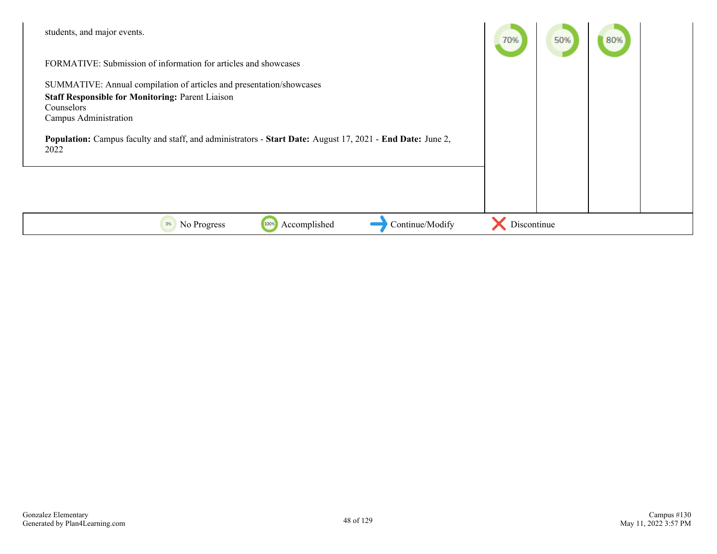| students, and major events.                                                                                                             | 70%         | 50% | 80% |  |
|-----------------------------------------------------------------------------------------------------------------------------------------|-------------|-----|-----|--|
| FORMATIVE: Submission of information for articles and showcases                                                                         |             |     |     |  |
| SUMMATIVE: Annual compilation of articles and presentation/showcases                                                                    |             |     |     |  |
| <b>Staff Responsible for Monitoring: Parent Liaison</b>                                                                                 |             |     |     |  |
| Counselors                                                                                                                              |             |     |     |  |
| Campus Administration                                                                                                                   |             |     |     |  |
| <b>Population:</b> Campus faculty and staff, and administrators - <b>Start Date:</b> August 17, 2021 - <b>End Date:</b> June 2,<br>2022 |             |     |     |  |
|                                                                                                                                         |             |     |     |  |
|                                                                                                                                         |             |     |     |  |
|                                                                                                                                         |             |     |     |  |
|                                                                                                                                         |             |     |     |  |
| Accomplished<br>Continue/Modify<br>No Progress<br>100%<br>0%                                                                            | Discontinue |     |     |  |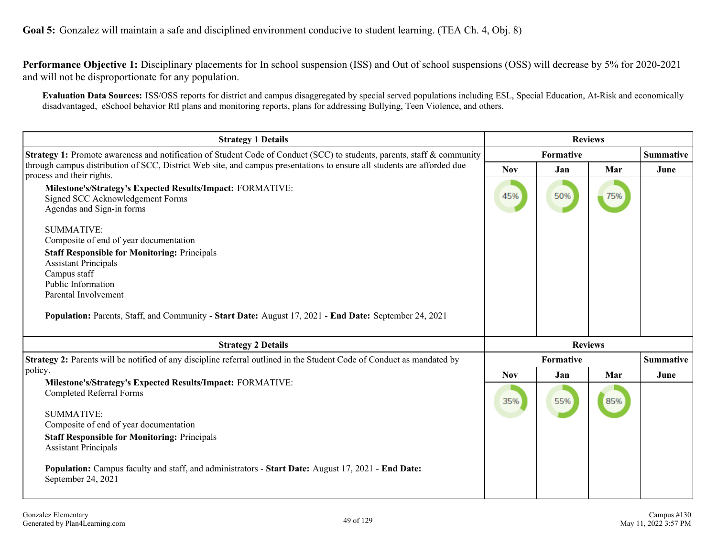**Goal 5:** Gonzalez will maintain a safe and disciplined environment conducive to student learning. (TEA Ch. 4, Obj. 8)

**Performance Objective 1:** Disciplinary placements for In school suspension (ISS) and Out of school suspensions (OSS) will decrease by 5% for 2020-2021 and will not be disproportionate for any population.

**Evaluation Data Sources:** ISS/OSS reports for district and campus disaggregated by special served populations including ESL, Special Education, At-Risk and economically disadvantaged, eSchool behavior RtI plans and monitoring reports, plans for addressing Bullying, Teen Violence, and others.

| <b>Strategy 1 Details</b>                                                                                                                            |            | <b>Reviews</b> |                |                  |
|------------------------------------------------------------------------------------------------------------------------------------------------------|------------|----------------|----------------|------------------|
| Strategy 1: Promote awareness and notification of Student Code of Conduct (SCC) to students, parents, staff & community                              | Formative  |                |                | <b>Summative</b> |
| through campus distribution of SCC, District Web site, and campus presentations to ensure all students are afforded due<br>process and their rights. | <b>Nov</b> | Jan            | Mar            | June             |
| Milestone's/Strategy's Expected Results/Impact: FORMATIVE:<br>Signed SCC Acknowledgement Forms<br>Agendas and Sign-in forms                          | 45%        | 50%            | 75%            |                  |
| <b>SUMMATIVE:</b><br>Composite of end of year documentation<br><b>Staff Responsible for Monitoring: Principals</b><br><b>Assistant Principals</b>    |            |                |                |                  |
| Campus staff<br>Public Information                                                                                                                   |            |                |                |                  |
| Parental Involvement                                                                                                                                 |            |                |                |                  |
| Population: Parents, Staff, and Community - Start Date: August 17, 2021 - End Date: September 24, 2021                                               |            |                |                |                  |
| <b>Strategy 2 Details</b>                                                                                                                            |            |                | <b>Reviews</b> |                  |
| Strategy 2: Parents will be notified of any discipline referral outlined in the Student Code of Conduct as mandated by                               |            | Formative      |                | <b>Summative</b> |
| policy.<br>Milestone's/Strategy's Expected Results/Impact: FORMATIVE:                                                                                | <b>Nov</b> | Jan            | Mar            | June             |
| <b>Completed Referral Forms</b><br><b>SUMMATIVE:</b>                                                                                                 | 35%        | 55%            | 85%            |                  |
| Composite of end of year documentation                                                                                                               |            |                |                |                  |
| <b>Staff Responsible for Monitoring: Principals</b><br><b>Assistant Principals</b>                                                                   |            |                |                |                  |
| Population: Campus faculty and staff, and administrators - Start Date: August 17, 2021 - End Date:<br>September 24, 2021                             |            |                |                |                  |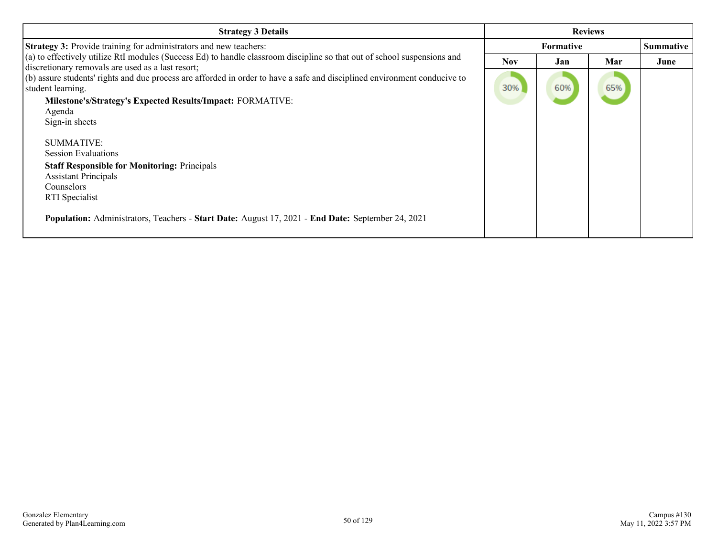| <b>Strategy 3 Details</b>                                                                                                                                                       | <b>Reviews</b> |                  |     |                  |
|---------------------------------------------------------------------------------------------------------------------------------------------------------------------------------|----------------|------------------|-----|------------------|
| <b>Strategy 3:</b> Provide training for administrators and new teachers:                                                                                                        |                | <b>Formative</b> |     | <b>Summative</b> |
| $(a)$ to effectively utilize RtI modules (Success Ed) to handle classroom discipline so that out of school suspensions and<br>discretionary removals are used as a last resort; | <b>Nov</b>     | Jan              | Mar | June             |
| (b) assure students' rights and due process are afforded in order to have a safe and disciplined environment conducive to<br>student learning.                                  | 30%            | 60%              | 65% |                  |
| Milestone's/Strategy's Expected Results/Impact: FORMATIVE:                                                                                                                      |                |                  |     |                  |
| Agenda<br>Sign-in sheets                                                                                                                                                        |                |                  |     |                  |
| SUMMATIVE:                                                                                                                                                                      |                |                  |     |                  |
| <b>Session Evaluations</b>                                                                                                                                                      |                |                  |     |                  |
| <b>Staff Responsible for Monitoring: Principals</b><br><b>Assistant Principals</b><br>Counselors<br><b>RTI</b> Specialist                                                       |                |                  |     |                  |
| Population: Administrators, Teachers - Start Date: August 17, 2021 - End Date: September 24, 2021                                                                               |                |                  |     |                  |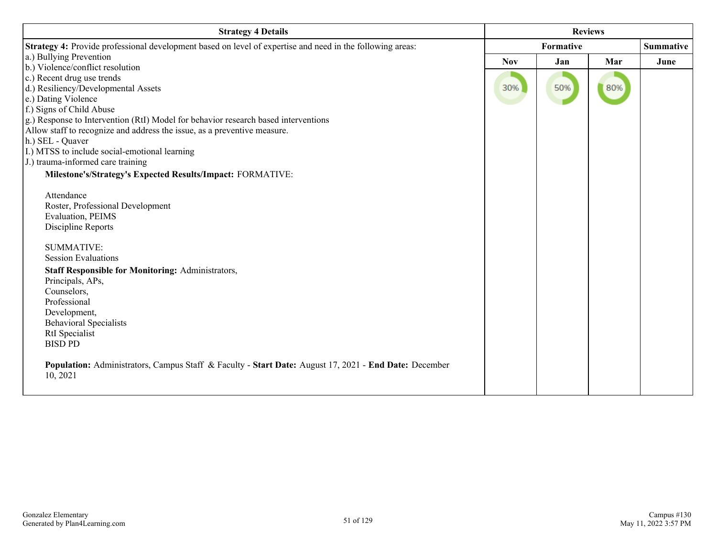| <b>Strategy 4 Details</b>                                                                                         | <b>Reviews</b> |           |     |      |  |
|-------------------------------------------------------------------------------------------------------------------|----------------|-----------|-----|------|--|
| Strategy 4: Provide professional development based on level of expertise and need in the following areas:         |                | Formative |     |      |  |
| a.) Bullying Prevention                                                                                           | <b>Nov</b>     | Jan       | Mar | June |  |
| b.) Violence/conflict resolution                                                                                  |                |           |     |      |  |
| c.) Recent drug use trends                                                                                        |                |           |     |      |  |
| d.) Resiliency/Developmental Assets                                                                               | 30%            | 50%       | 80% |      |  |
| e.) Dating Violence                                                                                               |                |           |     |      |  |
| f.) Signs of Child Abuse                                                                                          |                |           |     |      |  |
| g.) Response to Intervention (RtI) Model for behavior research based interventions                                |                |           |     |      |  |
| Allow staff to recognize and address the issue, as a preventive measure.                                          |                |           |     |      |  |
| h.) SEL - Quaver                                                                                                  |                |           |     |      |  |
| I.) MTSS to include social-emotional learning                                                                     |                |           |     |      |  |
| J.) trauma-informed care training                                                                                 |                |           |     |      |  |
| Milestone's/Strategy's Expected Results/Impact: FORMATIVE:                                                        |                |           |     |      |  |
|                                                                                                                   |                |           |     |      |  |
| Attendance                                                                                                        |                |           |     |      |  |
| Roster, Professional Development                                                                                  |                |           |     |      |  |
| Evaluation, PEIMS<br>Discipline Reports                                                                           |                |           |     |      |  |
|                                                                                                                   |                |           |     |      |  |
| <b>SUMMATIVE:</b>                                                                                                 |                |           |     |      |  |
| <b>Session Evaluations</b>                                                                                        |                |           |     |      |  |
| <b>Staff Responsible for Monitoring: Administrators,</b>                                                          |                |           |     |      |  |
| Principals, APs,                                                                                                  |                |           |     |      |  |
| Counselors,                                                                                                       |                |           |     |      |  |
| Professional                                                                                                      |                |           |     |      |  |
| Development,                                                                                                      |                |           |     |      |  |
| <b>Behavioral Specialists</b>                                                                                     |                |           |     |      |  |
| RtI Specialist                                                                                                    |                |           |     |      |  |
| <b>BISD PD</b>                                                                                                    |                |           |     |      |  |
| Population: Administrators, Campus Staff & Faculty - Start Date: August 17, 2021 - End Date: December<br>10, 2021 |                |           |     |      |  |
|                                                                                                                   |                |           |     |      |  |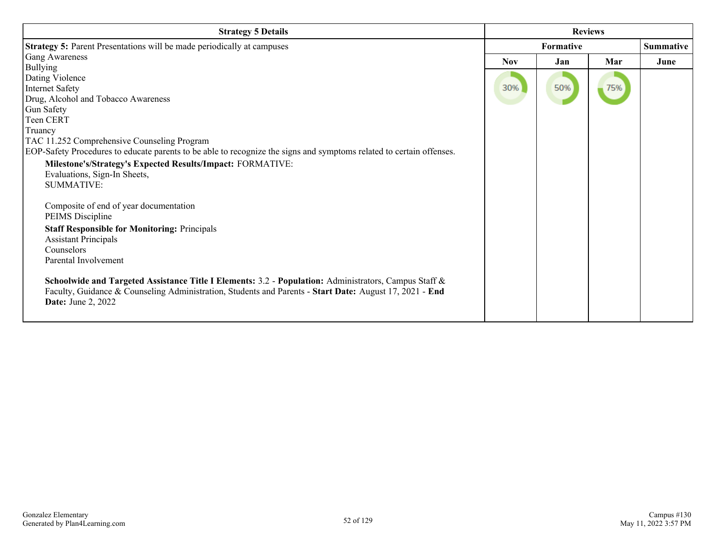| <b>Strategy 5 Details</b>                                                                                            | <b>Reviews</b> |     |     |                  |
|----------------------------------------------------------------------------------------------------------------------|----------------|-----|-----|------------------|
| <b>Strategy 5: Parent Presentations will be made periodically at campuses</b>                                        | Formative      |     |     | <b>Summative</b> |
| Gang Awareness                                                                                                       | <b>Nov</b>     | Jan | Mar | June             |
| <b>Bullying</b>                                                                                                      |                |     |     |                  |
| Dating Violence                                                                                                      |                |     |     |                  |
| <b>Internet Safety</b>                                                                                               | 30%            | 50% | 75% |                  |
| Drug, Alcohol and Tobacco Awareness                                                                                  |                |     |     |                  |
| Gun Safety                                                                                                           |                |     |     |                  |
| Teen CERT                                                                                                            |                |     |     |                  |
| Truancy                                                                                                              |                |     |     |                  |
| TAC 11.252 Comprehensive Counseling Program                                                                          |                |     |     |                  |
| EOP-Safety Procedures to educate parents to be able to recognize the signs and symptoms related to certain offenses. |                |     |     |                  |
| Milestone's/Strategy's Expected Results/Impact: FORMATIVE:                                                           |                |     |     |                  |
| Evaluations, Sign-In Sheets,                                                                                         |                |     |     |                  |
| <b>SUMMATIVE:</b>                                                                                                    |                |     |     |                  |
|                                                                                                                      |                |     |     |                  |
| Composite of end of year documentation                                                                               |                |     |     |                  |
| PEIMS Discipline                                                                                                     |                |     |     |                  |
| <b>Staff Responsible for Monitoring: Principals</b>                                                                  |                |     |     |                  |
| <b>Assistant Principals</b>                                                                                          |                |     |     |                  |
| Counselors                                                                                                           |                |     |     |                  |
| Parental Involvement                                                                                                 |                |     |     |                  |
|                                                                                                                      |                |     |     |                  |
| Schoolwide and Targeted Assistance Title I Elements: 3.2 - Population: Administrators, Campus Staff &                |                |     |     |                  |
| Faculty, Guidance & Counseling Administration, Students and Parents - Start Date: August 17, 2021 - End              |                |     |     |                  |
| <b>Date:</b> June 2, 2022                                                                                            |                |     |     |                  |
|                                                                                                                      |                |     |     |                  |
|                                                                                                                      |                |     |     |                  |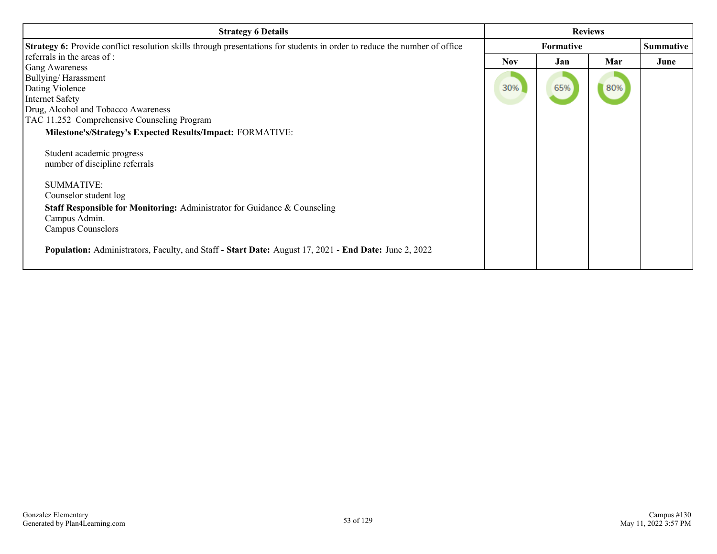| <b>Strategy 6 Details</b>                                                                                                                                                                                                                                                                                                                                                                                      | <b>Reviews</b>    |            |            |                  |
|----------------------------------------------------------------------------------------------------------------------------------------------------------------------------------------------------------------------------------------------------------------------------------------------------------------------------------------------------------------------------------------------------------------|-------------------|------------|------------|------------------|
| <b>Strategy 6:</b> Provide conflict resolution skills through presentations for students in order to reduce the number of office                                                                                                                                                                                                                                                                               | <b>Formative</b>  |            |            | <b>Summative</b> |
| referrals in the areas of :<br><b>Gang Awareness</b><br>Bullying/Harassment<br>Dating Violence<br><b>Internet Safety</b><br>Drug, Alcohol and Tobacco Awareness<br>TAC 11.252 Comprehensive Counseling Program                                                                                                                                                                                                 | <b>Nov</b><br>30% | Jan<br>65% | Mar<br>80% | June             |
| Milestone's/Strategy's Expected Results/Impact: FORMATIVE:<br>Student academic progress<br>number of discipline referrals<br><b>SUMMATIVE:</b><br>Counselor student log<br><b>Staff Responsible for Monitoring: Administrator for Guidance &amp; Counseling</b><br>Campus Admin.<br>Campus Counselors<br>Population: Administrators, Faculty, and Staff - Start Date: August 17, 2021 - End Date: June 2, 2022 |                   |            |            |                  |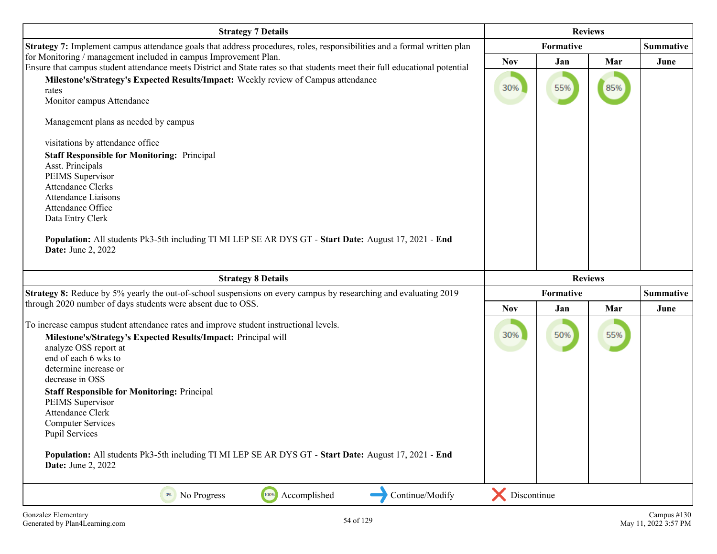| <b>Strategy 7 Details</b>                                                                                                                                                                                                                                                                                                                                                                                                                                                                                                                            | <b>Reviews</b> |            |                |                  |
|------------------------------------------------------------------------------------------------------------------------------------------------------------------------------------------------------------------------------------------------------------------------------------------------------------------------------------------------------------------------------------------------------------------------------------------------------------------------------------------------------------------------------------------------------|----------------|------------|----------------|------------------|
| Strategy 7: Implement campus attendance goals that address procedures, roles, responsibilities and a formal written plan                                                                                                                                                                                                                                                                                                                                                                                                                             |                | Formative  |                | <b>Summative</b> |
| for Monitoring / management included in campus Improvement Plan.<br>Ensure that campus student attendance meets District and State rates so that students meet their full educational potential                                                                                                                                                                                                                                                                                                                                                      | <b>Nov</b>     | Jan        | Mar            | June             |
| Milestone's/Strategy's Expected Results/Impact: Weekly review of Campus attendance<br>rates<br>Monitor campus Attendance                                                                                                                                                                                                                                                                                                                                                                                                                             | 30%            | 55%        | 85%            |                  |
| Management plans as needed by campus                                                                                                                                                                                                                                                                                                                                                                                                                                                                                                                 |                |            |                |                  |
| visitations by attendance office                                                                                                                                                                                                                                                                                                                                                                                                                                                                                                                     |                |            |                |                  |
| <b>Staff Responsible for Monitoring: Principal</b><br>Asst. Principals<br>PEIMS Supervisor<br><b>Attendance Clerks</b><br><b>Attendance Liaisons</b><br>Attendance Office<br>Data Entry Clerk<br>Population: All students Pk3-5th including TI MI LEP SE AR DYS GT - Start Date: August 17, 2021 - End<br><b>Date:</b> June 2, 2022                                                                                                                                                                                                                  |                |            |                |                  |
| <b>Strategy 8 Details</b>                                                                                                                                                                                                                                                                                                                                                                                                                                                                                                                            |                |            | <b>Reviews</b> |                  |
| Strategy 8: Reduce by 5% yearly the out-of-school suspensions on every campus by researching and evaluating 2019                                                                                                                                                                                                                                                                                                                                                                                                                                     |                | Formative  |                | <b>Summative</b> |
| through 2020 number of days students were absent due to OSS.                                                                                                                                                                                                                                                                                                                                                                                                                                                                                         | <b>Nov</b>     | Mar<br>Jan |                | June             |
| To increase campus student attendance rates and improve student instructional levels.<br>Milestone's/Strategy's Expected Results/Impact: Principal will<br>analyze OSS report at<br>end of each 6 wks to<br>determine increase or<br>decrease in OSS<br><b>Staff Responsible for Monitoring: Principal</b><br>PEIMS Supervisor<br><b>Attendance Clerk</b><br><b>Computer Services</b><br><b>Pupil Services</b><br>Population: All students Pk3-5th including TI MI LEP SE AR DYS GT - Start Date: August 17, 2021 - End<br><b>Date:</b> June 2, 2022 | 30%            | 50%        | 55%            |                  |
| 100%<br>Accomplished<br>Continue/Modify<br>No Progress                                                                                                                                                                                                                                                                                                                                                                                                                                                                                               | Discontinue    |            |                |                  |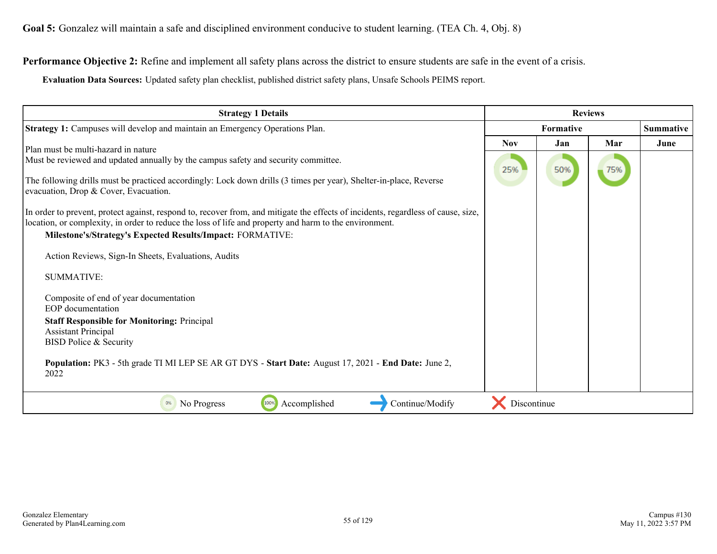**Performance Objective 2:** Refine and implement all safety plans across the district to ensure students are safe in the event of a crisis.

**Evaluation Data Sources:** Updated safety plan checklist, published district safety plans, Unsafe Schools PEIMS report.

| <b>Strategy 1 Details</b>                                                                                                                                                                                                                                                                                 | <b>Reviews</b> |     |     |           |
|-----------------------------------------------------------------------------------------------------------------------------------------------------------------------------------------------------------------------------------------------------------------------------------------------------------|----------------|-----|-----|-----------|
| Strategy 1: Campuses will develop and maintain an Emergency Operations Plan.                                                                                                                                                                                                                              | Formative      |     |     | Summative |
| Plan must be multi-hazard in nature                                                                                                                                                                                                                                                                       | <b>Nov</b>     | Jan | Mar | June      |
| Must be reviewed and updated annually by the campus safety and security committee.                                                                                                                                                                                                                        | 25%            | 50% | 75% |           |
| The following drills must be practiced accordingly: Lock down drills (3 times per year), Shelter-in-place, Reverse<br>evacuation, Drop & Cover, Evacuation.                                                                                                                                               |                |     |     |           |
| In order to prevent, protect against, respond to, recover from, and mitigate the effects of incidents, regardless of cause, size,<br>location, or complexity, in order to reduce the loss of life and property and harm to the environment.<br>Milestone's/Strategy's Expected Results/Impact: FORMATIVE: |                |     |     |           |
| Action Reviews, Sign-In Sheets, Evaluations, Audits                                                                                                                                                                                                                                                       |                |     |     |           |
| <b>SUMMATIVE:</b>                                                                                                                                                                                                                                                                                         |                |     |     |           |
| Composite of end of year documentation<br>EOP documentation                                                                                                                                                                                                                                               |                |     |     |           |
| <b>Staff Responsible for Monitoring: Principal</b><br><b>Assistant Principal</b><br>BISD Police & Security                                                                                                                                                                                                |                |     |     |           |
| Population: PK3 - 5th grade TI MI LEP SE AR GT DYS - Start Date: August 17, 2021 - End Date: June 2,<br>2022                                                                                                                                                                                              |                |     |     |           |
| 100%<br>Accomplished<br>No Progress<br>Continue/Modify<br>0%                                                                                                                                                                                                                                              | Discontinue    |     |     |           |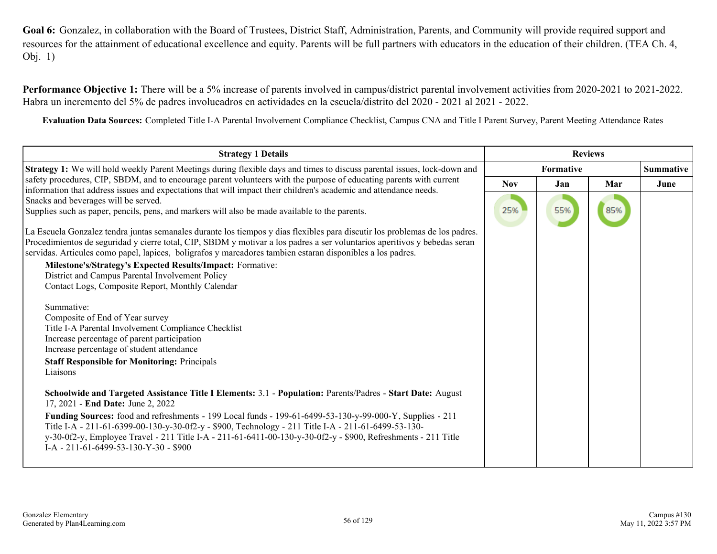**Goal 6:** Gonzalez, in collaboration with the Board of Trustees, District Staff, Administration, Parents, and Community will provide required support and resources for the attainment of educational excellence and equity. Parents will be full partners with educators in the education of their children. (TEA Ch. 4, Obj. 1)

**Performance Objective 1:** There will be a 5% increase of parents involved in campus/district parental involvement activities from 2020-2021 to 2021-2022. Habra un incremento del 5% de padres involucadros en actividades en la escuela/distrito del 2020 - 2021 al 2021 - 2022.

**Evaluation Data Sources:** Completed Title I-A Parental Involvement Compliance Checklist, Campus CNA and Title I Parent Survey, Parent Meeting Attendance Rates

| <b>Strategy 1 Details</b>                                                                                                                                                                                                                                                                                                                                                                                                                                                                                                                                                                                                                                                                                                                                                                                                                                                                                                                                                                                                                                                                                                                                                                                                                                                                                                                          | <b>Reviews</b> |           |     |                  |
|----------------------------------------------------------------------------------------------------------------------------------------------------------------------------------------------------------------------------------------------------------------------------------------------------------------------------------------------------------------------------------------------------------------------------------------------------------------------------------------------------------------------------------------------------------------------------------------------------------------------------------------------------------------------------------------------------------------------------------------------------------------------------------------------------------------------------------------------------------------------------------------------------------------------------------------------------------------------------------------------------------------------------------------------------------------------------------------------------------------------------------------------------------------------------------------------------------------------------------------------------------------------------------------------------------------------------------------------------|----------------|-----------|-----|------------------|
| <b>Strategy 1:</b> We will hold weekly Parent Meetings during flexible days and times to discuss parental issues, lock-down and                                                                                                                                                                                                                                                                                                                                                                                                                                                                                                                                                                                                                                                                                                                                                                                                                                                                                                                                                                                                                                                                                                                                                                                                                    |                | Formative |     | <b>Summative</b> |
| safety procedures, CIP, SBDM, and to encourage parent volunteers with the purpose of educating parents with current<br>information that address issues and expectations that will impact their children's academic and attendance needs.                                                                                                                                                                                                                                                                                                                                                                                                                                                                                                                                                                                                                                                                                                                                                                                                                                                                                                                                                                                                                                                                                                           | <b>Nov</b>     | Jan       | Mar | June             |
| Snacks and beverages will be served.                                                                                                                                                                                                                                                                                                                                                                                                                                                                                                                                                                                                                                                                                                                                                                                                                                                                                                                                                                                                                                                                                                                                                                                                                                                                                                               |                |           |     |                  |
| Supplies such as paper, pencils, pens, and markers will also be made available to the parents.                                                                                                                                                                                                                                                                                                                                                                                                                                                                                                                                                                                                                                                                                                                                                                                                                                                                                                                                                                                                                                                                                                                                                                                                                                                     | 25%            | 55%       | 85% |                  |
| La Escuela Gonzalez tendra juntas semanales durante los tiempos y dias flexibles para discutir los problemas de los padres.<br>Procedimientos de seguridad y cierre total, CIP, SBDM y motivar a los padres a ser voluntarios aperitivos y bebedas seran<br>servidas. Articules como papel, lapices, boligrafos y marcadores tambien estaran disponibles a los padres.<br>Milestone's/Strategy's Expected Results/Impact: Formative:<br>District and Campus Parental Involvement Policy<br>Contact Logs, Composite Report, Monthly Calendar<br>Summative:<br>Composite of End of Year survey<br>Title I-A Parental Involvement Compliance Checklist<br>Increase percentage of parent participation<br>Increase percentage of student attendance<br><b>Staff Responsible for Monitoring: Principals</b><br>Liaisons<br>Schoolwide and Targeted Assistance Title I Elements: 3.1 - Population: Parents/Padres - Start Date: August<br>17, 2021 - End Date: June 2, 2022<br>Funding Sources: food and refreshments - 199 Local funds - 199-61-6499-53-130-y-99-000-Y, Supplies - 211<br>Title I-A - 211-61-6399-00-130-y-30-0f2-y - \$900, Technology - 211 Title I-A - 211-61-6499-53-130-<br>y-30-0f2-y, Employee Travel - 211 Title I-A - 211-61-6411-00-130-y-30-0f2-y - \$900, Refreshments - 211 Title<br>I-A - 211-61-6499-53-130-Y-30 - \$900 |                |           |     |                  |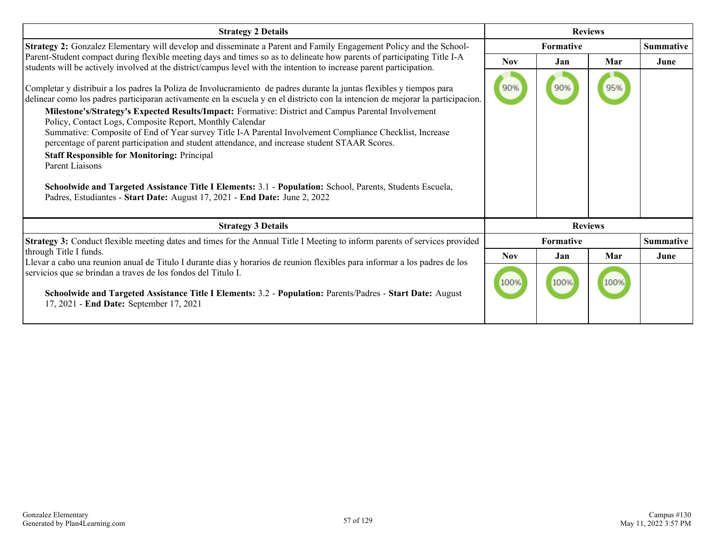| <b>Strategy 2 Details</b>                                                                                                                                                                                                                                                                                                                                                                                                                                                                                                                                                                                                                                                                                                                                                                                                                                                                                    | <b>Reviews</b> |                  |      |                  |
|--------------------------------------------------------------------------------------------------------------------------------------------------------------------------------------------------------------------------------------------------------------------------------------------------------------------------------------------------------------------------------------------------------------------------------------------------------------------------------------------------------------------------------------------------------------------------------------------------------------------------------------------------------------------------------------------------------------------------------------------------------------------------------------------------------------------------------------------------------------------------------------------------------------|----------------|------------------|------|------------------|
| <b>Strategy 2:</b> Gonzalez Elementary will develop and disseminate a Parent and Family Engagement Policy and the School-                                                                                                                                                                                                                                                                                                                                                                                                                                                                                                                                                                                                                                                                                                                                                                                    |                | Formative        |      |                  |
| Parent-Student compact during flexible meeting days and times so as to delineate how parents of participating Title I-A<br>students will be actively involved at the district/campus level with the intention to increase parent participation.                                                                                                                                                                                                                                                                                                                                                                                                                                                                                                                                                                                                                                                              | <b>Nov</b>     | Jan              | Mar  | June             |
| Completar y distribuir a los padres la Poliza de Involucramiento de padres durante la juntas flexibles y tiempos para<br>delinear como los padres participaran activamente en la escuela y en el districto con la intencion de mejorar la participacion.<br>Milestone's/Strategy's Expected Results/Impact: Formative: District and Campus Parental Involvement<br>Policy, Contact Logs, Composite Report, Monthly Calendar<br>Summative: Composite of End of Year survey Title I-A Parental Involvement Compliance Checklist, Increase<br>percentage of parent participation and student attendance, and increase student STAAR Scores.<br><b>Staff Responsible for Monitoring: Principal</b><br>Parent Liaisons<br>Schoolwide and Targeted Assistance Title I Elements: 3.1 - Population: School, Parents, Students Escuela,<br>Padres, Estudiantes - Start Date: August 17, 2021 - End Date: June 2, 2022 | 90%            | 90%              |      |                  |
| <b>Strategy 3 Details</b>                                                                                                                                                                                                                                                                                                                                                                                                                                                                                                                                                                                                                                                                                                                                                                                                                                                                                    |                | <b>Reviews</b>   |      |                  |
| <b>Strategy 3:</b> Conduct flexible meeting dates and times for the Annual Title I Meeting to inform parents of services provided                                                                                                                                                                                                                                                                                                                                                                                                                                                                                                                                                                                                                                                                                                                                                                            |                | <b>Formative</b> |      | <b>Summative</b> |
| through Title I funds.<br>Llevar a cabo una reunion anual de Titulo I durante dias y horarios de reunion flexibles para informar a los padres de los                                                                                                                                                                                                                                                                                                                                                                                                                                                                                                                                                                                                                                                                                                                                                         | <b>Nov</b>     | Jan              | Mar  | June             |
| servicios que se brindan a traves de los fondos del Titulo I.<br>Schoolwide and Targeted Assistance Title I Elements: 3.2 - Population: Parents/Padres - Start Date: August<br>17, 2021 - End Date: September 17, 2021                                                                                                                                                                                                                                                                                                                                                                                                                                                                                                                                                                                                                                                                                       | 100%           | 100%             | 100% |                  |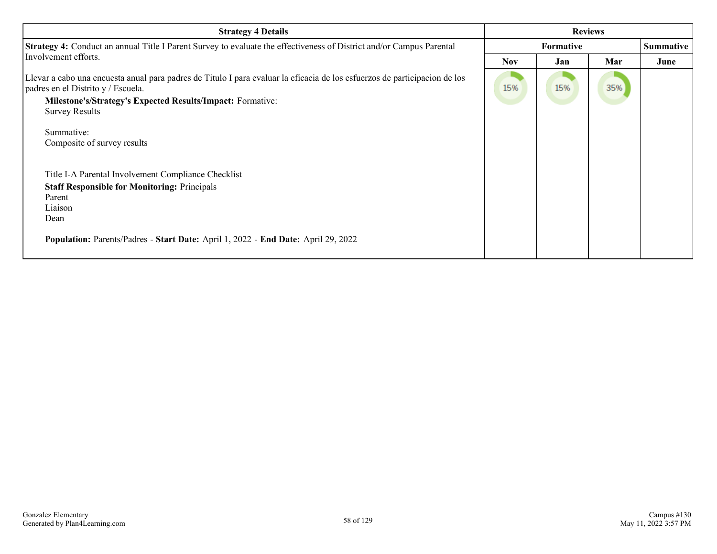| <b>Strategy 4 Details</b>                                                                                                                                                                                                                                      | <b>Reviews</b> |     |     |                  |
|----------------------------------------------------------------------------------------------------------------------------------------------------------------------------------------------------------------------------------------------------------------|----------------|-----|-----|------------------|
| <b>Strategy 4:</b> Conduct an annual Title I Parent Survey to evaluate the effectiveness of District and/or Campus Parental                                                                                                                                    | Formative      |     |     | <b>Summative</b> |
| Involvement efforts.                                                                                                                                                                                                                                           | <b>Nov</b>     | Jan | Mar | June             |
| Llevar a cabo una encuesta anual para padres de Titulo I para evaluar la eficacia de los esfuerzos de participacion de los<br>padres en el Distrito y / Escuela.<br><b>Milestone's/Strategy's Expected Results/Impact: Formative:</b><br><b>Survey Results</b> | 15%            | 15% | 35% |                  |
| Summative:<br>Composite of survey results                                                                                                                                                                                                                      |                |     |     |                  |
| Title I-A Parental Involvement Compliance Checklist<br><b>Staff Responsible for Monitoring: Principals</b><br>Parent<br>Liaison<br>Dean<br>Population: Parents/Padres - Start Date: April 1, 2022 - End Date: April 29, 2022                                   |                |     |     |                  |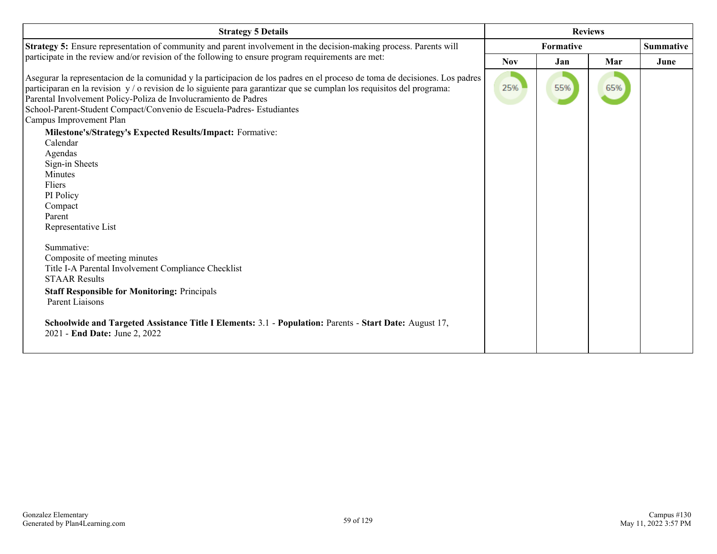| <b>Strategy 5 Details</b>                                                                                                                                                                                                                                                                                                                                                                                                    | <b>Reviews</b> |           |     |      |
|------------------------------------------------------------------------------------------------------------------------------------------------------------------------------------------------------------------------------------------------------------------------------------------------------------------------------------------------------------------------------------------------------------------------------|----------------|-----------|-----|------|
| Strategy 5: Ensure representation of community and parent involvement in the decision-making process. Parents will                                                                                                                                                                                                                                                                                                           |                | Formative |     |      |
| participate in the review and/or revision of the following to ensure program requirements are met:                                                                                                                                                                                                                                                                                                                           | <b>Nov</b>     | Jan       | Mar | June |
| Asegurar la representacion de la comunidad y la participacion de los padres en el proceso de toma de decisiones. Los padres<br>participaran en la revision y / o revision de lo siguiente para garantizar que se cumplan los requisitos del programa:<br>Parental Involvement Policy-Poliza de Involucramiento de Padres<br>School-Parent-Student Compact/Convenio de Escuela-Padres- Estudiantes<br>Campus Improvement Plan | 25%            | 55%       | 65% |      |
| Milestone's/Strategy's Expected Results/Impact: Formative:                                                                                                                                                                                                                                                                                                                                                                   |                |           |     |      |
| Calendar<br>Agendas<br>Sign-in Sheets<br>Minutes<br>Fliers<br>PI Policy<br>Compact<br>Parent<br>Representative List<br>Summative:<br>Composite of meeting minutes<br>Title I-A Parental Involvement Compliance Checklist<br><b>STAAR Results</b>                                                                                                                                                                             |                |           |     |      |
| <b>Staff Responsible for Monitoring: Principals</b><br>Parent Liaisons<br>Schoolwide and Targeted Assistance Title I Elements: 3.1 - Population: Parents - Start Date: August 17,<br>2021 - End Date: June 2, 2022                                                                                                                                                                                                           |                |           |     |      |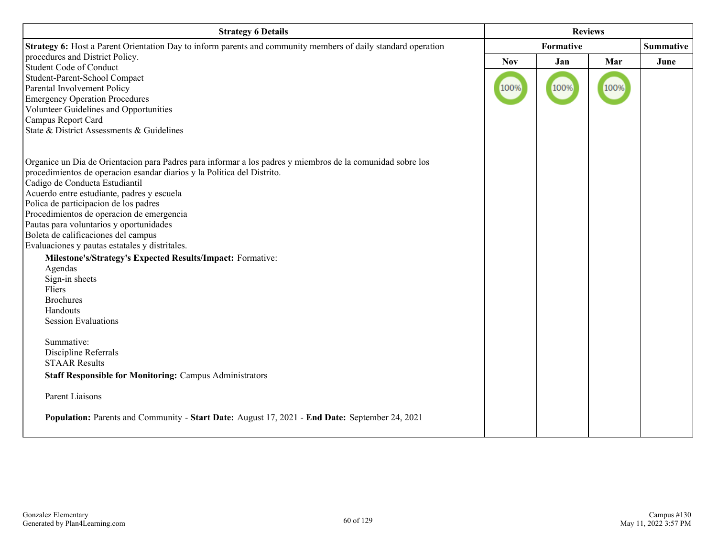| <b>Strategy 6 Details</b>                                                                                     | <b>Reviews</b> |                  |      |      |
|---------------------------------------------------------------------------------------------------------------|----------------|------------------|------|------|
| Strategy 6: Host a Parent Orientation Day to inform parents and community members of daily standard operation |                | <b>Summative</b> |      |      |
| procedures and District Policy.                                                                               | <b>Nov</b>     | Jan              | Mar  | June |
| <b>Student Code of Conduct</b>                                                                                |                |                  |      |      |
| Student-Parent-School Compact                                                                                 |                |                  |      |      |
| Parental Involvement Policy                                                                                   | 100%           | 100%             | 100% |      |
| <b>Emergency Operation Procedures</b>                                                                         |                |                  |      |      |
| Volunteer Guidelines and Opportunities                                                                        |                |                  |      |      |
| Campus Report Card                                                                                            |                |                  |      |      |
| State & District Assessments & Guidelines                                                                     |                |                  |      |      |
| Organice un Dia de Orientacion para Padres para informar a los padres y miembros de la comunidad sobre los    |                |                  |      |      |
| procedimientos de operacion esandar diarios y la Politica del Distrito.                                       |                |                  |      |      |
| Cadigo de Conducta Estudiantil                                                                                |                |                  |      |      |
| Acuerdo entre estudiante, padres y escuela                                                                    |                |                  |      |      |
| Polica de participacion de los padres                                                                         |                |                  |      |      |
| Procedimientos de operacion de emergencia                                                                     |                |                  |      |      |
| Pautas para voluntarios y oportunidades                                                                       |                |                  |      |      |
| Boleta de calificaciones del campus                                                                           |                |                  |      |      |
| Evaluaciones y pautas estatales y distritales.                                                                |                |                  |      |      |
| Milestone's/Strategy's Expected Results/Impact: Formative:                                                    |                |                  |      |      |
| Agendas                                                                                                       |                |                  |      |      |
| Sign-in sheets                                                                                                |                |                  |      |      |
| Fliers                                                                                                        |                |                  |      |      |
| <b>Brochures</b>                                                                                              |                |                  |      |      |
| Handouts                                                                                                      |                |                  |      |      |
| <b>Session Evaluations</b>                                                                                    |                |                  |      |      |
| Summative:                                                                                                    |                |                  |      |      |
| Discipline Referrals                                                                                          |                |                  |      |      |
| <b>STAAR Results</b>                                                                                          |                |                  |      |      |
| <b>Staff Responsible for Monitoring: Campus Administrators</b>                                                |                |                  |      |      |
| Parent Liaisons                                                                                               |                |                  |      |      |
| Population: Parents and Community - Start Date: August 17, 2021 - End Date: September 24, 2021                |                |                  |      |      |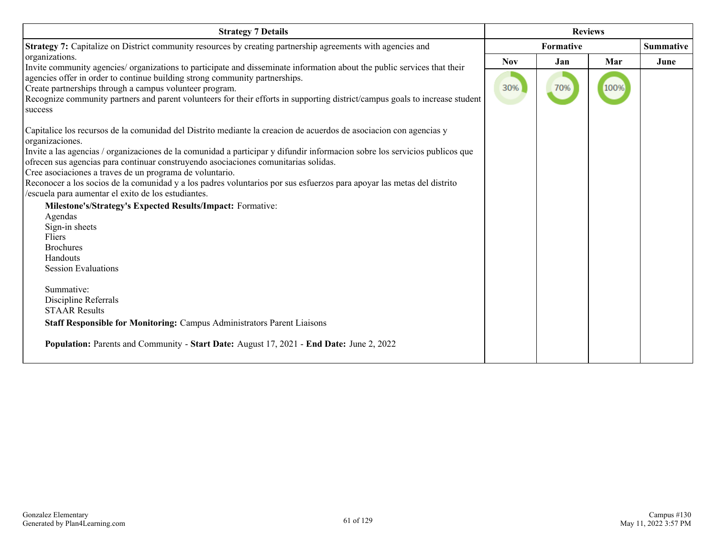| <b>Strategy 7 Details</b>                                                                                                                                                                                                                                                                                                                                                                                     | <b>Reviews</b> |                  |      |      |
|---------------------------------------------------------------------------------------------------------------------------------------------------------------------------------------------------------------------------------------------------------------------------------------------------------------------------------------------------------------------------------------------------------------|----------------|------------------|------|------|
| Strategy 7: Capitalize on District community resources by creating partnership agreements with agencies and                                                                                                                                                                                                                                                                                                   |                | <b>Summative</b> |      |      |
| organizations.                                                                                                                                                                                                                                                                                                                                                                                                | <b>Nov</b>     | Jan              | Mar  | June |
| Invite community agencies/ organizations to participate and disseminate information about the public services that their<br>agencies offer in order to continue building strong community partnerships.<br>Create partnerships through a campus volunteer program.<br>Recognize community partners and parent volunteers for their efforts in supporting district/campus goals to increase student<br>success | 30%            | 70%              | 100% |      |
| Capitalice los recursos de la comunidad del Distrito mediante la creación de acuerdos de asociación con agencias y<br>organizaciones.                                                                                                                                                                                                                                                                         |                |                  |      |      |
| Invite a las agencias / organizaciones de la comunidad a participar y difundir informacion sobre los servicios publicos que<br>ofrecen sus agencias para continuar construyendo asociaciones comunitarias solidas.                                                                                                                                                                                            |                |                  |      |      |
| Cree asociaciones a traves de un programa de voluntario.<br>Reconocer a los socios de la comunidad y a los padres voluntarios por sus esfuerzos para apoyar las metas del distrito<br>/escuela para aumentar el exito de los estudiantes.                                                                                                                                                                     |                |                  |      |      |
| Milestone's/Strategy's Expected Results/Impact: Formative:                                                                                                                                                                                                                                                                                                                                                    |                |                  |      |      |
| Agendas                                                                                                                                                                                                                                                                                                                                                                                                       |                |                  |      |      |
| Sign-in sheets                                                                                                                                                                                                                                                                                                                                                                                                |                |                  |      |      |
| Fliers                                                                                                                                                                                                                                                                                                                                                                                                        |                |                  |      |      |
| <b>Brochures</b>                                                                                                                                                                                                                                                                                                                                                                                              |                |                  |      |      |
| Handouts<br><b>Session Evaluations</b>                                                                                                                                                                                                                                                                                                                                                                        |                |                  |      |      |
| Summative:                                                                                                                                                                                                                                                                                                                                                                                                    |                |                  |      |      |
| Discipline Referrals                                                                                                                                                                                                                                                                                                                                                                                          |                |                  |      |      |
| <b>STAAR Results</b>                                                                                                                                                                                                                                                                                                                                                                                          |                |                  |      |      |
| <b>Staff Responsible for Monitoring: Campus Administrators Parent Liaisons</b>                                                                                                                                                                                                                                                                                                                                |                |                  |      |      |
| <b>Population:</b> Parents and Community - Start Date: August 17, 2021 - End Date: June 2, 2022                                                                                                                                                                                                                                                                                                               |                |                  |      |      |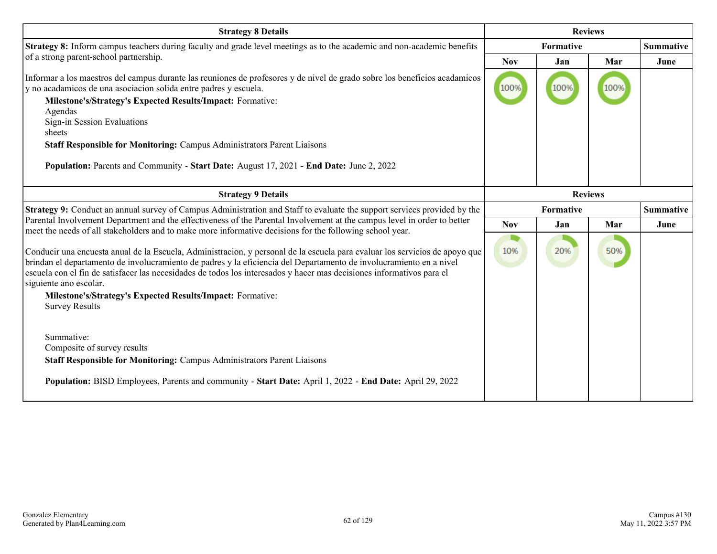| <b>Strategy 8 Details</b>                                                                                                                                                                                                                                                                                                                                                                                                                                                                                                                                                                                            | <b>Reviews</b>   |      |      |                  |
|----------------------------------------------------------------------------------------------------------------------------------------------------------------------------------------------------------------------------------------------------------------------------------------------------------------------------------------------------------------------------------------------------------------------------------------------------------------------------------------------------------------------------------------------------------------------------------------------------------------------|------------------|------|------|------------------|
| Strategy 8: Inform campus teachers during faculty and grade level meetings as to the academic and non-academic benefits                                                                                                                                                                                                                                                                                                                                                                                                                                                                                              | <b>Formative</b> |      |      | <b>Summative</b> |
| of a strong parent-school partnership.                                                                                                                                                                                                                                                                                                                                                                                                                                                                                                                                                                               | <b>Nov</b>       | Jan  | Mar  | June             |
| Informar a los maestros del campus durante las reuniones de profesores y de nivel de grado sobre los beneficios acadamicos<br>y no acadamicos de una asociacion solida entre padres y escuela.<br>Milestone's/Strategy's Expected Results/Impact: Formative:<br>Agendas<br>Sign-in Session Evaluations<br>sheets<br>Staff Responsible for Monitoring: Campus Administrators Parent Liaisons<br>Population: Parents and Community - Start Date: August 17, 2021 - End Date: June 2, 2022                                                                                                                              | 100%             | 100% | 100% |                  |
| <b>Strategy 9 Details</b>                                                                                                                                                                                                                                                                                                                                                                                                                                                                                                                                                                                            | <b>Reviews</b>   |      |      |                  |
| Strategy 9: Conduct an annual survey of Campus Administration and Staff to evaluate the support services provided by the                                                                                                                                                                                                                                                                                                                                                                                                                                                                                             | Formative        |      |      | <b>Summative</b> |
| Parental Involvement Department and the effectiveness of the Parental Involvement at the campus level in order to better<br>meet the needs of all stakeholders and to make more informative decisions for the following school year.                                                                                                                                                                                                                                                                                                                                                                                 | <b>Nov</b>       | Jan  | Mar  | June             |
| Conducir una encuesta anual de la Escuela, Administracion, y personal de la escuela para evaluar los servicios de apoyo que<br>brindan el departamento de involucramiento de padres y la eficiencia del Departamento de involucramiento en a nivel<br>escuela con el fin de satisfacer las necesidades de todos los interesados y hacer mas decisiones informativos para el<br>siguiente ano escolar.<br>Milestone's/Strategy's Expected Results/Impact: Formative:<br><b>Survey Results</b><br>Summative:<br>Composite of survey results<br>Staff Responsible for Monitoring: Campus Administrators Parent Liaisons | 10%              | 20%  | 50%  |                  |
| Population: BISD Employees, Parents and community - Start Date: April 1, 2022 - End Date: April 29, 2022                                                                                                                                                                                                                                                                                                                                                                                                                                                                                                             |                  |      |      |                  |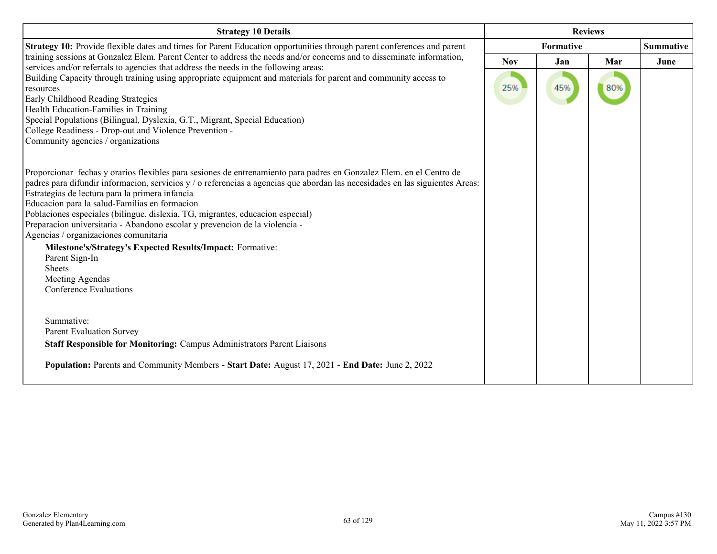| <b>Strategy 10 Details</b>                                                                                                                                                                                     | <b>Reviews</b>   |     |     |                  |
|----------------------------------------------------------------------------------------------------------------------------------------------------------------------------------------------------------------|------------------|-----|-----|------------------|
| Strategy 10: Provide flexible dates and times for Parent Education opportunities through parent conferences and parent                                                                                         | <b>Formative</b> |     |     | <b>Summative</b> |
| training sessions at Gonzalez Elem. Parent Center to address the needs and/or concerns and to disseminate information,<br>services and/or referrals to agencies that address the needs in the following areas: | <b>Nov</b>       | Jan | Mar | June             |
| Building Capacity through training using appropriate equipment and materials for parent and community access to                                                                                                |                  |     |     |                  |
| resources                                                                                                                                                                                                      | 25%              | 45% | 80% |                  |
| Early Childhood Reading Strategies                                                                                                                                                                             |                  |     |     |                  |
| Health Education-Families in Training<br>Special Populations (Bilingual, Dyslexia, G.T., Migrant, Special Education)                                                                                           |                  |     |     |                  |
| College Readiness - Drop-out and Violence Prevention -                                                                                                                                                         |                  |     |     |                  |
| Community agencies / organizations                                                                                                                                                                             |                  |     |     |                  |
|                                                                                                                                                                                                                |                  |     |     |                  |
| Proporcionar fechas y orarios flexibles para sesiones de entrenamiento para padres en Gonzalez Elem. en el Centro de                                                                                           |                  |     |     |                  |
| padres para difundir informacion, servicios y / o referencias a agencias que abordan las necesidades en las siguientes Areas:                                                                                  |                  |     |     |                  |
| Estrategias de lectura para la primera infancia                                                                                                                                                                |                  |     |     |                  |
| Educacion para la salud-Familias en formacion                                                                                                                                                                  |                  |     |     |                  |
| Poblaciones especiales (bilingue, dislexia, TG, migrantes, educacion especial)                                                                                                                                 |                  |     |     |                  |
| Preparacion universitaria - Abandono escolar y prevencion de la violencia -                                                                                                                                    |                  |     |     |                  |
| Agencias / organizaciones comunitaria                                                                                                                                                                          |                  |     |     |                  |
| Milestone's/Strategy's Expected Results/Impact: Formative:                                                                                                                                                     |                  |     |     |                  |
| Parent Sign-In<br><b>Sheets</b>                                                                                                                                                                                |                  |     |     |                  |
| Meeting Agendas                                                                                                                                                                                                |                  |     |     |                  |
| Conference Evaluations                                                                                                                                                                                         |                  |     |     |                  |
|                                                                                                                                                                                                                |                  |     |     |                  |
|                                                                                                                                                                                                                |                  |     |     |                  |
| Summative:                                                                                                                                                                                                     |                  |     |     |                  |
| <b>Parent Evaluation Survey</b>                                                                                                                                                                                |                  |     |     |                  |
| Staff Responsible for Monitoring: Campus Administrators Parent Liaisons                                                                                                                                        |                  |     |     |                  |
| Population: Parents and Community Members - Start Date: August 17, 2021 - End Date: June 2, 2022                                                                                                               |                  |     |     |                  |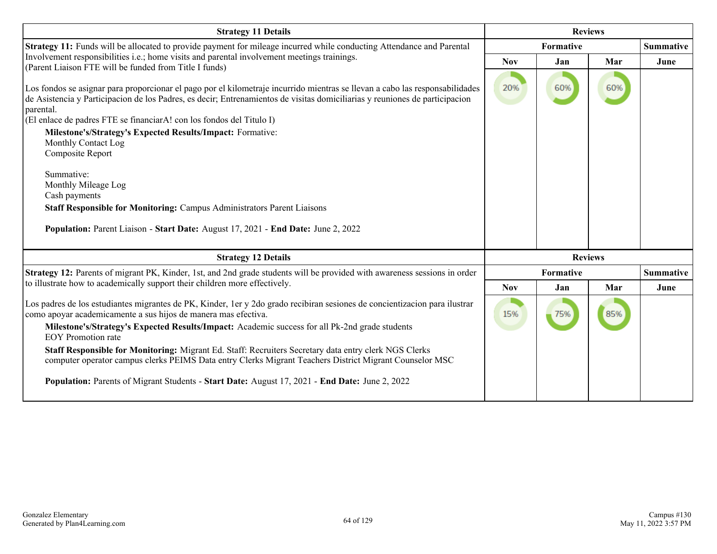| <b>Strategy 11 Details</b>                                                                                                                                                                                                                                                                                                                                                                                                                                                                                                                                                                                                                                                             | <b>Reviews</b> |                |     |                  |
|----------------------------------------------------------------------------------------------------------------------------------------------------------------------------------------------------------------------------------------------------------------------------------------------------------------------------------------------------------------------------------------------------------------------------------------------------------------------------------------------------------------------------------------------------------------------------------------------------------------------------------------------------------------------------------------|----------------|----------------|-----|------------------|
| Strategy 11: Funds will be allocated to provide payment for mileage incurred while conducting Attendance and Parental                                                                                                                                                                                                                                                                                                                                                                                                                                                                                                                                                                  |                | Formative      |     |                  |
| Involvement responsibilities i.e.; home visits and parental involvement meetings trainings.<br>(Parent Liaison FTE will be funded from Title I funds)                                                                                                                                                                                                                                                                                                                                                                                                                                                                                                                                  | <b>Nov</b>     | Jan            | Mar | June             |
| Los fondos se asignar para proporcionar el pago por el kilometraje incurrido mientras se llevan a cabo las responsabilidades<br>de Asistencia y Participación de los Padres, es decir; Entrenamientos de visitas domiciliarias y reuniones de participación<br>parental.<br>(El enlace de padres FTE se financiarA! con los fondos del Titulo I)<br>Milestone's/Strategy's Expected Results/Impact: Formative:<br>Monthly Contact Log<br>Composite Report<br>Summative:<br>Monthly Mileage Log<br>Cash payments<br><b>Staff Responsible for Monitoring: Campus Administrators Parent Liaisons</b><br>Population: Parent Liaison - Start Date: August 17, 2021 - End Date: June 2, 2022 | 20%            | 60%            | 60% |                  |
| <b>Strategy 12 Details</b>                                                                                                                                                                                                                                                                                                                                                                                                                                                                                                                                                                                                                                                             |                | <b>Reviews</b> |     |                  |
| Strategy 12: Parents of migrant PK, Kinder, 1st, and 2nd grade students will be provided with awareness sessions in order                                                                                                                                                                                                                                                                                                                                                                                                                                                                                                                                                              |                | Formative      |     | <b>Summative</b> |
| to illustrate how to academically support their children more effectively.                                                                                                                                                                                                                                                                                                                                                                                                                                                                                                                                                                                                             | <b>Nov</b>     | Jan            | Mar | June             |
| Los padres de los estudiantes migrantes de PK, Kinder, 1er y 2do grado recibiran sesiones de concientizacion para ilustrar<br>como apoyar academicamente a sus hijos de manera mas efectiva.<br>Milestone's/Strategy's Expected Results/Impact: Academic success for all Pk-2nd grade students<br><b>EOY</b> Promotion rate<br>Staff Responsible for Monitoring: Migrant Ed. Staff: Recruiters Secretary data entry clerk NGS Clerks<br>computer operator campus clerks PEIMS Data entry Clerks Migrant Teachers District Migrant Counselor MSC<br><b>Population:</b> Parents of Migrant Students - Start Date: August 17, 2021 - End Date: June 2, 2022                               | 15%            | 75%            | 85% |                  |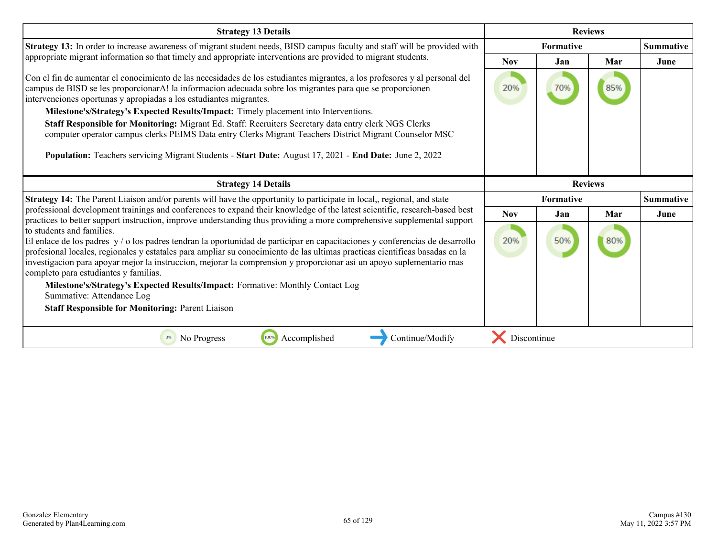| <b>Strategy 13 Details</b>                                                                                                                                                                                                                                                                                                                                                                                                                                                                                                                                                                                                          | <b>Reviews</b>   |     |                |                  |
|-------------------------------------------------------------------------------------------------------------------------------------------------------------------------------------------------------------------------------------------------------------------------------------------------------------------------------------------------------------------------------------------------------------------------------------------------------------------------------------------------------------------------------------------------------------------------------------------------------------------------------------|------------------|-----|----------------|------------------|
| Strategy 13: In order to increase awareness of migrant student needs, BISD campus faculty and staff will be provided with                                                                                                                                                                                                                                                                                                                                                                                                                                                                                                           | <b>Formative</b> |     |                | <b>Summative</b> |
| appropriate migrant information so that timely and appropriate interventions are provided to migrant students.                                                                                                                                                                                                                                                                                                                                                                                                                                                                                                                      | <b>Nov</b>       | Jan | Mar            | June             |
| Con el fin de aumentar el conocimiento de las necesidades de los estudiantes migrantes, a los profesores y al personal del<br>campus de BISD se les proporcionarA! la informacion adecuada sobre los migrantes para que se proporcionen<br>intervenciones oportunas y apropiadas a los estudiantes migrantes.                                                                                                                                                                                                                                                                                                                       | 20%              | 70% | 85%            |                  |
| Milestone's/Strategy's Expected Results/Impact: Timely placement into Interventions.                                                                                                                                                                                                                                                                                                                                                                                                                                                                                                                                                |                  |     |                |                  |
| Staff Responsible for Monitoring: Migrant Ed. Staff: Recruiters Secretary data entry clerk NGS Clerks<br>computer operator campus clerks PEIMS Data entry Clerks Migrant Teachers District Migrant Counselor MSC                                                                                                                                                                                                                                                                                                                                                                                                                    |                  |     |                |                  |
| Population: Teachers servicing Migrant Students - Start Date: August 17, 2021 - End Date: June 2, 2022                                                                                                                                                                                                                                                                                                                                                                                                                                                                                                                              |                  |     |                |                  |
| <b>Strategy 14 Details</b>                                                                                                                                                                                                                                                                                                                                                                                                                                                                                                                                                                                                          |                  |     | <b>Reviews</b> |                  |
| Strategy 14: The Parent Liaison and/or parents will have the opportunity to participate in local,, regional, and state                                                                                                                                                                                                                                                                                                                                                                                                                                                                                                              | Formative        |     |                | <b>Summative</b> |
| professional development trainings and conferences to expand their knowledge of the latest scientific, research-based best<br>practices to better support instruction, improve understanding thus providing a more comprehensive supplemental support                                                                                                                                                                                                                                                                                                                                                                               | <b>Nov</b>       | Jan | Mar            | June             |
| to students and families.<br>El enlace de los padres y / o los padres tendran la oportunidad de participar en capacitaciones y conferencias de desarrollo<br>profesional locales, regionales y estatales para ampliar su conocimiento de las ultimas practicas científicas basadas en la<br>investigacion para apoyar mejor la instruccion, mejorar la comprension y proporcionar asi un apoyo suplementario mas<br>completo para estudiantes y familias.<br>Milestone's/Strategy's Expected Results/Impact: Formative: Monthly Contact Log<br>Summative: Attendance Log<br><b>Staff Responsible for Monitoring: Parent Liaison</b> | 20%              | 50% | 80%            |                  |
| 100%<br>Accomplished<br>Continue/Modify<br>0%<br>No Progress                                                                                                                                                                                                                                                                                                                                                                                                                                                                                                                                                                        | Discontinue      |     |                |                  |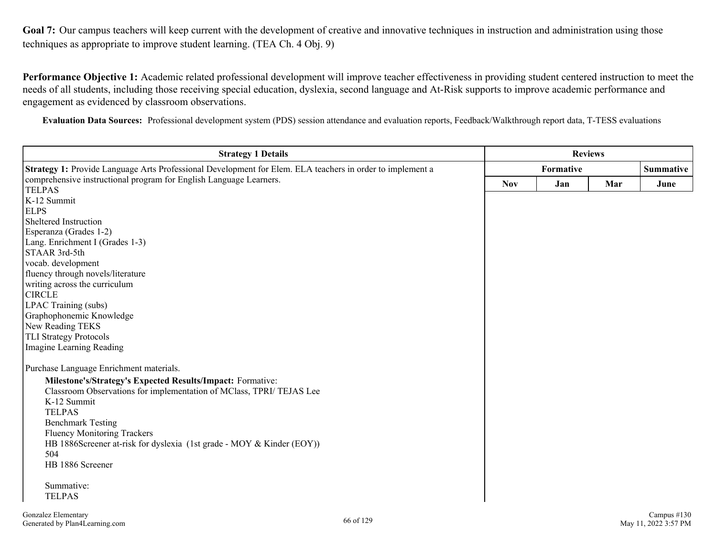Goal 7: Our campus teachers will keep current with the development of creative and innovative techniques in instruction and administration using those techniques as appropriate to improve student learning. (TEA Ch. 4 Obj. 9)

**Performance Objective 1:** Academic related professional development will improve teacher effectiveness in providing student centered instruction to meet the needs of all students, including those receiving special education, dyslexia, second language and At-Risk supports to improve academic performance and engagement as evidenced by classroom observations.

**Evaluation Data Sources:** Professional development system (PDS) session attendance and evaluation reports, Feedback/Walkthrough report data, T-TESS evaluations

| <b>Strategy 1 Details</b>                                                                                 |            | <b>Reviews</b> |     |                |  |
|-----------------------------------------------------------------------------------------------------------|------------|----------------|-----|----------------|--|
| Strategy 1: Provide Language Arts Professional Development for Elem. ELA teachers in order to implement a | Formative  |                |     | Summative      |  |
| comprehensive instructional program for English Language Learners.                                        | <b>Nov</b> | Jan            | Mar | June           |  |
| <b>TELPAS</b>                                                                                             |            |                |     |                |  |
| K-12 Summit                                                                                               |            |                |     |                |  |
| <b>ELPS</b>                                                                                               |            |                |     |                |  |
| Sheltered Instruction                                                                                     |            |                |     |                |  |
| Esperanza (Grades 1-2)                                                                                    |            |                |     |                |  |
| Lang. Enrichment I (Grades 1-3)                                                                           |            |                |     |                |  |
| STAAR 3rd-5th                                                                                             |            |                |     |                |  |
| vocab. development                                                                                        |            |                |     |                |  |
| fluency through novels/literature                                                                         |            |                |     |                |  |
| writing across the curriculum                                                                             |            |                |     |                |  |
| <b>CIRCLE</b>                                                                                             |            |                |     |                |  |
| LPAC Training (subs)                                                                                      |            |                |     |                |  |
| Graphophonemic Knowledge                                                                                  |            |                |     |                |  |
| New Reading TEKS                                                                                          |            |                |     |                |  |
| <b>TLI Strategy Protocols</b>                                                                             |            |                |     |                |  |
| Imagine Learning Reading                                                                                  |            |                |     |                |  |
| Purchase Language Enrichment materials.                                                                   |            |                |     |                |  |
| Milestone's/Strategy's Expected Results/Impact: Formative:                                                |            |                |     |                |  |
| Classroom Observations for implementation of MClass, TPRI/ TEJAS Lee                                      |            |                |     |                |  |
| K-12 Summit                                                                                               |            |                |     |                |  |
| <b>TELPAS</b>                                                                                             |            |                |     |                |  |
| <b>Benchmark Testing</b>                                                                                  |            |                |     |                |  |
| <b>Fluency Monitoring Trackers</b>                                                                        |            |                |     |                |  |
| HB 1886Screener at-risk for dyslexia (1st grade - MOY & Kinder (EOY))                                     |            |                |     |                |  |
| 504                                                                                                       |            |                |     |                |  |
| HB 1886 Screener                                                                                          |            |                |     |                |  |
|                                                                                                           |            |                |     |                |  |
| Summative:                                                                                                |            |                |     |                |  |
| <b>TELPAS</b>                                                                                             |            |                |     |                |  |
| Gonzalez Elementary<br>$\epsilon \epsilon$ $\epsilon$ 100                                                 |            |                |     | Campus $\#130$ |  |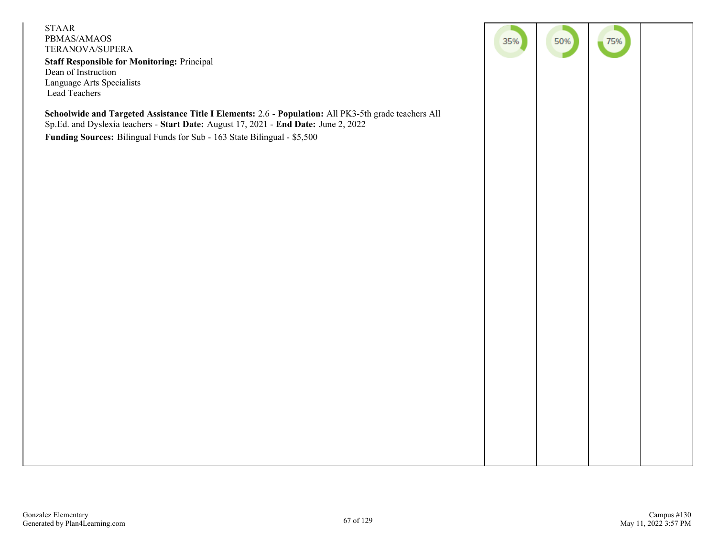STAAR PBMAS/AMAOS TERANOVA/SUPERA **Staff Responsible for Monitoring:** Principal Dean of Instruction Language Arts Specialists Lead Teachers

**Schoolwide and Targeted Assistance Title I Elements:** 2.6 - **Population:** All PK3-5th grade teachers All Sp.Ed. and Dyslexia teachers - **Start Date:** August 17, 2021 - **End Date:** June 2, 2022 **Funding Sources:** Bilingual Funds for Sub - 163 State Bilingual - \$5,500

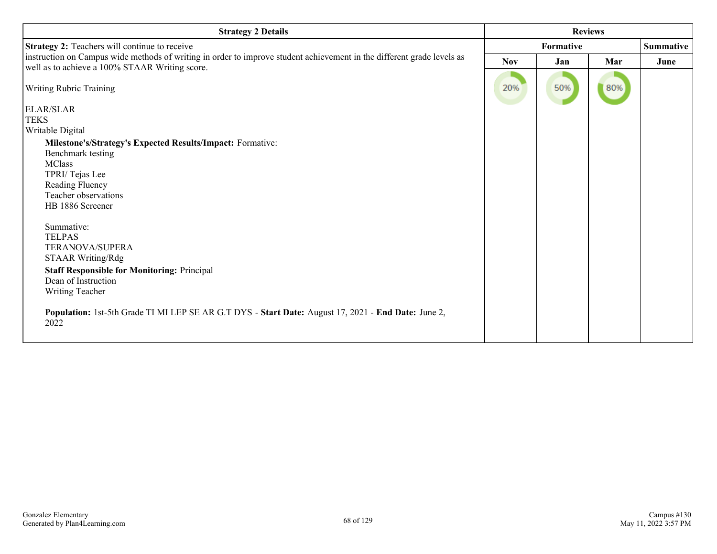| <b>Strategy 2 Details</b>                                                                                              | <b>Reviews</b> |     |     |                  |
|------------------------------------------------------------------------------------------------------------------------|----------------|-----|-----|------------------|
| Strategy 2: Teachers will continue to receive                                                                          | Formative      |     |     | <b>Summative</b> |
| instruction on Campus wide methods of writing in order to improve student achievement in the different grade levels as | <b>Nov</b>     | Jan | Mar | June             |
| well as to achieve a 100% STAAR Writing score.                                                                         |                |     |     |                  |
| Writing Rubric Training                                                                                                | 20%            | 50% | 80% |                  |
| ELAR/SLAR                                                                                                              |                |     |     |                  |
| <b>TEKS</b>                                                                                                            |                |     |     |                  |
| Writable Digital                                                                                                       |                |     |     |                  |
| Milestone's/Strategy's Expected Results/Impact: Formative:                                                             |                |     |     |                  |
| Benchmark testing                                                                                                      |                |     |     |                  |
| <b>MClass</b>                                                                                                          |                |     |     |                  |
| TPRI/Tejas Lee                                                                                                         |                |     |     |                  |
| Reading Fluency                                                                                                        |                |     |     |                  |
| Teacher observations<br>HB 1886 Screener                                                                               |                |     |     |                  |
|                                                                                                                        |                |     |     |                  |
| Summative:                                                                                                             |                |     |     |                  |
| <b>TELPAS</b>                                                                                                          |                |     |     |                  |
| TERANOVA/SUPERA                                                                                                        |                |     |     |                  |
| <b>STAAR Writing/Rdg</b>                                                                                               |                |     |     |                  |
| <b>Staff Responsible for Monitoring: Principal</b>                                                                     |                |     |     |                  |
| Dean of Instruction                                                                                                    |                |     |     |                  |
| Writing Teacher                                                                                                        |                |     |     |                  |
| Population: 1st-5th Grade TI MI LEP SE AR G.T DYS - Start Date: August 17, 2021 - End Date: June 2,<br>2022            |                |     |     |                  |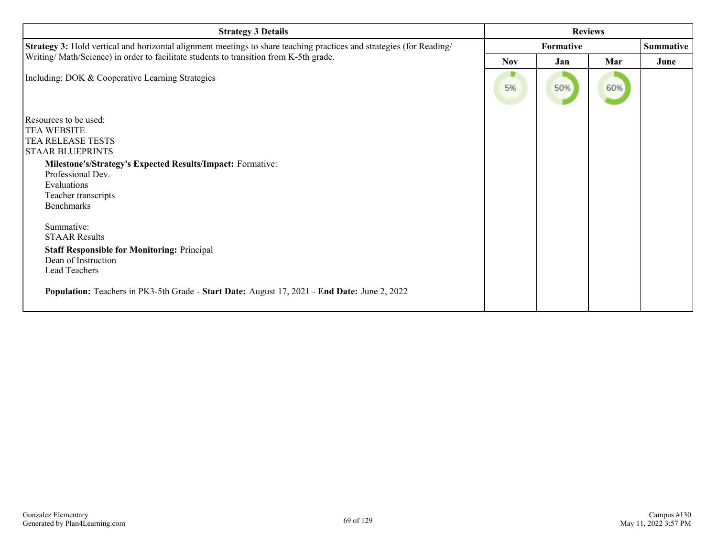| <b>Strategy 3 Details</b>                                                                                            | <b>Reviews</b> |           |     |      |  |
|----------------------------------------------------------------------------------------------------------------------|----------------|-----------|-----|------|--|
| Strategy 3: Hold vertical and horizontal alignment meetings to share teaching practices and strategies (for Reading/ |                | Formative |     |      |  |
| Writing/Math/Science) in order to facilitate students to transition from K-5th grade.                                | <b>Nov</b>     | Jan       | Mar | June |  |
| Including: DOK & Cooperative Learning Strategies                                                                     | 5%             | 50%       | 60% |      |  |
| Resources to be used:                                                                                                |                |           |     |      |  |
| TEA WEBSITE                                                                                                          |                |           |     |      |  |
| TEA RELEASE TESTS                                                                                                    |                |           |     |      |  |
| <b>STAAR BLUEPRINTS</b>                                                                                              |                |           |     |      |  |
| Milestone's/Strategy's Expected Results/Impact: Formative:                                                           |                |           |     |      |  |
| Professional Dev.                                                                                                    |                |           |     |      |  |
| Evaluations                                                                                                          |                |           |     |      |  |
| Teacher transcripts                                                                                                  |                |           |     |      |  |
| <b>Benchmarks</b>                                                                                                    |                |           |     |      |  |
|                                                                                                                      |                |           |     |      |  |
| Summative:                                                                                                           |                |           |     |      |  |
| <b>STAAR Results</b>                                                                                                 |                |           |     |      |  |
| <b>Staff Responsible for Monitoring: Principal</b>                                                                   |                |           |     |      |  |
| Dean of Instruction                                                                                                  |                |           |     |      |  |
| Lead Teachers                                                                                                        |                |           |     |      |  |
| Population: Teachers in PK3-5th Grade - Start Date: August 17, 2021 - End Date: June 2, 2022                         |                |           |     |      |  |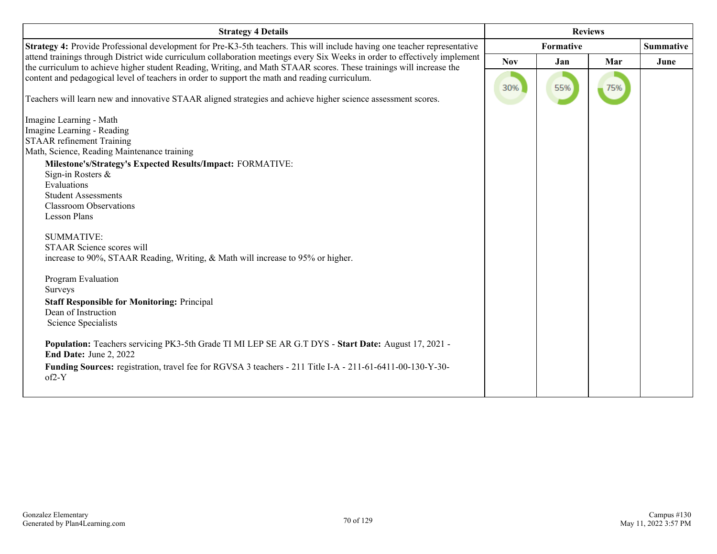| <b>Strategy 4 Details</b>                                                                                                                                                                                                                         | <b>Reviews</b> |                  |     |                  |
|---------------------------------------------------------------------------------------------------------------------------------------------------------------------------------------------------------------------------------------------------|----------------|------------------|-----|------------------|
| Strategy 4: Provide Professional development for Pre-K3-5th teachers. This will include having one teacher representative                                                                                                                         |                | <b>Formative</b> |     | <b>Summative</b> |
| attend trainings through District wide curriculum collaboration meetings every Six Weeks in order to effectively implement<br>the curriculum to achieve higher student Reading, Writing, and Math STAAR scores. These trainings will increase the | <b>Nov</b>     | Jan              | Mar | June             |
| content and pedagogical level of teachers in order to support the math and reading curriculum.                                                                                                                                                    | 30%            | 55%              | 75% |                  |
| Teachers will learn new and innovative STAAR aligned strategies and achieve higher science assessment scores.                                                                                                                                     |                |                  |     |                  |
| Imagine Learning - Math                                                                                                                                                                                                                           |                |                  |     |                  |
| Imagine Learning - Reading                                                                                                                                                                                                                        |                |                  |     |                  |
| <b>STAAR</b> refinement Training                                                                                                                                                                                                                  |                |                  |     |                  |
| Math, Science, Reading Maintenance training                                                                                                                                                                                                       |                |                  |     |                  |
| Milestone's/Strategy's Expected Results/Impact: FORMATIVE:                                                                                                                                                                                        |                |                  |     |                  |
| Sign-in Rosters &                                                                                                                                                                                                                                 |                |                  |     |                  |
| Evaluations                                                                                                                                                                                                                                       |                |                  |     |                  |
| <b>Student Assessments</b>                                                                                                                                                                                                                        |                |                  |     |                  |
| <b>Classroom Observations</b>                                                                                                                                                                                                                     |                |                  |     |                  |
| <b>Lesson Plans</b>                                                                                                                                                                                                                               |                |                  |     |                  |
| <b>SUMMATIVE:</b>                                                                                                                                                                                                                                 |                |                  |     |                  |
| STAAR Science scores will                                                                                                                                                                                                                         |                |                  |     |                  |
| increase to 90%, STAAR Reading, Writing, & Math will increase to 95% or higher.                                                                                                                                                                   |                |                  |     |                  |
| Program Evaluation                                                                                                                                                                                                                                |                |                  |     |                  |
| Surveys                                                                                                                                                                                                                                           |                |                  |     |                  |
| <b>Staff Responsible for Monitoring: Principal</b>                                                                                                                                                                                                |                |                  |     |                  |
| Dean of Instruction                                                                                                                                                                                                                               |                |                  |     |                  |
| Science Specialists                                                                                                                                                                                                                               |                |                  |     |                  |
|                                                                                                                                                                                                                                                   |                |                  |     |                  |
| Population: Teachers servicing PK3-5th Grade TI MI LEP SE AR G.T DYS - Start Date: August 17, 2021 -<br>End Date: June 2, 2022                                                                                                                    |                |                  |     |                  |
| Funding Sources: registration, travel fee for RGVSA 3 teachers - 211 Title I-A - 211-61-6411-00-130-Y-30-<br>$of2-Y$                                                                                                                              |                |                  |     |                  |
|                                                                                                                                                                                                                                                   |                |                  |     |                  |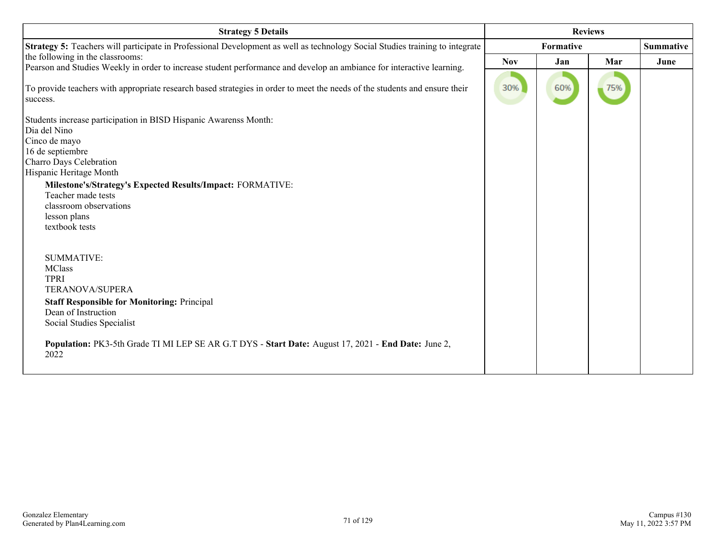| <b>Strategy 5 Details</b>                                                                                                    | <b>Reviews</b> |     |     |                  |
|------------------------------------------------------------------------------------------------------------------------------|----------------|-----|-----|------------------|
| Strategy 5: Teachers will participate in Professional Development as well as technology Social Studies training to integrate | Formative      |     |     | <b>Summative</b> |
| the following in the classrooms:                                                                                             | <b>Nov</b>     | Jan | Mar | June             |
| Pearson and Studies Weekly in order to increase student performance and develop an ambiance for interactive learning.        |                |     |     |                  |
| To provide teachers with appropriate research based strategies in order to meet the needs of the students and ensure their   | 30%            | 60% | 75% |                  |
| success.                                                                                                                     |                |     |     |                  |
| Students increase participation in BISD Hispanic Awarenss Month:                                                             |                |     |     |                  |
| Dia del Nino                                                                                                                 |                |     |     |                  |
| Cinco de mayo                                                                                                                |                |     |     |                  |
| 16 de septiembre<br>Charro Days Celebration                                                                                  |                |     |     |                  |
| Hispanic Heritage Month                                                                                                      |                |     |     |                  |
| Milestone's/Strategy's Expected Results/Impact: FORMATIVE:                                                                   |                |     |     |                  |
| Teacher made tests                                                                                                           |                |     |     |                  |
| classroom observations                                                                                                       |                |     |     |                  |
| lesson plans                                                                                                                 |                |     |     |                  |
| textbook tests                                                                                                               |                |     |     |                  |
|                                                                                                                              |                |     |     |                  |
| <b>SUMMATIVE:</b>                                                                                                            |                |     |     |                  |
| <b>MClass</b>                                                                                                                |                |     |     |                  |
| <b>TPRI</b>                                                                                                                  |                |     |     |                  |
| TERANOVA/SUPERA                                                                                                              |                |     |     |                  |
| <b>Staff Responsible for Monitoring: Principal</b>                                                                           |                |     |     |                  |
| Dean of Instruction                                                                                                          |                |     |     |                  |
| Social Studies Specialist                                                                                                    |                |     |     |                  |
| Population: PK3-5th Grade TI MI LEP SE AR G.T DYS - Start Date: August 17, 2021 - End Date: June 2,<br>2022                  |                |     |     |                  |
|                                                                                                                              |                |     |     |                  |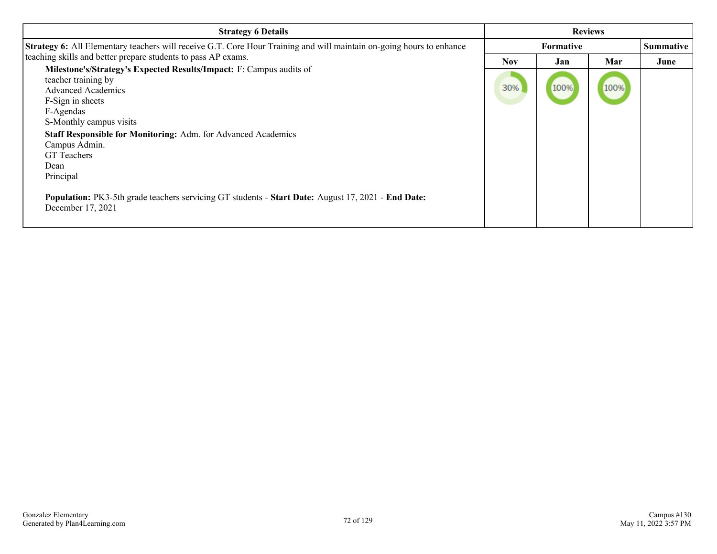| <b>Strategy 6 Details</b>                                                                                                                                                                                                                                                                                                                                                                                                                                                                                                                                                                                              | <b>Reviews</b>    |             |             |                          |  |
|------------------------------------------------------------------------------------------------------------------------------------------------------------------------------------------------------------------------------------------------------------------------------------------------------------------------------------------------------------------------------------------------------------------------------------------------------------------------------------------------------------------------------------------------------------------------------------------------------------------------|-------------------|-------------|-------------|--------------------------|--|
|                                                                                                                                                                                                                                                                                                                                                                                                                                                                                                                                                                                                                        | <b>Formative</b>  |             |             |                          |  |
| <b>Strategy 6:</b> All Elementary teachers will receive G.T. Core Hour Training and will maintain on-going hours to enhance<br>teaching skills and better prepare students to pass AP exams.<br>Milestone's/Strategy's Expected Results/Impact: F: Campus audits of<br>teacher training by<br><b>Advanced Academics</b><br>F-Sign in sheets<br>F-Agendas<br>S-Monthly campus visits<br>Staff Responsible for Monitoring: Adm. for Advanced Academics<br>Campus Admin.<br><b>GT</b> Teachers<br>Dean<br>Principal<br>Population: PK3-5th grade teachers servicing GT students - Start Date: August 17, 2021 - End Date: | <b>Nov</b><br>30% | Jan<br>100% | Mar<br>100% | <b>Summative</b><br>June |  |
| December 17, 2021                                                                                                                                                                                                                                                                                                                                                                                                                                                                                                                                                                                                      |                   |             |             |                          |  |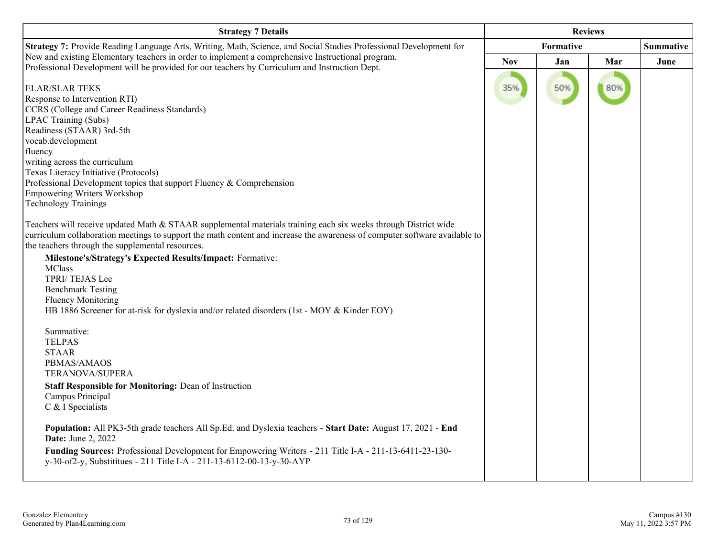| <b>Strategy 7 Details</b>                                                                                                                                                                                                                                                                                                                                                                                                                                                                                                                                  | <b>Reviews</b> |                  |     |                  |
|------------------------------------------------------------------------------------------------------------------------------------------------------------------------------------------------------------------------------------------------------------------------------------------------------------------------------------------------------------------------------------------------------------------------------------------------------------------------------------------------------------------------------------------------------------|----------------|------------------|-----|------------------|
| Strategy 7: Provide Reading Language Arts, Writing, Math, Science, and Social Studies Professional Development for                                                                                                                                                                                                                                                                                                                                                                                                                                         |                | <b>Formative</b> |     | <b>Summative</b> |
| New and existing Elementary teachers in order to implement a comprehensive Instructional program.<br>Professional Development will be provided for our teachers by Curriculum and Instruction Dept.                                                                                                                                                                                                                                                                                                                                                        | <b>Nov</b>     | Jan              | Mar | June             |
| <b>ELAR/SLAR TEKS</b><br>Response to Intervention RTI)<br>CCRS (College and Career Readiness Standards)<br>LPAC Training (Subs)<br>Readiness (STAAR) 3rd-5th<br>vocab.development<br>fluency<br>writing across the curriculum<br>Texas Literacy Initiative (Protocols)<br>Professional Development topics that support Fluency & Comprehension<br><b>Empowering Writers Workshop</b><br><b>Technology Trainings</b>                                                                                                                                        | 35%            | 50%              | 80% |                  |
| Teachers will receive updated Math & STAAR supplemental materials training each six weeks through District wide<br>curriculum collaboration meetings to support the math content and increase the awareness of computer software available to<br>the teachers through the supplemental resources.<br>Milestone's/Strategy's Expected Results/Impact: Formative:<br><b>MClass</b><br>TPRI/TEJAS Lee<br><b>Benchmark Testing</b><br><b>Fluency Monitoring</b><br>HB 1886 Screener for at-risk for dyslexia and/or related disorders (1st - MOY & Kinder EOY) |                |                  |     |                  |
| Summative:<br><b>TELPAS</b><br><b>STAAR</b><br>PBMAS/AMAOS<br>TERANOVA/SUPERA<br><b>Staff Responsible for Monitoring: Dean of Instruction</b><br>Campus Principal<br>C & I Specialists<br>Population: All PK3-5th grade teachers All Sp.Ed. and Dyslexia teachers - Start Date: August 17, 2021 - End<br><b>Date:</b> June 2, 2022<br>Funding Sources: Professional Development for Empowering Writers - 211 Title I-A - 211-13-6411-23-130-                                                                                                               |                |                  |     |                  |
| y-30-of2-y, Substitution - 211 Title I-A - 211-13-6112-00-13-y-30-AYP                                                                                                                                                                                                                                                                                                                                                                                                                                                                                      |                |                  |     |                  |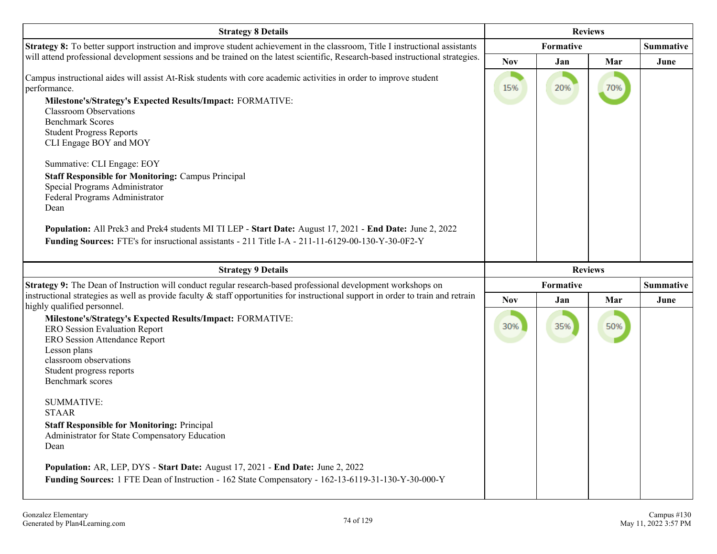| <b>Strategy 8 Details</b>                                                                                                                                                                                                                                                                                                                                                                                                                                                                                                                                                                                                                                                                                          | <b>Reviews</b> |                |     |                  |
|--------------------------------------------------------------------------------------------------------------------------------------------------------------------------------------------------------------------------------------------------------------------------------------------------------------------------------------------------------------------------------------------------------------------------------------------------------------------------------------------------------------------------------------------------------------------------------------------------------------------------------------------------------------------------------------------------------------------|----------------|----------------|-----|------------------|
| <b>Strategy 8:</b> To better support instruction and improve student achievement in the classroom, Title I instructional assistants                                                                                                                                                                                                                                                                                                                                                                                                                                                                                                                                                                                |                | Formative      |     | <b>Summative</b> |
| will attend professional development sessions and be trained on the latest scientific, Research-based instructional strategies.                                                                                                                                                                                                                                                                                                                                                                                                                                                                                                                                                                                    | <b>Nov</b>     | Jan            | Mar | June             |
| Campus instructional aides will assist At-Risk students with core academic activities in order to improve student<br>performance.<br>Milestone's/Strategy's Expected Results/Impact: FORMATIVE:<br><b>Classroom Observations</b><br><b>Benchmark Scores</b><br><b>Student Progress Reports</b><br>CLI Engage BOY and MOY<br>Summative: CLI Engage: EOY<br><b>Staff Responsible for Monitoring: Campus Principal</b><br>Special Programs Administrator<br>Federal Programs Administrator<br>Dean<br>Population: All Prek3 and Prek4 students MI TI LEP - Start Date: August 17, 2021 - End Date: June 2, 2022<br>Funding Sources: FTE's for insructional assistants - 211 Title I-A - 211-11-6129-00-130-Y-30-0F2-Y | 15%            | 20%            | 70% |                  |
| <b>Strategy 9 Details</b>                                                                                                                                                                                                                                                                                                                                                                                                                                                                                                                                                                                                                                                                                          |                | <b>Reviews</b> |     |                  |
| Strategy 9: The Dean of Instruction will conduct regular research-based professional development workshops on                                                                                                                                                                                                                                                                                                                                                                                                                                                                                                                                                                                                      |                | Formative      |     | <b>Summative</b> |
| instructional strategies as well as provide faculty $\&$ staff opportunities for instructional support in order to train and retrain<br>highly qualified personnel.                                                                                                                                                                                                                                                                                                                                                                                                                                                                                                                                                | <b>Nov</b>     | Jan            | Mar | June             |
| Milestone's/Strategy's Expected Results/Impact: FORMATIVE:<br><b>ERO Session Evaluation Report</b><br><b>ERO Session Attendance Report</b><br>Lesson plans<br>classroom observations<br>Student progress reports<br>Benchmark scores                                                                                                                                                                                                                                                                                                                                                                                                                                                                               | 30%            | 35%            | 50% |                  |
| <b>SUMMATIVE:</b><br><b>STAAR</b><br><b>Staff Responsible for Monitoring: Principal</b>                                                                                                                                                                                                                                                                                                                                                                                                                                                                                                                                                                                                                            |                |                |     |                  |
| Administrator for State Compensatory Education<br>Dean                                                                                                                                                                                                                                                                                                                                                                                                                                                                                                                                                                                                                                                             |                |                |     |                  |
| Population: AR, LEP, DYS - Start Date: August 17, 2021 - End Date: June 2, 2022<br>Funding Sources: 1 FTE Dean of Instruction - 162 State Compensatory - 162-13-6119-31-130-Y-30-000-Y                                                                                                                                                                                                                                                                                                                                                                                                                                                                                                                             |                |                |     |                  |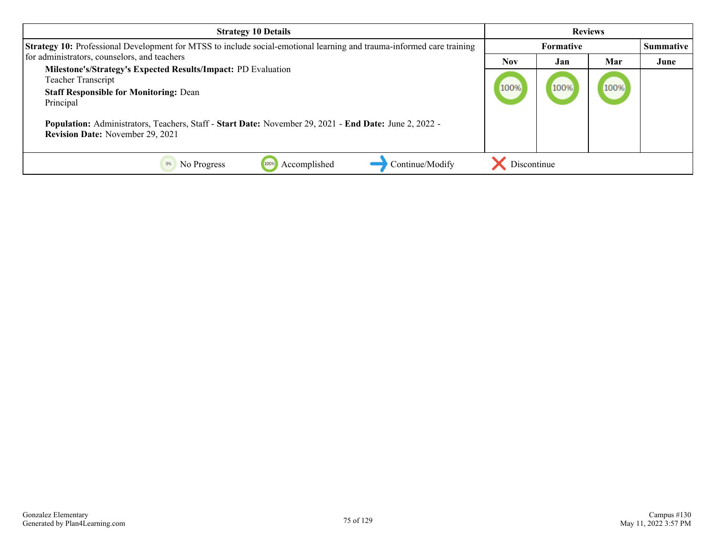| <b>Strategy 10 Details</b>                                                                                                                               | <b>Reviews</b> |                  |      |                  |
|----------------------------------------------------------------------------------------------------------------------------------------------------------|----------------|------------------|------|------------------|
| Strategy 10: Professional Development for MTSS to include social-emotional learning and trauma-informed care training                                    |                | <b>Formative</b> |      | <b>Summative</b> |
| for administrators, counselors, and teachers                                                                                                             | <b>Nov</b>     | Jan              | Mar  | June             |
| Milestone's/Strategy's Expected Results/Impact: PD Evaluation<br><b>Teacher Transcript</b><br><b>Staff Responsible for Monitoring: Dean</b><br>Principal | 100%           | 100%             | 100% |                  |
| Population: Administrators, Teachers, Staff - Start Date: November 29, 2021 - End Date: June 2, 2022 -<br><b>Revision Date:</b> November 29, 2021        |                |                  |      |                  |
| Continue/Modify<br>Accomplished<br>0%<br>No Progress                                                                                                     | Discontinue    |                  |      |                  |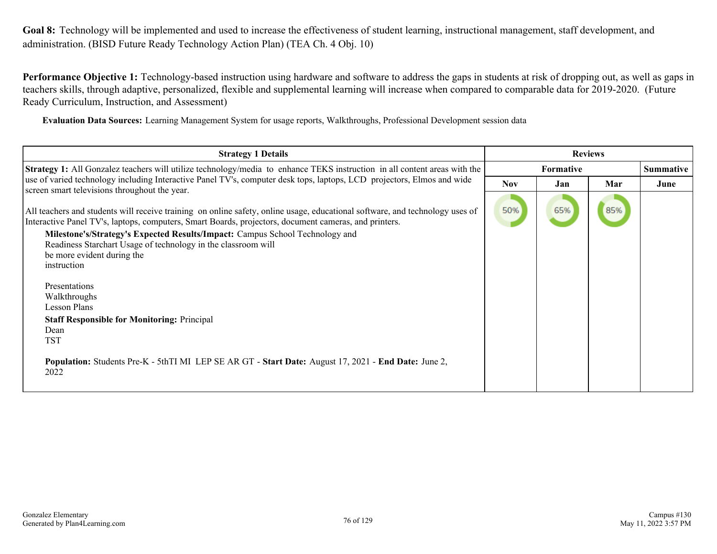**Performance Objective 1:** Technology-based instruction using hardware and software to address the gaps in students at risk of dropping out, as well as gaps in teachers skills, through adaptive, personalized, flexible and supplemental learning will increase when compared to comparable data for 2019-2020. (Future Ready Curriculum, Instruction, and Assessment)

**Evaluation Data Sources:** Learning Management System for usage reports, Walkthroughs, Professional Development session data

| <b>Strategy 1 Details</b>                                                                                                                                                                                                                                                                                                                                                                                                                                                                                                                                                                                                                                                                                                                              | <b>Reviews</b> |                  |     |                  |
|--------------------------------------------------------------------------------------------------------------------------------------------------------------------------------------------------------------------------------------------------------------------------------------------------------------------------------------------------------------------------------------------------------------------------------------------------------------------------------------------------------------------------------------------------------------------------------------------------------------------------------------------------------------------------------------------------------------------------------------------------------|----------------|------------------|-----|------------------|
| <b>Strategy 1:</b> All Gonzalez teachers will utilize technology/media to enhance TEKS instruction in all content areas with the                                                                                                                                                                                                                                                                                                                                                                                                                                                                                                                                                                                                                       |                | <b>Formative</b> |     | <b>Summative</b> |
| use of varied technology including Interactive Panel TV's, computer desk tops, laptops, LCD projectors, Elmos and wide                                                                                                                                                                                                                                                                                                                                                                                                                                                                                                                                                                                                                                 | <b>Nov</b>     | Jan              | Mar | June             |
| screen smart televisions throughout the year.<br>All teachers and students will receive training on online safety, online usage, educational software, and technology uses of<br>Interactive Panel TV's, laptops, computers, Smart Boards, projectors, document cameras, and printers.<br>Milestone's/Strategy's Expected Results/Impact: Campus School Technology and<br>Readiness Starchart Usage of technology in the classroom will<br>be more evident during the<br>instruction<br>Presentations<br>Walkthroughs<br><b>Lesson Plans</b><br><b>Staff Responsible for Monitoring: Principal</b><br>Dean<br><b>TST</b><br><b>Population:</b> Students Pre-K - 5thTI MI LEP SE AR GT - <b>Start Date:</b> August 17, 2021 - End Date: June 2,<br>2022 | 50%            | 65%              | 85% |                  |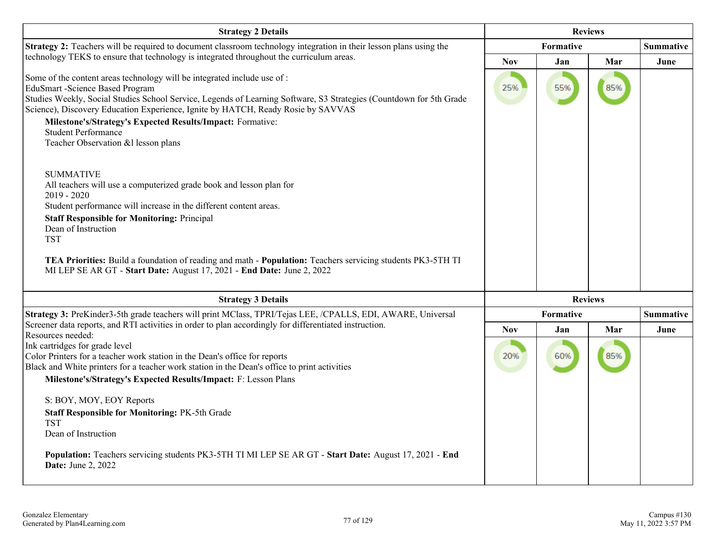| <b>Strategy 2 Details</b>                                                                                                                                                                                                                                                                                               | <b>Reviews</b> |           |                |                  |
|-------------------------------------------------------------------------------------------------------------------------------------------------------------------------------------------------------------------------------------------------------------------------------------------------------------------------|----------------|-----------|----------------|------------------|
| <b>Strategy 2:</b> Teachers will be required to document classroom technology integration in their lesson plans using the                                                                                                                                                                                               |                | Formative |                | <b>Summative</b> |
| technology TEKS to ensure that technology is integrated throughout the curriculum areas.                                                                                                                                                                                                                                | <b>Nov</b>     | Jan       | Mar            | June             |
| Some of the content areas technology will be integrated include use of :<br>EduSmart - Science Based Program<br>Studies Weekly, Social Studies School Service, Legends of Learning Software, S3 Strategies (Countdown for 5th Grade<br>Science), Discovery Education Experience, Ignite by HATCH, Ready Rosie by SAVVAS | 25%            | 55%       | 85%            |                  |
| Milestone's/Strategy's Expected Results/Impact: Formative:<br><b>Student Performance</b><br>Teacher Observation & llesson plans                                                                                                                                                                                         |                |           |                |                  |
| <b>SUMMATIVE</b><br>All teachers will use a computerized grade book and lesson plan for<br>$2019 - 2020$<br>Student performance will increase in the different content areas.                                                                                                                                           |                |           |                |                  |
| <b>Staff Responsible for Monitoring: Principal</b>                                                                                                                                                                                                                                                                      |                |           |                |                  |
| Dean of Instruction<br><b>TST</b>                                                                                                                                                                                                                                                                                       |                |           |                |                  |
| TEA Priorities: Build a foundation of reading and math - Population: Teachers servicing students PK3-5TH TI<br>MI LEP SE AR GT - Start Date: August 17, 2021 - End Date: June 2, 2022                                                                                                                                   |                |           |                |                  |
| <b>Strategy 3 Details</b>                                                                                                                                                                                                                                                                                               |                |           | <b>Reviews</b> |                  |
| Strategy 3: PreKinder3-5th grade teachers will print MClass, TPRI/Tejas LEE, /CPALLS, EDI, AWARE, Universal                                                                                                                                                                                                             |                | Formative |                | <b>Summative</b> |
| Screener data reports, and RTI activities in order to plan accordingly for differentiated instruction.<br>Resources needed:                                                                                                                                                                                             | <b>Nov</b>     | Jan       | Mar            | June             |
| Ink cartridges for grade level<br>Color Printers for a teacher work station in the Dean's office for reports<br>Black and White printers for a teacher work station in the Dean's office to print activities<br>Milestone's/Strategy's Expected Results/Impact: F: Lesson Plans                                         | 20%            | 60%       | 85%            |                  |
| S: BOY, MOY, EOY Reports                                                                                                                                                                                                                                                                                                |                |           |                |                  |
| Staff Responsible for Monitoring: PK-5th Grade                                                                                                                                                                                                                                                                          |                |           |                |                  |
| <b>TST</b>                                                                                                                                                                                                                                                                                                              |                |           |                |                  |
| Dean of Instruction                                                                                                                                                                                                                                                                                                     |                |           |                |                  |
| Population: Teachers servicing students PK3-5TH TI MI LEP SE AR GT - Start Date: August 17, 2021 - End<br><b>Date:</b> June 2, 2022                                                                                                                                                                                     |                |           |                |                  |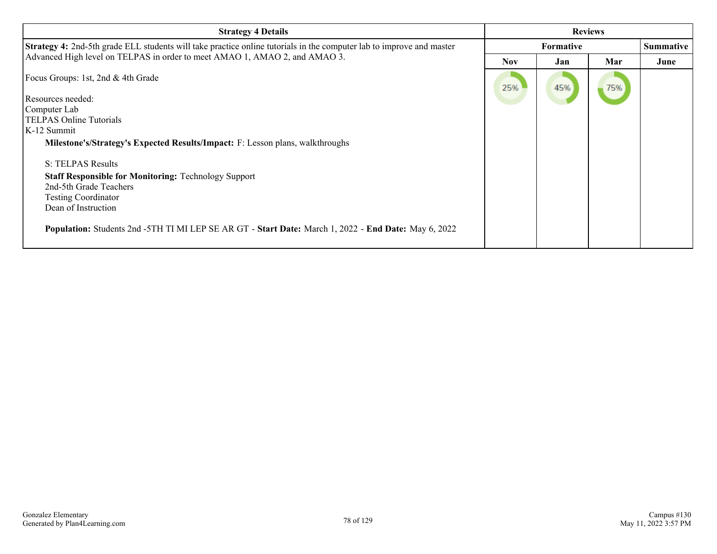| <b>Strategy 4 Details</b>                                                                                                   | <b>Reviews</b>   |     |     |                  |
|-----------------------------------------------------------------------------------------------------------------------------|------------------|-----|-----|------------------|
| <b>Strategy 4:</b> 2nd-5th grade ELL students will take practice online tutorials in the computer lab to improve and master | <b>Formative</b> |     |     | <b>Summative</b> |
| Advanced High level on TELPAS in order to meet AMAO 1, AMAO 2, and AMAO 3.                                                  | <b>Nov</b>       | Jan | Mar | June             |
| Focus Groups: 1st, 2nd & 4th Grade                                                                                          | 25%              | 45% | 75% |                  |
| Resources needed:                                                                                                           |                  |     |     |                  |
| Computer Lab                                                                                                                |                  |     |     |                  |
| TELPAS Online Tutorials                                                                                                     |                  |     |     |                  |
| K-12 Summit                                                                                                                 |                  |     |     |                  |
| <b>Milestone's/Strategy's Expected Results/Impact:</b> F: Lesson plans, walkthroughs                                        |                  |     |     |                  |
| S: TELPAS Results                                                                                                           |                  |     |     |                  |
| <b>Staff Responsible for Monitoring: Technology Support</b>                                                                 |                  |     |     |                  |
| 2nd-5th Grade Teachers                                                                                                      |                  |     |     |                  |
| <b>Testing Coordinator</b>                                                                                                  |                  |     |     |                  |
| Dean of Instruction                                                                                                         |                  |     |     |                  |
| Population: Students 2nd -5TH TI MI LEP SE AR GT - Start Date: March 1, 2022 - End Date: May 6, 2022                        |                  |     |     |                  |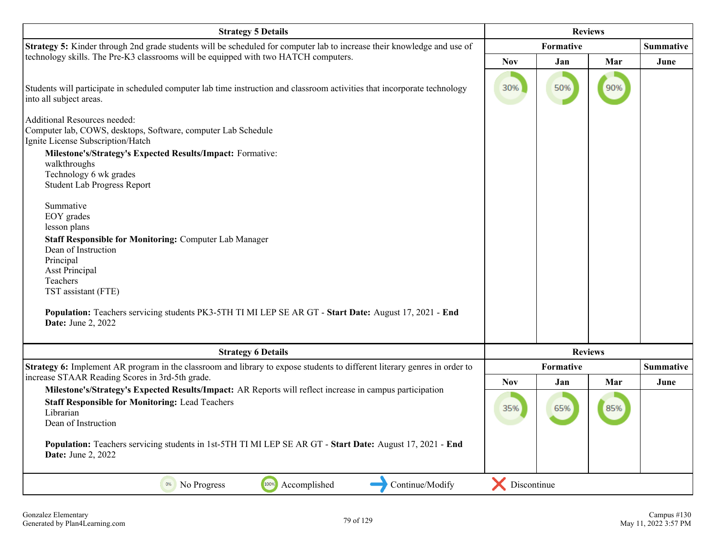| <b>Strategy 5 Details</b>                                                                                                                                   | <b>Reviews</b> |                |     |                  |
|-------------------------------------------------------------------------------------------------------------------------------------------------------------|----------------|----------------|-----|------------------|
| Strategy 5: Kinder through 2nd grade students will be scheduled for computer lab to increase their knowledge and use of                                     |                | Formative      |     | <b>Summative</b> |
| technology skills. The Pre-K3 classrooms will be equipped with two HATCH computers.                                                                         | <b>Nov</b>     | Jan            | Mar | June             |
| Students will participate in scheduled computer lab time instruction and classroom activities that incorporate technology<br>into all subject areas.        | 30%            | 50%            | 90% |                  |
| Additional Resources needed:<br>Computer lab, COWS, desktops, Software, computer Lab Schedule<br>Ignite License Subscription/Hatch                          |                |                |     |                  |
| Milestone's/Strategy's Expected Results/Impact: Formative:<br>walkthroughs<br>Technology 6 wk grades<br><b>Student Lab Progress Report</b>                  |                |                |     |                  |
| Summative<br>EOY grades<br>lesson plans                                                                                                                     |                |                |     |                  |
| <b>Staff Responsible for Monitoring: Computer Lab Manager</b>                                                                                               |                |                |     |                  |
| Dean of Instruction<br>Principal                                                                                                                            |                |                |     |                  |
| <b>Asst Principal</b>                                                                                                                                       |                |                |     |                  |
| Teachers                                                                                                                                                    |                |                |     |                  |
| TST assistant (FTE)                                                                                                                                         |                |                |     |                  |
| Population: Teachers servicing students PK3-5TH TI MI LEP SE AR GT - Start Date: August 17, 2021 - End<br><b>Date:</b> June 2, 2022                         |                |                |     |                  |
| <b>Strategy 6 Details</b>                                                                                                                                   |                | <b>Reviews</b> |     |                  |
| Strategy 6: Implement AR program in the classroom and library to expose students to different literary genres in order to                                   |                | Formative      |     | <b>Summative</b> |
| increase STAAR Reading Scores in 3rd-5th grade.<br>Milestone's/Strategy's Expected Results/Impact: AR Reports will reflect increase in campus participation | <b>Nov</b>     | Jan            | Mar | June             |
| <b>Staff Responsible for Monitoring: Lead Teachers</b><br>Librarian<br>Dean of Instruction                                                                  | 35%            | 65%            | 85% |                  |
| Population: Teachers servicing students in 1st-5TH TI MI LEP SE AR GT - Start Date: August 17, 2021 - End<br><b>Date:</b> June 2, 2022                      |                |                |     |                  |
| 100%<br>0%<br>Accomplished<br>Continue/Modify<br>No Progress                                                                                                | Discontinue    |                |     |                  |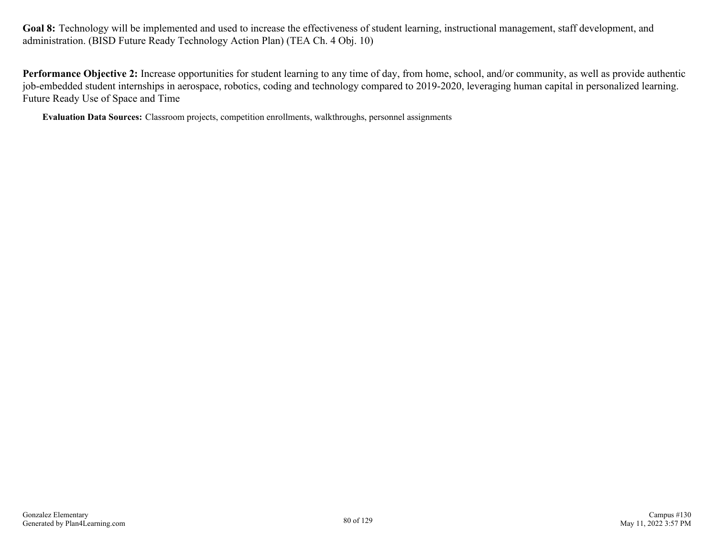**Performance Objective 2:** Increase opportunities for student learning to any time of day, from home, school, and/or community, as well as provide authentic job-embedded student internships in aerospace, robotics, coding and technology compared to 2019-2020, leveraging human capital in personalized learning. Future Ready Use of Space and Time

**Evaluation Data Sources:** Classroom projects, competition enrollments, walkthroughs, personnel assignments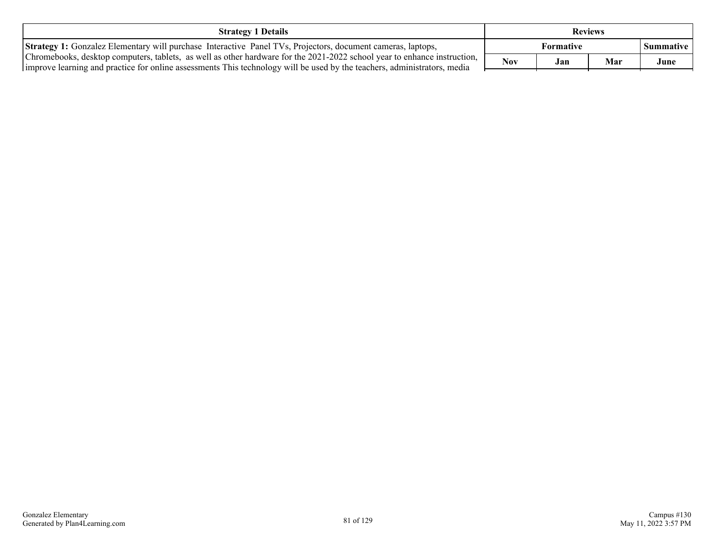| <b>Strategy 1 Details</b>                                                                                                                                                                                                                            | <b>Reviews</b> |     |     |           |
|------------------------------------------------------------------------------------------------------------------------------------------------------------------------------------------------------------------------------------------------------|----------------|-----|-----|-----------|
| <b>Strategy 1:</b> Gonzalez Elementary will purchase Interactive Panel TVs, Projectors, document cameras, laptops,                                                                                                                                   | Formative      |     |     | Summative |
| Chromebooks, desktop computers, tablets, as well as other hardware for the 2021-2022 school year to enhance instruction,<br>improve learning and practice for online assessments This technology will be used by the teachers, administrators, media | <b>Nov</b>     | Jan | Mar | June      |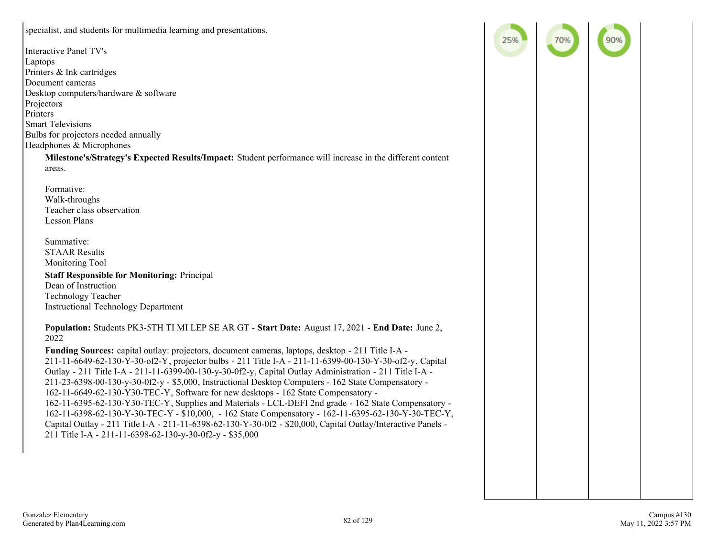| specialist, and students for multimedia learning and presentations.                                          | 259 |  |
|--------------------------------------------------------------------------------------------------------------|-----|--|
| <b>Interactive Panel TV's</b>                                                                                |     |  |
| Laptops                                                                                                      |     |  |
| Printers & Ink cartridges                                                                                    |     |  |
| Document cameras                                                                                             |     |  |
| Desktop computers/hardware & software                                                                        |     |  |
| Projectors                                                                                                   |     |  |
| Printers                                                                                                     |     |  |
| <b>Smart Televisions</b>                                                                                     |     |  |
| Bulbs for projectors needed annually                                                                         |     |  |
| Headphones & Microphones                                                                                     |     |  |
| Milestone's/Strategy's Expected Results/Impact: Student performance will increase in the different content   |     |  |
| areas.                                                                                                       |     |  |
|                                                                                                              |     |  |
| Formative:                                                                                                   |     |  |
| Walk-throughs                                                                                                |     |  |
| Teacher class observation                                                                                    |     |  |
| Lesson Plans                                                                                                 |     |  |
|                                                                                                              |     |  |
| Summative:                                                                                                   |     |  |
| <b>STAAR Results</b>                                                                                         |     |  |
| Monitoring Tool                                                                                              |     |  |
| <b>Staff Responsible for Monitoring: Principal</b>                                                           |     |  |
| Dean of Instruction                                                                                          |     |  |
| <b>Technology Teacher</b>                                                                                    |     |  |
| <b>Instructional Technology Department</b>                                                                   |     |  |
|                                                                                                              |     |  |
| Population: Students PK3-5TH TI MI LEP SE AR GT - Start Date: August 17, 2021 - End Date: June 2,            |     |  |
| 2022                                                                                                         |     |  |
| Funding Sources: capital outlay: projectors, document cameras, laptops, desktop - 211 Title I-A -            |     |  |
| 211-11-6649-62-130-Y-30-of2-Y, projector bulbs - 211 Title I-A - 211-11-6399-00-130-Y-30-of2-y, Capital      |     |  |
| Outlay - 211 Title I-A - 211-11-6399-00-130-y-30-0f2-y, Capital Outlay Administration - 211 Title I-A -      |     |  |
| 211-23-6398-00-130-y-30-0f2-y - \$5,000, Instructional Desktop Computers - 162 State Compensatory -          |     |  |
| 162-11-6649-62-130-Y30-TEC-Y, Software for new desktops - 162 State Compensatory -                           |     |  |
| 162-11-6395-62-130-Y30-TEC-Y, Supplies and Materials - LCL-DEFI 2nd grade - 162 State Compensatory -         |     |  |
| 162-11-6398-62-130-Y-30-TEC-Y - \$10,000, -162 State Compensatory - 162-11-6395-62-130-Y-30-TEC-Y,           |     |  |
| Capital Outlay - 211 Title I-A - 211-11-6398-62-130-Y-30-0f2 - \$20,000, Capital Outlay/Interactive Panels - |     |  |
| 211 Title I-A - 211-11-6398-62-130-y-30-0f2-y - \$35,000                                                     |     |  |
|                                                                                                              |     |  |
|                                                                                                              |     |  |
|                                                                                                              |     |  |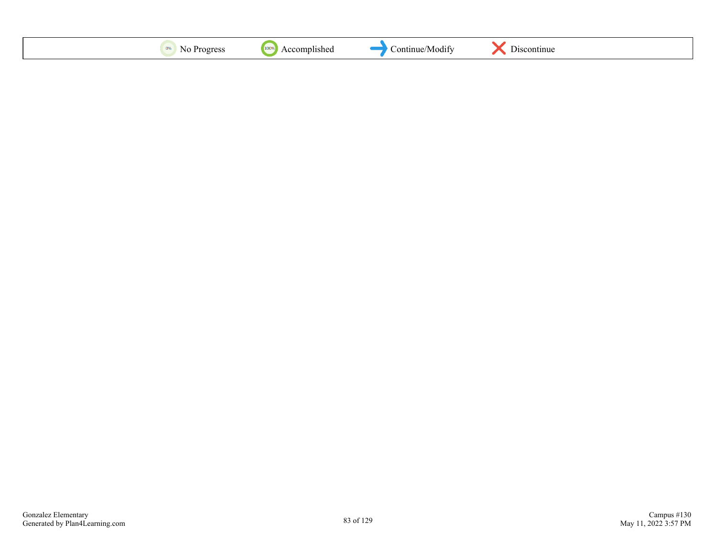| 1000<br>0%<br>1100<br>ontinue.<br>'Modify<br>$\sim$<br>rac<br>v. | $\sim$ $\cdot$<br>.continu<br>. . |
|------------------------------------------------------------------|-----------------------------------|
|------------------------------------------------------------------|-----------------------------------|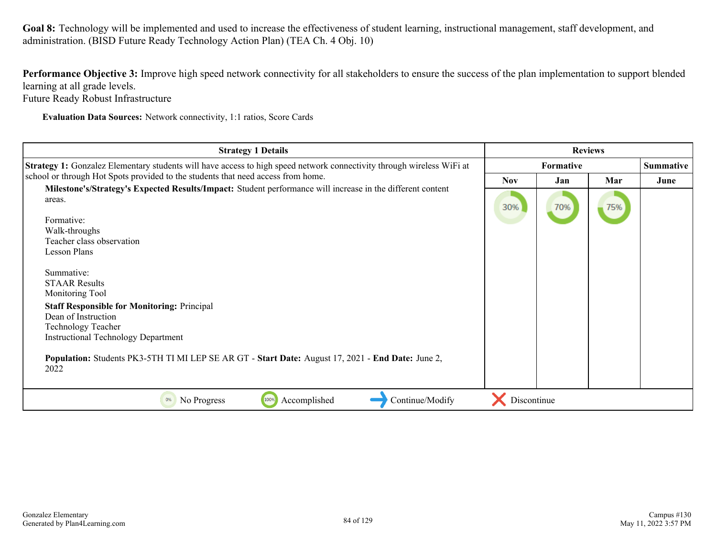**Performance Objective 3:** Improve high speed network connectivity for all stakeholders to ensure the success of the plan implementation to support blended learning at all grade levels.

Future Ready Robust Infrastructure

**Evaluation Data Sources:** Network connectivity, 1:1 ratios, Score Cards

| <b>Strategy 1 Details</b>                                                                                                                                                                                                                                                                                           | <b>Reviews</b> |     |     |                  |
|---------------------------------------------------------------------------------------------------------------------------------------------------------------------------------------------------------------------------------------------------------------------------------------------------------------------|----------------|-----|-----|------------------|
| Strategy 1: Gonzalez Elementary students will have access to high speed network connectivity through wireless WiFi at                                                                                                                                                                                               | Formative      |     |     | <b>Summative</b> |
| school or through Hot Spots provided to the students that need access from home.                                                                                                                                                                                                                                    | <b>Nov</b>     | Jan | Mar | June             |
| Milestone's/Strategy's Expected Results/Impact: Student performance will increase in the different content<br>areas.                                                                                                                                                                                                | 30%            | 70% | 75% |                  |
| Formative:                                                                                                                                                                                                                                                                                                          |                |     |     |                  |
| Walk-throughs                                                                                                                                                                                                                                                                                                       |                |     |     |                  |
| Teacher class observation                                                                                                                                                                                                                                                                                           |                |     |     |                  |
| <b>Lesson Plans</b>                                                                                                                                                                                                                                                                                                 |                |     |     |                  |
| Summative:<br><b>STAAR Results</b><br>Monitoring Tool<br><b>Staff Responsible for Monitoring: Principal</b><br>Dean of Instruction<br>Technology Teacher<br><b>Instructional Technology Department</b><br>Population: Students PK3-5TH TI MI LEP SE AR GT - Start Date: August 17, 2021 - End Date: June 2,<br>2022 |                |     |     |                  |
| 100%<br>Continue/Modify<br>No Progress<br>Accomplished<br>0%                                                                                                                                                                                                                                                        | Discontinue    |     |     |                  |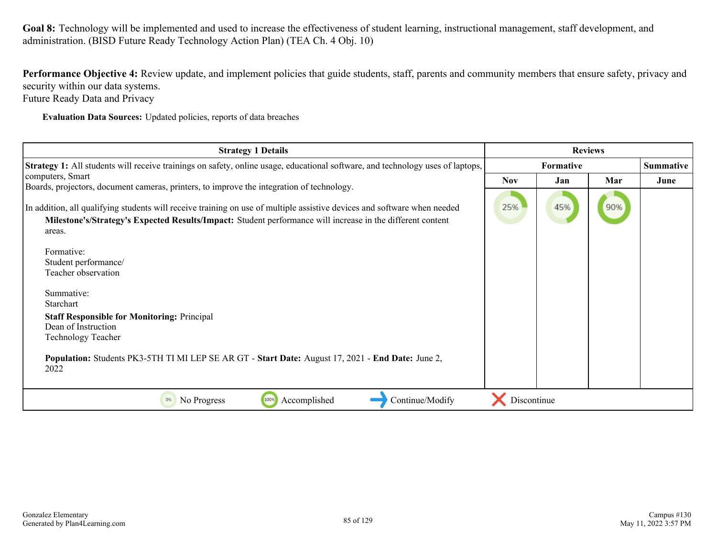Performance Objective 4: Review update, and implement policies that guide students, staff, parents and community members that ensure safety, privacy and security within our data systems.

Future Ready Data and Privacy

**Evaluation Data Sources:** Updated policies, reports of data breaches

| <b>Strategy 1 Details</b>                                                                                                                                                                                                              | <b>Reviews</b> |           |     |                  |
|----------------------------------------------------------------------------------------------------------------------------------------------------------------------------------------------------------------------------------------|----------------|-----------|-----|------------------|
| Strategy 1: All students will receive trainings on safety, online usage, educational software, and technology uses of laptops,                                                                                                         |                | Formative |     | <b>Summative</b> |
| computers, Smart<br>Boards, projectors, document cameras, printers, to improve the integration of technology.                                                                                                                          | <b>Nov</b>     | Jan       | Mar | June             |
| In addition, all qualifying students will receive training on use of multiple assistive devices and software when needed<br>Milestone's/Strategy's Expected Results/Impact: Student performance will increase in the different content | 25%            | 45%       | 90% |                  |
| areas.                                                                                                                                                                                                                                 |                |           |     |                  |
| Formative:                                                                                                                                                                                                                             |                |           |     |                  |
| Student performance/<br>Teacher observation                                                                                                                                                                                            |                |           |     |                  |
|                                                                                                                                                                                                                                        |                |           |     |                  |
| Summative:                                                                                                                                                                                                                             |                |           |     |                  |
| Starchart                                                                                                                                                                                                                              |                |           |     |                  |
| <b>Staff Responsible for Monitoring: Principal</b><br>Dean of Instruction                                                                                                                                                              |                |           |     |                  |
| <b>Technology Teacher</b>                                                                                                                                                                                                              |                |           |     |                  |
| Population: Students PK3-5TH TI MI LEP SE AR GT - Start Date: August 17, 2021 - End Date: June 2,<br>2022                                                                                                                              |                |           |     |                  |
| 100%<br>Accomplished<br>Continue/Modify<br>No Progress<br>0%                                                                                                                                                                           | Discontinue    |           |     |                  |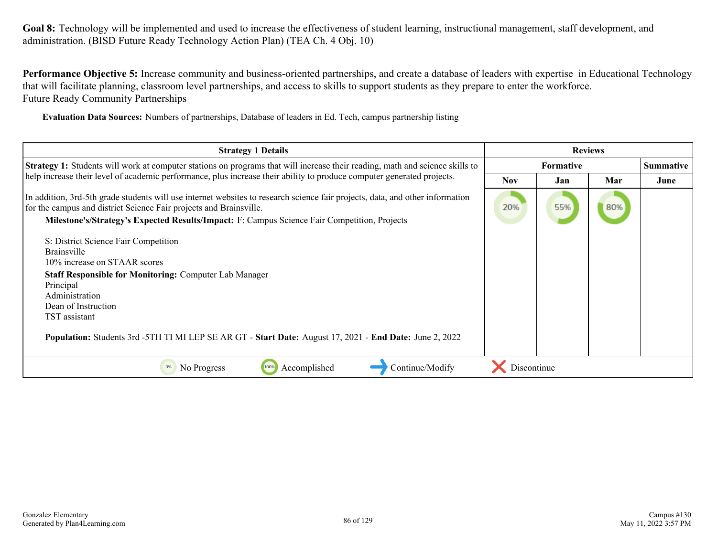**Performance Objective 5:** Increase community and business-oriented partnerships, and create a database of leaders with expertise in Educational Technology that will facilitate planning, classroom level partnerships, and access to skills to support students as they prepare to enter the workforce. Future Ready Community Partnerships

**Evaluation Data Sources:** Numbers of partnerships, Database of leaders in Ed. Tech, campus partnership listing

| <b>Strategy 1 Details</b>                                                                                                                                                                                                                                                                                                                      | <b>Reviews</b> |                  |     |                  |
|------------------------------------------------------------------------------------------------------------------------------------------------------------------------------------------------------------------------------------------------------------------------------------------------------------------------------------------------|----------------|------------------|-----|------------------|
| <b>Strategy 1:</b> Students will work at computer stations on programs that will increase their reading, math and science skills to                                                                                                                                                                                                            |                | <b>Formative</b> |     | <b>Summative</b> |
| help increase their level of academic performance, plus increase their ability to produce computer generated projects.                                                                                                                                                                                                                         | <b>Nov</b>     | Jan              | Mar | June             |
| In addition, 3rd-5th grade students will use internet websites to research science fair projects, data, and other information<br>for the campus and district Science Fair projects and Brainsville.<br>Milestone's/Strategy's Expected Results/Impact: F: Campus Science Fair Competition, Projects                                            | 20%            | 55%              | 80% |                  |
| S: District Science Fair Competition<br><b>Brainsville</b><br>10% increase on STAAR scores<br><b>Staff Responsible for Monitoring: Computer Lab Manager</b><br>Principal<br>Administration<br>Dean of Instruction<br>TST assistant<br>Population: Students 3rd - 5TH TI MI LEP SE AR GT - Start Date: August 17, 2021 - End Date: June 2, 2022 |                |                  |     |                  |
| Continue/Modify<br>Accomplished<br>No Progress<br>100%<br>0%                                                                                                                                                                                                                                                                                   | Discontinue    |                  |     |                  |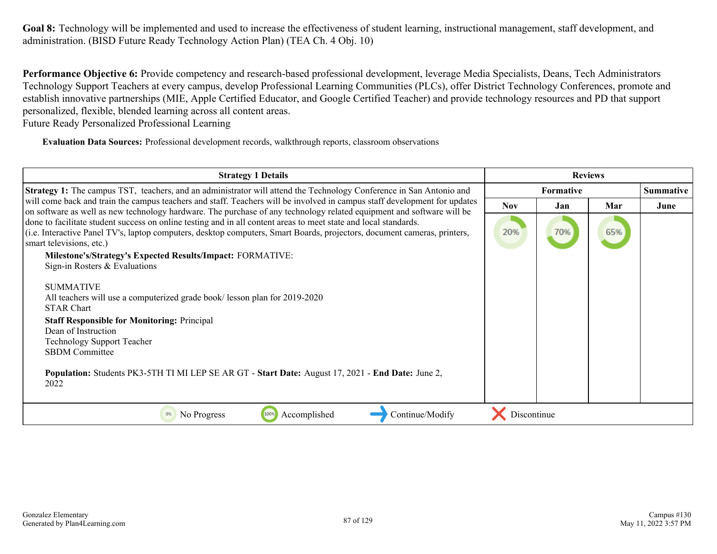**Performance Objective 6:** Provide competency and research-based professional development, leverage Media Specialists, Deans, Tech Administrators Technology Support Teachers at every campus, develop Professional Learning Communities (PLCs), offer District Technology Conferences, promote and establish innovative partnerships (MIE, Apple Certified Educator, and Google Certified Teacher) and provide technology resources and PD that support personalized, flexible, blended learning across all content areas.

Future Ready Personalized Professional Learning

**Evaluation Data Sources:** Professional development records, walkthrough reports, classroom observations

| <b>Strategy 1 Details</b>                                                                                                                                                                                                                                                                                                                                                                                                                                                                                                                                                                                                                                                                                                                                                                                                                                                 |             | <b>Reviews</b>   |     |                  |  |
|---------------------------------------------------------------------------------------------------------------------------------------------------------------------------------------------------------------------------------------------------------------------------------------------------------------------------------------------------------------------------------------------------------------------------------------------------------------------------------------------------------------------------------------------------------------------------------------------------------------------------------------------------------------------------------------------------------------------------------------------------------------------------------------------------------------------------------------------------------------------------|-------------|------------------|-----|------------------|--|
| <b>Strategy 1:</b> The campus TST, teachers, and an administrator will attend the Technology Conference in San Antonio and                                                                                                                                                                                                                                                                                                                                                                                                                                                                                                                                                                                                                                                                                                                                                |             | <b>Formative</b> |     | <b>Summative</b> |  |
| will come back and train the campus teachers and staff. Teachers will be involved in campus staff development for updates                                                                                                                                                                                                                                                                                                                                                                                                                                                                                                                                                                                                                                                                                                                                                 | <b>Nov</b>  | Jan              | Mar | June             |  |
| on software as well as new technology hardware. The purchase of any technology related equipment and software will be<br>done to facilitate student success on online testing and in all content areas to meet state and local standards.<br>(i.e. Interactive Panel TV's, laptop computers, desktop computers, Smart Boards, projectors, document cameras, printers,<br>smart televisions, etc.)<br>Milestone's/Strategy's Expected Results/Impact: FORMATIVE:<br>Sign-in Rosters $&$ Evaluations<br><b>SUMMATIVE</b><br>All teachers will use a computerized grade book/ lesson plan for 2019-2020<br><b>STAR Chart</b><br><b>Staff Responsible for Monitoring: Principal</b><br>Dean of Instruction<br><b>Technology Support Teacher</b><br><b>SBDM</b> Committee<br>Population: Students PK3-5TH TI MI LEP SE AR GT - Start Date: August 17, 2021 - End Date: June 2, | 20%         | 70%              | 65% |                  |  |
| 2022                                                                                                                                                                                                                                                                                                                                                                                                                                                                                                                                                                                                                                                                                                                                                                                                                                                                      |             |                  |     |                  |  |
| Accomplished<br>100%<br>Continue/Modify<br>No Progress                                                                                                                                                                                                                                                                                                                                                                                                                                                                                                                                                                                                                                                                                                                                                                                                                    | Discontinue |                  |     |                  |  |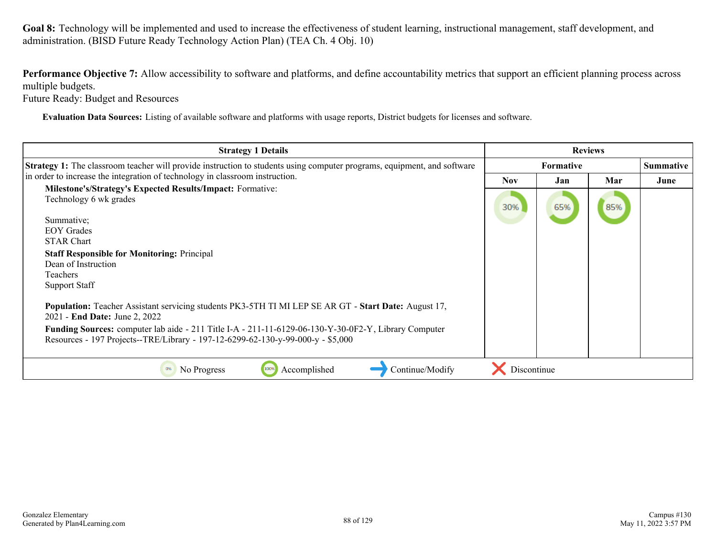Performance Objective 7: Allow accessibility to software and platforms, and define accountability metrics that support an efficient planning process across multiple budgets.

Future Ready: Budget and Resources

**Evaluation Data Sources:** Listing of available software and platforms with usage reports, District budgets for licenses and software.

| <b>Strategy 1 Details</b>                                                                                                                                                               | <b>Reviews</b> |                  |     |                  |
|-----------------------------------------------------------------------------------------------------------------------------------------------------------------------------------------|----------------|------------------|-----|------------------|
| Strategy 1: The classroom teacher will provide instruction to students using computer programs, equipment, and software                                                                 |                | <b>Formative</b> |     | <b>Summative</b> |
| in order to increase the integration of technology in classroom instruction.                                                                                                            | Nov.           | Jan              | Mar | June             |
| <b>Milestone's/Strategy's Expected Results/Impact: Formative:</b>                                                                                                                       |                |                  |     |                  |
| Technology 6 wk grades                                                                                                                                                                  | 30%            | 65%              | 85% |                  |
| Summative;                                                                                                                                                                              |                |                  |     |                  |
| <b>EOY</b> Grades                                                                                                                                                                       |                |                  |     |                  |
| <b>STAR Chart</b>                                                                                                                                                                       |                |                  |     |                  |
| <b>Staff Responsible for Monitoring: Principal</b>                                                                                                                                      |                |                  |     |                  |
| Dean of Instruction                                                                                                                                                                     |                |                  |     |                  |
| Teachers                                                                                                                                                                                |                |                  |     |                  |
| <b>Support Staff</b>                                                                                                                                                                    |                |                  |     |                  |
| Population: Teacher Assistant servicing students PK3-5TH TI MI LEP SE AR GT - Start Date: August 17,<br>2021 - End Date: June 2, 2022                                                   |                |                  |     |                  |
| Funding Sources: computer lab aide - 211 Title I-A - 211-11-6129-06-130-Y-30-0F2-Y, Library Computer<br>Resources - 197 Projects--TRE/Library - 197-12-6299-62-130-y-99-000-y - \$5,000 |                |                  |     |                  |
|                                                                                                                                                                                         |                |                  |     |                  |
| Continue/Modify<br>100%<br>Accomplished<br>No Progress<br>0%                                                                                                                            | Discontinue    |                  |     |                  |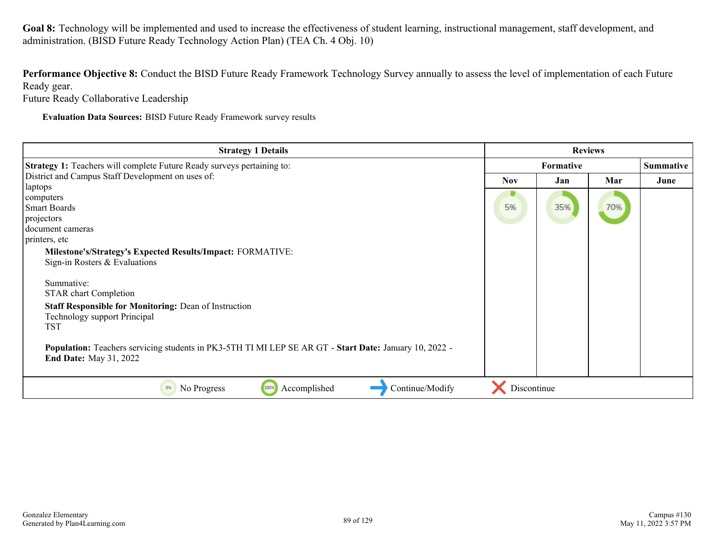**Performance Objective 8:** Conduct the BISD Future Ready Framework Technology Survey annually to assess the level of implementation of each Future Ready gear.

Future Ready Collaborative Leadership

**Evaluation Data Sources:** BISD Future Ready Framework survey results

| <b>Strategy 1 Details</b>                                                                              | <b>Reviews</b> |     |     |                  |
|--------------------------------------------------------------------------------------------------------|----------------|-----|-----|------------------|
| <b>Strategy 1:</b> Teachers will complete Future Ready surveys pertaining to:                          | Formative      |     |     | <b>Summative</b> |
| District and Campus Staff Development on uses of:                                                      | <b>Nov</b>     | Jan | Mar | June             |
| laptops                                                                                                |                |     |     |                  |
| computers                                                                                              |                |     |     |                  |
| Smart Boards                                                                                           | 5%             | 35% | 70% |                  |
| projectors                                                                                             |                |     |     |                  |
| document cameras                                                                                       |                |     |     |                  |
| printers, etc                                                                                          |                |     |     |                  |
| Milestone's/Strategy's Expected Results/Impact: FORMATIVE:                                             |                |     |     |                  |
| Sign-in Rosters $&$ Evaluations                                                                        |                |     |     |                  |
|                                                                                                        |                |     |     |                  |
| Summative:                                                                                             |                |     |     |                  |
| <b>STAR</b> chart Completion                                                                           |                |     |     |                  |
| <b>Staff Responsible for Monitoring: Dean of Instruction</b>                                           |                |     |     |                  |
| Technology support Principal                                                                           |                |     |     |                  |
| TST                                                                                                    |                |     |     |                  |
|                                                                                                        |                |     |     |                  |
| Population: Teachers servicing students in PK3-5TH TI MI LEP SE AR GT - Start Date: January 10, 2022 - |                |     |     |                  |
| <b>End Date:</b> May 31, 2022                                                                          |                |     |     |                  |
|                                                                                                        |                |     |     |                  |
| 100%<br>Continue/Modify<br>Accomplished<br>No Progress<br>0%                                           | Discontinue    |     |     |                  |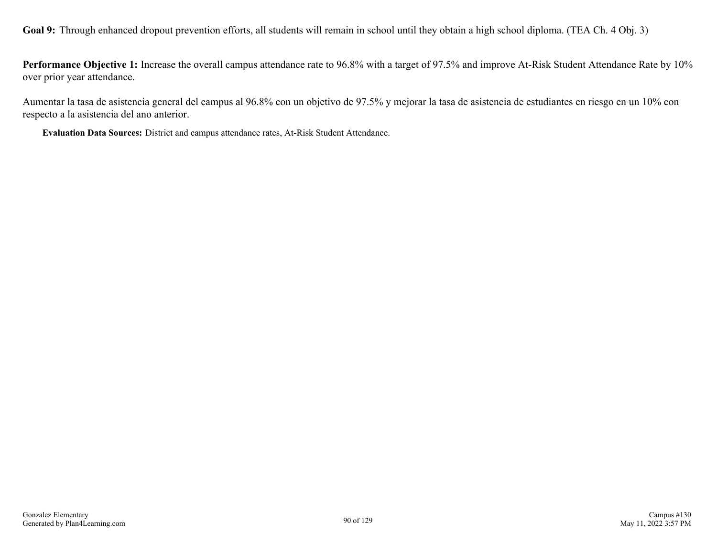Goal 9: Through enhanced dropout prevention efforts, all students will remain in school until they obtain a high school diploma. (TEA Ch. 4 Obj. 3)

**Performance Objective 1:** Increase the overall campus attendance rate to 96.8% with a target of 97.5% and improve At-Risk Student Attendance Rate by 10% over prior year attendance.

Aumentar la tasa de asistencia general del campus al 96.8% con un objetivo de 97.5% y mejorar la tasa de asistencia de estudiantes en riesgo en un 10% con respecto a la asistencia del ano anterior.

**Evaluation Data Sources:** District and campus attendance rates, At-Risk Student Attendance.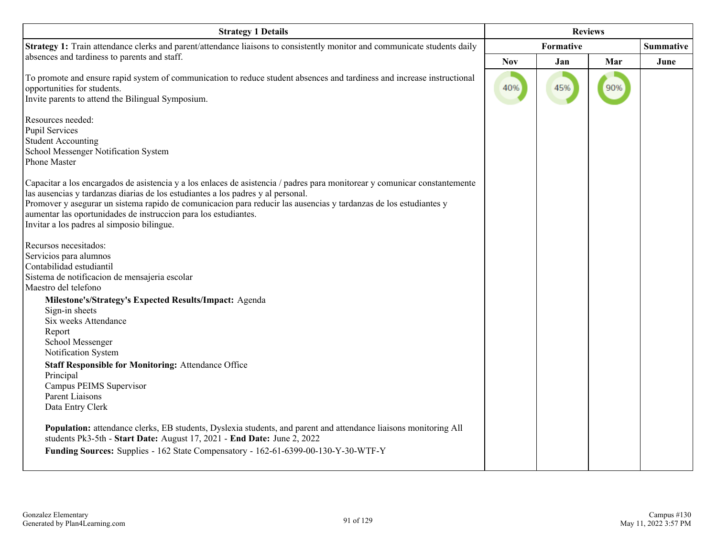| <b>Strategy 1 Details</b>                                                                                                                                                                                                                                                                                                                                                                                                                            | <b>Reviews</b> |           |     |                  |
|------------------------------------------------------------------------------------------------------------------------------------------------------------------------------------------------------------------------------------------------------------------------------------------------------------------------------------------------------------------------------------------------------------------------------------------------------|----------------|-----------|-----|------------------|
| Strategy 1: Train attendance clerks and parent/attendance liaisons to consistently monitor and communicate students daily                                                                                                                                                                                                                                                                                                                            |                | Formative |     | <b>Summative</b> |
| absences and tardiness to parents and staff.                                                                                                                                                                                                                                                                                                                                                                                                         | <b>Nov</b>     | Jan       | Mar | June             |
| To promote and ensure rapid system of communication to reduce student absences and tardiness and increase instructional<br>opportunities for students.<br>Invite parents to attend the Bilingual Symposium.                                                                                                                                                                                                                                          | 40%            | 45%       | 90% |                  |
| Resources needed:<br><b>Pupil Services</b><br><b>Student Accounting</b><br>School Messenger Notification System<br>Phone Master                                                                                                                                                                                                                                                                                                                      |                |           |     |                  |
| Capacitar a los encargados de asistencia y a los enlaces de asistencia / padres para monitorear y comunicar constantemente<br>las ausencias y tardanzas diarias de los estudiantes a los padres y al personal.<br>Promover y asegurar un sistema rapido de comunicacion para reducir las ausencias y tardanzas de los estudiantes y<br>aumentar las oportunidades de instruccion para los estudiantes.<br>Invitar a los padres al simposio bilingue. |                |           |     |                  |
| Recursos necesitados:<br>Servicios para alumnos<br>Contabilidad estudiantil<br>Sistema de notificacion de mensajeria escolar<br>Maestro del telefono                                                                                                                                                                                                                                                                                                 |                |           |     |                  |
| Milestone's/Strategy's Expected Results/Impact: Agenda<br>Sign-in sheets<br>Six weeks Attendance<br>Report<br>School Messenger<br>Notification System                                                                                                                                                                                                                                                                                                |                |           |     |                  |
| <b>Staff Responsible for Monitoring: Attendance Office</b><br>Principal<br>Campus PEIMS Supervisor<br>Parent Liaisons<br>Data Entry Clerk                                                                                                                                                                                                                                                                                                            |                |           |     |                  |
| Population: attendance clerks, EB students, Dyslexia students, and parent and attendance liaisons monitoring All<br>students Pk3-5th - Start Date: August 17, 2021 - End Date: June 2, 2022<br>Funding Sources: Supplies - 162 State Compensatory - 162-61-6399-00-130-Y-30-WTF-Y                                                                                                                                                                    |                |           |     |                  |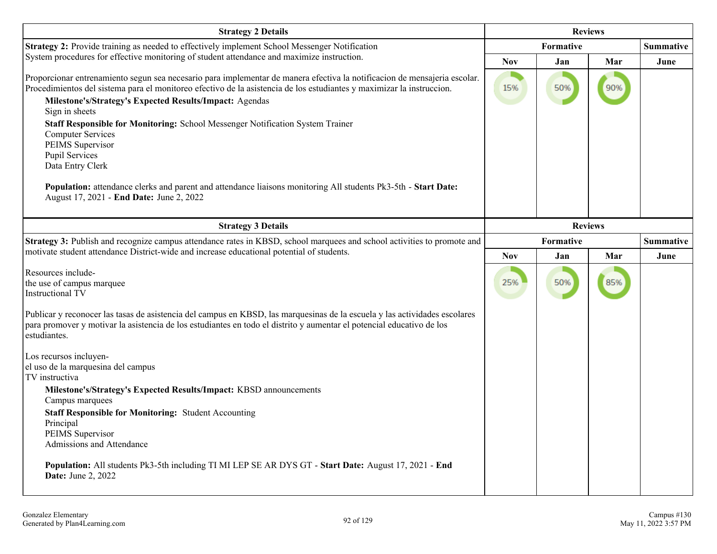| <b>Strategy 2 Details</b>                                                                                                                                                                                                                                                                                                       | <b>Reviews</b> |           |                |                  |
|---------------------------------------------------------------------------------------------------------------------------------------------------------------------------------------------------------------------------------------------------------------------------------------------------------------------------------|----------------|-----------|----------------|------------------|
| Strategy 2: Provide training as needed to effectively implement School Messenger Notification                                                                                                                                                                                                                                   |                | Formative |                | <b>Summative</b> |
| System procedures for effective monitoring of student attendance and maximize instruction.                                                                                                                                                                                                                                      | <b>Nov</b>     | Jan       | Mar            | June             |
| Proporcionar entrenamiento segun sea necesario para implementar de manera efectiva la notificacion de mensajeria escolar.<br>Procedimientos del sistema para el monitoreo efectivo de la asistencia de los estudiantes y maximizar la instruccion.<br>Milestone's/Strategy's Expected Results/Impact: Agendas<br>Sign in sheets | 15%            | 50%       | 90%            |                  |
| Staff Responsible for Monitoring: School Messenger Notification System Trainer<br><b>Computer Services</b><br>PEIMS Supervisor<br><b>Pupil Services</b><br>Data Entry Clerk                                                                                                                                                     |                |           |                |                  |
| Population: attendance clerks and parent and attendance liaisons monitoring All students Pk3-5th - Start Date:<br>August 17, 2021 - End Date: June 2, 2022                                                                                                                                                                      |                |           |                |                  |
| <b>Strategy 3 Details</b>                                                                                                                                                                                                                                                                                                       |                |           | <b>Reviews</b> |                  |
| Strategy 3: Publish and recognize campus attendance rates in KBSD, school marquees and school activities to promote and<br>motivate student attendance District-wide and increase educational potential of students.                                                                                                            | Formative      |           |                | <b>Summative</b> |
|                                                                                                                                                                                                                                                                                                                                 | <b>Nov</b>     | Jan       | Mar            | June             |
| Resources include-<br>the use of campus marquee<br><b>Instructional TV</b>                                                                                                                                                                                                                                                      | 25%            | 50%       | 85%            |                  |
| Publicar y reconocer las tasas de asistencia del campus en KBSD, las marquesinas de la escuela y las actividades escolares<br>para promover y motivar la asistencia de los estudiantes en todo el distrito y aumentar el potencial educativo de los<br>estudiantes.                                                             |                |           |                |                  |
| Los recursos incluyen-<br>el uso de la marquesina del campus<br>TV instructiva                                                                                                                                                                                                                                                  |                |           |                |                  |
| Milestone's/Strategy's Expected Results/Impact: KBSD announcements<br>Campus marquees                                                                                                                                                                                                                                           |                |           |                |                  |
| <b>Staff Responsible for Monitoring: Student Accounting</b><br>Principal<br>PEIMS Supervisor<br>Admissions and Attendance                                                                                                                                                                                                       |                |           |                |                  |
| Population: All students Pk3-5th including TI MI LEP SE AR DYS GT - Start Date: August 17, 2021 - End<br><b>Date:</b> June 2, 2022                                                                                                                                                                                              |                |           |                |                  |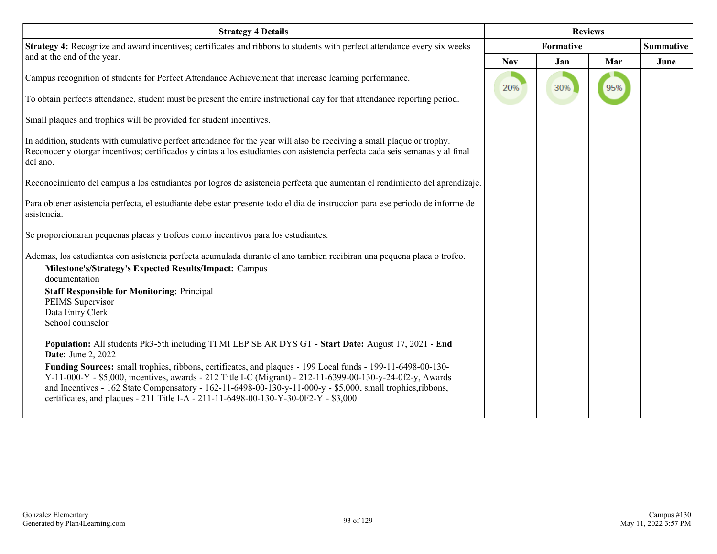| <b>Strategy 4 Details</b>                                                                                                                                                                                                                                                                                                                                                                                                       | <b>Reviews</b> |           |     |                  |
|---------------------------------------------------------------------------------------------------------------------------------------------------------------------------------------------------------------------------------------------------------------------------------------------------------------------------------------------------------------------------------------------------------------------------------|----------------|-----------|-----|------------------|
| Strategy 4: Recognize and award incentives; certificates and ribbons to students with perfect attendance every six weeks                                                                                                                                                                                                                                                                                                        |                | Formative |     | <b>Summative</b> |
| and at the end of the year.                                                                                                                                                                                                                                                                                                                                                                                                     | <b>Nov</b>     | Jan       | Mar | June             |
| Campus recognition of students for Perfect Attendance Achievement that increase learning performance.                                                                                                                                                                                                                                                                                                                           | 20%            | 30%       | 95% |                  |
| To obtain perfects attendance, student must be present the entire instructional day for that attendance reporting period.                                                                                                                                                                                                                                                                                                       |                |           |     |                  |
| Small plaques and trophies will be provided for student incentives.                                                                                                                                                                                                                                                                                                                                                             |                |           |     |                  |
| In addition, students with cumulative perfect attendance for the year will also be receiving a small plaque or trophy.<br>Reconocer y otorgar incentivos; certificados y cintas a los estudiantes con asistencia perfecta cada seis semanas y al final<br>del ano.                                                                                                                                                              |                |           |     |                  |
| Reconocimiento del campus a los estudiantes por logros de asistencia perfecta que aumentan el rendimiento del aprendizaje.                                                                                                                                                                                                                                                                                                      |                |           |     |                  |
| Para obtener asistencia perfecta, el estudiante debe estar presente todo el dia de instruccion para ese periodo de informe de<br>asistencia.                                                                                                                                                                                                                                                                                    |                |           |     |                  |
| Se proporcionaran pequenas placas y trofeos como incentivos para los estudiantes.                                                                                                                                                                                                                                                                                                                                               |                |           |     |                  |
| Ademas, los estudiantes con asistencia perfecta acumulada durante el ano tambien recibiran una pequena placa o trofeo.                                                                                                                                                                                                                                                                                                          |                |           |     |                  |
| Milestone's/Strategy's Expected Results/Impact: Campus<br>documentation                                                                                                                                                                                                                                                                                                                                                         |                |           |     |                  |
| <b>Staff Responsible for Monitoring: Principal</b>                                                                                                                                                                                                                                                                                                                                                                              |                |           |     |                  |
| PEIMS Supervisor<br>Data Entry Clerk                                                                                                                                                                                                                                                                                                                                                                                            |                |           |     |                  |
| School counselor                                                                                                                                                                                                                                                                                                                                                                                                                |                |           |     |                  |
| Population: All students Pk3-5th including TI MI LEP SE AR DYS GT - Start Date: August 17, 2021 - End<br><b>Date:</b> June 2, 2022                                                                                                                                                                                                                                                                                              |                |           |     |                  |
| Funding Sources: small trophies, ribbons, certificates, and plaques - 199 Local funds - 199-11-6498-00-130-<br>Y-11-000-Y - \$5,000, incentives, awards - 212 Title I-C (Migrant) - 212-11-6399-00-130-y-24-0f2-y, Awards<br>and Incentives - 162 State Compensatory - 162-11-6498-00-130-y-11-000-y - \$5,000, small trophies, ribbons,<br>certificates, and plaques - 211 Title I-A - 211-11-6498-00-130-Y-30-0F2-Y - \$3,000 |                |           |     |                  |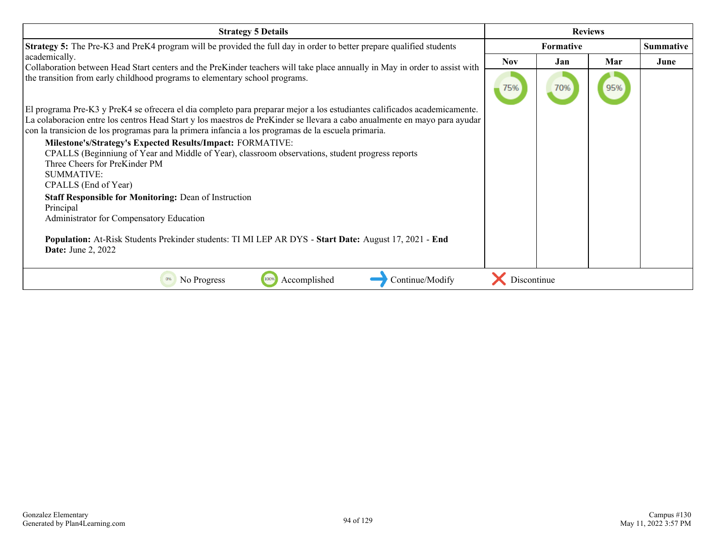| <b>Strategy 5 Details</b>                                                                                                                                                                                                                                                                                                                                    | <b>Reviews</b> |                  |     |           |
|--------------------------------------------------------------------------------------------------------------------------------------------------------------------------------------------------------------------------------------------------------------------------------------------------------------------------------------------------------------|----------------|------------------|-----|-----------|
| <b>Strategy 5:</b> The Pre-K3 and PreK4 program will be provided the full day in order to better prepare qualified students                                                                                                                                                                                                                                  |                | <b>Formative</b> |     | Summative |
| academically.                                                                                                                                                                                                                                                                                                                                                | <b>Nov</b>     | Jan              | Mar | June      |
| Collaboration between Head Start centers and the PreKinder teachers will take place annually in May in order to assist with<br>the transition from early childhood programs to elementary school programs.                                                                                                                                                   | 75%            | 70%              | 95% |           |
| El programa Pre-K3 y PreK4 se ofrecera el dia completo para preparar mejor a los estudiantes calificados academicamente.<br>La colaboracion entre los centros Head Start y los maestros de PreKinder se llevara a cabo anualmente en mayo para ayudar<br>con la transicion de los programas para la primera infancia a los programas de la escuela primaria. |                |                  |     |           |
| Milestone's/Strategy's Expected Results/Impact: FORMATIVE:<br>CPALLS (Beginniung of Year and Middle of Year), classroom observations, student progress reports<br>Three Cheers for PreKinder PM<br><b>SUMMATIVE:</b><br>CPALLS (End of Year)                                                                                                                 |                |                  |     |           |
| <b>Staff Responsible for Monitoring: Dean of Instruction</b><br>Principal<br>Administrator for Compensatory Education                                                                                                                                                                                                                                        |                |                  |     |           |
| Population: At-Risk Students Prekinder students: TI MI LEP AR DYS - Start Date: August 17, 2021 - End<br><b>Date:</b> June 2, 2022                                                                                                                                                                                                                           |                |                  |     |           |
| Continue/Modify<br>Accomplished<br>No Progress<br>100%                                                                                                                                                                                                                                                                                                       | Discontinue    |                  |     |           |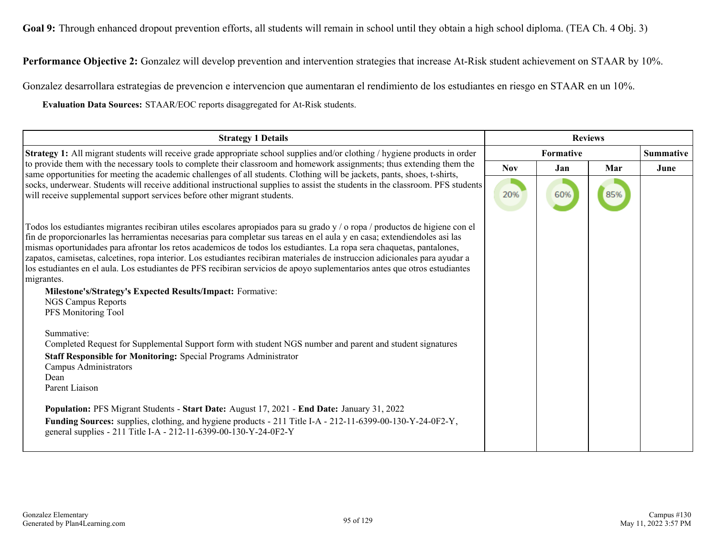Goal 9: Through enhanced dropout prevention efforts, all students will remain in school until they obtain a high school diploma. (TEA Ch. 4 Obj. 3)

**Performance Objective 2:** Gonzalez will develop prevention and intervention strategies that increase At-Risk student achievement on STAAR by 10%.

Gonzalez desarrollara estrategias de prevencion e intervencion que aumentaran el rendimiento de los estudiantes en riesgo en STAAR en un 10%.

**Evaluation Data Sources:** STAAR/EOC reports disaggregated for At-Risk students.

| <b>Strategy 1 Details</b>                                                                                                                                                                                                                                                                                                                                                                                                                                                                                                                                                                                                                                                                                                                                                 | <b>Reviews</b> |           |     |                  |  |
|---------------------------------------------------------------------------------------------------------------------------------------------------------------------------------------------------------------------------------------------------------------------------------------------------------------------------------------------------------------------------------------------------------------------------------------------------------------------------------------------------------------------------------------------------------------------------------------------------------------------------------------------------------------------------------------------------------------------------------------------------------------------------|----------------|-----------|-----|------------------|--|
| Strategy 1: All migrant students will receive grade appropriate school supplies and/or clothing / hygiene products in order                                                                                                                                                                                                                                                                                                                                                                                                                                                                                                                                                                                                                                               |                | Formative |     | <b>Summative</b> |  |
| to provide them with the necessary tools to complete their classroom and homework assignments; thus extending them the<br>same opportunities for meeting the academic challenges of all students. Clothing will be jackets, pants, shoes, t-shirts,                                                                                                                                                                                                                                                                                                                                                                                                                                                                                                                       | <b>Nov</b>     | Jan       | Mar | June             |  |
| socks, underwear. Students will receive additional instructional supplies to assist the students in the classroom. PFS students<br>will receive supplemental support services before other migrant students.                                                                                                                                                                                                                                                                                                                                                                                                                                                                                                                                                              | 20%            | 60%       | 85% |                  |  |
| Todos los estudiantes migrantes recibiran utiles escolares apropiados para su grado y / o ropa / productos de higiene con el<br>fin de proporcionarles las herramientas necesarias para completar sus tareas en el aula y en casa; extendiendoles asi las<br>mismas oportunidades para afrontar los retos academicos de todos los estudiantes. La ropa sera chaquetas, pantalones,<br>zapatos, camisetas, calcetines, ropa interior. Los estudiantes recibiran materiales de instruccion adicionales para ayudar a<br>los estudiantes en el aula. Los estudiantes de PFS recibiran servicios de apoyo suplementarios antes que otros estudiantes<br>migrantes.<br>Milestone's/Strategy's Expected Results/Impact: Formative:<br>NGS Campus Reports<br>PFS Monitoring Tool |                |           |     |                  |  |
| Summative:<br>Completed Request for Supplemental Support form with student NGS number and parent and student signatures<br>Staff Responsible for Monitoring: Special Programs Administrator<br>Campus Administrators<br>Dean<br>Parent Liaison                                                                                                                                                                                                                                                                                                                                                                                                                                                                                                                            |                |           |     |                  |  |
| Population: PFS Migrant Students - Start Date: August 17, 2021 - End Date: January 31, 2022<br>Funding Sources: supplies, clothing, and hygiene products - 211 Title I-A - 212-11-6399-00-130-Y-24-0F2-Y,<br>general supplies - 211 Title I-A - 212-11-6399-00-130-Y-24-0F2-Y                                                                                                                                                                                                                                                                                                                                                                                                                                                                                             |                |           |     |                  |  |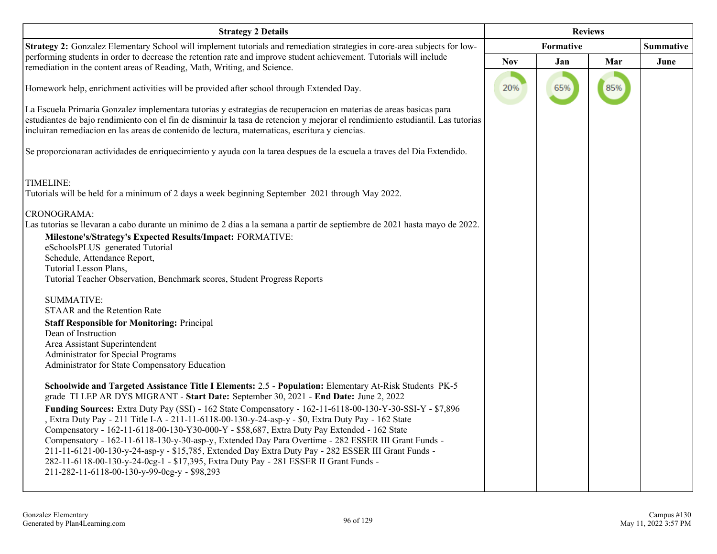| <b>Strategy 2 Details</b>                                                                                                                                                                                                                                                                                                                                                                                                                                                                                                                                                                                                                                                                                                                                                                                                                                                                                                | <b>Reviews</b> |                  |     |      |
|--------------------------------------------------------------------------------------------------------------------------------------------------------------------------------------------------------------------------------------------------------------------------------------------------------------------------------------------------------------------------------------------------------------------------------------------------------------------------------------------------------------------------------------------------------------------------------------------------------------------------------------------------------------------------------------------------------------------------------------------------------------------------------------------------------------------------------------------------------------------------------------------------------------------------|----------------|------------------|-----|------|
| Strategy 2: Gonzalez Elementary School will implement tutorials and remediation strategies in core-area subjects for low-                                                                                                                                                                                                                                                                                                                                                                                                                                                                                                                                                                                                                                                                                                                                                                                                |                | <b>Formative</b> |     |      |
| performing students in order to decrease the retention rate and improve student achievement. Tutorials will include<br>remediation in the content areas of Reading, Math, Writing, and Science.                                                                                                                                                                                                                                                                                                                                                                                                                                                                                                                                                                                                                                                                                                                          | <b>Nov</b>     | Jan              | Mar | June |
| Homework help, enrichment activities will be provided after school through Extended Day.                                                                                                                                                                                                                                                                                                                                                                                                                                                                                                                                                                                                                                                                                                                                                                                                                                 | 20%            | 65%              | 85% |      |
| La Escuela Primaria Gonzalez implementara tutorias y estrategias de recuperacion en materias de areas basicas para<br>estudiantes de bajo rendimiento con el fin de disminuir la tasa de retencion y mejorar el rendimiento estudiantil. Las tutorias<br>incluiran remediacion en las areas de contenido de lectura, matematicas, escritura y ciencias.                                                                                                                                                                                                                                                                                                                                                                                                                                                                                                                                                                  |                |                  |     |      |
| Se proporcionaran actividades de enriquecimiento y ayuda con la tarea despues de la escuela a traves del Dia Extendido.                                                                                                                                                                                                                                                                                                                                                                                                                                                                                                                                                                                                                                                                                                                                                                                                  |                |                  |     |      |
| TIMELINE:<br>Tutorials will be held for a minimum of 2 days a week beginning September 2021 through May 2022.<br>CRONOGRAMA:<br>Las tutorias se llevaran a cabo durante un minimo de 2 dias a la semana a partir de septiembre de 2021 hasta mayo de 2022.<br>Milestone's/Strategy's Expected Results/Impact: FORMATIVE:<br>eSchoolsPLUS generated Tutorial<br>Schedule, Attendance Report,<br>Tutorial Lesson Plans,<br>Tutorial Teacher Observation, Benchmark scores, Student Progress Reports<br><b>SUMMATIVE:</b><br>STAAR and the Retention Rate<br><b>Staff Responsible for Monitoring: Principal</b><br>Dean of Instruction<br>Area Assistant Superintendent<br>Administrator for Special Programs                                                                                                                                                                                                               |                |                  |     |      |
| Administrator for State Compensatory Education<br>Schoolwide and Targeted Assistance Title I Elements: 2.5 - Population: Elementary At-Risk Students PK-5<br>grade TI LEP AR DYS MIGRANT - Start Date: September 30, 2021 - End Date: June 2, 2022<br>Funding Sources: Extra Duty Pay (SSI) - 162 State Compensatory - 162-11-6118-00-130-Y-30-SSI-Y - \$7,896<br>Extra Duty Pay - 211 Title I-A - 211-11-6118-00-130-y-24-asp-y - \$0, Extra Duty Pay - 162 State<br>Compensatory - 162-11-6118-00-130-Y30-000-Y - \$58,687, Extra Duty Pay Extended - 162 State<br>Compensatory - 162-11-6118-130-y-30-asp-y, Extended Day Para Overtime - 282 ESSER III Grant Funds -<br>211-11-6121-00-130-y-24-asp-y - \$15,785, Extended Day Extra Duty Pay - 282 ESSER III Grant Funds -<br>282-11-6118-00-130-y-24-0cg-1 - \$17,395, Extra Duty Pay - 281 ESSER II Grant Funds -<br>211-282-11-6118-00-130-y-99-0cg-y - \$98,293 |                |                  |     |      |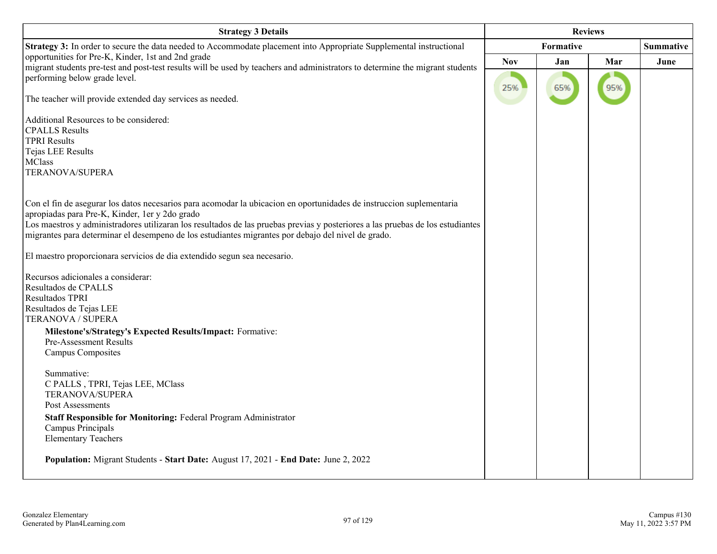| <b>Strategy 3 Details</b>                                                                                                                                                           | <b>Reviews</b> |           |     |                  |
|-------------------------------------------------------------------------------------------------------------------------------------------------------------------------------------|----------------|-----------|-----|------------------|
| Strategy 3: In order to secure the data needed to Accommodate placement into Appropriate Supplemental instructional                                                                 |                | Formative |     | <b>Summative</b> |
| opportunities for Pre-K, Kinder, 1st and 2nd grade<br>migrant students pre-test and post-test results will be used by teachers and administrators to determine the migrant students | <b>Nov</b>     | Jan       | Mar | June             |
| performing below grade level.                                                                                                                                                       |                |           |     |                  |
| The teacher will provide extended day services as needed.                                                                                                                           | 25%            | 65%       | 95% |                  |
| Additional Resources to be considered:                                                                                                                                              |                |           |     |                  |
| <b>CPALLS</b> Results                                                                                                                                                               |                |           |     |                  |
| <b>TPRI Results</b>                                                                                                                                                                 |                |           |     |                  |
| Tejas LEE Results<br><b>MClass</b>                                                                                                                                                  |                |           |     |                  |
| TERANOVA/SUPERA                                                                                                                                                                     |                |           |     |                  |
|                                                                                                                                                                                     |                |           |     |                  |
|                                                                                                                                                                                     |                |           |     |                  |
| Con el fin de asegurar los datos necesarios para acomodar la ubicacion en oportunidades de instruccion suplementaria<br>apropiadas para Pre-K, Kinder, 1 er y 2 do grado            |                |           |     |                  |
| Los maestros y administradores utilizaran los resultados de las pruebas previas y posteriores a las pruebas de los estudiantes                                                      |                |           |     |                  |
| migrantes para determinar el desempeno de los estudiantes migrantes por debajo del nivel de grado.                                                                                  |                |           |     |                  |
|                                                                                                                                                                                     |                |           |     |                  |
| El maestro proporcionara servicios de dia extendido segun sea necesario.                                                                                                            |                |           |     |                  |
| Recursos adicionales a considerar:                                                                                                                                                  |                |           |     |                  |
| Resultados de CPALLS                                                                                                                                                                |                |           |     |                  |
| Resultados TPRI                                                                                                                                                                     |                |           |     |                  |
| Resultados de Tejas LEE                                                                                                                                                             |                |           |     |                  |
| TERANOVA / SUPERA                                                                                                                                                                   |                |           |     |                  |
| Milestone's/Strategy's Expected Results/Impact: Formative:<br>Pre-Assessment Results                                                                                                |                |           |     |                  |
| Campus Composites                                                                                                                                                                   |                |           |     |                  |
|                                                                                                                                                                                     |                |           |     |                  |
| Summative:                                                                                                                                                                          |                |           |     |                  |
| C PALLS, TPRI, Tejas LEE, MClass                                                                                                                                                    |                |           |     |                  |
| <b>TERANOVA/SUPERA</b><br>Post Assessments                                                                                                                                          |                |           |     |                  |
| Staff Responsible for Monitoring: Federal Program Administrator                                                                                                                     |                |           |     |                  |
| Campus Principals                                                                                                                                                                   |                |           |     |                  |
| <b>Elementary Teachers</b>                                                                                                                                                          |                |           |     |                  |
|                                                                                                                                                                                     |                |           |     |                  |
| Population: Migrant Students - Start Date: August 17, 2021 - End Date: June 2, 2022                                                                                                 |                |           |     |                  |
|                                                                                                                                                                                     |                |           |     |                  |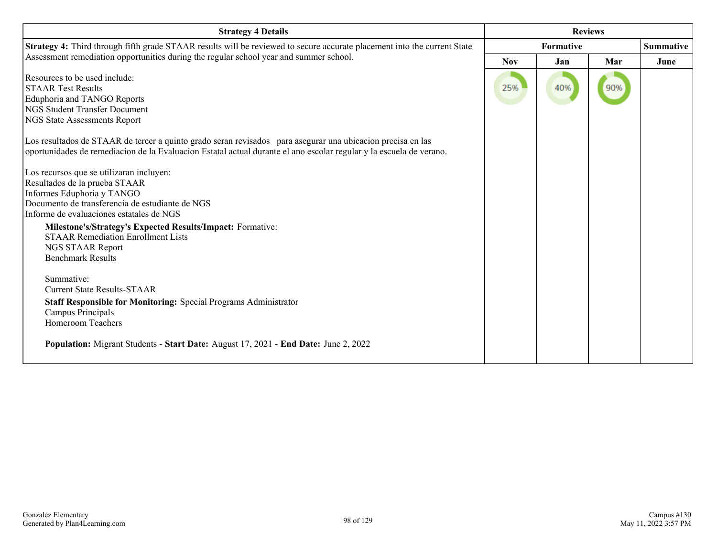| <b>Strategy 4 Details</b>                                                                                                                                                                                                                                                                                                                                         | <b>Reviews</b>   |     |     |                  |
|-------------------------------------------------------------------------------------------------------------------------------------------------------------------------------------------------------------------------------------------------------------------------------------------------------------------------------------------------------------------|------------------|-----|-----|------------------|
| Strategy 4: Third through fifth grade STAAR results will be reviewed to secure accurate placement into the current State                                                                                                                                                                                                                                          | <b>Formative</b> |     |     | <b>Summative</b> |
| Assessment remediation opportunities during the regular school year and summer school.                                                                                                                                                                                                                                                                            | <b>Nov</b>       | Jan | Mar | June             |
| Resources to be used include:<br><b>STAAR Test Results</b><br>Eduphoria and TANGO Reports<br><b>NGS Student Transfer Document</b><br><b>NGS State Assessments Report</b>                                                                                                                                                                                          | 25%              | 40% | 90% |                  |
| Los resultados de STAAR de tercer a quinto grado seran revisados para asegurar una ubicación precisa en las<br>oportunidades de remediacion de la Evaluacion Estatal actual durante el ano escolar regular y la escuela de verano.                                                                                                                                |                  |     |     |                  |
| Los recursos que se utilizaran incluyen:<br>Resultados de la prueba STAAR<br>Informes Eduphoria y TANGO<br>Documento de transferencia de estudiante de NGS<br>Informe de evaluaciones estatales de NGS<br>Milestone's/Strategy's Expected Results/Impact: Formative:<br><b>STAAR Remediation Enrollment Lists</b><br>NGS STAAR Report<br><b>Benchmark Results</b> |                  |     |     |                  |
| Summative:<br><b>Current State Results-STAAR</b><br><b>Staff Responsible for Monitoring: Special Programs Administrator</b><br>Campus Principals<br><b>Homeroom Teachers</b>                                                                                                                                                                                      |                  |     |     |                  |
| Population: Migrant Students - Start Date: August 17, 2021 - End Date: June 2, 2022                                                                                                                                                                                                                                                                               |                  |     |     |                  |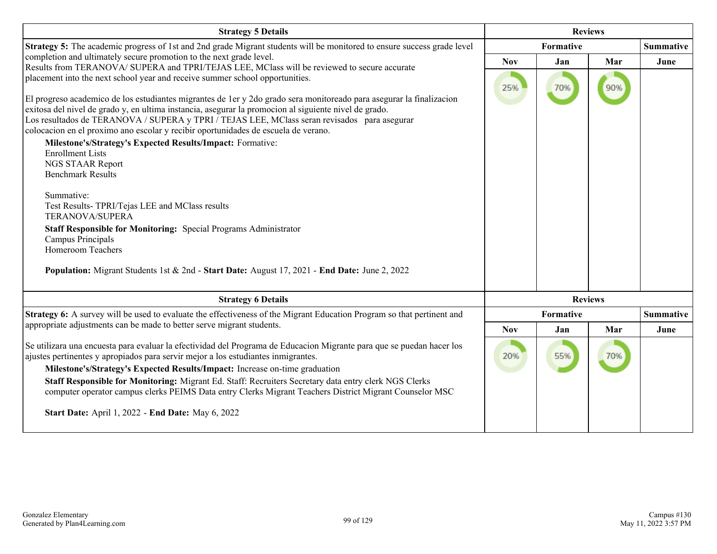| <b>Strategy 5 Details</b>                                                                                                                                                                                                                                                                                                                                                                                                                                                                                                                                                                                                                                                                                                                                                                                                                                                                                                                                | <b>Reviews</b> |                  |                |                  |
|----------------------------------------------------------------------------------------------------------------------------------------------------------------------------------------------------------------------------------------------------------------------------------------------------------------------------------------------------------------------------------------------------------------------------------------------------------------------------------------------------------------------------------------------------------------------------------------------------------------------------------------------------------------------------------------------------------------------------------------------------------------------------------------------------------------------------------------------------------------------------------------------------------------------------------------------------------|----------------|------------------|----------------|------------------|
| Strategy 5: The academic progress of 1st and 2nd grade Migrant students will be monitored to ensure success grade level                                                                                                                                                                                                                                                                                                                                                                                                                                                                                                                                                                                                                                                                                                                                                                                                                                  | Formative      |                  |                | <b>Summative</b> |
| completion and ultimately secure promotion to the next grade level.<br>Results from TERANOVA/ SUPERA and TPRI/TEJAS LEE, MClass will be reviewed to secure accurate                                                                                                                                                                                                                                                                                                                                                                                                                                                                                                                                                                                                                                                                                                                                                                                      | <b>Nov</b>     | Jan              | Mar            | June             |
| placement into the next school year and receive summer school opportunities.<br>El progreso academico de los estudiantes migrantes de 1 er y 2 do grado sera monitoreado para asegurar la finalización<br>exitosa del nivel de grado y, en ultima instancia, asegurar la promocion al siguiente nivel de grado.<br>Los resultados de TERANOVA / SUPERA y TPRI / TEJAS LEE, MClass seran revisados para asegurar<br>colocacion en el proximo ano escolar y recibir oportunidades de escuela de verano.<br>Milestone's/Strategy's Expected Results/Impact: Formative:<br><b>Enrollment Lists</b><br>NGS STAAR Report<br><b>Benchmark Results</b><br>Summative:<br>Test Results- TPRI/Tejas LEE and MClass results<br>TERANOVA/SUPERA<br>Staff Responsible for Monitoring: Special Programs Administrator<br>Campus Principals<br><b>Homeroom Teachers</b><br>Population: Migrant Students 1st & 2nd - Start Date: August 17, 2021 - End Date: June 2, 2022 | 25%            | 70%              | 90%            |                  |
| <b>Strategy 6 Details</b>                                                                                                                                                                                                                                                                                                                                                                                                                                                                                                                                                                                                                                                                                                                                                                                                                                                                                                                                |                |                  | <b>Reviews</b> |                  |
| Strategy 6: A survey will be used to evaluate the effectiveness of the Migrant Education Program so that pertinent and                                                                                                                                                                                                                                                                                                                                                                                                                                                                                                                                                                                                                                                                                                                                                                                                                                   |                | <b>Formative</b> |                | <b>Summative</b> |
| appropriate adjustments can be made to better serve migrant students.                                                                                                                                                                                                                                                                                                                                                                                                                                                                                                                                                                                                                                                                                                                                                                                                                                                                                    | <b>Nov</b>     | Jan              | Mar            | June             |
| Se utilizara una encuesta para evaluar la efectividad del Programa de Educacion Migrante para que se puedan hacer los<br>ajustes pertinentes y apropiados para servir mejor a los estudiantes inmigrantes.<br>Milestone's/Strategy's Expected Results/Impact: Increase on-time graduation<br>Staff Responsible for Monitoring: Migrant Ed. Staff: Recruiters Secretary data entry clerk NGS Clerks<br>computer operator campus clerks PEIMS Data entry Clerks Migrant Teachers District Migrant Counselor MSC<br><b>Start Date: April 1, 2022 - End Date: May 6, 2022</b>                                                                                                                                                                                                                                                                                                                                                                                | 20%            | 55%              | 70%            |                  |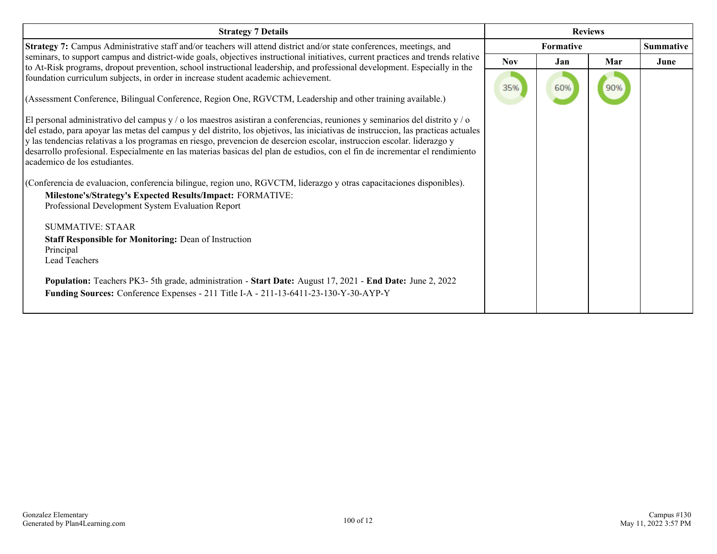| <b>Strategy 7 Details</b>                                                                                                                                                                                                                                                                                                                                                                                                                                                                                                                                      | <b>Reviews</b> |                  |     |                  |
|----------------------------------------------------------------------------------------------------------------------------------------------------------------------------------------------------------------------------------------------------------------------------------------------------------------------------------------------------------------------------------------------------------------------------------------------------------------------------------------------------------------------------------------------------------------|----------------|------------------|-----|------------------|
| Strategy 7: Campus Administrative staff and/or teachers will attend district and/or state conferences, meetings, and                                                                                                                                                                                                                                                                                                                                                                                                                                           |                | <b>Formative</b> |     | <b>Summative</b> |
| seminars, to support campus and district-wide goals, objectives instructional initiatives, current practices and trends relative                                                                                                                                                                                                                                                                                                                                                                                                                               | <b>Nov</b>     | Jan              | Mar | June             |
| to At-Risk programs, dropout prevention, school instructional leadership, and professional development. Especially in the<br>foundation curriculum subjects, in order in increase student academic achievement.<br>(Assessment Conference, Bilingual Conference, Region One, RGVCTM, Leadership and other training available.)                                                                                                                                                                                                                                 | 35%            | 60%              |     |                  |
| El personal administrativo del campus y / o los maestros asistiran a conferencias, reuniones y seminarios del distrito y / o<br>del estado, para apoyar las metas del campus y del distrito, los objetivos, las iniciativas de instruccion, las practicas actuales<br>y las tendencias relativas a los programas en riesgo, prevencion de desercion escolar, instruccion escolar. liderazgo y<br>desarrollo profesional. Especialmente en las materias basicas del plan de estudios, con el fin de incrementar el rendimiento<br>academico de los estudiantes. |                |                  |     |                  |
| (Conferencia de evaluacion, conferencia bilingue, region uno, RGVCTM, liderazgo y otras capacitaciones disponibles).                                                                                                                                                                                                                                                                                                                                                                                                                                           |                |                  |     |                  |
| Milestone's/Strategy's Expected Results/Impact: FORMATIVE:<br>Professional Development System Evaluation Report                                                                                                                                                                                                                                                                                                                                                                                                                                                |                |                  |     |                  |
| SUMMATIVE: STAAR                                                                                                                                                                                                                                                                                                                                                                                                                                                                                                                                               |                |                  |     |                  |
| <b>Staff Responsible for Monitoring: Dean of Instruction</b><br>Principal<br>Lead Teachers                                                                                                                                                                                                                                                                                                                                                                                                                                                                     |                |                  |     |                  |
| Population: Teachers PK3- 5th grade, administration - Start Date: August 17, 2021 - End Date: June 2, 2022<br>Funding Sources: Conference Expenses - 211 Title I-A - 211-13-6411-23-130-Y-30-AYP-Y                                                                                                                                                                                                                                                                                                                                                             |                |                  |     |                  |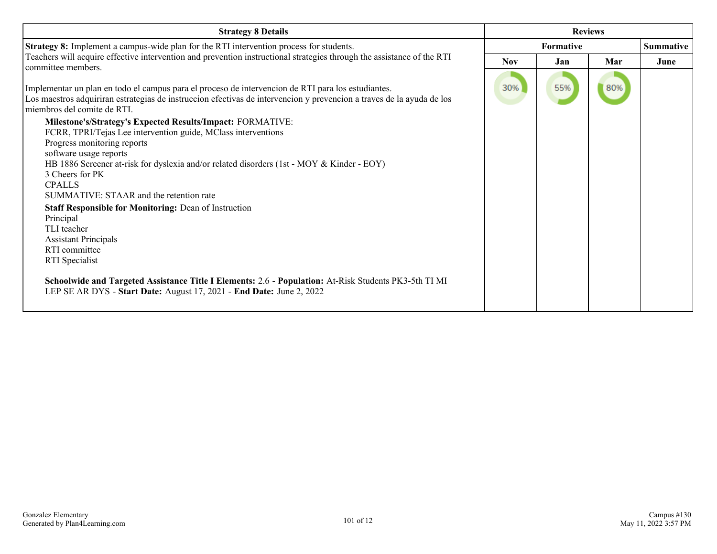| <b>Strategy 8 Details</b>                                                                                                                                                                                                                                 | <b>Reviews</b> |                  |     |                  |
|-----------------------------------------------------------------------------------------------------------------------------------------------------------------------------------------------------------------------------------------------------------|----------------|------------------|-----|------------------|
| Strategy 8: Implement a campus-wide plan for the RTI intervention process for students.                                                                                                                                                                   |                | <b>Formative</b> |     | <b>Summative</b> |
| Teachers will acquire effective intervention and prevention instructional strategies through the assistance of the RTI<br>committee members.                                                                                                              | <b>Nov</b>     | Jan              | Mar | June             |
| Implementar un plan en todo el campus para el proceso de intervencion de RTI para los estudiantes.<br>Los maestros adquiriran estrategias de instruccion efectivas de intervencion y prevencion a traves de la ayuda de los<br>miembros del comite de RTI | 30%            | 55%              | 80% |                  |
| <b>Milestone's/Strategy's Expected Results/Impact: FORMATIVE:</b>                                                                                                                                                                                         |                |                  |     |                  |
| FCRR, TPRI/Tejas Lee intervention guide, MClass interventions<br>Progress monitoring reports                                                                                                                                                              |                |                  |     |                  |
| software usage reports                                                                                                                                                                                                                                    |                |                  |     |                  |
| HB 1886 Screener at-risk for dyslexia and/or related disorders (1st - MOY & Kinder - EOY)                                                                                                                                                                 |                |                  |     |                  |
| 3 Cheers for PK                                                                                                                                                                                                                                           |                |                  |     |                  |
| <b>CPALLS</b><br>SUMMATIVE: STAAR and the retention rate                                                                                                                                                                                                  |                |                  |     |                  |
| <b>Staff Responsible for Monitoring: Dean of Instruction</b>                                                                                                                                                                                              |                |                  |     |                  |
| Principal                                                                                                                                                                                                                                                 |                |                  |     |                  |
| TLI teacher<br><b>Assistant Principals</b>                                                                                                                                                                                                                |                |                  |     |                  |
| RTI committee                                                                                                                                                                                                                                             |                |                  |     |                  |
| RTI Specialist                                                                                                                                                                                                                                            |                |                  |     |                  |
| Schoolwide and Targeted Assistance Title I Elements: 2.6 - Population: At-Risk Students PK3-5th TI MI<br>LEP SE AR DYS - Start Date: August 17, 2021 - End Date: June 2, 2022                                                                             |                |                  |     |                  |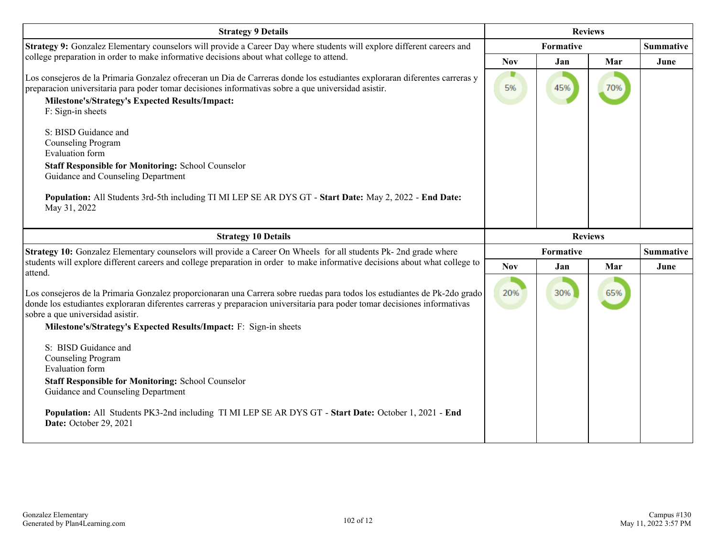| <b>Strategy 9 Details</b>                                                                                                                                                                                                                                                                                  | <b>Reviews</b> |           |     |                  |
|------------------------------------------------------------------------------------------------------------------------------------------------------------------------------------------------------------------------------------------------------------------------------------------------------------|----------------|-----------|-----|------------------|
| Strategy 9: Gonzalez Elementary counselors will provide a Career Day where students will explore different careers and                                                                                                                                                                                     |                | Formative |     | <b>Summative</b> |
| college preparation in order to make informative decisions about what college to attend.                                                                                                                                                                                                                   | <b>Nov</b>     | Jan       | Mar | June             |
| Los consejeros de la Primaria Gonzalez ofreceran un Dia de Carreras donde los estudiantes exploraran diferentes carreras y<br>preparacion universitaria para poder tomar decisiones informativas sobre a que universidad asistir.<br>Milestone's/Strategy's Expected Results/Impact:<br>F: Sign-in sheets  | D<br>5%        | 45%       | 70% |                  |
| S: BISD Guidance and<br>Counseling Program<br><b>Evaluation</b> form                                                                                                                                                                                                                                       |                |           |     |                  |
| <b>Staff Responsible for Monitoring: School Counselor</b><br>Guidance and Counseling Department                                                                                                                                                                                                            |                |           |     |                  |
| Population: All Students 3rd-5th including TI MI LEP SE AR DYS GT - Start Date: May 2, 2022 - End Date:<br>May 31, 2022                                                                                                                                                                                    |                |           |     |                  |
| <b>Strategy 10 Details</b>                                                                                                                                                                                                                                                                                 | <b>Reviews</b> |           |     |                  |
| Strategy 10: Gonzalez Elementary counselors will provide a Career On Wheels for all students Pk- 2nd grade where                                                                                                                                                                                           | Formative      |           |     | <b>Summative</b> |
| students will explore different careers and college preparation in order to make informative decisions about what college to<br>attend.                                                                                                                                                                    | <b>Nov</b>     | Jan       | Mar | June             |
| Los consejeros de la Primaria Gonzalez proporcionaran una Carrera sobre ruedas para todos los estudiantes de Pk-2do grado<br>donde los estudiantes exploraran diferentes carreras y preparacion universitaria para poder tomar decisiones informativas<br>sobre a que universidad asistir.                 | 20%            | 30%       | 65% |                  |
| Milestone's/Strategy's Expected Results/Impact: F: Sign-in sheets                                                                                                                                                                                                                                          |                |           |     |                  |
| S: BISD Guidance and<br>Counseling Program<br><b>Evaluation</b> form<br><b>Staff Responsible for Monitoring: School Counselor</b><br>Guidance and Counseling Department<br>Population: All Students PK3-2nd including TI MI LEP SE AR DYS GT - Start Date: October 1, 2021 - End<br>Date: October 29, 2021 |                |           |     |                  |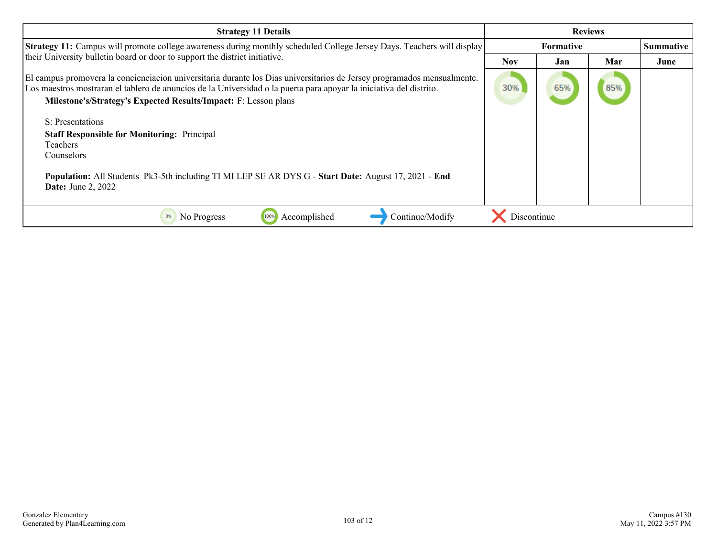| <b>Strategy 11 Details</b>                                                                                                                                                                                                                                                                                        | <b>Reviews</b> |     |     |           |
|-------------------------------------------------------------------------------------------------------------------------------------------------------------------------------------------------------------------------------------------------------------------------------------------------------------------|----------------|-----|-----|-----------|
| <b>Strategy 11:</b> Campus will promote college awareness during monthly scheduled College Jersey Days. Teachers will display                                                                                                                                                                                     | Formative      |     |     | Summative |
| their University bulletin board or door to support the district initiative.                                                                                                                                                                                                                                       | <b>Nov</b>     | Jan | Mar | June      |
| El campus promovera la concienciación universitaria durante los Dias universitarios de Jersey programados mensualmente.<br>Los maestros mostraran el tablero de anuncios de la Universidad o la puerta para apoyar la iniciativa del distrito.<br>Milestone's/Strategy's Expected Results/Impact: F: Lesson plans | 30%            | 65% | 85% |           |
| S: Presentations                                                                                                                                                                                                                                                                                                  |                |     |     |           |
| <b>Staff Responsible for Monitoring: Principal</b>                                                                                                                                                                                                                                                                |                |     |     |           |
| <b>Teachers</b><br>Counselors                                                                                                                                                                                                                                                                                     |                |     |     |           |
|                                                                                                                                                                                                                                                                                                                   |                |     |     |           |
| Population: All Students Pk3-5th including TI MI LEP SE AR DYS G - Start Date: August 17, 2021 - End<br><b>Date:</b> June 2, 2022                                                                                                                                                                                 |                |     |     |           |
| Continue/Modify<br>Accomplished<br>No Progress<br>0%<br>1009                                                                                                                                                                                                                                                      | Discontinue    |     |     |           |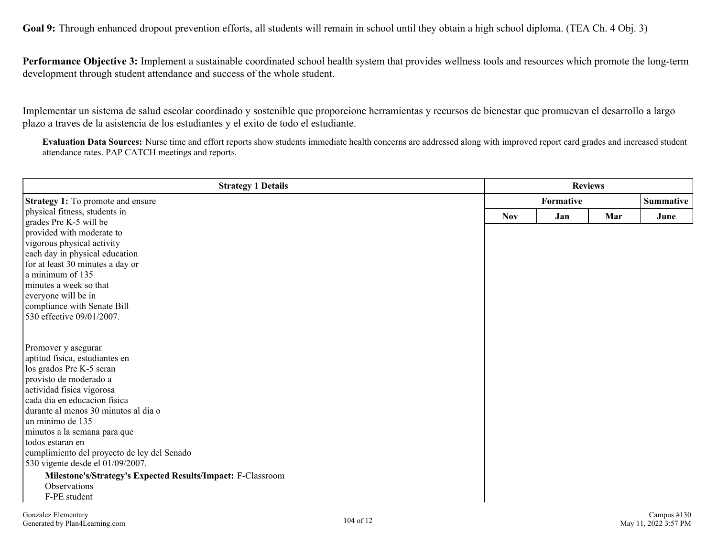Goal 9: Through enhanced dropout prevention efforts, all students will remain in school until they obtain a high school diploma. (TEA Ch. 4 Obj. 3)

**Performance Objective 3:** Implement a sustainable coordinated school health system that provides wellness tools and resources which promote the long-term development through student attendance and success of the whole student.

Implementar un sistema de salud escolar coordinado y sostenible que proporcione herramientas y recursos de bienestar que promuevan el desarrollo a largo plazo a traves de la asistencia de los estudiantes y el exito de todo el estudiante.

**Evaluation Data Sources:** Nurse time and effort reports show students immediate health concerns are addressed along with improved report card grades and increased student attendance rates. PAP CATCH meetings and reports.

| <b>Strategy 1 Details</b>                                   | <b>Reviews</b> |           |     |                 |
|-------------------------------------------------------------|----------------|-----------|-----|-----------------|
| <b>Strategy 1:</b> To promote and ensure                    |                | Formative |     |                 |
| physical fitness, students in                               | <b>Nov</b>     | Jan       | Mar | June            |
| grades Pre K-5 will be                                      |                |           |     |                 |
| provided with moderate to                                   |                |           |     |                 |
| vigorous physical activity                                  |                |           |     |                 |
| each day in physical education                              |                |           |     |                 |
| for at least 30 minutes a day or<br>a minimum of 135        |                |           |     |                 |
| minutes a week so that                                      |                |           |     |                 |
| everyone will be in                                         |                |           |     |                 |
| compliance with Senate Bill                                 |                |           |     |                 |
| 530 effective 09/01/2007.                                   |                |           |     |                 |
|                                                             |                |           |     |                 |
| Promover y asegurar                                         |                |           |     |                 |
| aptitud fisica, estudiantes en                              |                |           |     |                 |
| los grados Pre K-5 seran                                    |                |           |     |                 |
| provisto de moderado a                                      |                |           |     |                 |
| actividad fisica vigorosa<br>cada dia en educacion física   |                |           |     |                 |
| durante al menos 30 minutos al dia o                        |                |           |     |                 |
| un minimo de 135                                            |                |           |     |                 |
| minutos a la semana para que                                |                |           |     |                 |
| todos estaran en                                            |                |           |     |                 |
| cumplimiento del proyecto de ley del Senado                 |                |           |     |                 |
| 530 vigente desde el 01/09/2007.                            |                |           |     |                 |
| Milestone's/Strategy's Expected Results/Impact: F-Classroom |                |           |     |                 |
| Observations                                                |                |           |     |                 |
| F-PE student                                                |                |           |     |                 |
| Conzoloz Flamontory                                         |                |           |     | $Compus$ $#120$ |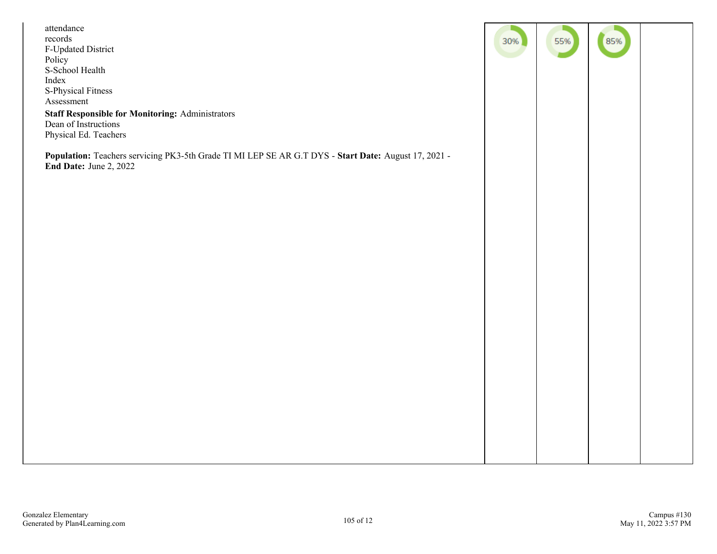| attendance<br>records<br>F-Updated District<br>Policy<br>S-School Health<br>Index<br>S-Physical Fitness<br>Assessment<br><b>Staff Responsible for Monitoring: Administrators</b><br>Dean of Instructions | 30% | 55% | 85% |  |
|----------------------------------------------------------------------------------------------------------------------------------------------------------------------------------------------------------|-----|-----|-----|--|
| Physical Ed. Teachers<br>Population: Teachers servicing PK3-5th Grade TI MI LEP SE AR G.T DYS - Start Date: August 17, 2021 -<br>End Date: June 2, 2022                                                  |     |     |     |  |
|                                                                                                                                                                                                          |     |     |     |  |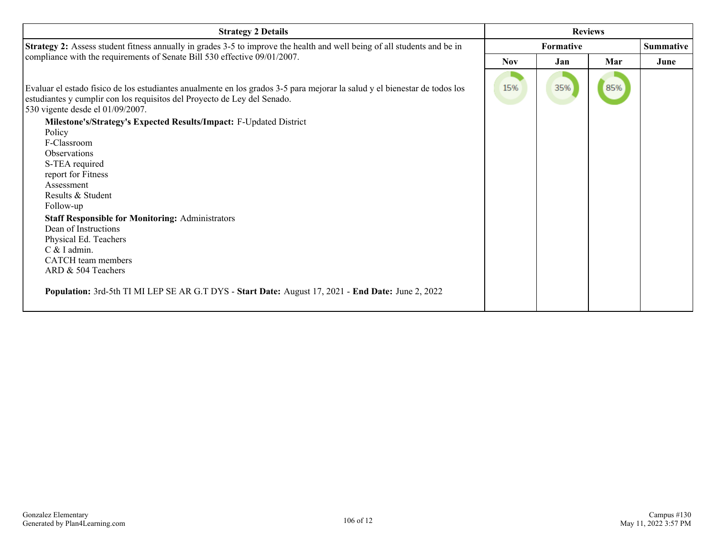| <b>Strategy 2 Details</b>                                                                                                                                                                                                                  | <b>Reviews</b>   |     |     |                  |  |
|--------------------------------------------------------------------------------------------------------------------------------------------------------------------------------------------------------------------------------------------|------------------|-----|-----|------------------|--|
| Strategy 2: Assess student fitness annually in grades 3-5 to improve the health and well being of all students and be in                                                                                                                   | <b>Formative</b> |     |     | <b>Summative</b> |  |
| compliance with the requirements of Senate Bill 530 effective 09/01/2007.                                                                                                                                                                  | <b>Nov</b>       | Jan | Mar | June             |  |
| Evaluar el estado físico de los estudiantes anualmente en los grados 3-5 para mejorar la salud y el bienestar de todos los<br>estudiantes y cumplir con los requisitos del Proyecto de Ley del Senado.<br>530 vigente desde el 01/09/2007. | 15%              | 35% | 85% |                  |  |
| Milestone's/Strategy's Expected Results/Impact: F-Updated District                                                                                                                                                                         |                  |     |     |                  |  |
| Policy<br>F-Classroom                                                                                                                                                                                                                      |                  |     |     |                  |  |
| <b>Observations</b>                                                                                                                                                                                                                        |                  |     |     |                  |  |
| S-TEA required                                                                                                                                                                                                                             |                  |     |     |                  |  |
| report for Fitness                                                                                                                                                                                                                         |                  |     |     |                  |  |
| Assessment                                                                                                                                                                                                                                 |                  |     |     |                  |  |
| Results & Student                                                                                                                                                                                                                          |                  |     |     |                  |  |
| Follow-up                                                                                                                                                                                                                                  |                  |     |     |                  |  |
| <b>Staff Responsible for Monitoring: Administrators</b>                                                                                                                                                                                    |                  |     |     |                  |  |
| Dean of Instructions                                                                                                                                                                                                                       |                  |     |     |                  |  |
| Physical Ed. Teachers                                                                                                                                                                                                                      |                  |     |     |                  |  |
| $C & I$ admin.<br>CATCH team members                                                                                                                                                                                                       |                  |     |     |                  |  |
| ARD & 504 Teachers                                                                                                                                                                                                                         |                  |     |     |                  |  |
|                                                                                                                                                                                                                                            |                  |     |     |                  |  |
| Population: 3rd-5th TI MI LEP SE AR G.T DYS - Start Date: August 17, 2021 - End Date: June 2, 2022                                                                                                                                         |                  |     |     |                  |  |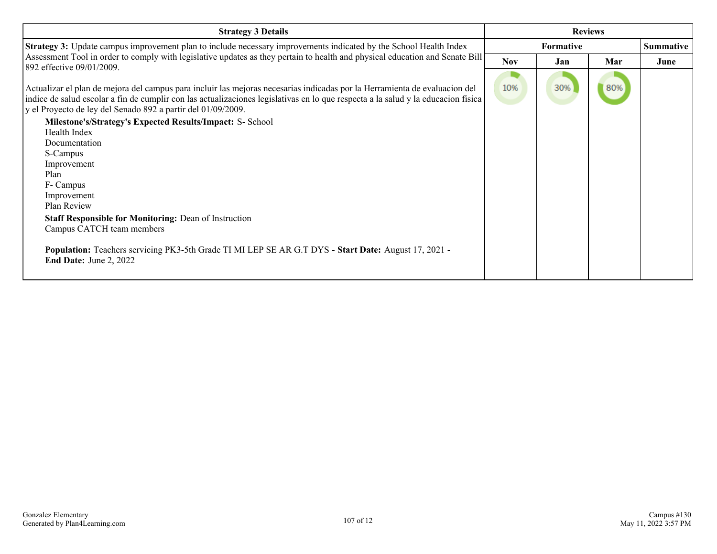| <b>Strategy 3 Details</b>                                                                                                                                                                                                                                                                                                                                                                                                                                                                                                                                                                                                                                                                                                                                                      | <b>Reviews</b>   |     |     |                  |
|--------------------------------------------------------------------------------------------------------------------------------------------------------------------------------------------------------------------------------------------------------------------------------------------------------------------------------------------------------------------------------------------------------------------------------------------------------------------------------------------------------------------------------------------------------------------------------------------------------------------------------------------------------------------------------------------------------------------------------------------------------------------------------|------------------|-----|-----|------------------|
| <b>Strategy 3:</b> Update campus improvement plan to include necessary improvements indicated by the School Health Index                                                                                                                                                                                                                                                                                                                                                                                                                                                                                                                                                                                                                                                       | <b>Formative</b> |     |     | <b>Summative</b> |
| Assessment Tool in order to comply with legislative updates as they pertain to health and physical education and Senate Bill                                                                                                                                                                                                                                                                                                                                                                                                                                                                                                                                                                                                                                                   | <b>Nov</b>       | Jan | Mar | June             |
| 892 effective 09/01/2009.<br>Actualizar el plan de mejora del campus para incluir las mejoras necesarias indicadas por la Herramienta de evaluacion del<br>indice de salud escolar a fin de cumplir con las actualizaciones legislativas en lo que respecta a la salud y la educacion física<br>y el Proyecto de ley del Senado 892 a partir del 01/09/2009.<br>Milestone's/Strategy's Expected Results/Impact: S- School<br>Health Index<br>Documentation<br>S-Campus<br>Improvement<br>Plan<br>F- Campus<br>Improvement<br>Plan Review<br><b>Staff Responsible for Monitoring: Dean of Instruction</b><br>Campus CATCH team members<br>Population: Teachers servicing PK3-5th Grade TI MI LEP SE AR G.T DYS - Start Date: August 17, 2021 -<br><b>End Date: June 2, 2022</b> | 10%              | 30% | 80% |                  |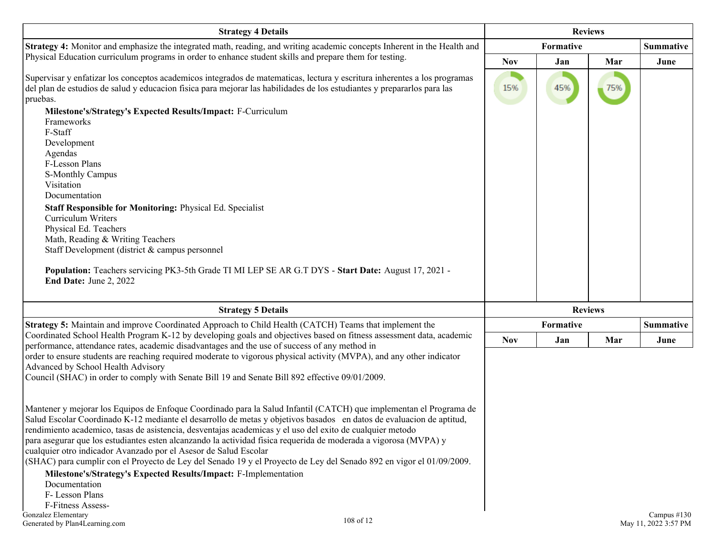| <b>Strategy 4 Details</b>                                                                                                                                                                                                                                                                                                                                                                                                                                                                                                                                                                                                                                               |            | <b>Reviews</b> |                |             |  |
|-------------------------------------------------------------------------------------------------------------------------------------------------------------------------------------------------------------------------------------------------------------------------------------------------------------------------------------------------------------------------------------------------------------------------------------------------------------------------------------------------------------------------------------------------------------------------------------------------------------------------------------------------------------------------|------------|----------------|----------------|-------------|--|
| Strategy 4: Monitor and emphasize the integrated math, reading, and writing academic concepts Inherent in the Health and                                                                                                                                                                                                                                                                                                                                                                                                                                                                                                                                                |            | Formative      |                | Summative   |  |
| Physical Education curriculum programs in order to enhance student skills and prepare them for testing.                                                                                                                                                                                                                                                                                                                                                                                                                                                                                                                                                                 | <b>Nov</b> | Jan            | Mar            | June        |  |
| Supervisar y enfatizar los conceptos academicos integrados de matematicas, lectura y escritura inherentes a los programas<br>del plan de estudios de salud y educación física para mejorar las habilidades de los estudiantes y prepararlos para las<br>pruebas.                                                                                                                                                                                                                                                                                                                                                                                                        | 15%        | 45%            | 75%            |             |  |
| Milestone's/Strategy's Expected Results/Impact: F-Curriculum<br>Frameworks<br>F-Staff<br>Development                                                                                                                                                                                                                                                                                                                                                                                                                                                                                                                                                                    |            |                |                |             |  |
| Agendas<br>F-Lesson Plans<br>S-Monthly Campus                                                                                                                                                                                                                                                                                                                                                                                                                                                                                                                                                                                                                           |            |                |                |             |  |
| Visitation<br>Documentation                                                                                                                                                                                                                                                                                                                                                                                                                                                                                                                                                                                                                                             |            |                |                |             |  |
| Staff Responsible for Monitoring: Physical Ed. Specialist<br>Curriculum Writers<br>Physical Ed. Teachers                                                                                                                                                                                                                                                                                                                                                                                                                                                                                                                                                                |            |                |                |             |  |
| Math, Reading & Writing Teachers<br>Staff Development (district & campus personnel                                                                                                                                                                                                                                                                                                                                                                                                                                                                                                                                                                                      |            |                |                |             |  |
| Population: Teachers servicing PK3-5th Grade TI MI LEP SE AR G.T DYS - Start Date: August 17, 2021 -<br>End Date: June 2, 2022                                                                                                                                                                                                                                                                                                                                                                                                                                                                                                                                          |            |                |                |             |  |
| <b>Strategy 5 Details</b>                                                                                                                                                                                                                                                                                                                                                                                                                                                                                                                                                                                                                                               |            |                | <b>Reviews</b> |             |  |
| Strategy 5: Maintain and improve Coordinated Approach to Child Health (CATCH) Teams that implement the                                                                                                                                                                                                                                                                                                                                                                                                                                                                                                                                                                  |            | Formative      |                |             |  |
| Coordinated School Health Program K-12 by developing goals and objectives based on fitness assessment data, academic<br>performance, attendance rates, academic disadvantages and the use of success of any method in                                                                                                                                                                                                                                                                                                                                                                                                                                                   | <b>Nov</b> | Jan            | Mar            | June        |  |
| order to ensure students are reaching required moderate to vigorous physical activity (MVPA), and any other indicator<br>Advanced by School Health Advisory<br>Council (SHAC) in order to comply with Senate Bill 19 and Senate Bill 892 effective 09/01/2009.                                                                                                                                                                                                                                                                                                                                                                                                          |            |                |                |             |  |
| Mantener y mejorar los Equipos de Enfoque Coordinado para la Salud Infantil (CATCH) que implementan el Programa de<br>Salud Escolar Coordinado K-12 mediante el desarrollo de metas y objetivos basados en datos de evaluacion de aptitud,<br>rendimiento academico, tasas de asistencia, desventajas academicas y el uso del exito de cualquier metodo<br>para asegurar que los estudiantes esten alcanzando la actividad física requerida de moderada a vigorosa (MVPA) y<br>cualquier otro indicador Avanzado por el Asesor de Salud Escolar<br>(SHAC) para cumplir con el Proyecto de Ley del Senado 19 y el Proyecto de Ley del Senado 892 en vigor el 01/09/2009. |            |                |                |             |  |
| Milestone's/Strategy's Expected Results/Impact: F-Implementation<br>Documentation<br>F-Lesson Plans                                                                                                                                                                                                                                                                                                                                                                                                                                                                                                                                                                     |            |                |                |             |  |
| F-Fitness Assess-<br>Gonzalez Elementary                                                                                                                                                                                                                                                                                                                                                                                                                                                                                                                                                                                                                                |            |                |                | Campus #130 |  |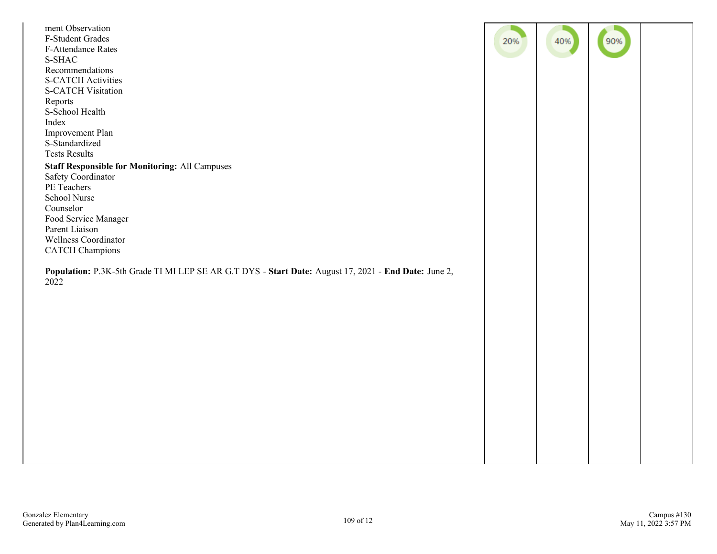| Wellness Coordinator<br><b>CATCH Champions</b><br>Population: P.3K-5th Grade TI MI LEP SE AR G.T DYS - Start Date: August 17, 2021 - End Date: June 2,<br>2022 | ment Observation<br>F-Student Grades<br><b>F-Attendance Rates</b><br>S-SHAC<br>Recommendations<br><b>S-CATCH Activities</b><br><b>S-CATCH Visitation</b><br>Reports<br>S-School Health<br>Index<br>Improvement Plan<br>S-Standardized<br><b>Tests Results</b><br><b>Staff Responsible for Monitoring: All Campuses</b><br>Safety Coordinator<br>PE Teachers<br>School Nurse<br>Counselor<br>Food Service Manager<br>Parent Liaison | 20% | 40% | 90% |  |
|----------------------------------------------------------------------------------------------------------------------------------------------------------------|------------------------------------------------------------------------------------------------------------------------------------------------------------------------------------------------------------------------------------------------------------------------------------------------------------------------------------------------------------------------------------------------------------------------------------|-----|-----|-----|--|
|                                                                                                                                                                |                                                                                                                                                                                                                                                                                                                                                                                                                                    |     |     |     |  |
|                                                                                                                                                                |                                                                                                                                                                                                                                                                                                                                                                                                                                    |     |     |     |  |
|                                                                                                                                                                |                                                                                                                                                                                                                                                                                                                                                                                                                                    |     |     |     |  |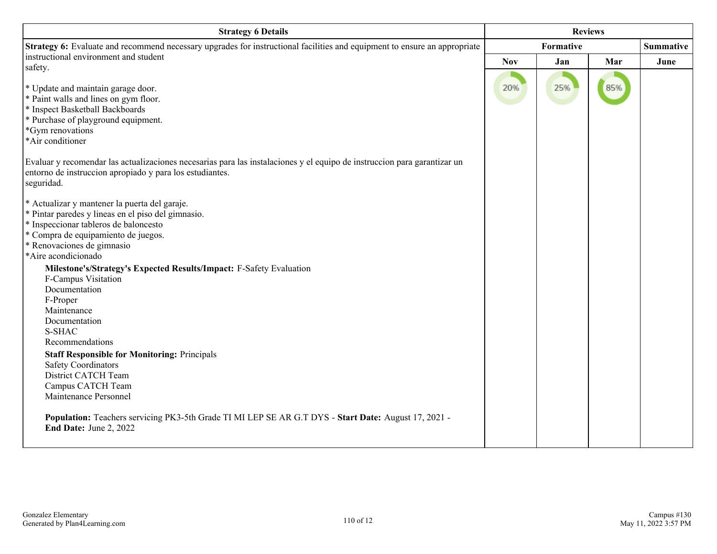| <b>Strategy 6 Details</b>                                                                                                                                                                          |            |           | <b>Reviews</b> |                  |
|----------------------------------------------------------------------------------------------------------------------------------------------------------------------------------------------------|------------|-----------|----------------|------------------|
| Strategy 6: Evaluate and recommend necessary upgrades for instructional facilities and equipment to ensure an appropriate                                                                          |            | Formative |                | <b>Summative</b> |
| instructional environment and student                                                                                                                                                              | <b>Nov</b> | Jan       | Mar            | June             |
| safety.                                                                                                                                                                                            |            |           |                |                  |
| * Update and maintain garage door.                                                                                                                                                                 | 20%        | 25%       | 85%            |                  |
| * Paint walls and lines on gym floor.                                                                                                                                                              |            |           |                |                  |
| * Inspect Basketball Backboards                                                                                                                                                                    |            |           |                |                  |
| * Purchase of playground equipment.                                                                                                                                                                |            |           |                |                  |
| *Gym renovations                                                                                                                                                                                   |            |           |                |                  |
| *Air conditioner                                                                                                                                                                                   |            |           |                |                  |
| Evaluar y recomendar las actualizaciones necesarias para las instalaciones y el equipo de instruccion para garantizar un<br>entorno de instruccion apropiado y para los estudiantes.<br>seguridad. |            |           |                |                  |
| * Actualizar y mantener la puerta del garaje.                                                                                                                                                      |            |           |                |                  |
| * Pintar paredes y lineas en el piso del gimnasio.                                                                                                                                                 |            |           |                |                  |
| * Inspeccionar tableros de baloncesto                                                                                                                                                              |            |           |                |                  |
| * Compra de equipamiento de juegos.                                                                                                                                                                |            |           |                |                  |
| * Renovaciones de gimnasio                                                                                                                                                                         |            |           |                |                  |
| *Aire acondicionado                                                                                                                                                                                |            |           |                |                  |
| Milestone's/Strategy's Expected Results/Impact: F-Safety Evaluation                                                                                                                                |            |           |                |                  |
| F-Campus Visitation                                                                                                                                                                                |            |           |                |                  |
| Documentation                                                                                                                                                                                      |            |           |                |                  |
| F-Proper                                                                                                                                                                                           |            |           |                |                  |
| Maintenance                                                                                                                                                                                        |            |           |                |                  |
| Documentation<br>S-SHAC                                                                                                                                                                            |            |           |                |                  |
| Recommendations                                                                                                                                                                                    |            |           |                |                  |
| <b>Staff Responsible for Monitoring: Principals</b>                                                                                                                                                |            |           |                |                  |
| <b>Safety Coordinators</b>                                                                                                                                                                         |            |           |                |                  |
| District CATCH Team                                                                                                                                                                                |            |           |                |                  |
| Campus CATCH Team                                                                                                                                                                                  |            |           |                |                  |
| Maintenance Personnel                                                                                                                                                                              |            |           |                |                  |
| Population: Teachers servicing PK3-5th Grade TI MI LEP SE AR G.T DYS - Start Date: August 17, 2021 -<br>End Date: June 2, 2022                                                                     |            |           |                |                  |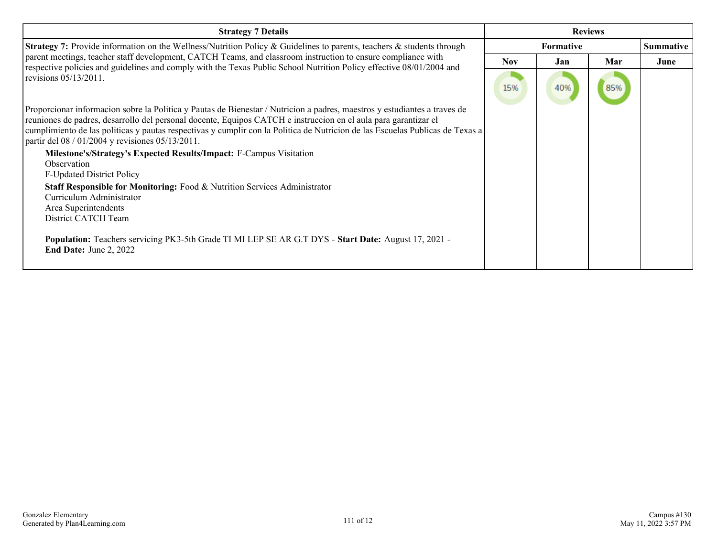| <b>Strategy 7 Details</b>                                                                                                                                                                                                                                                                                                                                                                                                         |            | <b>Reviews</b>   |     |                  |
|-----------------------------------------------------------------------------------------------------------------------------------------------------------------------------------------------------------------------------------------------------------------------------------------------------------------------------------------------------------------------------------------------------------------------------------|------------|------------------|-----|------------------|
| <b>Strategy 7:</b> Provide information on the Wellness/Nutrition Policy & Guidelines to parents, teachers & students through                                                                                                                                                                                                                                                                                                      |            | <b>Formative</b> |     | <b>Summative</b> |
| parent meetings, teacher staff development, CATCH Teams, and classroom instruction to ensure compliance with<br>respective policies and guidelines and comply with the Texas Public School Nutrition Policy effective 08/01/2004 and                                                                                                                                                                                              | <b>Nov</b> | Jan.             | Mar | June             |
| revisions $05/13/2011$ .                                                                                                                                                                                                                                                                                                                                                                                                          | 15%        | 40%              | 85% |                  |
| Proporcionar informacion sobre la Politica y Pautas de Bienestar / Nutricion a padres, maestros y estudiantes a traves de<br>reuniones de padres, desarrollo del personal docente, Equipos CATCH e instruccion en el aula para garantizar el<br>cumplimiento de las politicas y pautas respectivas y cumplir con la Politica de Nutricion de las Escuelas Publicas de Texas a<br>partir del 08 / 01/2004 y revisiones 05/13/2011. |            |                  |     |                  |
| Milestone's/Strategy's Expected Results/Impact: F-Campus Visitation                                                                                                                                                                                                                                                                                                                                                               |            |                  |     |                  |
| Observation                                                                                                                                                                                                                                                                                                                                                                                                                       |            |                  |     |                  |
| <b>F-Updated District Policy</b><br>Staff Responsible for Monitoring: Food & Nutrition Services Administrator<br>Curriculum Administrator<br>Area Superintendents<br>District CATCH Team                                                                                                                                                                                                                                          |            |                  |     |                  |
| Population: Teachers servicing PK3-5th Grade TI MI LEP SE AR G.T DYS - Start Date: August 17, 2021 -<br><b>End Date: June 2, 2022</b>                                                                                                                                                                                                                                                                                             |            |                  |     |                  |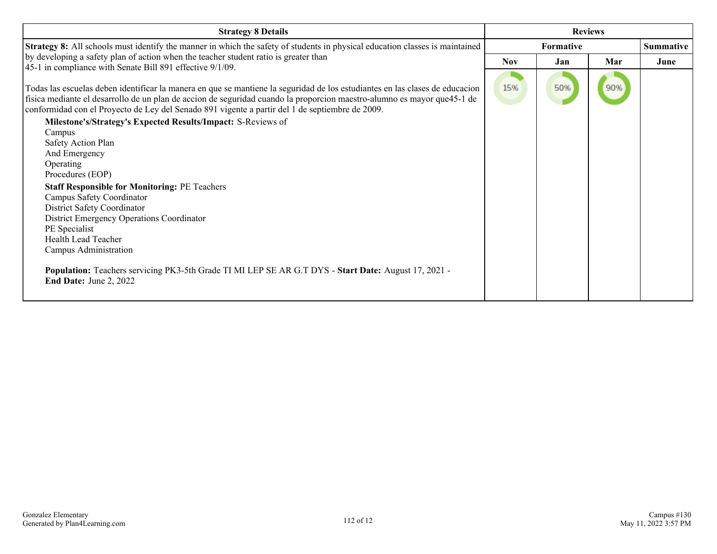| <b>Strategy 8 Details</b>                                                                                                                                                                                                                                                                                                                                                                                                  |            | <b>Reviews</b>   |     |                  |
|----------------------------------------------------------------------------------------------------------------------------------------------------------------------------------------------------------------------------------------------------------------------------------------------------------------------------------------------------------------------------------------------------------------------------|------------|------------------|-----|------------------|
| Strategy 8: All schools must identify the manner in which the safety of students in physical education classes is maintained                                                                                                                                                                                                                                                                                               |            | <b>Formative</b> |     | <b>Summative</b> |
| by developing a safety plan of action when the teacher student ratio is greater than<br>45-1 in compliance with Senate Bill 891 effective 9/1/09.                                                                                                                                                                                                                                                                          | <b>Nov</b> | Jan              | Mar | June             |
| Todas las escuelas deben identificar la manera en que se mantiene la seguridad de los estudiantes en las clases de educacion<br>física mediante el desarrollo de un plan de accion de seguridad cuando la proporcion maestro-alumno es mayor que45-1 de<br>conformidad con el Proyecto de Ley del Senado 891 vigente a partir del 1 de septiembre de 2009.<br>Milestone's/Strategy's Expected Results/Impact: S-Reviews of | 15%        | 50%              | 90% |                  |
| Campus                                                                                                                                                                                                                                                                                                                                                                                                                     |            |                  |     |                  |
| Safety Action Plan                                                                                                                                                                                                                                                                                                                                                                                                         |            |                  |     |                  |
| And Emergency                                                                                                                                                                                                                                                                                                                                                                                                              |            |                  |     |                  |
| Operating                                                                                                                                                                                                                                                                                                                                                                                                                  |            |                  |     |                  |
| Procedures (EOP)                                                                                                                                                                                                                                                                                                                                                                                                           |            |                  |     |                  |
| <b>Staff Responsible for Monitoring: PE Teachers</b>                                                                                                                                                                                                                                                                                                                                                                       |            |                  |     |                  |
| Campus Safety Coordinator                                                                                                                                                                                                                                                                                                                                                                                                  |            |                  |     |                  |
| District Safety Coordinator                                                                                                                                                                                                                                                                                                                                                                                                |            |                  |     |                  |
| <b>District Emergency Operations Coordinator</b>                                                                                                                                                                                                                                                                                                                                                                           |            |                  |     |                  |
| PE Specialist                                                                                                                                                                                                                                                                                                                                                                                                              |            |                  |     |                  |
| <b>Health Lead Teacher</b>                                                                                                                                                                                                                                                                                                                                                                                                 |            |                  |     |                  |
| Campus Administration                                                                                                                                                                                                                                                                                                                                                                                                      |            |                  |     |                  |
| Population: Teachers servicing PK3-5th Grade TI MI LEP SE AR G.T DYS - Start Date: August 17, 2021 -<br><b>End Date: June 2, 2022</b>                                                                                                                                                                                                                                                                                      |            |                  |     |                  |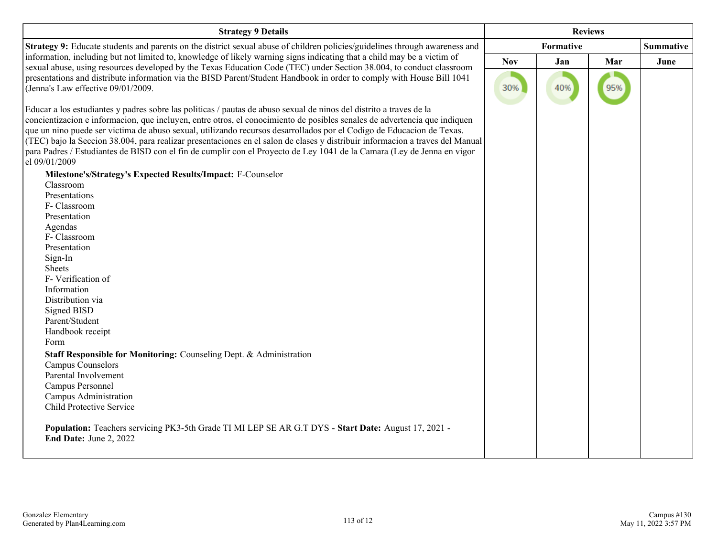| <b>Strategy 9 Details</b>                                                                                                                                                                                                                                                                                                                                                                                                                                                                                                                                                                                                                              |            |                  | <b>Reviews</b> |                  |
|--------------------------------------------------------------------------------------------------------------------------------------------------------------------------------------------------------------------------------------------------------------------------------------------------------------------------------------------------------------------------------------------------------------------------------------------------------------------------------------------------------------------------------------------------------------------------------------------------------------------------------------------------------|------------|------------------|----------------|------------------|
| Strategy 9: Educate students and parents on the district sexual abuse of children policies/guidelines through awareness and                                                                                                                                                                                                                                                                                                                                                                                                                                                                                                                            |            | <b>Formative</b> |                | <b>Summative</b> |
| information, including but not limited to, knowledge of likely warning signs indicating that a child may be a victim of                                                                                                                                                                                                                                                                                                                                                                                                                                                                                                                                | <b>Nov</b> | Jan              | Mar            | June             |
| sexual abuse, using resources developed by the Texas Education Code (TEC) under Section 38.004, to conduct classroom<br>presentations and distribute information via the BISD Parent/Student Handbook in order to comply with House Bill 1041<br>(Jenna's Law effective 09/01/2009.                                                                                                                                                                                                                                                                                                                                                                    | 30%        | 40%              | 95%            |                  |
| Educar a los estudiantes y padres sobre las políticas / pautas de abuso sexual de ninos del distrito a traves de la<br>concientizacion e informacion, que incluyen, entre otros, el conocimiento de posibles senales de advertencia que indiquen<br>que un nino puede ser victima de abuso sexual, utilizando recursos desarrollados por el Codigo de Educacion de Texas.<br>(TEC) bajo la Seccion 38.004, para realizar presentaciones en el salon de clases y distribuir informacion a traves del Manual<br>para Padres / Estudiantes de BISD con el fin de cumplir con el Proyecto de Ley 1041 de la Camara (Ley de Jenna en vigor<br>el 09/01/2009 |            |                  |                |                  |
| Milestone's/Strategy's Expected Results/Impact: F-Counselor                                                                                                                                                                                                                                                                                                                                                                                                                                                                                                                                                                                            |            |                  |                |                  |
| Classroom                                                                                                                                                                                                                                                                                                                                                                                                                                                                                                                                                                                                                                              |            |                  |                |                  |
| Presentations                                                                                                                                                                                                                                                                                                                                                                                                                                                                                                                                                                                                                                          |            |                  |                |                  |
| F- Classroom                                                                                                                                                                                                                                                                                                                                                                                                                                                                                                                                                                                                                                           |            |                  |                |                  |
| Presentation                                                                                                                                                                                                                                                                                                                                                                                                                                                                                                                                                                                                                                           |            |                  |                |                  |
| Agendas                                                                                                                                                                                                                                                                                                                                                                                                                                                                                                                                                                                                                                                |            |                  |                |                  |
| F- Classroom                                                                                                                                                                                                                                                                                                                                                                                                                                                                                                                                                                                                                                           |            |                  |                |                  |
| Presentation                                                                                                                                                                                                                                                                                                                                                                                                                                                                                                                                                                                                                                           |            |                  |                |                  |
| Sign-In                                                                                                                                                                                                                                                                                                                                                                                                                                                                                                                                                                                                                                                |            |                  |                |                  |
| Sheets                                                                                                                                                                                                                                                                                                                                                                                                                                                                                                                                                                                                                                                 |            |                  |                |                  |
| F-Verification of                                                                                                                                                                                                                                                                                                                                                                                                                                                                                                                                                                                                                                      |            |                  |                |                  |
| Information                                                                                                                                                                                                                                                                                                                                                                                                                                                                                                                                                                                                                                            |            |                  |                |                  |
| Distribution via                                                                                                                                                                                                                                                                                                                                                                                                                                                                                                                                                                                                                                       |            |                  |                |                  |
| Signed BISD                                                                                                                                                                                                                                                                                                                                                                                                                                                                                                                                                                                                                                            |            |                  |                |                  |
| Parent/Student                                                                                                                                                                                                                                                                                                                                                                                                                                                                                                                                                                                                                                         |            |                  |                |                  |
| Handbook receipt                                                                                                                                                                                                                                                                                                                                                                                                                                                                                                                                                                                                                                       |            |                  |                |                  |
| Form                                                                                                                                                                                                                                                                                                                                                                                                                                                                                                                                                                                                                                                   |            |                  |                |                  |
| Staff Responsible for Monitoring: Counseling Dept. & Administration                                                                                                                                                                                                                                                                                                                                                                                                                                                                                                                                                                                    |            |                  |                |                  |
| <b>Campus Counselors</b>                                                                                                                                                                                                                                                                                                                                                                                                                                                                                                                                                                                                                               |            |                  |                |                  |
| Parental Involvement                                                                                                                                                                                                                                                                                                                                                                                                                                                                                                                                                                                                                                   |            |                  |                |                  |
| Campus Personnel                                                                                                                                                                                                                                                                                                                                                                                                                                                                                                                                                                                                                                       |            |                  |                |                  |
| Campus Administration                                                                                                                                                                                                                                                                                                                                                                                                                                                                                                                                                                                                                                  |            |                  |                |                  |
| Child Protective Service                                                                                                                                                                                                                                                                                                                                                                                                                                                                                                                                                                                                                               |            |                  |                |                  |
|                                                                                                                                                                                                                                                                                                                                                                                                                                                                                                                                                                                                                                                        |            |                  |                |                  |
| Population: Teachers servicing PK3-5th Grade TI MI LEP SE AR G.T DYS - Start Date: August 17, 2021 -<br>End Date: June 2, 2022                                                                                                                                                                                                                                                                                                                                                                                                                                                                                                                         |            |                  |                |                  |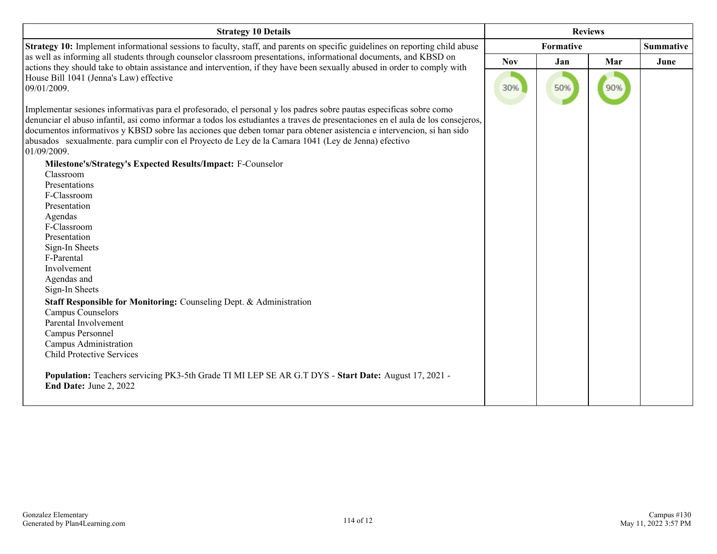| <b>Strategy 10 Details</b>                                                                                                                                                                                                                                                                                                                                                                                                                                                                               |            |                  | <b>Reviews</b> |                  |
|----------------------------------------------------------------------------------------------------------------------------------------------------------------------------------------------------------------------------------------------------------------------------------------------------------------------------------------------------------------------------------------------------------------------------------------------------------------------------------------------------------|------------|------------------|----------------|------------------|
| Strategy 10: Implement informational sessions to faculty, staff, and parents on specific guidelines on reporting child abuse                                                                                                                                                                                                                                                                                                                                                                             |            | <b>Formative</b> |                | <b>Summative</b> |
| as well as informing all students through counselor classroom presentations, informational documents, and KBSD on<br>actions they should take to obtain assistance and intervention, if they have been sexually abused in order to comply with                                                                                                                                                                                                                                                           | <b>Nov</b> | Jan              | Mar            | June             |
| House Bill 1041 (Jenna's Law) effective<br>09/01/2009.                                                                                                                                                                                                                                                                                                                                                                                                                                                   | 30%        | 50%              | 90%            |                  |
| Implementar sesiones informativas para el profesorado, el personal y los padres sobre pautas específicas sobre como<br>denunciar el abuso infantil, así como informar a todos los estudiantes a traves de presentaciones en el aula de los consejeros,<br>documentos informativos y KBSD sobre las acciones que deben tomar para obtener asistencia e intervencion, si han sido<br>abusados sexualmente, para cumplir con el Proyecto de Ley de la Camara 1041 (Ley de Jenna) efectivo<br>$01/09/2009$ . |            |                  |                |                  |
| Milestone's/Strategy's Expected Results/Impact: F-Counselor                                                                                                                                                                                                                                                                                                                                                                                                                                              |            |                  |                |                  |
| Classroom                                                                                                                                                                                                                                                                                                                                                                                                                                                                                                |            |                  |                |                  |
| Presentations                                                                                                                                                                                                                                                                                                                                                                                                                                                                                            |            |                  |                |                  |
| F-Classroom                                                                                                                                                                                                                                                                                                                                                                                                                                                                                              |            |                  |                |                  |
| Presentation                                                                                                                                                                                                                                                                                                                                                                                                                                                                                             |            |                  |                |                  |
| Agendas                                                                                                                                                                                                                                                                                                                                                                                                                                                                                                  |            |                  |                |                  |
| F-Classroom                                                                                                                                                                                                                                                                                                                                                                                                                                                                                              |            |                  |                |                  |
| Presentation                                                                                                                                                                                                                                                                                                                                                                                                                                                                                             |            |                  |                |                  |
| Sign-In Sheets                                                                                                                                                                                                                                                                                                                                                                                                                                                                                           |            |                  |                |                  |
| F-Parental                                                                                                                                                                                                                                                                                                                                                                                                                                                                                               |            |                  |                |                  |
| Involvement                                                                                                                                                                                                                                                                                                                                                                                                                                                                                              |            |                  |                |                  |
| Agendas and                                                                                                                                                                                                                                                                                                                                                                                                                                                                                              |            |                  |                |                  |
| Sign-In Sheets                                                                                                                                                                                                                                                                                                                                                                                                                                                                                           |            |                  |                |                  |
| Staff Responsible for Monitoring: Counseling Dept. & Administration                                                                                                                                                                                                                                                                                                                                                                                                                                      |            |                  |                |                  |
| Campus Counselors                                                                                                                                                                                                                                                                                                                                                                                                                                                                                        |            |                  |                |                  |
| Parental Involvement                                                                                                                                                                                                                                                                                                                                                                                                                                                                                     |            |                  |                |                  |
| Campus Personnel                                                                                                                                                                                                                                                                                                                                                                                                                                                                                         |            |                  |                |                  |
| Campus Administration                                                                                                                                                                                                                                                                                                                                                                                                                                                                                    |            |                  |                |                  |
| <b>Child Protective Services</b>                                                                                                                                                                                                                                                                                                                                                                                                                                                                         |            |                  |                |                  |
| Population: Teachers servicing PK3-5th Grade TI MI LEP SE AR G.T DYS - Start Date: August 17, 2021 -<br>End Date: June 2, 2022                                                                                                                                                                                                                                                                                                                                                                           |            |                  |                |                  |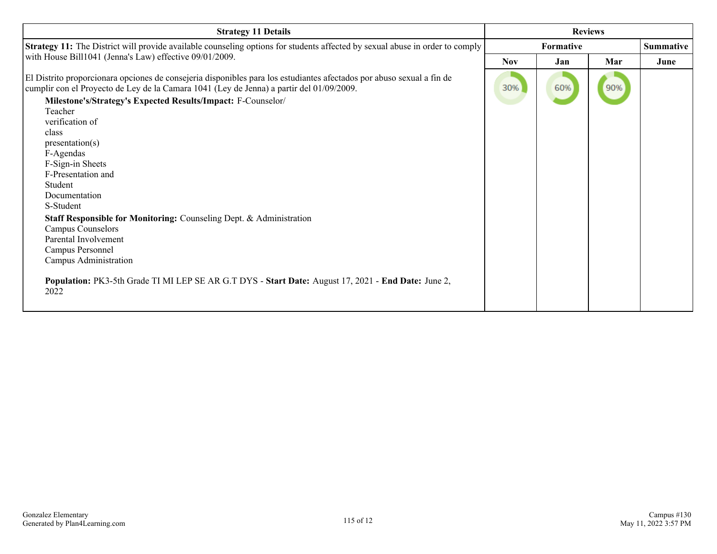| <b>Strategy 11 Details</b>                                                                                                                                                                                        |                  | <b>Reviews</b> |     |                  |
|-------------------------------------------------------------------------------------------------------------------------------------------------------------------------------------------------------------------|------------------|----------------|-----|------------------|
| Strategy 11: The District will provide available counseling options for students affected by sexual abuse in order to comply                                                                                      | <b>Formative</b> |                |     | <b>Summative</b> |
| with House Bill1041 (Jenna's Law) effective 09/01/2009.                                                                                                                                                           | <b>Nov</b>       | Jan            | Mar | June             |
| El Distrito proporcionara opciones de consejeria disponibles para los estudiantes afectados por abuso sexual a fin de<br>cumplir con el Proyecto de Ley de la Camara 1041 (Ley de Jenna) a partir del 01/09/2009. | 30%              | 60%            | 90% |                  |
| Milestone's/Strategy's Expected Results/Impact: F-Counselor/                                                                                                                                                      |                  |                |     |                  |
| Teacher                                                                                                                                                                                                           |                  |                |     |                  |
| verification of                                                                                                                                                                                                   |                  |                |     |                  |
| class<br>presentation(s)                                                                                                                                                                                          |                  |                |     |                  |
| F-Agendas                                                                                                                                                                                                         |                  |                |     |                  |
| F-Sign-in Sheets                                                                                                                                                                                                  |                  |                |     |                  |
| F-Presentation and                                                                                                                                                                                                |                  |                |     |                  |
| Student                                                                                                                                                                                                           |                  |                |     |                  |
| Documentation                                                                                                                                                                                                     |                  |                |     |                  |
| S-Student                                                                                                                                                                                                         |                  |                |     |                  |
| Staff Responsible for Monitoring: Counseling Dept. & Administration                                                                                                                                               |                  |                |     |                  |
| Campus Counselors                                                                                                                                                                                                 |                  |                |     |                  |
| Parental Involvement                                                                                                                                                                                              |                  |                |     |                  |
| Campus Personnel                                                                                                                                                                                                  |                  |                |     |                  |
| Campus Administration                                                                                                                                                                                             |                  |                |     |                  |
| Population: PK3-5th Grade TI MI LEP SE AR G.T DYS - Start Date: August 17, 2021 - End Date: June 2,<br>2022                                                                                                       |                  |                |     |                  |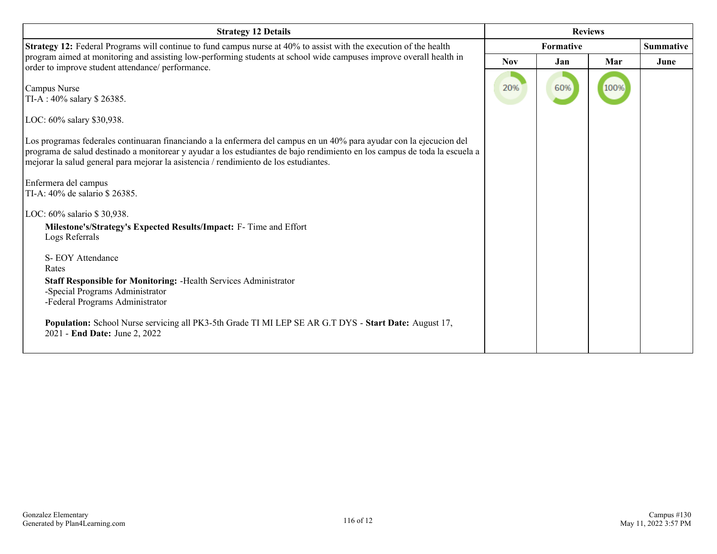| <b>Strategy 12 Details</b>                                                                                                                                                                                                                                                                                                                                                                                                                                                                                                                                                                                                                                                                                                                                                                                                         |            |           | <b>Reviews</b> |                  |
|------------------------------------------------------------------------------------------------------------------------------------------------------------------------------------------------------------------------------------------------------------------------------------------------------------------------------------------------------------------------------------------------------------------------------------------------------------------------------------------------------------------------------------------------------------------------------------------------------------------------------------------------------------------------------------------------------------------------------------------------------------------------------------------------------------------------------------|------------|-----------|----------------|------------------|
| Strategy 12: Federal Programs will continue to fund campus nurse at 40% to assist with the execution of the health                                                                                                                                                                                                                                                                                                                                                                                                                                                                                                                                                                                                                                                                                                                 |            | Formative |                | <b>Summative</b> |
| program aimed at monitoring and assisting low-performing students at school wide campuses improve overall health in                                                                                                                                                                                                                                                                                                                                                                                                                                                                                                                                                                                                                                                                                                                | <b>Nov</b> | Jan       | Mar            | June             |
| order to improve student attendance/ performance.<br>Campus Nurse<br>TI-A: 40% salary \$26385.<br>LOC: 60% salary \$30,938.<br>Los programas federales continuaran financiando a la enfermera del campus en un 40% para ayudar con la ejecucion del<br>programa de salud destinado a monitorear y ayudar a los estudiantes de bajo rendimiento en los campus de toda la escuela a<br>mejorar la salud general para mejorar la asistencia / rendimiento de los estudiantes.<br>Enfermera del campus<br>TI-A: 40% de salario \$ 26385.<br>LOC: 60% salario \$30,938.<br>Milestone's/Strategy's Expected Results/Impact: F- Time and Effort<br>Logs Referrals<br>S-EOY Attendance<br>Rates<br>Staff Responsible for Monitoring: - Health Services Administrator<br>-Special Programs Administrator<br>-Federal Programs Administrator | 20%        | 60%       | 100%           |                  |
| Population: School Nurse servicing all PK3-5th Grade TI MI LEP SE AR G.T DYS - Start Date: August 17,<br>2021 - End Date: June 2, 2022                                                                                                                                                                                                                                                                                                                                                                                                                                                                                                                                                                                                                                                                                             |            |           |                |                  |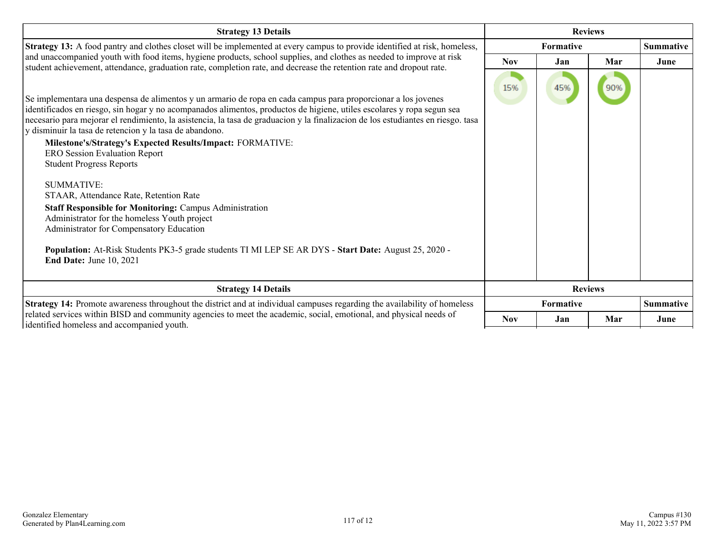| <b>Strategy 13 Details</b>                                                                                                                                                                                                                                                                                                                                                                                                                                                                                                                                                                                                                                                                                                                                                                                                                                                                                                           |            |                  | <b>Reviews</b> |                  |
|--------------------------------------------------------------------------------------------------------------------------------------------------------------------------------------------------------------------------------------------------------------------------------------------------------------------------------------------------------------------------------------------------------------------------------------------------------------------------------------------------------------------------------------------------------------------------------------------------------------------------------------------------------------------------------------------------------------------------------------------------------------------------------------------------------------------------------------------------------------------------------------------------------------------------------------|------------|------------------|----------------|------------------|
| Strategy 13: A food pantry and clothes closet will be implemented at every campus to provide identified at risk, homeless,                                                                                                                                                                                                                                                                                                                                                                                                                                                                                                                                                                                                                                                                                                                                                                                                           |            | Formative        |                | <b>Summative</b> |
| and unaccompanied youth with food items, hygiene products, school supplies, and clothes as needed to improve at risk                                                                                                                                                                                                                                                                                                                                                                                                                                                                                                                                                                                                                                                                                                                                                                                                                 | <b>Nov</b> | Jan              | Mar            | June             |
| student achievement, attendance, graduation rate, completion rate, and decrease the retention rate and dropout rate.<br>Se implementara una despensa de alimentos y un armario de ropa en cada campus para proporcionar a los jovenes<br>identificados en riesgo, sin hogar y no acompanados alimentos, productos de higiene, utiles escolares y ropa segun sea<br>necesario para mejorar el rendimiento, la asistencia, la tasa de graduacion y la finalizacion de los estudiantes en riesgo. tasa<br>y disminuir la tasa de retencion y la tasa de abandono.<br><b>Milestone's/Strategy's Expected Results/Impact: FORMATIVE:</b><br><b>ERO Session Evaluation Report</b><br><b>Student Progress Reports</b><br><b>SUMMATIVE:</b><br>STAAR, Attendance Rate, Retention Rate<br>Staff Responsible for Monitoring: Campus Administration<br>Administrator for the homeless Youth project<br>Administrator for Compensatory Education | 15%        | 45%              | 90%            |                  |
| Population: At-Risk Students PK3-5 grade students TI MI LEP SE AR DYS - Start Date: August 25, 2020 -<br><b>End Date: June 10, 2021</b>                                                                                                                                                                                                                                                                                                                                                                                                                                                                                                                                                                                                                                                                                                                                                                                              |            |                  |                |                  |
| <b>Strategy 14 Details</b>                                                                                                                                                                                                                                                                                                                                                                                                                                                                                                                                                                                                                                                                                                                                                                                                                                                                                                           |            |                  | <b>Reviews</b> |                  |
| Strategy 14: Promote awareness throughout the district and at individual campuses regarding the availability of homeless<br>related services within BISD and community agencies to meet the academic, social, emotional, and physical needs of                                                                                                                                                                                                                                                                                                                                                                                                                                                                                                                                                                                                                                                                                       |            | <b>Formative</b> |                | <b>Summative</b> |
| identified homeless and accompanied youth.                                                                                                                                                                                                                                                                                                                                                                                                                                                                                                                                                                                                                                                                                                                                                                                                                                                                                           | <b>Nov</b> | Jan              | Mar            | June             |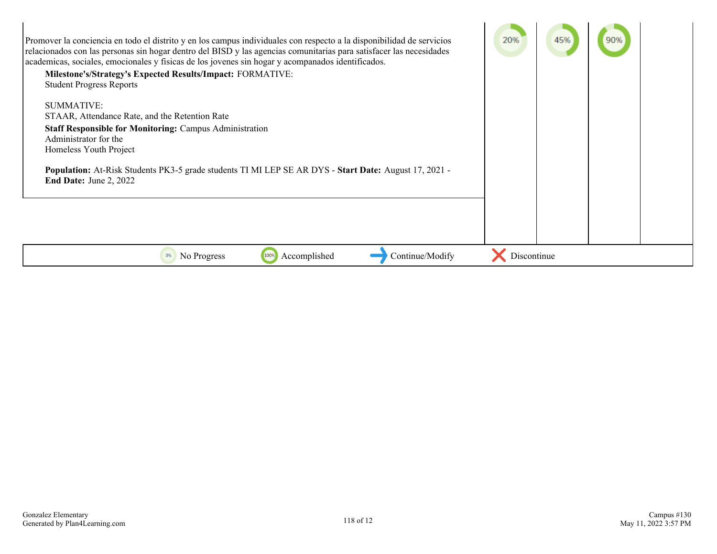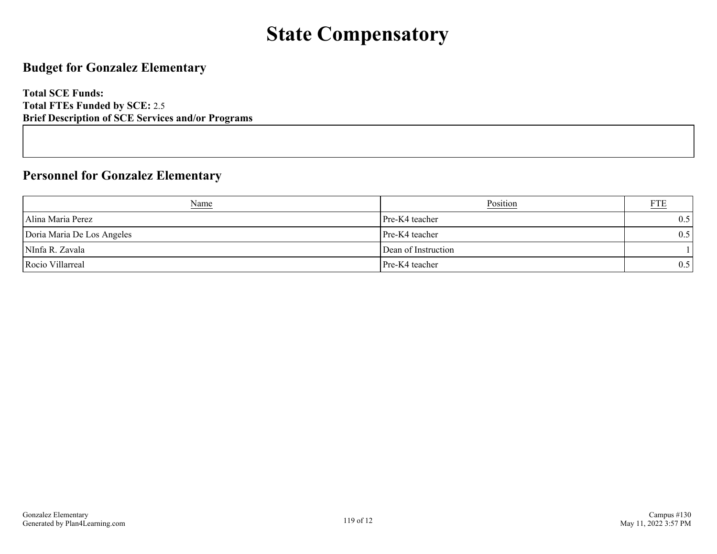# **State Compensatory**

## **Budget for Gonzalez Elementary**

**Total SCE Funds: Total FTEs Funded by SCE:** 2.5 **Brief Description of SCE Services and/or Programs**

#### **Personnel for Gonzalez Elementary**

| <b>Name</b>                | Position            |     |
|----------------------------|---------------------|-----|
| Alina Maria Perez          | Pre-K4 teacher      | 0.5 |
| Doria Maria De Los Angeles | Pre-K4 teacher      | 0.5 |
| NInfa R. Zavala            | Dean of Instruction |     |
| Rocio Villarreal           | Pre-K4 teacher      | 0.5 |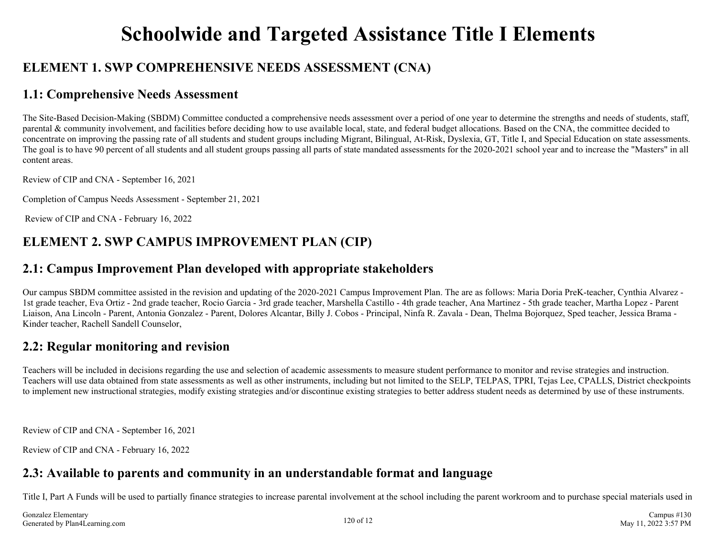# **Schoolwide and Targeted Assistance Title I Elements**

## **ELEMENT 1. SWP COMPREHENSIVE NEEDS ASSESSMENT (CNA)**

#### **1.1: Comprehensive Needs Assessment**

The Site-Based Decision-Making (SBDM) Committee conducted a comprehensive needs assessment over a period of one year to determine the strengths and needs of students, staff, parental & community involvement, and facilities before deciding how to use available local, state, and federal budget allocations. Based on the CNA, the committee decided to concentrate on improving the passing rate of all students and student groups including Migrant, Bilingual, At-Risk, Dyslexia, GT, Title I, and Special Education on state assessments. The goal is to have 90 percent of all students and all student groups passing all parts of state mandated assessments for the 2020-2021 school year and to increase the "Masters" in all content areas.

Review of CIP and CNA - September 16, 2021

Completion of Campus Needs Assessment - September 21, 2021

Review of CIP and CNA - February 16, 2022

## **ELEMENT 2. SWP CAMPUS IMPROVEMENT PLAN (CIP)**

#### **2.1: Campus Improvement Plan developed with appropriate stakeholders**

Our campus SBDM committee assisted in the revision and updating of the 2020-2021 Campus Improvement Plan. The are as follows: Maria Doria PreK-teacher, Cynthia Alvarez - 1st grade teacher, Eva Ortiz - 2nd grade teacher, Rocio Garcia - 3rd grade teacher, Marshella Castillo - 4th grade teacher, Ana Martinez - 5th grade teacher, Martha Lopez - Parent Liaison, Ana Lincoln - Parent, Antonia Gonzalez - Parent, Dolores Alcantar, Billy J. Cobos - Principal, Ninfa R. Zavala - Dean, Thelma Bojorquez, Sped teacher, Jessica Brama - Kinder teacher, Rachell Sandell Counselor,

## **2.2: Regular monitoring and revision**

Teachers will be included in decisions regarding the use and selection of academic assessments to measure student performance to monitor and revise strategies and instruction. Teachers will use data obtained from state assessments as well as other instruments, including but not limited to the SELP, TELPAS, TPRI, Tejas Lee, CPALLS, District checkpoints to implement new instructional strategies, modify existing strategies and/or discontinue existing strategies to better address student needs as determined by use of these instruments.

Review of CIP and CNA - September 16, 2021

Review of CIP and CNA - February 16, 2022

## **2.3: Available to parents and community in an understandable format and language**

Title I, Part A Funds will be used to partially finance strategies to increase parental involvement at the school including the parent workroom and to purchase special materials used in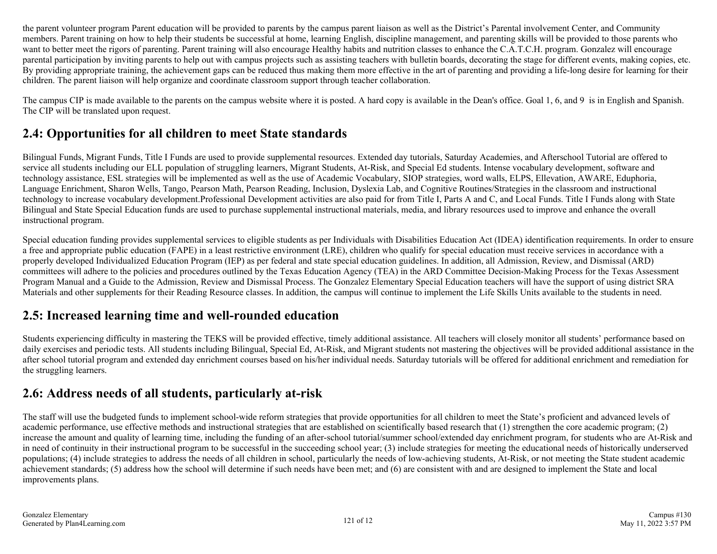the parent volunteer program Parent education will be provided to parents by the campus parent liaison as well as the District's Parental involvement Center, and Community members. Parent training on how to help their students be successful at home, learning English, discipline management, and parenting skills will be provided to those parents who want to better meet the rigors of parenting. Parent training will also encourage Healthy habits and nutrition classes to enhance the C.A.T.C.H. program. Gonzalez will encourage parental participation by inviting parents to help out with campus projects such as assisting teachers with bulletin boards, decorating the stage for different events, making copies, etc. By providing appropriate training, the achievement gaps can be reduced thus making them more effective in the art of parenting and providing a life-long desire for learning for their children. The parent liaison will help organize and coordinate classroom support through teacher collaboration.

The campus CIP is made available to the parents on the campus website where it is posted. A hard copy is available in the Dean's office. Goal 1, 6, and 9 is in English and Spanish. The CIP will be translated upon request.

## **2.4: Opportunities for all children to meet State standards**

Bilingual Funds, Migrant Funds, Title I Funds are used to provide supplemental resources. Extended day tutorials, Saturday Academies, and Afterschool Tutorial are offered to service all students including our ELL population of struggling learners, Migrant Students, At-Risk, and Special Ed students. Intense vocabulary development, software and technology assistance, ESL strategies will be implemented as well as the use of Academic Vocabulary, SIOP strategies, word walls, ELPS, Ellevation, AWARE, Eduphoria, Language Enrichment, Sharon Wells, Tango, Pearson Math, Pearson Reading, Inclusion, Dyslexia Lab, and Cognitive Routines/Strategies in the classroom and instructional technology to increase vocabulary development.Professional Development activities are also paid for from Title I, Parts A and C, and Local Funds. Title I Funds along with State Bilingual and State Special Education funds are used to purchase supplemental instructional materials, media, and library resources used to improve and enhance the overall instructional program.

Special education funding provides supplemental services to eligible students as per Individuals with Disabilities Education Act (IDEA) identification requirements. In order to ensure a free and appropriate public education (FAPE) in a least restrictive environment (LRE), children who qualify for special education must receive services in accordance with a properly developed Individualized Education Program (IEP) as per federal and state special education guidelines. In addition, all Admission, Review, and Dismissal (ARD) committees will adhere to the policies and procedures outlined by the Texas Education Agency (TEA) in the ARD Committee Decision-Making Process for the Texas Assessment Program Manual and a Guide to the Admission, Review and Dismissal Process. The Gonzalez Elementary Special Education teachers will have the support of using district SRA Materials and other supplements for their Reading Resource classes. In addition, the campus will continue to implement the Life Skills Units available to the students in need.

## **2.5: Increased learning time and well-rounded education**

Students experiencing difficulty in mastering the TEKS will be provided effective, timely additional assistance. All teachers will closely monitor all students' performance based on daily exercises and periodic tests. All students including Bilingual, Special Ed, At-Risk, and Migrant students not mastering the objectives will be provided additional assistance in the after school tutorial program and extended day enrichment courses based on his/her individual needs. Saturday tutorials will be offered for additional enrichment and remediation for the struggling learners.

## **2.6: Address needs of all students, particularly at-risk**

The staff will use the budgeted funds to implement school-wide reform strategies that provide opportunities for all children to meet the State's proficient and advanced levels of academic performance, use effective methods and instructional strategies that are established on scientifically based research that (1) strengthen the core academic program; (2) increase the amount and quality of learning time, including the funding of an after-school tutorial/summer school/extended day enrichment program, for students who are At-Risk and in need of continuity in their instructional program to be successful in the succeeding school year; (3) include strategies for meeting the educational needs of historically underserved populations; (4) include strategies to address the needs of all children in school, particularly the needs of low-achieving students, At-Risk, or not meeting the State student academic achievement standards; (5) address how the school will determine if such needs have been met; and (6) are consistent with and are designed to implement the State and local improvements plans.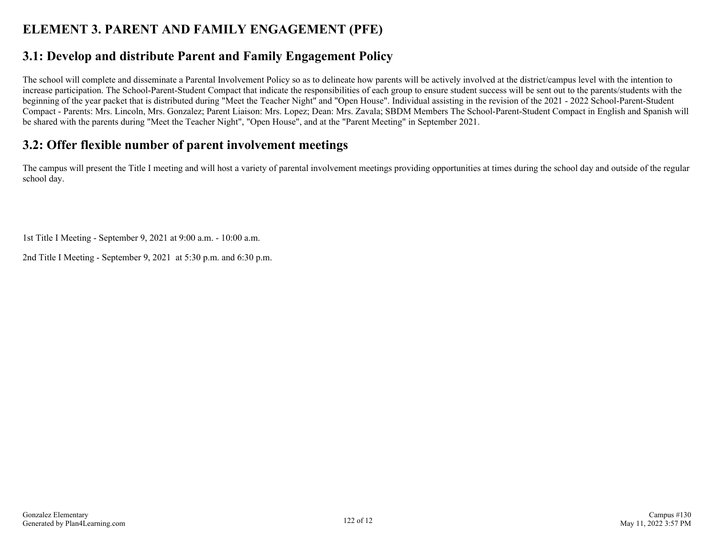# **ELEMENT 3. PARENT AND FAMILY ENGAGEMENT (PFE)**

## **3.1: Develop and distribute Parent and Family Engagement Policy**

The school will complete and disseminate a Parental Involvement Policy so as to delineate how parents will be actively involved at the district/campus level with the intention to increase participation. The School-Parent-Student Compact that indicate the responsibilities of each group to ensure student success will be sent out to the parents/students with the beginning of the year packet that is distributed during "Meet the Teacher Night" and "Open House". Individual assisting in the revision of the 2021 - 2022 School-Parent-Student Compact - Parents: Mrs. Lincoln, Mrs. Gonzalez; Parent Liaison: Mrs. Lopez; Dean: Mrs. Zavala; SBDM Members The School-Parent-Student Compact in English and Spanish will be shared with the parents during "Meet the Teacher Night", "Open House", and at the "Parent Meeting" in September 2021.

#### **3.2: Offer flexible number of parent involvement meetings**

The campus will present the Title I meeting and will host a variety of parental involvement meetings providing opportunities at times during the school day and outside of the regular school day.

1st Title I Meeting - September 9, 2021 at 9:00 a.m. - 10:00 a.m.

2nd Title I Meeting - September 9, 2021 at 5:30 p.m. and 6:30 p.m.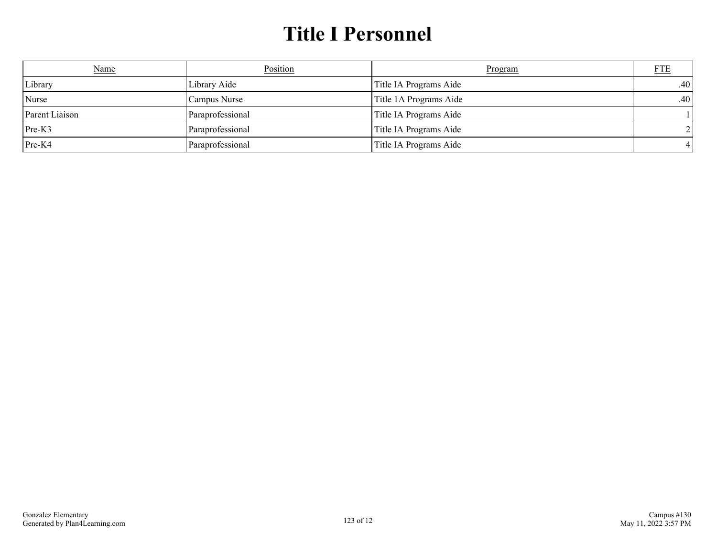# **Title I Personnel**

| Name           | Position         | Program                | <b>FTE</b>       |
|----------------|------------------|------------------------|------------------|
| Library        | Library Aide     | Title IA Programs Aide | .40 <sub>1</sub> |
| Nurse          | Campus Nurse     | Title 1A Programs Aide | .40 <sub>1</sub> |
| Parent Liaison | Paraprofessional | Title IA Programs Aide |                  |
| $Pre-K3$       | Paraprofessional | Title IA Programs Aide |                  |
| $Pre-K4$       | Paraprofessional | Title IA Programs Aide |                  |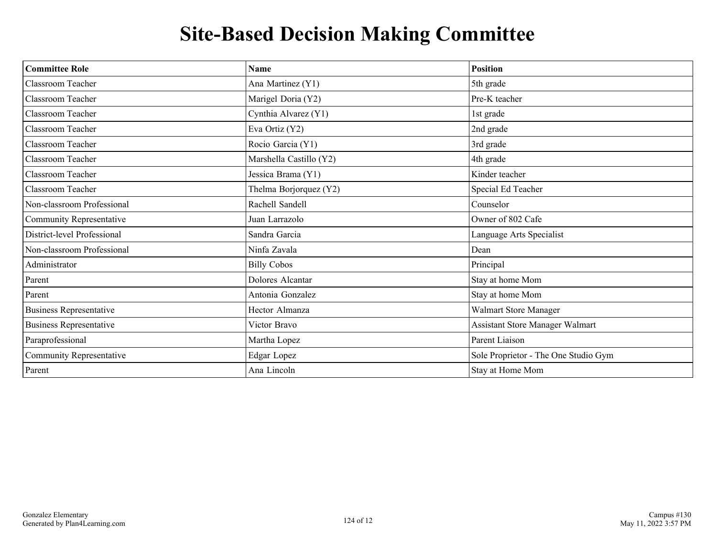# **Site-Based Decision Making Committee**

| <b>Committee Role</b>           | <b>Name</b>             | <b>Position</b>                      |
|---------------------------------|-------------------------|--------------------------------------|
| Classroom Teacher               | Ana Martinez (Y1)       | 5th grade                            |
| Classroom Teacher               | Marigel Doria (Y2)      | Pre-K teacher                        |
| Classroom Teacher               | Cynthia Alvarez (Y1)    | 1st grade                            |
| Classroom Teacher               | Eva Ortiz (Y2)          | 2nd grade                            |
| Classroom Teacher               | Rocio Garcia (Y1)       | 3rd grade                            |
| Classroom Teacher               | Marshella Castillo (Y2) | 4th grade                            |
| Classroom Teacher               | Jessica Brama (Y1)      | Kinder teacher                       |
| Classroom Teacher               | Thelma Borjorquez (Y2)  | Special Ed Teacher                   |
| Non-classroom Professional      | Rachell Sandell         | Counselor                            |
| <b>Community Representative</b> | Juan Larrazolo          | Owner of 802 Cafe                    |
| District-level Professional     | Sandra Garcia           | Language Arts Specialist             |
| Non-classroom Professional      | Ninfa Zavala            | Dean                                 |
| Administrator                   | <b>Billy Cobos</b>      | Principal                            |
| Parent                          | Dolores Alcantar        | Stay at home Mom                     |
| Parent                          | Antonia Gonzalez        | Stay at home Mom                     |
| <b>Business Representative</b>  | Hector Almanza          | Walmart Store Manager                |
| <b>Business Representative</b>  | Victor Bravo            | Assistant Store Manager Walmart      |
| Paraprofessional                | Martha Lopez            | Parent Liaison                       |
| Community Representative        | Edgar Lopez             | Sole Proprietor - The One Studio Gym |
| Parent                          | Ana Lincoln             | Stay at Home Mom                     |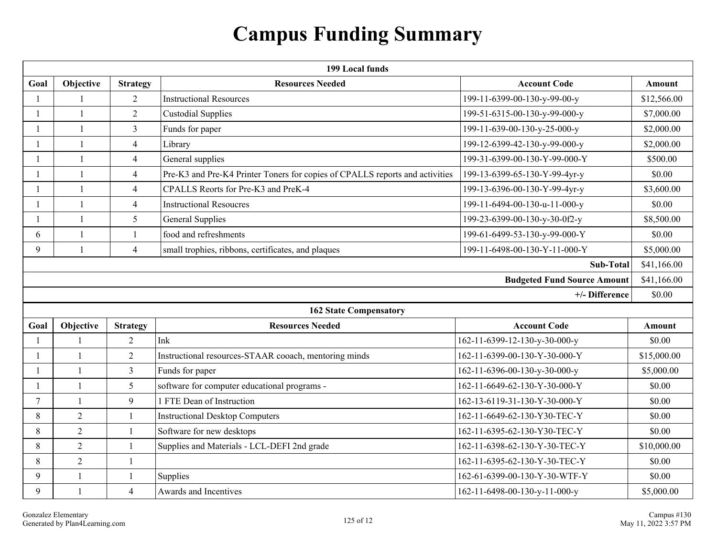# **Campus Funding Summary**

|              | 199 Local funds |                 |                                                                              |                                    |             |  |  |
|--------------|-----------------|-----------------|------------------------------------------------------------------------------|------------------------------------|-------------|--|--|
| Goal         | Objective       | <b>Strategy</b> | <b>Resources Needed</b>                                                      | <b>Account Code</b>                | Amount      |  |  |
| $\mathbf{1}$ | $\mathbf{1}$    | 2               | <b>Instructional Resources</b>                                               | 199-11-6399-00-130-y-99-00-y       | \$12,566.00 |  |  |
| 1            | $\mathbf{1}$    | $\overline{2}$  | <b>Custodial Supplies</b>                                                    | 199-51-6315-00-130-y-99-000-y      | \$7,000.00  |  |  |
|              | $\mathbf{1}$    | 3               | Funds for paper                                                              | 199-11-639-00-130-y-25-000-y       | \$2,000.00  |  |  |
|              | $\mathbf{1}$    | $\overline{4}$  | Library                                                                      | 199-12-6399-42-130-y-99-000-y      | \$2,000.00  |  |  |
| 1            | $\mathbf{1}$    | $\overline{4}$  | General supplies                                                             | 199-31-6399-00-130-Y-99-000-Y      | \$500.00    |  |  |
| $\mathbf{1}$ | $\mathbf{1}$    | $\overline{4}$  | Pre-K3 and Pre-K4 Printer Toners for copies of CPALLS reports and activities | 199-13-6399-65-130-Y-99-4yr-y      | \$0.00      |  |  |
|              | $\mathbf{1}$    | $\overline{4}$  | CPALLS Reorts for Pre-K3 and PreK-4                                          | 199-13-6396-00-130-Y-99-4yr-y      | \$3,600.00  |  |  |
| 1            | $\mathbf{1}$    | $\overline{4}$  | <b>Instructional Resoucres</b>                                               | 199-11-6494-00-130-u-11-000-y      | \$0.00      |  |  |
| 1            | $\mathbf{1}$    | 5               | <b>General Supplies</b>                                                      | 199-23-6399-00-130-y-30-0f2-y      | \$8,500.00  |  |  |
| 6            | $\mathbf{1}$    | $\mathbf{1}$    | food and refreshments                                                        | 199-61-6499-53-130-y-99-000-Y      | \$0.00      |  |  |
| 9            | $\mathbf{1}$    | $\overline{4}$  | small trophies, ribbons, certificates, and plaques                           | 199-11-6498-00-130-Y-11-000-Y      | \$5,000.00  |  |  |
|              | Sub-Total       |                 |                                                                              |                                    |             |  |  |
|              |                 |                 |                                                                              | <b>Budgeted Fund Source Amount</b> | \$41,166.00 |  |  |
|              |                 |                 |                                                                              | +/- Difference                     | \$0.00      |  |  |
|              |                 |                 | <b>162 State Compensatory</b>                                                |                                    |             |  |  |
| Goal         | Objective       | <b>Strategy</b> | <b>Resources Needed</b>                                                      | <b>Account Code</b>                | Amount      |  |  |
| 1            | $\mathbf{1}$    | $\overline{2}$  | Ink                                                                          | 162-11-6399-12-130-y-30-000-y      | \$0.00      |  |  |
| 1            | $\mathbf{1}$    | $\overline{2}$  | Instructional resources-STAAR cooach, mentoring minds                        | 162-11-6399-00-130-Y-30-000-Y      | \$15,000.00 |  |  |
|              | $\mathbf{1}$    | $\overline{3}$  | Funds for paper                                                              | 162-11-6396-00-130-y-30-000-y      | \$5,000.00  |  |  |
| $\mathbf{1}$ | $\mathbf{1}$    | 5               | software for computer educational programs -                                 | 162-11-6649-62-130-Y-30-000-Y      | \$0.00      |  |  |
| $\tau$       | $\overline{1}$  | 9               | 1 FTE Dean of Instruction                                                    | 162-13-6119-31-130-Y-30-000-Y      | \$0.00      |  |  |
| 8            | $\overline{2}$  | $\mathbf{1}$    | <b>Instructional Desktop Computers</b>                                       | 162-11-6649-62-130-Y30-TEC-Y       | \$0.00      |  |  |
| 8            | $\overline{2}$  | 1               | Software for new desktops                                                    | 162-11-6395-62-130-Y30-TEC-Y       | \$0.00      |  |  |
| 8            | $\overline{2}$  | $\mathbf{1}$    | Supplies and Materials - LCL-DEFI 2nd grade                                  | 162-11-6398-62-130-Y-30-TEC-Y      | \$10,000.00 |  |  |
| 8            | $\overline{2}$  | $\mathbf{1}$    |                                                                              | 162-11-6395-62-130-Y-30-TEC-Y      | \$0.00      |  |  |
| 9            | $\mathbf{1}$    | $\mathbf{1}$    | Supplies                                                                     | 162-61-6399-00-130-Y-30-WTF-Y      | \$0.00      |  |  |
| 9            | $\mathbf{1}$    | $\overline{4}$  | Awards and Incentives                                                        | 162-11-6498-00-130-y-11-000-y      | \$5,000.00  |  |  |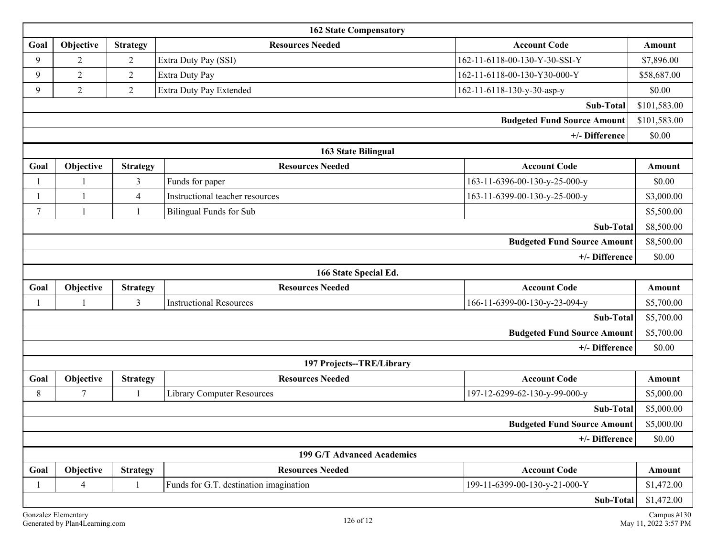| <b>162 State Compensatory</b>      |                            |                 |                                        |                                    |              |
|------------------------------------|----------------------------|-----------------|----------------------------------------|------------------------------------|--------------|
| Goal                               | Objective                  | <b>Strategy</b> | <b>Resources Needed</b>                | <b>Account Code</b>                | Amount       |
| 9                                  | $\overline{2}$             | $\overline{2}$  | Extra Duty Pay (SSI)                   | 162-11-6118-00-130-Y-30-SSI-Y      | \$7,896.00   |
| 9                                  | $\overline{2}$             | $\overline{2}$  | Extra Duty Pay                         | 162-11-6118-00-130-Y30-000-Y       | \$58,687.00  |
| 9                                  | $\overline{2}$             | $\overline{2}$  | Extra Duty Pay Extended                | 162-11-6118-130-y-30-asp-y         | \$0.00       |
|                                    |                            |                 |                                        | Sub-Total                          | \$101,583.00 |
|                                    |                            |                 |                                        | <b>Budgeted Fund Source Amount</b> | \$101,583.00 |
|                                    |                            |                 |                                        | +/- Difference                     | \$0.00       |
|                                    |                            |                 | <b>163 State Bilingual</b>             |                                    |              |
| Goal                               | Objective                  | <b>Strategy</b> | <b>Resources Needed</b>                | <b>Account Code</b>                | Amount       |
|                                    |                            | 3               | Funds for paper                        | 163-11-6396-00-130-y-25-000-y      | \$0.00       |
|                                    | $\mathbf{1}$               | $\overline{4}$  | Instructional teacher resources        | 163-11-6399-00-130-y-25-000-y      | \$3,000.00   |
| $\tau$                             |                            | 1               | <b>Bilingual Funds for Sub</b>         |                                    | \$5,500.00   |
| Sub-Total                          |                            |                 |                                        | \$8,500.00                         |              |
| <b>Budgeted Fund Source Amount</b> |                            |                 |                                        |                                    | \$8,500.00   |
| +/- Difference                     |                            |                 |                                        |                                    | \$0.00       |
|                                    |                            |                 | 166 State Special Ed.                  |                                    |              |
| Goal                               | Objective                  | <b>Strategy</b> | <b>Resources Needed</b>                | <b>Account Code</b>                | Amount       |
|                                    |                            | $\overline{3}$  | <b>Instructional Resources</b>         | 166-11-6399-00-130-y-23-094-y      | \$5,700.00   |
|                                    |                            |                 |                                        | Sub-Total                          | \$5,700.00   |
|                                    |                            |                 |                                        | <b>Budgeted Fund Source Amount</b> | \$5,700.00   |
|                                    |                            |                 |                                        | +/- Difference                     | \$0.00       |
|                                    |                            |                 | 197 Projects--TRE/Library              |                                    |              |
| Goal                               | Objective                  | <b>Strategy</b> | <b>Resources Needed</b>                | <b>Account Code</b>                | Amount       |
| 8                                  | $\overline{7}$             |                 | <b>Library Computer Resources</b>      | 197-12-6299-62-130-y-99-000-y      | \$5,000.00   |
|                                    |                            |                 |                                        | Sub-Total                          | \$5,000.00   |
| <b>Budgeted Fund Source Amount</b> |                            |                 |                                        |                                    | \$5,000.00   |
| +/- Difference                     |                            |                 |                                        |                                    | \$0.00       |
|                                    | 199 G/T Advanced Academics |                 |                                        |                                    |              |
| Goal                               | Objective                  | <b>Strategy</b> | <b>Resources Needed</b>                | <b>Account Code</b>                | Amount       |
|                                    | $\overline{4}$             |                 | Funds for G.T. destination imagination | 199-11-6399-00-130-y-21-000-Y      | \$1,472.00   |
|                                    |                            |                 |                                        | Sub-Total                          | \$1,472.00   |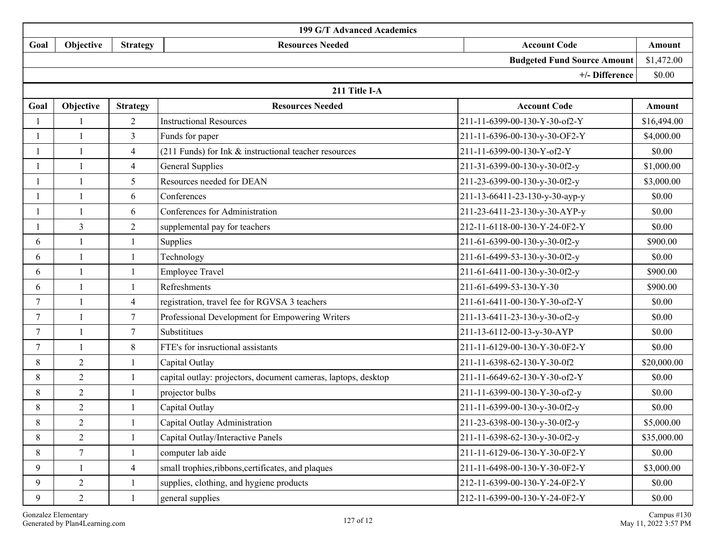|                | 199 G/T Advanced Academics         |                 |                                                                |                                |             |  |
|----------------|------------------------------------|-----------------|----------------------------------------------------------------|--------------------------------|-------------|--|
| Goal           | Objective                          | <b>Strategy</b> | <b>Resources Needed</b>                                        | <b>Account Code</b>            | Amount      |  |
|                | <b>Budgeted Fund Source Amount</b> |                 |                                                                |                                |             |  |
|                | +/- Difference                     |                 |                                                                |                                |             |  |
|                |                                    |                 | 211 Title I-A                                                  |                                |             |  |
| Goal           | Objective                          | <b>Strategy</b> | <b>Resources Needed</b>                                        | <b>Account Code</b>            | Amount      |  |
|                |                                    | $\overline{2}$  | <b>Instructional Resources</b>                                 | 211-11-6399-00-130-Y-30-of2-Y  | \$16,494.00 |  |
|                | $\mathbf{1}$                       | $\overline{3}$  | Funds for paper                                                | 211-11-6396-00-130-y-30-OF2-Y  | \$4,000.00  |  |
| $\mathbf{1}$   | $\mathbf{1}$                       | 4               | (211 Funds) for Ink $&$ instructional teacher resources        | 211-11-6399-00-130-Y-of2-Y     | \$0.00      |  |
|                | $\overline{\phantom{a}}$           | $\overline{4}$  | <b>General Supplies</b>                                        | 211-31-6399-00-130-y-30-0f2-y  | \$1,000.00  |  |
| 1              | $\mathbf{1}$                       | 5               | Resources needed for DEAN                                      | 211-23-6399-00-130-y-30-0f2-y  | \$3,000.00  |  |
|                | $\mathbf{1}$                       | 6               | Conferences                                                    | 211-13-66411-23-130-y-30-ayp-y | \$0.00      |  |
|                | $\mathbf{1}$                       | 6               | Conferences for Administration                                 | 211-23-6411-23-130-y-30-AYP-y  | \$0.00      |  |
|                | 3                                  | $\overline{2}$  | supplemental pay for teachers                                  | 212-11-6118-00-130-Y-24-0F2-Y  | \$0.00      |  |
| 6              |                                    |                 | Supplies                                                       | 211-61-6399-00-130-y-30-0f2-y  | \$900.00    |  |
| 6              | $\mathbf{1}$                       |                 | Technology                                                     | 211-61-6499-53-130-y-30-0f2-y  | \$0.00      |  |
| 6              | $\mathbf{1}$                       | $\mathbf{1}$    | <b>Employee Travel</b>                                         | 211-61-6411-00-130-y-30-0f2-y  | \$900.00    |  |
| 6              | $\overline{1}$                     | 1               | Refreshments                                                   | 211-61-6499-53-130-Y-30        | \$900.00    |  |
| $\tau$         |                                    | 4               | registration, travel fee for RGVSA 3 teachers                  | 211-61-6411-00-130-Y-30-of2-Y  | \$0.00      |  |
| $\overline{7}$ | $\mathbf{1}$                       | 7               | Professional Development for Empowering Writers                | 211-13-6411-23-130-y-30-of2-y  | \$0.00      |  |
| $\tau$         | $\mathbf{1}$                       | $\tau$          | Substititues                                                   | 211-13-6112-00-13-y-30-AYP     | \$0.00      |  |
| $7\phantom{.}$ | $\mathbf{1}$                       | $\,8\,$         | FTE's for insructional assistants                              | 211-11-6129-00-130-Y-30-0F2-Y  | \$0.00      |  |
| 8              | $\overline{2}$                     |                 | Capital Outlay                                                 | 211-11-6398-62-130-Y-30-0f2    | \$20,000.00 |  |
| 8              | $\overline{2}$                     |                 | capital outlay: projectors, document cameras, laptops, desktop | 211-11-6649-62-130-Y-30-of2-Y  | \$0.00      |  |
| 8              | $\overline{2}$                     | $\mathbf{1}$    | projector bulbs                                                | 211-11-6399-00-130-Y-30-of2-y  | \$0.00      |  |
| 8              | $\overline{c}$                     |                 | Capital Outlay                                                 | 211-11-6399-00-130-y-30-0f2-y  | \$0.00      |  |
| 8              | $\overline{2}$                     | $\mathbf{1}$    | Capital Outlay Administration                                  | 211-23-6398-00-130-y-30-0f2-y  | \$5,000.00  |  |
| 8              | $\overline{2}$                     | 1               | Capital Outlay/Interactive Panels                              | 211-11-6398-62-130-y-30-0f2-y  | \$35,000.00 |  |
| 8              | $7\phantom{.}$                     | $\overline{1}$  | computer lab aide                                              | 211-11-6129-06-130-Y-30-0F2-Y  | \$0.00      |  |
| 9              | $\mathbf{1}$                       | $\overline{4}$  | small trophies, ribbons, certificates, and plaques             | 211-11-6498-00-130-Y-30-0F2-Y  | \$3,000.00  |  |
| 9              | $\overline{2}$                     | $\overline{1}$  | supplies, clothing, and hygiene products                       | 212-11-6399-00-130-Y-24-0F2-Y  | \$0.00      |  |
| 9              | $\overline{2}$                     | $\overline{1}$  | general supplies                                               | 212-11-6399-00-130-Y-24-0F2-Y  | \$0.00      |  |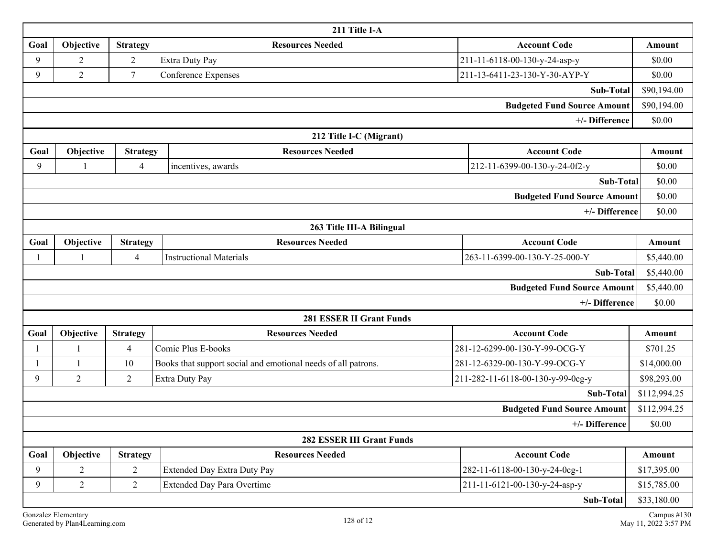| 211 Title I-A                      |                |                 |                                                               |                                    |              |
|------------------------------------|----------------|-----------------|---------------------------------------------------------------|------------------------------------|--------------|
| Goal                               | Objective      | <b>Strategy</b> | <b>Resources Needed</b>                                       | <b>Account Code</b>                | Amount       |
| 9                                  | 2              | 2               | Extra Duty Pay                                                | 211-11-6118-00-130-y-24-asp-y      | \$0.00       |
| 9                                  | $\overline{2}$ | $7\phantom{.0}$ | Conference Expenses                                           | 211-13-6411-23-130-Y-30-AYP-Y      | \$0.00       |
|                                    |                |                 |                                                               | Sub-Total                          | \$90,194.00  |
|                                    |                |                 |                                                               | <b>Budgeted Fund Source Amount</b> | \$90,194.00  |
|                                    |                |                 |                                                               | +/- Difference                     | \$0.00       |
|                                    |                |                 | 212 Title I-C (Migrant)                                       |                                    |              |
| Goal                               | Objective      | <b>Strategy</b> | <b>Resources Needed</b>                                       | <b>Account Code</b>                | Amount       |
| 9                                  |                | $\overline{4}$  | incentives, awards                                            | 212-11-6399-00-130-y-24-0f2-y      | \$0.00       |
| Sub-Total                          |                |                 |                                                               | \$0.00                             |              |
| <b>Budgeted Fund Source Amount</b> |                |                 |                                                               |                                    | \$0.00       |
| +/- Difference                     |                |                 |                                                               |                                    | \$0.00       |
|                                    |                |                 | 263 Title III-A Bilingual                                     |                                    |              |
| Goal                               | Objective      | <b>Strategy</b> | <b>Resources Needed</b>                                       | <b>Account Code</b>                | Amount       |
|                                    |                | $\overline{4}$  | <b>Instructional Materials</b>                                | 263-11-6399-00-130-Y-25-000-Y      | \$5,440.00   |
| Sub-Total                          |                |                 |                                                               |                                    | \$5,440.00   |
| <b>Budgeted Fund Source Amount</b> |                |                 |                                                               |                                    | \$5,440.00   |
|                                    |                |                 |                                                               | +/- Difference                     | \$0.00       |
|                                    |                |                 | <b>281 ESSER II Grant Funds</b>                               |                                    |              |
| Goal                               | Objective      | <b>Strategy</b> | <b>Resources Needed</b>                                       | <b>Account Code</b>                | Amount       |
|                                    |                | 4               | Comic Plus E-books                                            | 281-12-6299-00-130-Y-99-OCG-Y      | \$701.25     |
|                                    | $\mathbf{1}$   | 10              | Books that support social and emotional needs of all patrons. | 281-12-6329-00-130-Y-99-OCG-Y      | \$14,000.00  |
| 9                                  | $\overline{2}$ | $\overline{2}$  | Extra Duty Pay                                                | 211-282-11-6118-00-130-y-99-0cg-y  | \$98,293.00  |
| Sub-Total                          |                |                 |                                                               |                                    | \$112,994.25 |
| <b>Budgeted Fund Source Amount</b> |                |                 |                                                               |                                    | \$112,994.25 |
| +/- Difference                     |                |                 |                                                               |                                    | \$0.00       |
| <b>282 ESSER III Grant Funds</b>   |                |                 |                                                               |                                    |              |
| Goal                               | Objective      | <b>Strategy</b> | <b>Resources Needed</b>                                       | <b>Account Code</b>                | Amount       |
| 9                                  | $\overline{2}$ | $\overline{2}$  | <b>Extended Day Extra Duty Pay</b>                            | 282-11-6118-00-130-y-24-0cg-1      | \$17,395.00  |
| 9                                  | $\overline{2}$ | $\overline{2}$  | <b>Extended Day Para Overtime</b>                             | 211-11-6121-00-130-y-24-asp-y      | \$15,785.00  |
| Sub-Total                          |                |                 |                                                               | \$33,180.00                        |              |